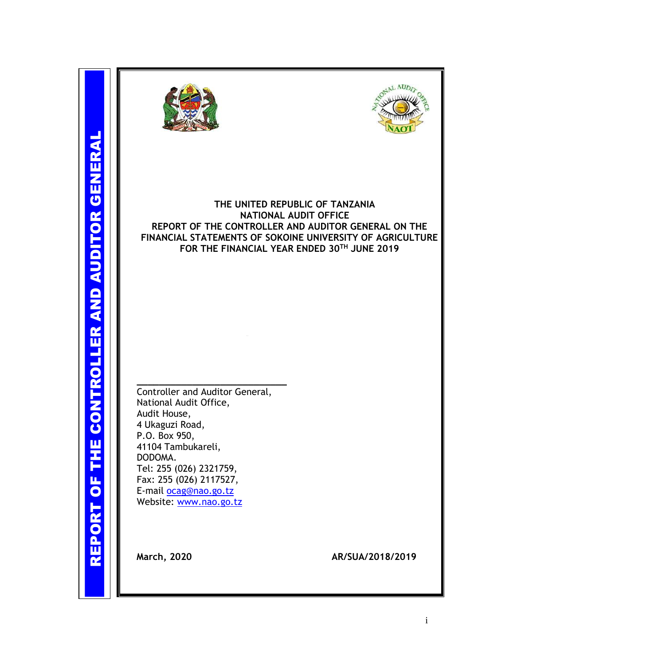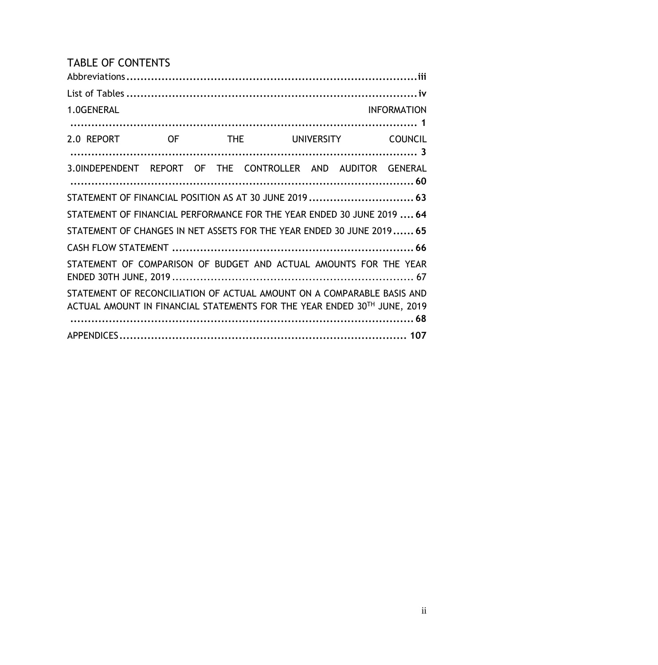# TABLE OF CONTENTS

| 1.0GENERAL                                                                                                                                         |  |  |                        | <b>INFORMATION</b> |
|----------------------------------------------------------------------------------------------------------------------------------------------------|--|--|------------------------|--------------------|
| 2.0 REPORT OF                                                                                                                                      |  |  | THE UNIVERSITY COUNCIL |                    |
| 3.0INDEPENDENT REPORT OF THE CONTROLLER AND AUDITOR GENERAL                                                                                        |  |  |                        |                    |
| STATEMENT OF FINANCIAL POSITION AS AT 30 JUNE 2019  63                                                                                             |  |  |                        |                    |
| STATEMENT OF FINANCIAL PERFORMANCE FOR THE YEAR ENDED 30 JUNE 2019  64                                                                             |  |  |                        |                    |
| STATEMENT OF CHANGES IN NET ASSETS FOR THE YEAR ENDED 30 JUNE 2019 65                                                                              |  |  |                        |                    |
|                                                                                                                                                    |  |  |                        |                    |
| STATEMENT OF COMPARISON OF BUDGET AND ACTUAL AMOUNTS FOR THE YEAR                                                                                  |  |  |                        |                    |
| STATEMENT OF RECONCILIATION OF ACTUAL AMOUNT ON A COMPARABLE BASIS AND<br>ACTUAL AMOUNT IN FINANCIAL STATEMENTS FOR THE YEAR ENDED 30TH JUNE, 2019 |  |  |                        |                    |
|                                                                                                                                                    |  |  |                        |                    |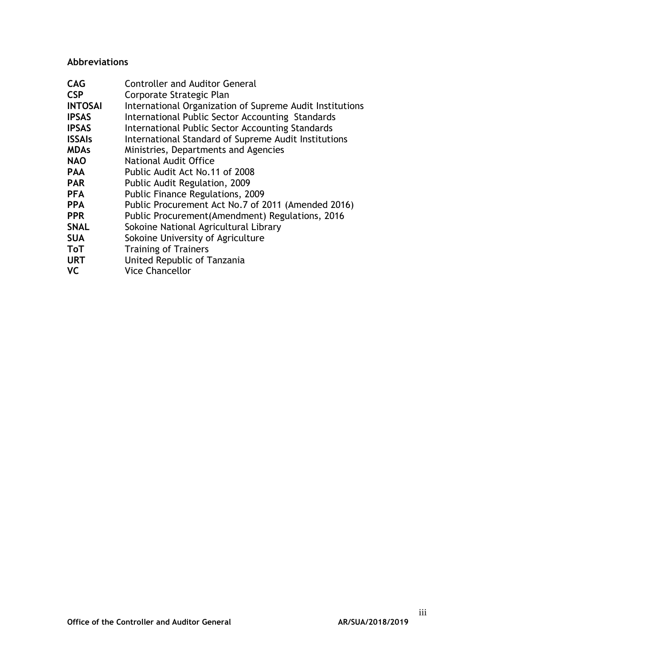### <span id="page-2-0"></span>**Abbreviations**

| <b>CAG</b>     | <b>Controller and Auditor General</b>                    |
|----------------|----------------------------------------------------------|
| <b>CSP</b>     | Corporate Strategic Plan                                 |
| <b>INTOSAI</b> | International Organization of Supreme Audit Institutions |
| <b>IPSAS</b>   | International Public Sector Accounting Standards         |
| <b>IPSAS</b>   | International Public Sector Accounting Standards         |
| <b>ISSAIs</b>  | International Standard of Supreme Audit Institutions     |
| <b>MDAs</b>    | Ministries, Departments and Agencies                     |
| <b>NAO</b>     | National Audit Office                                    |
| <b>PAA</b>     | Public Audit Act No.11 of 2008                           |
| <b>PAR</b>     | Public Audit Regulation, 2009                            |
| <b>PFA</b>     | Public Finance Regulations, 2009                         |
| <b>PPA</b>     | Public Procurement Act No.7 of 2011 (Amended 2016)       |
| <b>PPR</b>     | Public Procurement(Amendment) Regulations, 2016          |
| <b>SNAL</b>    | Sokoine National Agricultural Library                    |
| <b>SUA</b>     | Sokoine University of Agriculture                        |
| <b>ToT</b>     | <b>Training of Trainers</b>                              |
| <b>URT</b>     | United Republic of Tanzania                              |
| <b>VC</b>      | <b>Vice Chancellor</b>                                   |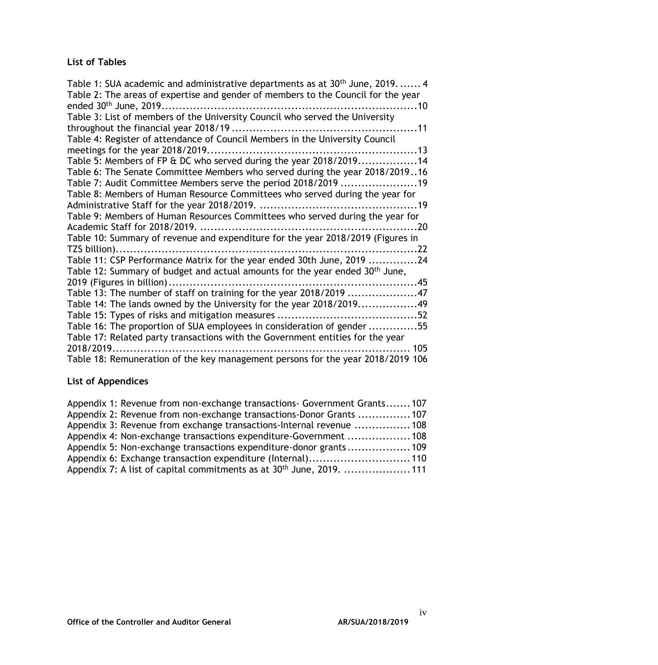## <span id="page-3-0"></span>**List of Tables**

| Table 1: SUA academic and administrative departments as at 30 <sup>th</sup> June, 2019.  4<br>Table 2: The areas of expertise and gender of members to the Council for the year |
|---------------------------------------------------------------------------------------------------------------------------------------------------------------------------------|
| Table 3: List of members of the University Council who served the University                                                                                                    |
|                                                                                                                                                                                 |
| Table 4: Register of attendance of Council Members in the University Council                                                                                                    |
|                                                                                                                                                                                 |
| Table 5: Members of FP & DC who served during the year 2018/201914                                                                                                              |
| Table 6: The Senate Committee Members who served during the year 2018/201916                                                                                                    |
| Table 7: Audit Committee Members serve the period 2018/2019 19                                                                                                                  |
| Table 8: Members of Human Resource Committees who served during the year for                                                                                                    |
|                                                                                                                                                                                 |
| Table 9: Members of Human Resources Committees who served during the year for                                                                                                   |
|                                                                                                                                                                                 |
| Table 10: Summary of revenue and expenditure for the year 2018/2019 (Figures in                                                                                                 |
|                                                                                                                                                                                 |
| Table 11: CSP Performance Matrix for the year ended 30th June, 2019 24                                                                                                          |
| Table 12: Summary of budget and actual amounts for the year ended 30 <sup>th</sup> June,                                                                                        |
|                                                                                                                                                                                 |
| Table 13: The number of staff on training for the year 2018/2019 47                                                                                                             |
| Table 14: The lands owned by the University for the year 2018/201949                                                                                                            |
|                                                                                                                                                                                 |
| Table 16: The proportion of SUA employees in consideration of gender 55                                                                                                         |
| Table 17: Related party transactions with the Government entities for the year                                                                                                  |
| 2018/2019<br>. 105                                                                                                                                                              |
| Table 18: Remuneration of the key management persons for the year 2018/2019 106                                                                                                 |

# **List of Appendices**

| Appendix 1: Revenue from non-exchange transactions- Government Grants107         |  |
|----------------------------------------------------------------------------------|--|
| Appendix 2: Revenue from non-exchange transactions-Donor Grants  107             |  |
| Appendix 3: Revenue from exchange transactions-Internal revenue 108              |  |
| Appendix 4: Non-exchange transactions expenditure-Government 108                 |  |
| Appendix 5: Non-exchange transactions expenditure-donor grants 109               |  |
| Appendix 6: Exchange transaction expenditure (Internal) 110                      |  |
| Appendix 7: A list of capital commitments as at 30 <sup>th</sup> June, 2019. 111 |  |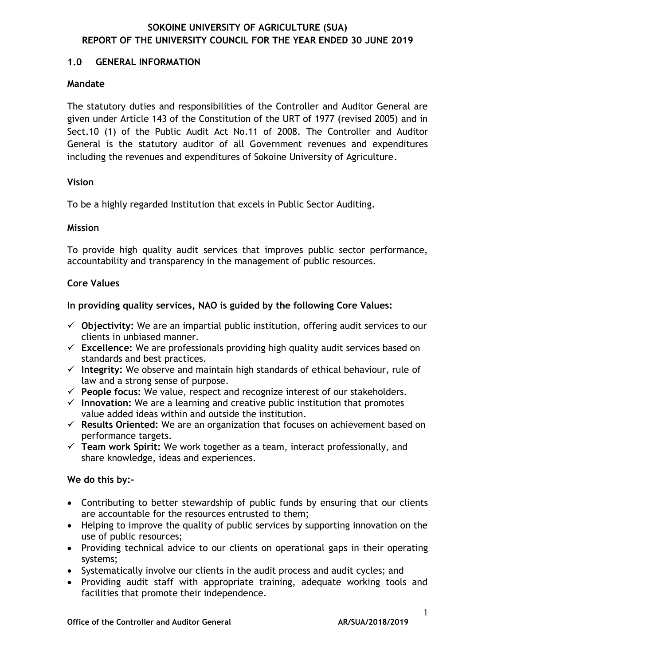#### <span id="page-4-0"></span>**1.0 GENERAL INFORMATION**

#### **Mandate**

The statutory duties and responsibilities of the Controller and Auditor General are given under Article 143 of the Constitution of the URT of 1977 (revised 2005) and in Sect.10 (1) of the Public Audit Act No.11 of 2008. The Controller and Auditor General is the statutory auditor of all Government revenues and expenditures including the revenues and expenditures of Sokoine University of Agriculture*.*

#### **Vision**

To be a highly regarded Institution that excels in Public Sector Auditing.

#### **Mission**

To provide high quality audit services that improves public sector performance, accountability and transparency in the management of public resources.

#### **Core Values**

#### **In providing quality services, NAO is guided by the following Core Values:**

- **Objectivity:** We are an impartial public institution, offering audit services to our clients in unbiased manner.
- **Excellence:** We are professionals providing high quality audit services based on standards and best practices.
- **Integrity:** We observe and maintain high standards of ethical behaviour, rule of law and a strong sense of purpose.
- **People focus:** We value, respect and recognize interest of our stakeholders.
- **Innovation:** We are a learning and creative public institution that promotes value added ideas within and outside the institution.
- **Results Oriented:** We are an organization that focuses on achievement based on performance targets.
- **Team work Spirit:** We work together as a team, interact professionally, and share knowledge, ideas and experiences.

#### **We do this by:-**

- Contributing to better stewardship of public funds by ensuring that our clients are accountable for the resources entrusted to them;
- Helping to improve the quality of public services by supporting innovation on the use of public resources;
- Providing technical advice to our clients on operational gaps in their operating systems;
- Systematically involve our clients in the audit process and audit cycles; and
- Providing audit staff with appropriate training, adequate working tools and facilities that promote their independence.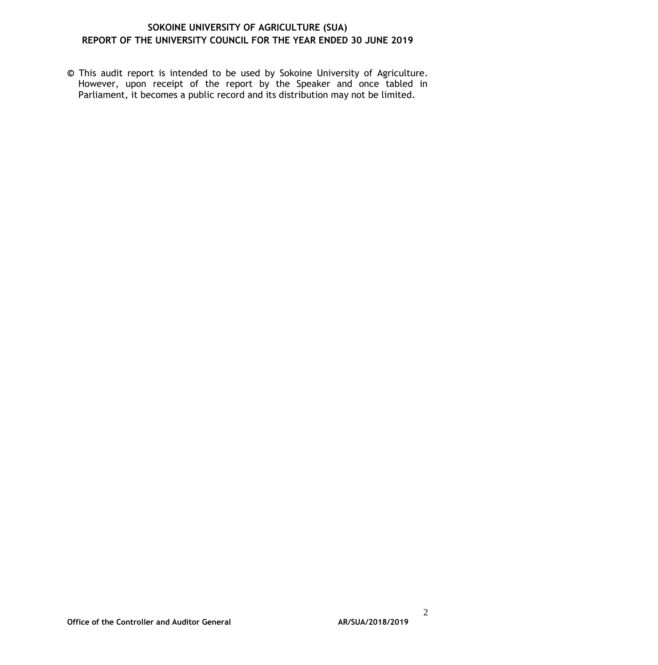*©* This audit report is intended to be used by Sokoine University of Agriculture. However, upon receipt of the report by the Speaker and once tabled in Parliament, it becomes a public record and its distribution may not be limited.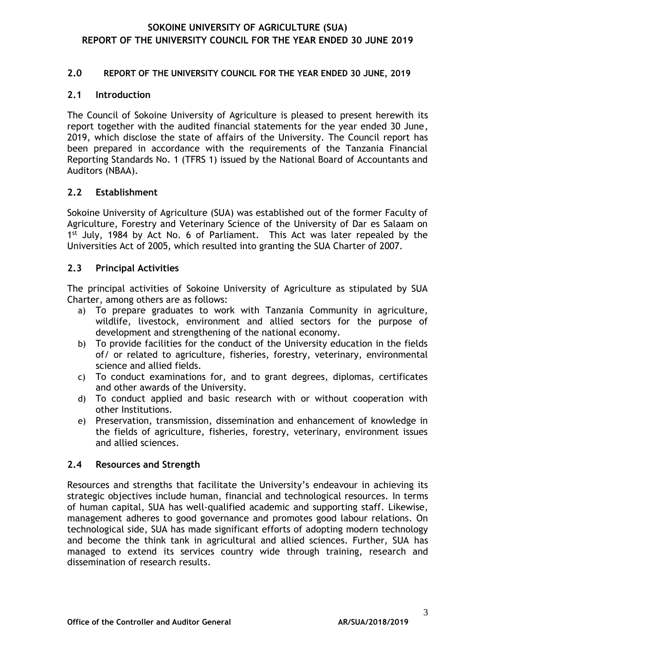#### <span id="page-6-0"></span>**2.0 REPORT OF THE UNIVERSITY COUNCIL FOR THE YEAR ENDED 30 JUNE, 2019**

#### **2.1 Introduction**

The Council of Sokoine University of Agriculture is pleased to present herewith its report together with the audited financial statements for the year ended 30 June, 2019, which disclose the state of affairs of the University. The Council report has been prepared in accordance with the requirements of the Tanzania Financial Reporting Standards No. 1 (TFRS 1) issued by the National Board of Accountants and Auditors (NBAA).

#### **2.2 Establishment**

Sokoine University of Agriculture (SUA) was established out of the former Faculty of Agriculture, Forestry and Veterinary Science of the University of Dar es Salaam on 1<sup>st</sup> July, 1984 by Act No. 6 of Parliament. This Act was later repealed by the Universities Act of 2005, which resulted into granting the SUA Charter of 2007.

#### **2.3 Principal Activities**

The principal activities of Sokoine University of Agriculture as stipulated by SUA Charter, among others are as follows:

- a) To prepare graduates to work with Tanzania Community in agriculture, wildlife, livestock, environment and allied sectors for the purpose of development and strengthening of the national economy.
- b) To provide facilities for the conduct of the University education in the fields of/ or related to agriculture, fisheries, forestry, veterinary, environmental science and allied fields.
- c) To conduct examinations for, and to grant degrees, diplomas, certificates and other awards of the University.
- d) To conduct applied and basic research with or without cooperation with other Institutions.
- e) Preservation, transmission, dissemination and enhancement of knowledge in the fields of agriculture, fisheries, forestry, veterinary, environment issues and allied sciences.

#### <span id="page-6-1"></span>**2.4 Resources and Strength**

Resources and strengths that facilitate the University's endeavour in achieving its strategic objectives include human, financial and technological resources. In terms of human capital, SUA has well-qualified academic and supporting staff. Likewise, management adheres to good governance and promotes good labour relations. On technological side, SUA has made significant efforts of adopting modern technology and become the think tank in agricultural and allied sciences. Further, SUA has managed to extend its services country wide through training, research and dissemination of research results.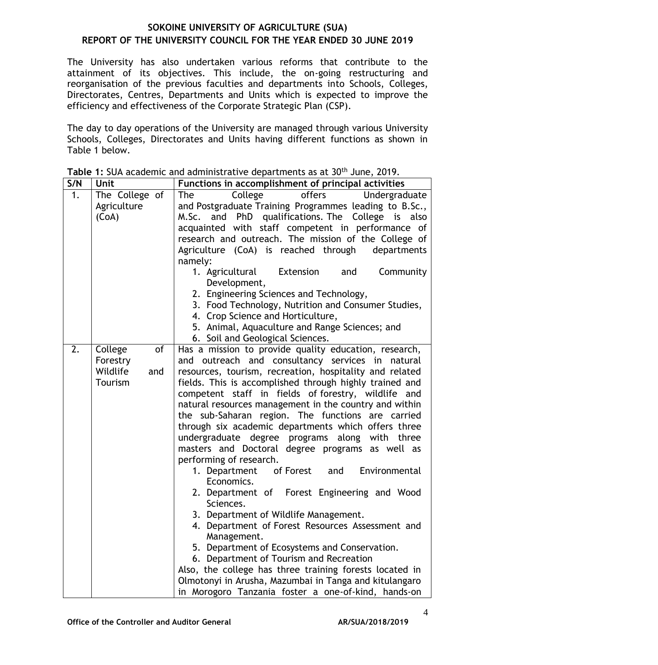The University has also undertaken various reforms that contribute to the attainment of its objectives. This include, the on-going restructuring and reorganisation of the previous faculties and departments into Schools, Colleges, Directorates, Centres, Departments and Units which is expected to improve the efficiency and effectiveness of the Corporate Strategic Plan (CSP).

The day to day operations of the University are managed through various University Schools, Colleges, Directorates and Units having different functions as shown in Table 1 below.

| S/N              | Unit                                                    | Functions in accomplishment of principal activities                                                                                                                                                                                                                                                                                                                                                                                                                                                                                                                                                                                                                                                                                                                                                                                                                                                                                                                                                                                                                                                            |  |  |  |  |  |  |
|------------------|---------------------------------------------------------|----------------------------------------------------------------------------------------------------------------------------------------------------------------------------------------------------------------------------------------------------------------------------------------------------------------------------------------------------------------------------------------------------------------------------------------------------------------------------------------------------------------------------------------------------------------------------------------------------------------------------------------------------------------------------------------------------------------------------------------------------------------------------------------------------------------------------------------------------------------------------------------------------------------------------------------------------------------------------------------------------------------------------------------------------------------------------------------------------------------|--|--|--|--|--|--|
| 1.               | The College of<br>Agriculture<br>(CoA)                  | College<br>offers<br>The<br>Undergraduate<br>and Postgraduate Training Programmes leading to B.Sc.,<br>M.Sc. and PhD qualifications. The College is also<br>acquainted with staff competent in performance of<br>research and outreach. The mission of the College of<br>Agriculture (CoA) is reached through<br>departments<br>namely:<br>1. Agricultural<br>Extension<br>Community<br>and<br>Development,<br>2. Engineering Sciences and Technology,<br>3. Food Technology, Nutrition and Consumer Studies,<br>4. Crop Science and Horticulture,<br>5. Animal, Aquaculture and Range Sciences; and<br>6. Soil and Geological Sciences.                                                                                                                                                                                                                                                                                                                                                                                                                                                                       |  |  |  |  |  |  |
| $\overline{2}$ . | of<br>College<br>Forestry<br>Wildlife<br>and<br>Tourism | Has a mission to provide quality education, research,<br>and outreach and consultancy services in natural<br>resources, tourism, recreation, hospitality and related<br>fields. This is accomplished through highly trained and<br>competent staff in fields of forestry, wildlife and<br>natural resources management in the country and within<br>the sub-Saharan region. The functions are carried<br>through six academic departments which offers three<br>undergraduate degree programs along with three<br>masters and Doctoral degree programs as well as<br>performing of research.<br>of Forest and<br>Environmental<br>1. Department<br>Economics.<br>2. Department of Forest Engineering and Wood<br>Sciences.<br>3. Department of Wildlife Management.<br>4. Department of Forest Resources Assessment and<br>Management.<br>5. Department of Ecosystems and Conservation.<br>6. Department of Tourism and Recreation<br>Also, the college has three training forests located in<br>Olmotonyi in Arusha, Mazumbai in Tanga and kitulangaro<br>in Morogoro Tanzania foster a one-of-kind, hands-on |  |  |  |  |  |  |

<span id="page-7-0"></span>**Table 1:** SUA academic and administrative departments as at 30th June, 2019.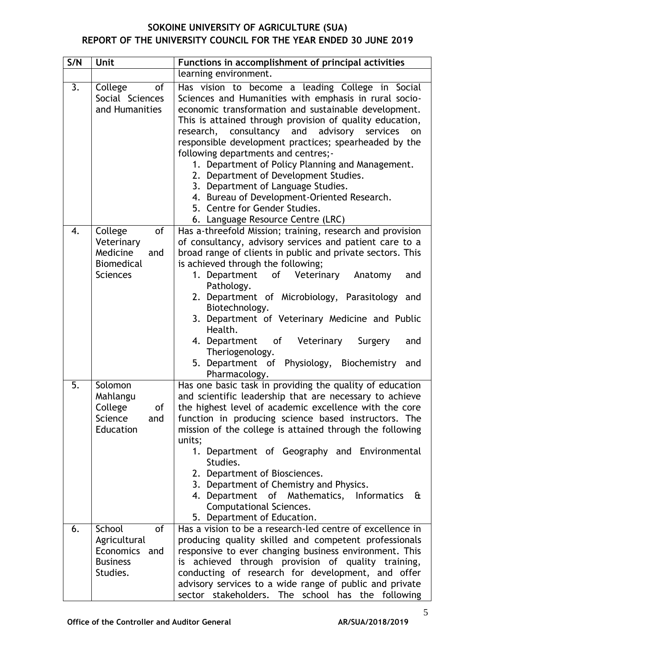| S/N | Unit                                                                            | Functions in accomplishment of principal activities                                                                                                                                                                                                                                                                                                                                                                                                                                                                                                                                                                                        |  |  |  |  |  |
|-----|---------------------------------------------------------------------------------|--------------------------------------------------------------------------------------------------------------------------------------------------------------------------------------------------------------------------------------------------------------------------------------------------------------------------------------------------------------------------------------------------------------------------------------------------------------------------------------------------------------------------------------------------------------------------------------------------------------------------------------------|--|--|--|--|--|
|     |                                                                                 | learning environment.                                                                                                                                                                                                                                                                                                                                                                                                                                                                                                                                                                                                                      |  |  |  |  |  |
| 3.  | College<br>of<br>Social Sciences<br>and Humanities                              | Has vision to become a leading College in Social<br>Sciences and Humanities with emphasis in rural socio-<br>economic transformation and sustainable development.<br>This is attained through provision of quality education,<br>research, consultancy and advisory services<br>on<br>responsible development practices; spearheaded by the<br>following departments and centres;-<br>1. Department of Policy Planning and Management.<br>2. Department of Development Studies.<br>3. Department of Language Studies.<br>4. Bureau of Development-Oriented Research.<br>5. Centre for Gender Studies.<br>6. Language Resource Centre (LRC) |  |  |  |  |  |
| 4.  | of<br>College<br>Veterinary<br>Medicine<br>and<br><b>Biomedical</b><br>Sciences | Has a-threefold Mission; training, research and provision<br>of consultancy, advisory services and patient care to a<br>broad range of clients in public and private sectors. This<br>is achieved through the following;<br>1. Department of Veterinary<br>Anatomy<br>and<br>Pathology.<br>2. Department of Microbiology, Parasitology and<br>Biotechnology.<br>3. Department of Veterinary Medicine and Public<br>Health.<br>4. Department of Veterinary<br>Surgery<br>and<br>Theriogenology.<br>5. Department of Physiology, Biochemistry<br>and<br>Pharmacology.                                                                        |  |  |  |  |  |
| 5.  | Solomon<br>Mahlangu<br>College<br>of<br>and<br>Science<br>Education             | Has one basic task in providing the quality of education<br>and scientific leadership that are necessary to achieve<br>the highest level of academic excellence with the core<br>function in producing science based instructors. The<br>mission of the college is attained through the following<br>units;<br>1. Department of Geography and Environmental<br>Studies.<br>2. Department of Biosciences.<br>3. Department of Chemistry and Physics.<br>4. Department of Mathematics, Informatics<br>£<br>Computational Sciences.<br>5. Department of Education.                                                                            |  |  |  |  |  |
| 6.  | School<br>of<br>Agricultural<br>Economics<br>and<br><b>Business</b><br>Studies. | Has a vision to be a research-led centre of excellence in<br>producing quality skilled and competent professionals<br>responsive to ever changing business environment. This<br>is achieved through provision of quality training,<br>conducting of research for development, and offer<br>advisory services to a wide range of public and private<br>sector stakeholders. The school<br>has the following                                                                                                                                                                                                                                 |  |  |  |  |  |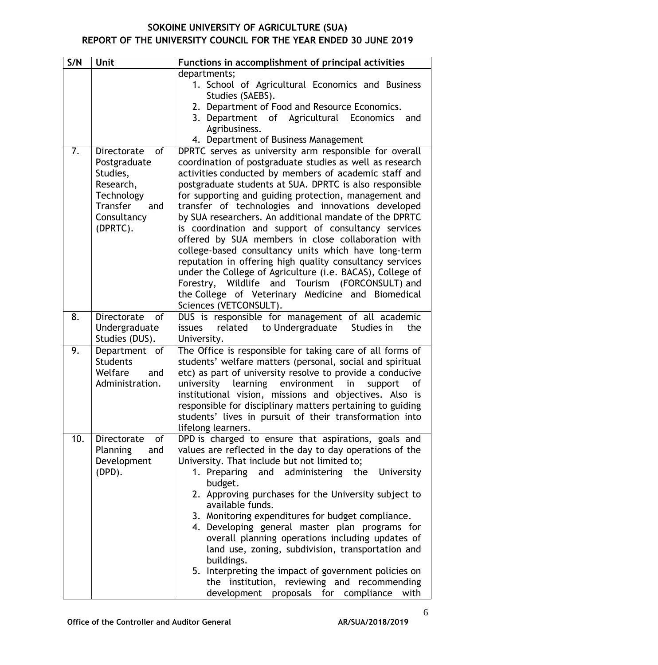| S/N | <b>Unit</b>                                                                                                            | Functions in accomplishment of principal activities                                                                                                                                                                                                                                                                                                                                                                                                                                                                                                                                                                                                                                                                                                                                                                                             |  |  |  |  |  |  |
|-----|------------------------------------------------------------------------------------------------------------------------|-------------------------------------------------------------------------------------------------------------------------------------------------------------------------------------------------------------------------------------------------------------------------------------------------------------------------------------------------------------------------------------------------------------------------------------------------------------------------------------------------------------------------------------------------------------------------------------------------------------------------------------------------------------------------------------------------------------------------------------------------------------------------------------------------------------------------------------------------|--|--|--|--|--|--|
|     |                                                                                                                        | departments;<br>1. School of Agricultural Economics and Business<br>Studies (SAEBS).                                                                                                                                                                                                                                                                                                                                                                                                                                                                                                                                                                                                                                                                                                                                                            |  |  |  |  |  |  |
|     |                                                                                                                        | 2. Department of Food and Resource Economics.<br>3. Department of Agricultural Economics<br>and<br>Agribusiness.<br>4. Department of Business Management                                                                                                                                                                                                                                                                                                                                                                                                                                                                                                                                                                                                                                                                                        |  |  |  |  |  |  |
| 7.  | of<br>Directorate<br>Postgraduate<br>Studies,<br>Research,<br>Technology<br>Transfer<br>and<br>Consultancy<br>(DPRTC). | DPRTC serves as university arm responsible for overall<br>coordination of postgraduate studies as well as research<br>activities conducted by members of academic staff and<br>postgraduate students at SUA. DPRTC is also responsible<br>for supporting and guiding protection, management and<br>transfer of technologies and innovations developed<br>by SUA researchers. An additional mandate of the DPRTC<br>is coordination and support of consultancy services<br>offered by SUA members in close collaboration with<br>college-based consultancy units which have long-term<br>reputation in offering high quality consultancy services<br>under the College of Agriculture (i.e. BACAS), College of<br>Forestry, Wildlife and Tourism (FORCONSULT) and<br>the College of Veterinary Medicine and Biomedical<br>Sciences (VETCONSULT). |  |  |  |  |  |  |
| 8.  | Directorate<br>of<br>Undergraduate<br>Studies (DUS).                                                                   | DUS is responsible for management of all academic<br>related to Undergraduate<br>Studies in<br>issues<br>the<br>University.                                                                                                                                                                                                                                                                                                                                                                                                                                                                                                                                                                                                                                                                                                                     |  |  |  |  |  |  |
| 9.  | Department of<br><b>Students</b><br>Welfare<br>and<br>Administration.                                                  | The Office is responsible for taking care of all forms of<br>students' welfare matters (personal, social and spiritual<br>etc) as part of university resolve to provide a conducive<br>learning environment<br>university<br>in<br>support<br>of<br>institutional vision, missions and objectives. Also is<br>responsible for disciplinary matters pertaining to guiding<br>students' lives in pursuit of their transformation into<br>lifelong learners.                                                                                                                                                                                                                                                                                                                                                                                       |  |  |  |  |  |  |
| 10. | Directorate<br>of<br>Planning<br>and<br>Development<br>(DPD).                                                          | DPD is charged to ensure that aspirations, goals and<br>values are reflected in the day to day operations of the<br>University. That include but not limited to;<br>1. Preparing and administering the University<br>budget.<br>2. Approving purchases for the University subject to<br>available funds.<br>3. Monitoring expenditures for budget compliance.<br>4. Developing general master plan programs for<br>overall planning operations including updates of<br>land use, zoning, subdivision, transportation and<br>buildings.<br>5. Interpreting the impact of government policies on<br>the institution, reviewing and recommending<br>development proposals for compliance<br>with                                                                                                                                                   |  |  |  |  |  |  |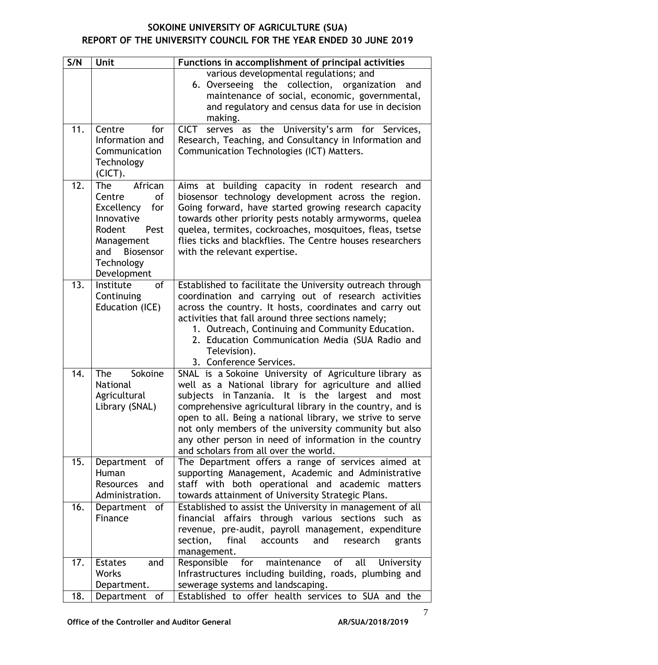| S/N | Unit                                      | Functions in accomplishment of principal activities                                                                    |
|-----|-------------------------------------------|------------------------------------------------------------------------------------------------------------------------|
|     |                                           | various developmental regulations; and                                                                                 |
|     |                                           | 6. Overseeing the collection,<br>organization<br>and<br>maintenance of social, economic, governmental,                 |
|     |                                           | and regulatory and census data for use in decision                                                                     |
|     |                                           | making.                                                                                                                |
| 11. | Centre<br>for                             | serves as the University's arm for Services,<br><b>CICT</b>                                                            |
|     | Information and<br>Communication          | Research, Teaching, and Consultancy in Information and<br>Communication Technologies (ICT) Matters.                    |
|     | Technology                                |                                                                                                                        |
|     | $(CICT)$ .                                |                                                                                                                        |
| 12. | <b>The</b><br>African                     | Aims at building capacity in rodent research and                                                                       |
|     | Centre<br><b>of</b>                       | biosensor technology development across the region.                                                                    |
|     | Excellency<br>for<br>Innovative           | Going forward, have started growing research capacity                                                                  |
|     | Rodent<br>Pest                            | towards other priority pests notably armyworms, quelea<br>quelea, termites, cockroaches, mosquitoes, fleas, tsetse     |
|     | Management                                | flies ticks and blackflies. The Centre houses researchers                                                              |
|     | Biosensor<br>and                          | with the relevant expertise.                                                                                           |
|     | Technology                                |                                                                                                                        |
| 13. | Development<br>Institute<br><sub>of</sub> | Established to facilitate the University outreach through                                                              |
|     | Continuing                                | coordination and carrying out of research activities                                                                   |
|     | Education (ICE)                           | across the country. It hosts, coordinates and carry out                                                                |
|     |                                           | activities that fall around three sections namely;                                                                     |
|     |                                           | 1. Outreach, Continuing and Community Education.                                                                       |
|     |                                           | 2. Education Communication Media (SUA Radio and<br>Television).                                                        |
|     |                                           | 3. Conference Services.                                                                                                |
| 14. | Sokoine<br><b>The</b>                     | SNAL is a Sokoine University of Agriculture library as                                                                 |
|     | <b>National</b>                           | well as a National library for agriculture and allied                                                                  |
|     | Agricultural                              | subjects in Tanzania. It is the largest<br>and<br>most                                                                 |
|     | Library (SNAL)                            | comprehensive agricultural library in the country, and is<br>open to all. Being a national library, we strive to serve |
|     |                                           | not only members of the university community but also                                                                  |
|     |                                           | any other person in need of information in the country                                                                 |
|     |                                           | and scholars from all over the world.                                                                                  |
| 15. | Department of<br>Human                    | The Department offers a range of services aimed at<br>supporting Management, Academic and Administrative               |
|     | Resources<br>and                          | staff with both operational and academic matters                                                                       |
|     | Administration.                           | towards attainment of University Strategic Plans.                                                                      |
| 16. | Department<br>of                          | Established to assist the University in management of all                                                              |
|     | Finance                                   | financial affairs through various sections such as                                                                     |
|     |                                           | revenue, pre-audit, payroll management, expenditure                                                                    |
|     |                                           | section,<br>final<br>and<br>research<br>accounts<br>grants<br>management.                                              |
| 17. | <b>Estates</b><br>and                     | Responsible<br>maintenance<br>of<br>for<br>all<br>University                                                           |
|     | <b>Works</b>                              | Infrastructures including building, roads, plumbing and                                                                |
|     | Department.                               | sewerage systems and landscaping.                                                                                      |
| 18. | Department<br>of                          | Established to offer health services to SUA and the                                                                    |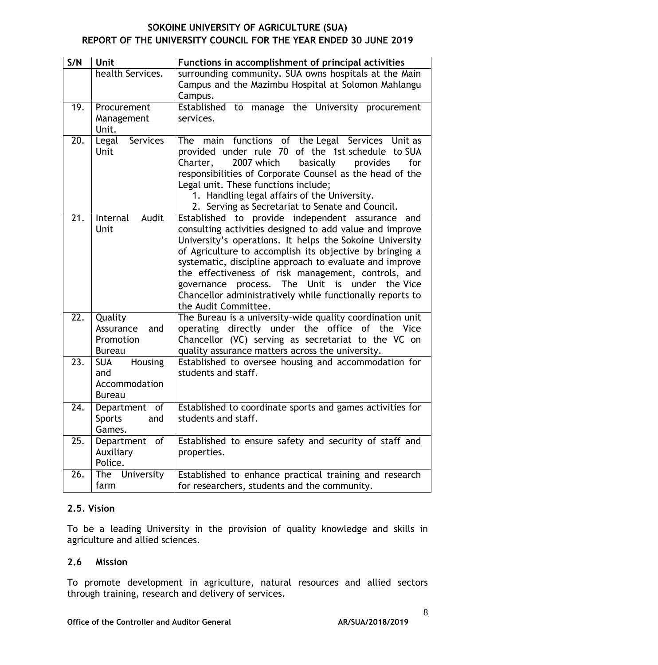| S/N | Unit                                                           | Functions in accomplishment of principal activities                                                                                                                                                                                                                                                                                                                                                                                                                                             |  |  |  |  |  |
|-----|----------------------------------------------------------------|-------------------------------------------------------------------------------------------------------------------------------------------------------------------------------------------------------------------------------------------------------------------------------------------------------------------------------------------------------------------------------------------------------------------------------------------------------------------------------------------------|--|--|--|--|--|
|     | health Services.                                               | surrounding community. SUA owns hospitals at the Main<br>Campus and the Mazimbu Hospital at Solomon Mahlangu<br>Campus.                                                                                                                                                                                                                                                                                                                                                                         |  |  |  |  |  |
| 19. | Procurement<br>Management<br>Unit.                             | Established to manage the University procurement<br>services.                                                                                                                                                                                                                                                                                                                                                                                                                                   |  |  |  |  |  |
| 20. | Services<br>Legal<br>Unit                                      | main functions of the Legal Services Unit as<br><b>The</b><br>provided under rule 70 of the 1st schedule to SUA<br>2007 which<br>Charter,<br>basically<br>provides<br>for<br>responsibilities of Corporate Counsel as the head of the<br>Legal unit. These functions include;<br>1. Handling legal affairs of the University.<br>2. Serving as Secretariat to Senate and Council.                                                                                                               |  |  |  |  |  |
| 21. | Audit<br>Internal<br>Unit                                      | Established to provide independent assurance<br>and<br>consulting activities designed to add value and improve<br>University's operations. It helps the Sokoine University<br>of Agriculture to accomplish its objective by bringing a<br>systematic, discipline approach to evaluate and improve<br>the effectiveness of risk management, controls, and<br>governance process. The Unit is under the Vice<br>Chancellor administratively while functionally reports to<br>the Audit Committee. |  |  |  |  |  |
| 22. | Quality<br>Assurance<br>and<br>Promotion<br><b>Bureau</b>      | The Bureau is a university-wide quality coordination unit<br>operating directly under the office of the Vice<br>Chancellor (VC) serving as secretariat to the VC on<br>quality assurance matters across the university.                                                                                                                                                                                                                                                                         |  |  |  |  |  |
| 23. | Housing<br><b>SUA</b><br>and<br>Accommodation<br><b>Bureau</b> | Established to oversee housing and accommodation for<br>students and staff.                                                                                                                                                                                                                                                                                                                                                                                                                     |  |  |  |  |  |
| 24. | Department of<br><b>Sports</b><br>and<br>Games.                | Established to coordinate sports and games activities for<br>students and staff.                                                                                                                                                                                                                                                                                                                                                                                                                |  |  |  |  |  |
| 25. | Department<br>of<br>Auxiliary<br>Police.                       | Established to ensure safety and security of staff and<br>properties.                                                                                                                                                                                                                                                                                                                                                                                                                           |  |  |  |  |  |
| 26. | The University<br>farm                                         | Established to enhance practical training and research<br>for researchers, students and the community.                                                                                                                                                                                                                                                                                                                                                                                          |  |  |  |  |  |

## **2.5. Vision**

To be a leading University in the provision of quality knowledge and skills in agriculture and allied sciences.

## **2.6 Mission**

To promote development in agriculture, natural resources and allied sectors through training, research and delivery of services.

#### Office of the Controller and Auditor General **AR/SUA/2018/2019**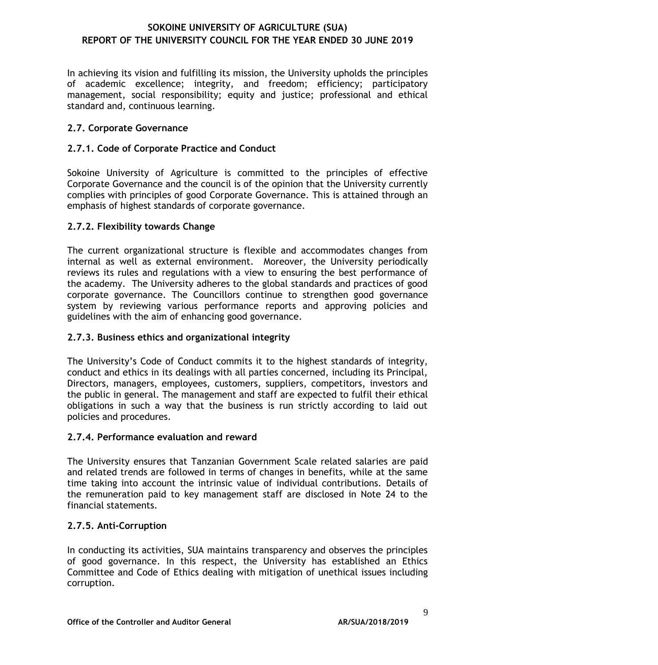In achieving its vision and fulfilling its mission, the University upholds the principles of academic excellence; integrity, and freedom; efficiency; participatory management, social responsibility; equity and justice; professional and ethical standard and, continuous learning.

### **2.7. Corporate Governance**

### **2.7.1. Code of Corporate Practice and Conduct**

Sokoine University of Agriculture is committed to the principles of effective Corporate Governance and the council is of the opinion that the University currently complies with principles of good Corporate Governance. This is attained through an emphasis of highest standards of corporate governance.

### **2.7.2. Flexibility towards Change**

The current organizational structure is flexible and accommodates changes from internal as well as external environment. Moreover, the University periodically reviews its rules and regulations with a view to ensuring the best performance of the academy. The University adheres to the global standards and practices of good corporate governance. The Councillors continue to strengthen good governance system by reviewing various performance reports and approving policies and guidelines with the aim of enhancing good governance.

#### **2.7.3. Business ethics and organizational integrity**

The University's Code of Conduct commits it to the highest standards of integrity, conduct and ethics in its dealings with all parties concerned, including its Principal, Directors, managers, employees, customers, suppliers, competitors, investors and the public in general. The management and staff are expected to fulfil their ethical obligations in such a way that the business is run strictly according to laid out policies and procedures.

#### **2.7.4. Performance evaluation and reward**

The University ensures that Tanzanian Government Scale related salaries are paid and related trends are followed in terms of changes in benefits, while at the same time taking into account the intrinsic value of individual contributions. Details of the remuneration paid to key management staff are disclosed in Note 24 to the financial statements.

#### **2.7.5. Anti-Corruption**

In conducting its activities, SUA maintains transparency and observes the principles of good governance. In this respect, the University has established an Ethics Committee and Code of Ethics dealing with mitigation of unethical issues including corruption.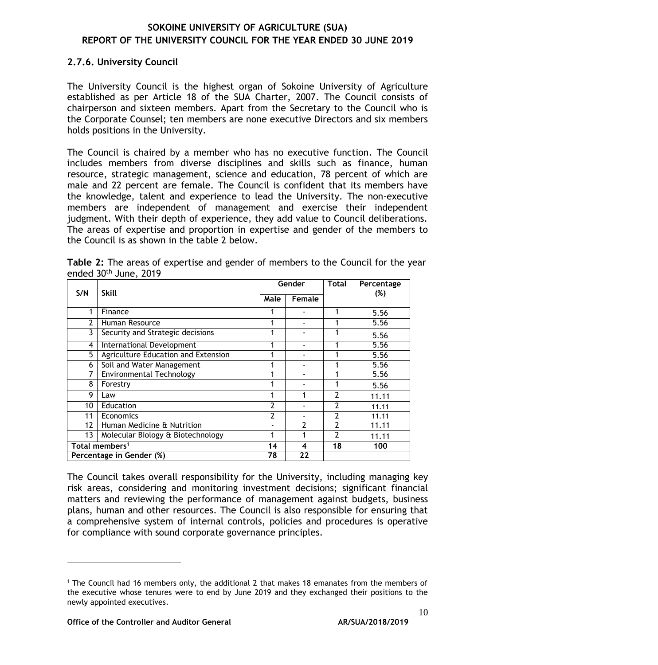#### **2.7.6. University Council**

The University Council is the highest organ of Sokoine University of Agriculture established as per Article 18 of the SUA Charter, 2007. The Council consists of chairperson and sixteen members. Apart from the Secretary to the Council who is the Corporate Counsel; ten members are none executive Directors and six members holds positions in the University.

The Council is chaired by a member who has no executive function. The Council includes members from diverse disciplines and skills such as finance, human resource, strategic management, science and education, 78 percent of which are male and 22 percent are female. The Council is confident that its members have the knowledge, talent and experience to lead the University. The non-executive members are independent of management and exercise their independent judgment. With their depth of experience, they add value to Council deliberations. The areas of expertise and proportion in expertise and gender of the members to the Council is as shown in the table 2 below.

|                 |                                     |      | Gender        | <b>Total</b>   | Percentage |
|-----------------|-------------------------------------|------|---------------|----------------|------------|
| S/N             | <b>Skill</b>                        | Male | Female        |                | (%)        |
| 1               | Finance                             |      |               | 1              | 5.56       |
| $\overline{2}$  | Human Resource                      |      |               |                | 5.56       |
| 3               | Security and Strategic decisions    |      |               |                | 5.56       |
| 4               | International Development           | 1    |               |                | 5.56       |
| 5               | Agriculture Education and Extension | 4    |               |                | 5.56       |
| 6               | Soil and Water Management           | 1    |               |                | 5.56       |
|                 | Environmental Technology            | 4    |               |                | 5.56       |
| 8               | Forestry                            | 1    |               |                | 5.56       |
| 9               | Law                                 |      |               | 2              | 11.11      |
| 10              | Education                           | 2    |               |                | 11.11      |
| 11              | Economics                           |      |               | 2              | 11.11      |
| $12 \ \mathrm{$ | Human Medicine & Nutrition          |      | $\mathcal{P}$ | $\overline{2}$ | 11.11      |
| 13              | Molecular Biology & Biotechnology   | 1    |               | 2              | 11.11      |
|                 | Total members <sup>1</sup>          | 14   | 4             | 18             | 100        |
|                 | Percentage in Gender (%)            | 78   | 22            |                |            |

<span id="page-13-0"></span>**Table 2:** The areas of expertise and gender of members to the Council for the year ended 30th June, 2019

The Council takes overall responsibility for the University, including managing key risk areas, considering and monitoring investment decisions; significant financial matters and reviewing the performance of management against budgets, business plans, human and other resources. The Council is also responsible for ensuring that a comprehensive system of internal controls, policies and procedures is operative for compliance with sound corporate governance principles.

<sup>1</sup> The Council had 16 members only, the additional 2 that makes 18 emanates from the members of the executive whose tenures were to end by June 2019 and they exchanged their positions to the newly appointed executives.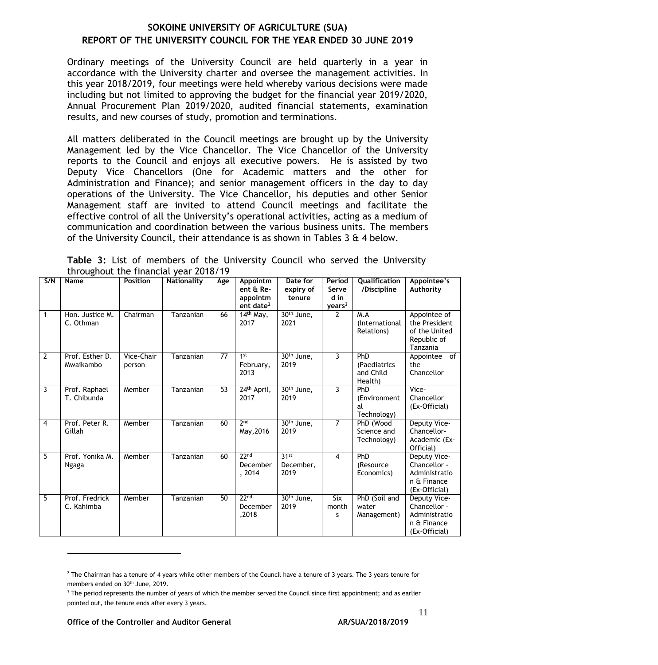Ordinary meetings of the University Council are held quarterly in a year in accordance with the University charter and oversee the management activities. In this year 2018/2019, four meetings were held whereby various decisions were made including but not limited to approving the budget for the financial year 2019/2020, Annual Procurement Plan 2019/2020, audited financial statements, examination results, and new courses of study, promotion and terminations.

All matters deliberated in the Council meetings are brought up by the University Management led by the Vice Chancellor. The Vice Chancellor of the University reports to the Council and enjoys all executive powers. He is assisted by two Deputy Vice Chancellors (One for Academic matters and the other for Administration and Finance); and senior management officers in the day to day operations of the University. The Vice Chancellor, his deputies and other Senior Management staff are invited to attend Council meetings and facilitate the effective control of all the University's operational activities, acting as a medium of communication and coordination between the various business units. The members of the University Council, their attendance is as shown in Tables 3  $\&$  4 below.

<span id="page-14-0"></span>

|  |  |                                       |  | Table 3: List of members of the University Council who served the University |  |  |  |
|--|--|---------------------------------------|--|------------------------------------------------------------------------------|--|--|--|
|  |  | throughout the financial year 2018/19 |  |                                                                              |  |  |  |

| S/N            | Name                         | Position             | <b>Nationality</b> | Age | Appointm<br>ent & Re-<br>appointm<br>ent date <sup>2</sup> | Date for<br>expiry of<br>tenure       | Period<br>Qualification<br>/Discipline<br>Serve<br>d in<br>years <sup>3</sup><br>$\overline{2}$<br>M.A |                                             | Appointee's<br>Authority                                                      |
|----------------|------------------------------|----------------------|--------------------|-----|------------------------------------------------------------|---------------------------------------|--------------------------------------------------------------------------------------------------------|---------------------------------------------|-------------------------------------------------------------------------------|
| $\mathbf{1}$   | Hon. Justice M.<br>C. Othman | Chairman             | Tanzanian          | 66  | $14th$ May,<br>2017                                        | $30th$ June,<br>2021                  |                                                                                                        | (International<br>Relations)                | Appointee of<br>the President<br>of the United<br>Republic of<br>Tanzania     |
| $\overline{2}$ | Prof. Esther D.<br>Mwaikambo | Vice-Chair<br>person | Tanzanian          | 77  | 1 <sup>st</sup><br>February,<br>2013                       | $30th$ June,<br>2019                  | 3                                                                                                      | PhD<br>(Paediatrics<br>and Child<br>Health) | Appointee of<br>the<br>Chancellor                                             |
| 3              | Prof. Raphael<br>T. Chibunda | Member               | Tanzanian          | 53  | 24 <sup>th</sup> April,<br>2017                            | 30 <sup>th</sup> June,<br>2019        | $\overline{3}$                                                                                         | PhD<br>(Environment<br>al<br>Technology)    | Vice-<br>Chancellor<br>(Ex-Official)                                          |
| 4              | Prof. Peter R.<br>Gillah     | Member               | Tanzanian          | 60  | 2 <sub>nd</sub><br>May, 2016                               | $30th$ June,<br>2019                  | 7                                                                                                      | PhD (Wood<br>Science and<br>Technology)     | Deputy Vice-<br>Chancellor-<br>Academic (Ex-<br>Official)                     |
| 5              | Prof. Yonika M.<br>Ngaga     | Member               | Tanzanian          | 60  | 22 <sub>nd</sub><br>December<br>, 2014                     | 31 <sup>st</sup><br>December,<br>2019 | 4                                                                                                      | PhD<br>(Resource)<br>Economics)             | Deputy Vice-<br>Chancellor -<br>Administratio<br>n & Finance<br>(Ex-Official) |
| 5              | Prof. Fredrick<br>C. Kahimba | Member               | Tanzanian          | 50  | 22 <sub>nd</sub><br>December<br>,2018                      | $30th$ June,<br>2019                  | $\overline{\text{Six}}$<br>month<br>s                                                                  | PhD (Soil and<br>water<br>Management)       | Deputy Vice-<br>Chancellor -<br>Administratio<br>n & Finance<br>(Ex-Official) |

**Office of the Controller and Auditor General AR/SUA/2018/2019** 

 $2$  The Chairman has a tenure of 4 years while other members of the Council have a tenure of 3 years. The 3 years tenure for members ended on 30<sup>th</sup> June, 2019.

<sup>&</sup>lt;sup>3</sup> The period represents the number of years of which the member served the Council since first appointment; and as earlier pointed out, the tenure ends after every 3 years.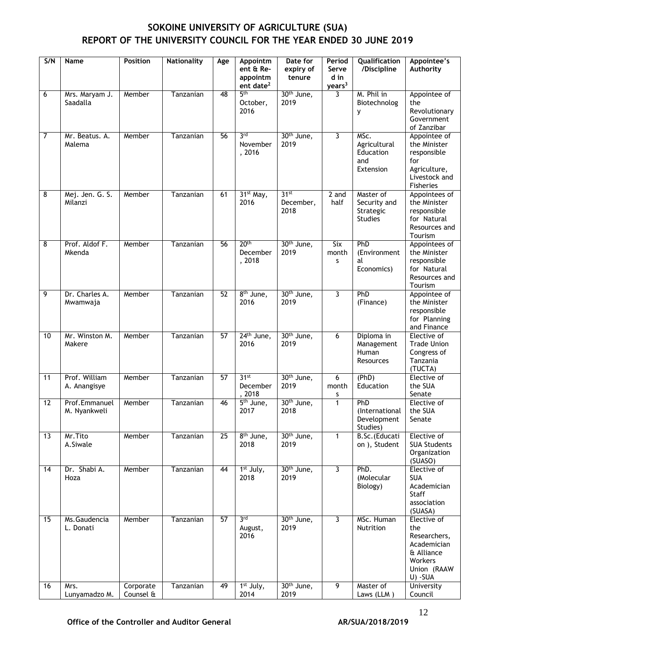| S/N             | Name                          | <b>Position</b>        | <b>Nationality</b> | Age             | Appointm<br>ent & Re-<br>appointm<br>ent date <sup>2</sup> | Date for<br>expiry of<br>tenure       | Period<br>Serve<br>d in<br>years <sup>3</sup> | Qualification<br>/Discipline                             | Appointee's<br>Authority                                                                              |
|-----------------|-------------------------------|------------------------|--------------------|-----------------|------------------------------------------------------------|---------------------------------------|-----------------------------------------------|----------------------------------------------------------|-------------------------------------------------------------------------------------------------------|
| 6               | Mrs. Maryam J.<br>Saadalla    | Member                 | Tanzanian          | 48              | 5 <sup>th</sup><br>October,<br>2016                        | 30 <sup>th</sup> June,<br>2019        | 3                                             | M. Phil in<br>Biotechnolog<br>у                          | Appointee of<br>the<br>Revolutionary<br>Government<br>of Zanzibar                                     |
| $\overline{7}$  | Mr. Beatus. A.<br>Malema      | Member                 | Tanzanian          | 56              | 3 <sub>rd</sub><br>November<br>, 2016                      | $30th$ June,<br>2019                  | $\overline{3}$                                | MSc.<br>Agricultural<br>Education<br>and<br>Extension    | Appointee of<br>the Minister<br>responsible<br>for<br>Agriculture,<br>Livestock and<br>Fisheries      |
| 8               | Mej. Jen. G. S.<br>Milanzi    | Member                 | Tanzanian          | 61              | 31 <sup>st</sup> May,<br>2016                              | 31 <sup>st</sup><br>December,<br>2018 | 2 and<br>half                                 | Master of<br>Security and<br>Strategic<br><b>Studies</b> | Appointees of<br>the Minister<br>responsible<br>for Natural<br>Resources and<br>Tourism               |
| 8               | Prof. Aldof F.<br>Mkenda      | Member                 | Tanzanian          | 56              | 20 <sup>th</sup><br>December<br>, 2018                     | 30 <sup>th</sup> June,<br>2019        | Six<br>month<br>s                             | PhD<br>(Environment<br>al<br>Economics)                  | Appointees of<br>the Minister<br>responsible<br>for Natural<br>Resources and<br>Tourism               |
| 9               | Dr. Charles A.<br>Mwamwaja    | Member                 | Tanzanian          | $\overline{52}$ | 8 <sup>th</sup> June,<br>2016                              | 30 <sup>th</sup> June,<br>2019        | $\overline{3}$                                | PhD<br>(Finance)                                         | Appointee of<br>the Minister<br>responsible<br>for Planning<br>and Finance                            |
| 10              | Mr. Winston M.<br>Makere      | Member                 | Tanzanian          | 57              | 24 <sup>th</sup> June,<br>2016                             | 30 <sup>th</sup> June,<br>2019        | 6                                             | Diploma in<br>Management<br>Human<br>Resources           | Elective of<br><b>Trade Union</b><br>Congress of<br>Tanzania<br>(TUCTA)                               |
| 11              | Prof. William<br>A. Anangisye | Member                 | Tanzanian          | $\overline{57}$ | 31 <sup>st</sup><br>December<br>, 2018                     | 30 <sup>th</sup> June,<br>2019        | 6<br>month<br>S                               | (PhD)<br>Education                                       | Elective of<br>the SUA<br>Senate                                                                      |
| $\overline{12}$ | Prof.Emmanuel<br>M. Nyankweli | Member                 | Tanzanian          | 46              | $\overline{5^{th}}$ June,<br>2017                          | 30 <sup>th</sup> June,<br>2018        | $\mathbf{1}$                                  | PhD<br>(International<br>Development<br>Studies)         | Elective of<br>the SUA<br>Senate                                                                      |
| $\overline{13}$ | Mr. Tito<br>A.Siwale          | Member                 | Tanzanian          | $\overline{25}$ | 8 <sup>th</sup> June,<br>2018                              | 30 <sup>th</sup> June,<br>2019        | $\mathbf{1}$                                  | B.Sc.(Educati<br>on ), Student                           | Elective of<br><b>SUA Students</b><br>Organization<br>(SUASO)                                         |
| 14              | Dr. Shabi A.<br>Hoza          | Member                 | Tanzanian          | 44              | 1 <sup>st</sup> July,<br>2018                              | 30 <sup>th</sup> June,<br>2019        | $\overline{3}$                                | PhD.<br>(Molecular<br>Biology)                           | Elective of<br><b>SUA</b><br>Academician<br>Staff<br>association<br>(SUASA)                           |
| 15              | Ms.Gaudencia<br>L. Donati     | Member                 | Tanzanian          | 57              | 3 <sup>rd</sup><br>August,<br>2016                         | 30 <sup>th</sup> June,<br>2019        | $\overline{3}$                                | MSc. Human<br>Nutrition                                  | Elective of<br>the<br>Researchers,<br>Academician<br>& Alliance<br>Workers<br>Union (RAAW<br>U) - SUA |
| 16              | Mrs.<br>Lunyamadzo M.         | Corporate<br>Counsel & | Tanzanian          | 49              | 1 <sup>st</sup> July,<br>2014                              | 30 <sup>th</sup> June,<br>2019        | $\overline{9}$                                | Master of<br>Laws (LLM)                                  | <b>University</b><br>Council                                                                          |

Office of the Controller and Auditor General **AR/SUA/2018/2019**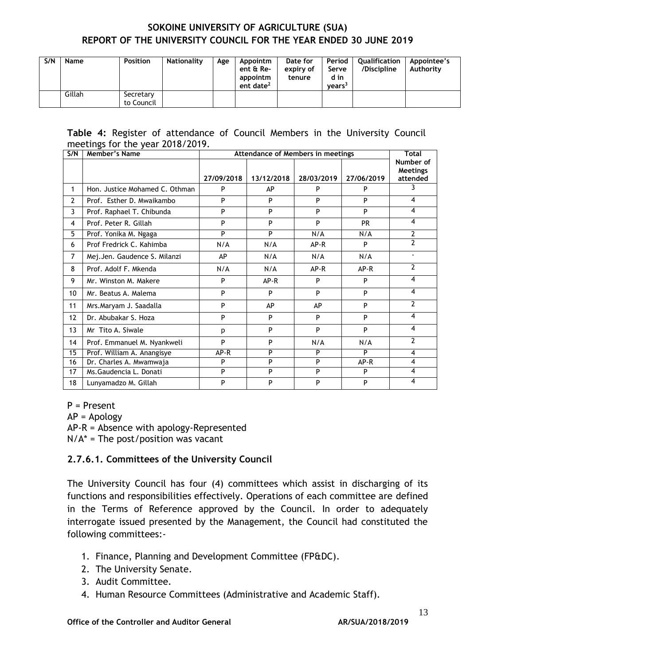| S/N | Name   | <b>Position</b>         | Nationality | Age | Appointm<br>ent & Re-<br>appointm<br>ent date <sup>2</sup> | Date for<br>expiry of<br>tenure | Period<br>Serve<br>d in<br>vears <sup>3</sup> | Qualification<br>/Discipline | Appointee's<br>Authority |
|-----|--------|-------------------------|-------------|-----|------------------------------------------------------------|---------------------------------|-----------------------------------------------|------------------------------|--------------------------|
|     | Gillah | Secretary<br>to Council |             |     |                                                            |                                 |                                               |                              |                          |

#### <span id="page-16-0"></span>**Table 4:** Register of attendance of Council Members in the University Council meetings for the year 2018/2019.

| S/N              | Member's Name                  |            | Attendance of Members in meetings |            |            | <b>Total</b>                 |
|------------------|--------------------------------|------------|-----------------------------------|------------|------------|------------------------------|
|                  |                                |            |                                   |            |            | Number of<br><b>Meetings</b> |
|                  |                                | 27/09/2018 | 13/12/2018                        | 28/03/2019 | 27/06/2019 | attended                     |
| 1                | Hon. Justice Mohamed C. Othman | P          | AP                                | P          | P          | 3                            |
| $\overline{2}$   | Prof. Esther D. Mwaikambo      | P          | P                                 | P          | P          | 4                            |
| 3                | Prof. Raphael T. Chibunda      | P          | P                                 | P          | P          | 4                            |
| 4                | Prof. Peter R. Gillah          | Þ          | P                                 | P          | <b>PR</b>  | 4                            |
| 5                | Prof. Yonika M. Ngaga          | P          | P                                 | N/A        | N/A        | $\overline{2}$               |
| 6                | Prof Fredrick C. Kahimba       | N/A        | N/A                               | AP-R       | P          | $\overline{2}$               |
| $\overline{7}$   | Mej.Jen. Gaudence S. Milanzi   | AP         | N/A                               | N/A        | N/A        |                              |
| 8                | Prof. Adolf F. Mkenda          | N/A        | N/A                               | $AP-R$     | AP-R       | $\overline{2}$               |
| 9                | Mr. Winston M. Makere          | P          | AP-R                              | P          | P          | 4                            |
| 10 <sup>10</sup> | Mr. Beatus A. Malema           | P          | P                                 | P          | P          | 4                            |
| 11               | Mrs.Maryam J. Saadalla         | P          | AP                                | AP         | P          | $\overline{2}$               |
| 12               | Dr. Abubakar S. Hoza           | P          | P                                 | P          | P          | $\overline{\mathbf{4}}$      |
| 13               | Mr Tito A. Siwale              | p          | P                                 | P          | P          | 4                            |
| 14               | Prof. Emmanuel M. Nyankweli    | Þ          | P                                 | N/A        | N/A        | $\overline{2}$               |
| 15               | Prof. William A. Anangisye     | $AP-R$     | P                                 | P          | P          | 4                            |
| 16               | Dr. Charles A. Mwamwaja        | P          | P                                 | P          | $AP-R$     | $\overline{4}$               |
| 17               | Ms. Gaudencia L. Donati        | P          | P                                 | P          | P          | 4                            |
| 18               | Lunyamadzo M. Gillah           | P          | P                                 | P          | P          | 4                            |

P = Present

AP = Apology

AP-R = Absence with apology-Represented  $N/A^*$  = The post/position was vacant

## **2.7.6.1. Committees of the University Council**

The University Council has four (4) committees which assist in discharging of its functions and responsibilities effectively. Operations of each committee are defined in the Terms of Reference approved by the Council. In order to adequately interrogate issued presented by the Management, the Council had constituted the following committees:-

- 1. Finance, Planning and Development Committee (FP&DC).
- 2. The University Senate.
- 3. Audit Committee.
- 4. Human Resource Committees (Administrative and Academic Staff).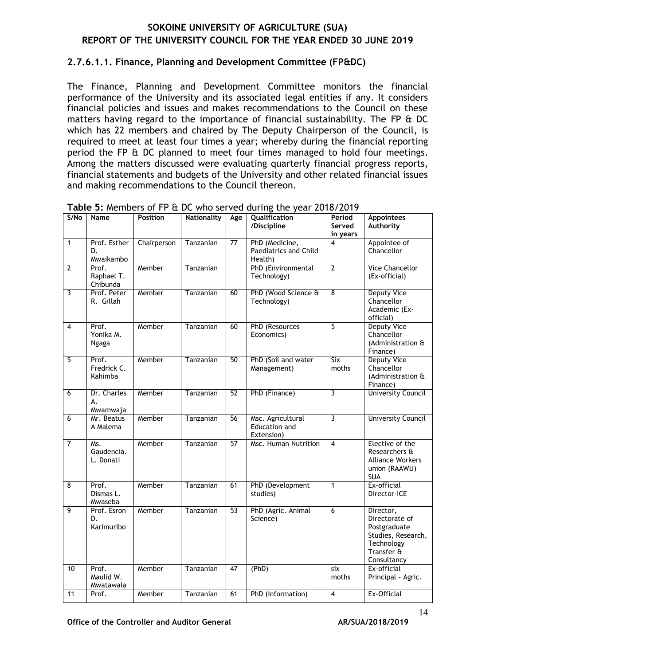#### **2.7.6.1.1. Finance, Planning and Development Committee (FP&DC)**

The Finance, Planning and Development Committee monitors the financial performance of the University and its associated legal entities if any. It considers financial policies and issues and makes recommendations to the Council on these matters having regard to the importance of financial sustainability. The FP & DC which has 22 members and chaired by The Deputy Chairperson of the Council, is required to meet at least four times a year; whereby during the financial reporting period the FP & DC planned to meet four times managed to hold four meetings. Among the matters discussed were evaluating quarterly financial progress reports, financial statements and budgets of the University and other related financial issues and making recommendations to the Council thereon.

| S/No           | <b>Name</b>                     | <b>Position</b> | <b>Nationality</b> | Age             | <b>3.</b> MCMDC13 OF FEAR DC WHO SCENCE GUILING THE YEAR ZO TO/ ZO TY<br>Qualification<br>/Discipline | Period<br>Served<br>in years | <b>Appointees</b><br>Authority                                                                               |
|----------------|---------------------------------|-----------------|--------------------|-----------------|-------------------------------------------------------------------------------------------------------|------------------------------|--------------------------------------------------------------------------------------------------------------|
| $\mathbf{1}$   | Prof. Esther<br>D.<br>Mwaikambo | Chairperson     | Tanzanian          | $\overline{77}$ | PhD (Medicine,<br>Paediatrics and Child<br>Health)                                                    | 4                            | Appointee of<br>Chancellor                                                                                   |
| $\overline{2}$ | Prof.<br>Raphael T.<br>Chibunda | Member          | Tanzanian          |                 | PhD (Environmental<br>Technology)                                                                     | $\overline{2}$               | <b>Vice Chancellor</b><br>(Ex-official)                                                                      |
| $\overline{3}$ | Prof. Peter<br>R. Gillah        | Member          | Tanzanian          | 60              | PhD (Wood Science &<br>Technology)                                                                    | $\overline{8}$               | <b>Deputy Vice</b><br>Chancellor<br>Academic (Ex-<br>official)                                               |
| $\overline{4}$ | Prof.<br>Yonika M.<br>Ngaga     | Member          | Tanzanian          | 60              | PhD (Resources<br>Economics)                                                                          | $\overline{5}$               | <b>Deputy Vice</b><br>Chancellor<br>(Administration &<br>Finance)                                            |
| $\overline{5}$ | Prof.<br>Fredrick C.<br>Kahimba | Member          | Tanzanian          | 50              | PhD (Soil and water<br>Management)                                                                    | Six<br>moths                 | <b>Deputy Vice</b><br>Chancellor<br>(Administration &<br>Finance)                                            |
| $\overline{6}$ | Dr. Charles<br>А.<br>Mwamwaja   | Member          | Tanzanian          | 52              | PhD (Finance)                                                                                         | $\overline{3}$               | <b>University Council</b>                                                                                    |
| $\overline{6}$ | Mr. Beatus<br>A Malema          | Member          | Tanzanian          | 56              | Msc. Agricultural<br>Education and<br>Extension)                                                      | $\overline{\mathbf{3}}$      | <b>University Council</b>                                                                                    |
| $\overline{7}$ | Ms.<br>Gaudencia.<br>L. Donati  | Member          | Tanzanian          | 57              | Msc. Human Nutrition                                                                                  | $\overline{4}$               | Elective of the<br>Researchers &<br><b>Alliance Workers</b><br>union (RAAWU)<br><b>SUA</b>                   |
| $\overline{8}$ | Prof.<br>Dismas L.<br>Mwaseba   | Member          | Tanzanian          | 61              | PhD (Development<br>studies)                                                                          | $\mathbf{1}$                 | Ex-official<br>Director-ICE                                                                                  |
| 9              | Prof. Esron<br>D.<br>Karimuribo | Member          | Tanzanian          | 53              | PhD (Agric. Animal<br>Science)                                                                        | $\overline{6}$               | Director,<br>Directorate of<br>Postgraduate<br>Studies, Research,<br>Technology<br>Transfer &<br>Consultancy |
| 10             | Prof.<br>Maulid W.<br>Mwatawala | Member          | Tanzanian          | 47              | (PhD)                                                                                                 | six<br>moths                 | Ex-official<br>Principal - Agric.                                                                            |
| 11             | Prof.                           | Member          | Tanzanian          | 61              | PhD (Information)                                                                                     | $\overline{\mathbf{4}}$      | Ex-Official                                                                                                  |

<span id="page-17-0"></span>**Table 5:** Members of FP & DC who served during the year 2018/2019

Office of the Controller and Auditor General **AR/SUA/2018/2019**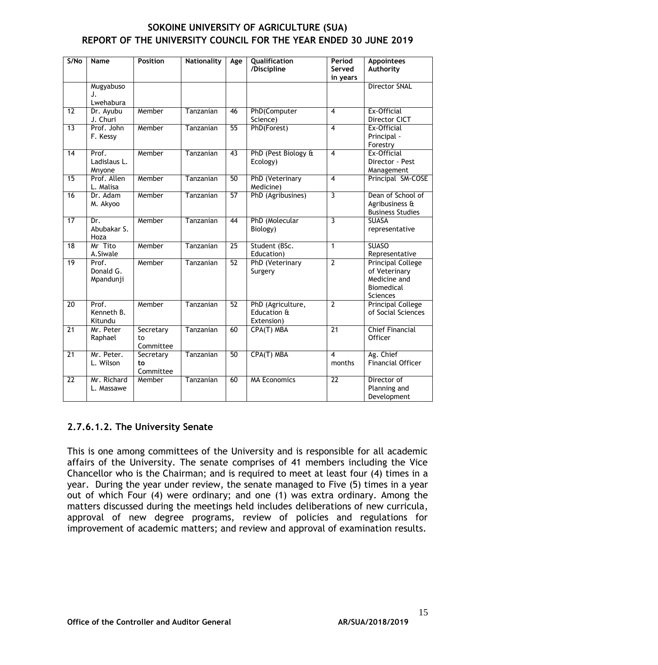| SOKOINE UNIVERSITY OF AGRICULTURE (SUA)                          |
|------------------------------------------------------------------|
| REPORT OF THE UNIVERSITY COUNCIL FOR THE YEAR ENDED 30 JUNE 2019 |

| S/No            | <b>Name</b>                     | <b>Position</b>              | <b>Nationality</b> | Age             | Qualification<br>/Discipline                   | Period<br>Served<br>in years | <b>Appointees</b><br>Authority                                                      |
|-----------------|---------------------------------|------------------------------|--------------------|-----------------|------------------------------------------------|------------------------------|-------------------------------------------------------------------------------------|
|                 | Mugyabuso<br>J.<br>Lwehabura    |                              |                    |                 |                                                |                              | <b>Director SNAL</b>                                                                |
| $\overline{12}$ | Dr. Ayubu<br>J. Churi           | Member                       | Tanzanian          | 46              | PhD(Computer<br>Science)                       | $\overline{4}$               | Ex-Official<br>Director CICT                                                        |
| $\overline{13}$ | Prof. John<br>F. Kessy          | Member                       | Tanzanian          | 55              | PhD(Forest)                                    | $\overline{4}$               | Ex-Official<br>Principal -<br>Forestry                                              |
| 14              | Prof.<br>Ladislaus L.<br>Mnyone | Member                       | Tanzanian          | $\overline{43}$ | PhD (Pest Biology &<br>Ecology)                | $\overline{4}$               | Ex-Official<br>Director - Pest<br>Management                                        |
| $\overline{15}$ | Prof. Allen<br>L. Malisa        | Member                       | Tanzanian          | 50              | <b>PhD</b> (Veterinary<br>Medicine)            | $\overline{4}$               | Principal SM-COSE                                                                   |
| 16              | Dr. Adam<br>M. Akyoo            | Member                       | Tanzanian          | 57              | PhD (Agribusines)                              | $\overline{3}$               | Dean of School of<br>Agribusiness &<br><b>Business Studies</b>                      |
| 17              | Dr.<br>Abubakar S.<br>Hoza      | Member                       | Tanzanian          | 44              | PhD (Molecular<br>Biology)                     | 3                            | <b>SUASA</b><br>representative                                                      |
| $\overline{18}$ | Mr Tito<br>A.Siwale             | Member                       | Tanzanian          | $\overline{25}$ | Student (BSc.<br>Education)                    | $\mathbf 1$                  | <b>SUASO</b><br>Representative                                                      |
| $\overline{19}$ | Prof.<br>Donald G.<br>Mpandunji | Member                       | Tanzanian          | 52              | PhD (Veterinary<br>Surgery                     | $\overline{2}$               | <b>Principal College</b><br>of Veterinary<br>Medicine and<br>Biomedical<br>Sciences |
| 20              | Prof.<br>Kenneth B.<br>Kitundu  | Member                       | Tanzanian          | 52              | PhD (Agriculture,<br>Education &<br>Extension) | $\overline{2}$               | <b>Principal College</b><br>of Social Sciences                                      |
| $\overline{21}$ | Mr. Peter<br>Raphael            | Secretary<br>to<br>Committee | Tanzanian          | 60              | CPA(T) MBA                                     | $\overline{21}$              | <b>Chief Financial</b><br>Officer                                                   |
| $\overline{21}$ | Mr. Peter.<br>L. Wilson         | Secretary<br>to<br>Committee | Tanzanian          | 50              | CPA(T) MBA                                     | $\overline{4}$<br>months     | Ag. Chief<br><b>Financial Officer</b>                                               |
| $\overline{22}$ | Mr. Richard<br>L. Massawe       | Member                       | Tanzanian          | 60              | <b>MA Economics</b>                            | $\overline{22}$              | Director of<br>Planning and<br>Development                                          |

## **2.7.6.1.2. The University Senate**

This is one among committees of the University and is responsible for all academic affairs of the University. The senate comprises of 41 members including the Vice Chancellor who is the Chairman; and is required to meet at least four (4) times in a year. During the year under review, the senate managed to Five (5) times in a year out of which Four (4) were ordinary; and one (1) was extra ordinary. Among the matters discussed during the meetings held includes deliberations of new curricula, approval of new degree programs, review of policies and regulations for improvement of academic matters; and review and approval of examination results.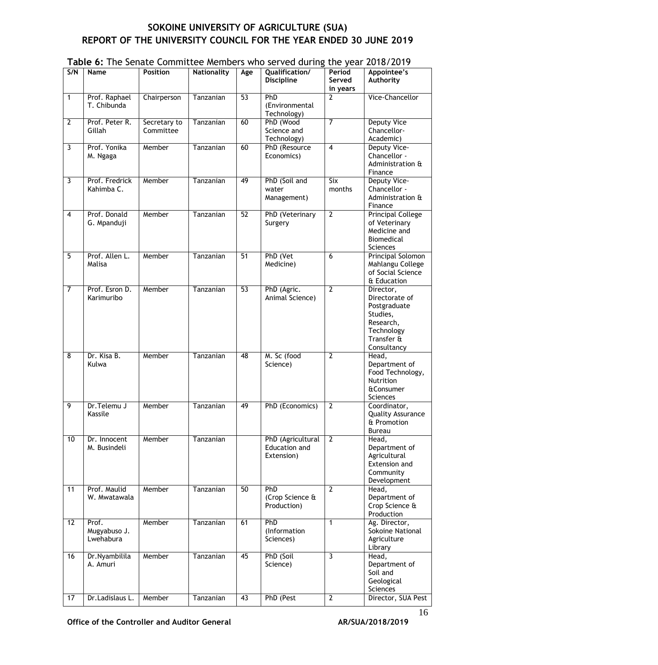|                 |                                    |                           |                    |                 | rable 0. The senate committee members who served during the year 2010/2017 |                                   |                                                                                                                 |
|-----------------|------------------------------------|---------------------------|--------------------|-----------------|----------------------------------------------------------------------------|-----------------------------------|-----------------------------------------------------------------------------------------------------------------|
| S/N             | Name                               | <b>Position</b>           | <b>Nationality</b> | Age             | Qualification/<br><b>Discipline</b>                                        | Period<br>Served<br>in years      | Appointee's<br>Authority                                                                                        |
| $\mathbf{1}$    | Prof. Raphael<br>T. Chibunda       | Chairperson               | Tanzanian          | 53              | PhD<br>(Environmental<br>Technology)                                       | 2                                 | Vice-Chancellor                                                                                                 |
| $\overline{2}$  | Prof. Peter R.<br>Gillah           | Secretary to<br>Committee | Tanzanian          | 60              | PhD (Wood<br>Science and<br>Technology)                                    | $\overline{7}$                    | <b>Deputy Vice</b><br>Chancellor-<br>Academic)                                                                  |
| 3               | Prof. Yonika<br>M. Ngaga           | Member                    | Tanzanian          | 60              | PhD (Resource<br>Economics)                                                | $\overline{\mathbf{4}}$           | Deputy Vice-<br>Chancellor -<br>Administration &<br>Finance                                                     |
| 3               | Prof. Fredrick<br>Kahimba C.       | Member                    | Tanzanian          | 49              | PhD (Soil and<br>water<br>Management)                                      | $\overline{\text{Six}}$<br>months | Deputy Vice-<br>Chancellor -<br>Administration &<br>Finance                                                     |
| 4               | Prof. Donald<br>G. Mpanduji        | Member                    | Tanzanian          | $\overline{52}$ | PhD (Veterinary<br>Surgery                                                 | $\overline{2}$                    | <b>Principal College</b><br>of Veterinary<br>Medicine and<br>Biomedical<br><b>Sciences</b>                      |
| 5               | Prof. Allen L.<br>Malisa           | Member                    | Tanzanian          | 51              | PhD (Vet<br>Medicine)                                                      | 6                                 | Principal Solomon<br>Mahlangu College<br>of Social Science<br>& Education                                       |
| 7               | Prof. Esron D.<br>Karimuribo       | Member                    | Tanzanian          | 53              | PhD (Agric.<br>Animal Science)                                             | $\overline{2}$                    | Director,<br>Directorate of<br>Postgraduate<br>Studies,<br>Research,<br>Technology<br>Transfer &<br>Consultancy |
| 8               | Dr. Kisa B.<br>Kulwa               | Member                    | Tanzanian          | 48              | M. Sc (food<br>Science)                                                    | $\overline{2}$                    | Head,<br>Department of<br>Food Technology,<br>Nutrition<br><b>&amp;Consumer</b><br>Sciences                     |
| 9               | Dr. Telemu J<br>Kassile            | Member                    | Tanzanian          | 49              | PhD (Economics)                                                            | $\overline{2}$                    | Coordinator,<br>Quality Assurance<br>& Promotion<br><b>Bureau</b>                                               |
| 10              | Dr. Innocent<br>M. Busindeli       | Member                    | Tanzanian          |                 | PhD (Agricultural<br>Education and<br>Extension)                           | $\overline{2}$                    | Head,<br>Department of<br>Agricultural<br>Extension and<br>Community<br>Development                             |
| 11              | Prof. Maulid<br>W. Mwatawala       | Member                    | Tanzanian          | 50              | PhD<br>(Crop Science &<br>Production)                                      | $\overline{2}$                    | Head,<br>Department of<br>Crop Science &<br>Production                                                          |
| $\overline{12}$ | Prof.<br>Mugyabuso J.<br>Lwehabura | Member                    | Tanzanian          | 61              | PhD<br>(Information<br>Sciences)                                           | $\mathbf{1}$                      | Ag. Director,<br>Sokoine National<br>Agriculture<br>Library                                                     |
| $\overline{16}$ | Dr.Nyambilila<br>A. Amuri          | Member                    | Tanzanian          | 45              | PhD (Soil<br>Science)                                                      | $\overline{3}$                    | Head,<br>Department of<br>Soil and<br>Geological<br>Sciences                                                    |
| 17              | Dr.Ladislaus L.                    | Member                    | Tanzanian          | $\overline{43}$ | PhD (Pest                                                                  | $\overline{2}$                    | Director, SUA Pest                                                                                              |

#### <span id="page-19-0"></span>**Table 6:** The Senate Committee Members who served during the year 2018/2019

Office of the Controller and Auditor General **AR/SUA/2018/2019**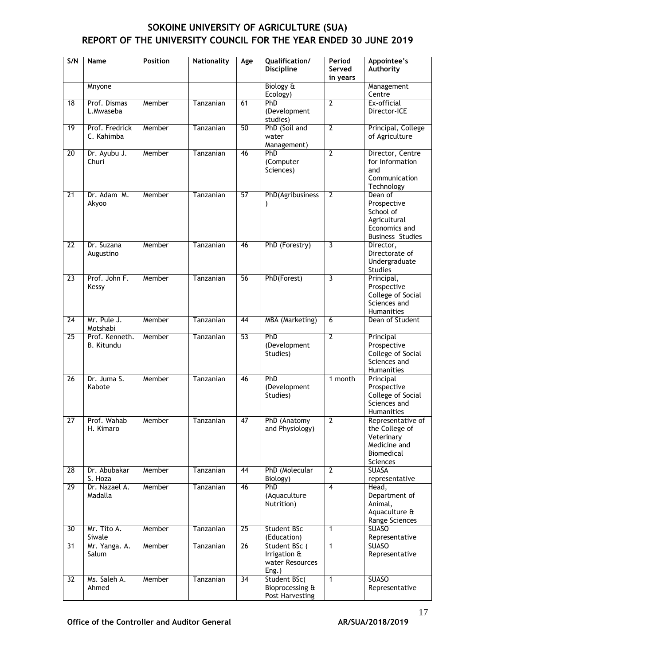| S/N             | <b>Name</b>                         | <b>Position</b> | <b>Nationality</b> | Age             | Qualification/<br><b>Discipline</b>                       | Period<br>Served<br>in years | Appointee's<br>Authority                                                                        |
|-----------------|-------------------------------------|-----------------|--------------------|-----------------|-----------------------------------------------------------|------------------------------|-------------------------------------------------------------------------------------------------|
|                 | Mnyone                              |                 |                    |                 | Biology &<br>Ecology)                                     |                              | Management<br>Centre                                                                            |
| $\overline{18}$ | Prof. Dismas<br>L.Mwaseba           | Member          | Tanzanian          | 61              | PhD<br>(Development<br>studies)                           | $\mathbf{2}$                 | Ex-official<br>Director-ICE                                                                     |
| 19              | Prof. Fredrick<br>C. Kahimba        | Member          | Tanzanian          | 50              | PhD (Soil and<br>water<br>Management)                     | $\overline{2}$               | Principal, College<br>of Agriculture                                                            |
| 20              | Dr. Ayubu J.<br>Churi               | Member          | Tanzanian          | 46              | PhD<br>(Computer<br>Sciences)                             | $\overline{2}$               | Director, Centre<br>for Information<br>and<br>Communication<br>Technology                       |
| 21              | Dr. Adam M.<br>Akyoo                | Member          | Tanzanian          | 57              | PhD(Agribusiness                                          | $\overline{2}$               | Dean of<br>Prospective<br>School of<br>Agricultural<br>Economics and<br><b>Business Studies</b> |
| $\overline{22}$ | Dr. Suzana<br>Augustino             | Member          | Tanzanian          | 46              | PhD (Forestry)                                            | 3                            | Director,<br>Directorate of<br>Undergraduate<br><b>Studies</b>                                  |
| 23              | Prof. John F.<br>Kessy              | Member          | Tanzanian          | 56              | PhD(Forest)                                               | 3                            | Principal,<br>Prospective<br>College of Social<br>Sciences and<br>Humanities                    |
| $\overline{24}$ | Mr. Pule J.<br>Motshabi             | Member          | Tanzanian          | 44              | <b>MBA</b> (Marketing)                                    | 6                            | Dean of Student                                                                                 |
| $\overline{25}$ | Prof. Kenneth.<br><b>B.</b> Kitundu | Member          | Tanzanian          | 53              | PhD<br>(Development<br>Studies)                           | $\overline{2}$               | Principal<br>Prospective<br>College of Social<br>Sciences and<br>Humanities                     |
| 26              | Dr. Juma S.<br>Kabote               | Member          | Tanzanian          | 46              | <b>PhD</b><br>(Development<br>Studies)                    | 1 month                      | Principal<br>Prospective<br>College of Social<br>Sciences and<br>Humanities                     |
| $\overline{27}$ | Prof. Wahab<br>H. Kimaro            | Member          | Tanzanian          | 47              | PhD (Anatomy<br>and Physiology)                           | $\overline{2}$               | Representative of<br>the College of<br>Veterinary<br>Medicine and<br>Biomedical<br>Sciences     |
| 28              | Dr. Abubakar<br>S. Hoza             | Member          | Tanzanian          | 44              | PhD (Molecular<br>Biology)                                | $\overline{2}$               | <b>SUASA</b><br>representative                                                                  |
| $\overline{29}$ | Dr. Nazael A.<br>Madalla            | Member          | Tanzanian          | 46              | PhD<br>(Aquaculture<br>Nutrition)                         | $\overline{\mathbf{4}}$      | Head,<br>Department of<br>Animal,<br>Aquaculture &<br>Range Sciences                            |
| 30              | Mr. Tito A.<br>Siwale               | Member          | Tanzanian          | $\overline{25}$ | Student BSc<br>(Education)                                | $\mathbf{1}$                 | <b>SUASO</b><br>Representative                                                                  |
| 31              | Mr. Yanga. A.<br>Salum              | Member          | Tanzanian          | 26              | Student BSc (<br>Irrigation &<br>water Resources<br>Eng.) | $\mathbf{1}$                 | <b>SUASO</b><br>Representative                                                                  |
| $\overline{32}$ | Ms. Saleh A.<br>Ahmed               | Member          | Tanzanian          | $\overline{34}$ | Student BSc(<br>Bioprocessing &<br>Post Harvesting        | $\mathbf{1}$                 | <b>SUASO</b><br>Representative                                                                  |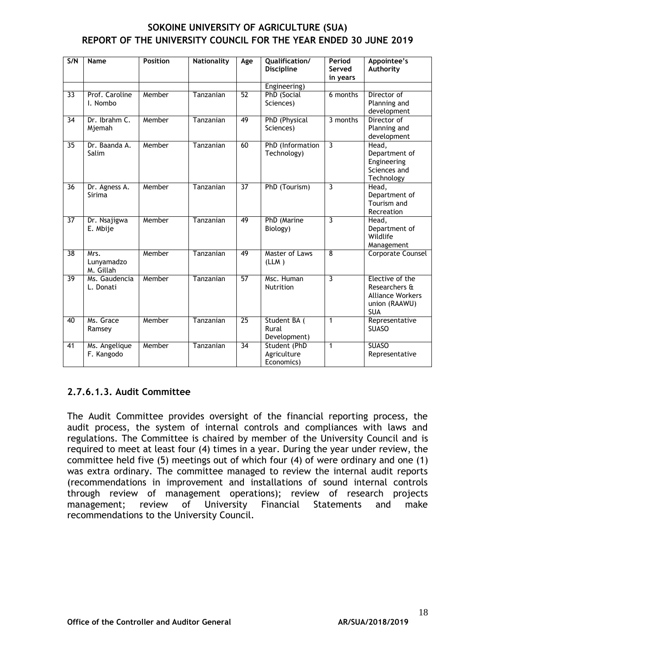| SOKOINE UNIVERSITY OF AGRICULTURE (SUA)                          |
|------------------------------------------------------------------|
| REPORT OF THE UNIVERSITY COUNCIL FOR THE YEAR ENDED 30 JUNE 2019 |

| S/N             | <b>Name</b>                     | <b>Position</b> | <b>Nationality</b> | Age             | Qualification/<br><b>Discipline</b>       | Period<br>Served<br>in years | Appointee's<br>Authority                                                                   |
|-----------------|---------------------------------|-----------------|--------------------|-----------------|-------------------------------------------|------------------------------|--------------------------------------------------------------------------------------------|
|                 |                                 |                 |                    |                 | Engineering)                              |                              |                                                                                            |
| 33              | Prof. Caroline<br>I. Nombo      | Member          | Tanzanian          | $\overline{52}$ | PhD (Social<br>Sciences)                  | 6 months                     | Director of<br>Planning and<br>development                                                 |
| 34              | Dr. Ibrahm C.<br>Mjemah         | Member          | Tanzanian          | 49              | PhD (Physical<br>Sciences)                | 3 months                     | Director of<br>Planning and<br>development                                                 |
| 35              | Dr. Baanda A.<br>Salim          | Member          | Tanzanian          | 60              | PhD (Information<br>Technology)           | 3                            | Head,<br>Department of<br>Engineering<br>Sciences and<br>Technology                        |
| 36              | Dr. Agness A.<br>Sirima         | Member          | Tanzanian          | $\overline{37}$ | PhD (Tourism)                             | 3                            | Head,<br>Department of<br>Tourism and<br>Recreation                                        |
| $\overline{37}$ | Dr. Nsajigwa<br>E. Mbije        | Member          | Tanzanian          | 49              | PhD (Marine<br>Biology)                   | 3                            | Head,<br>Department of<br>Wildlife<br>Management                                           |
| $\overline{38}$ | Mrs.<br>Lunyamadzo<br>M. Gillah | Member          | Tanzanian          | 49              | Master of Laws<br>(LLM)                   | 8                            | Corporate Counsel                                                                          |
| $\overline{39}$ | Ms. Gaudencia<br>L. Donati      | Member          | Tanzanian          | $\overline{57}$ | Msc. Human<br>Nutrition                   | 3                            | Elective of the<br>Researchers &<br><b>Alliance Workers</b><br>union (RAAWU)<br><b>SUA</b> |
| 40              | Ms. Grace<br>Ramsey             | Member          | Tanzanian          | $\overline{25}$ | Student BA (<br>Rural<br>Development)     | $\mathbf{1}$                 | Representative<br><b>SUASO</b>                                                             |
| 41              | Ms. Angelique<br>F. Kangodo     | Member          | Tanzanian          | $\overline{34}$ | Student (PhD<br>Agriculture<br>Economics) | $\mathbf{1}$                 | <b>SUASO</b><br>Representative                                                             |

#### **2.7.6.1.3. Audit Committee**

The Audit Committee provides oversight of the financial reporting process, the audit process, the system of internal controls and compliances with laws and regulations. The Committee is chaired by member of the University Council and is required to meet at least four (4) times in a year. During the year under review, the committee held five (5) meetings out of which four (4) of were ordinary and one (1) was extra ordinary. The committee managed to review the internal audit reports (recommendations in improvement and installations of sound internal controls through review of management operations); review of research projects management; review of University Financial Statements and make recommendations to the University Council.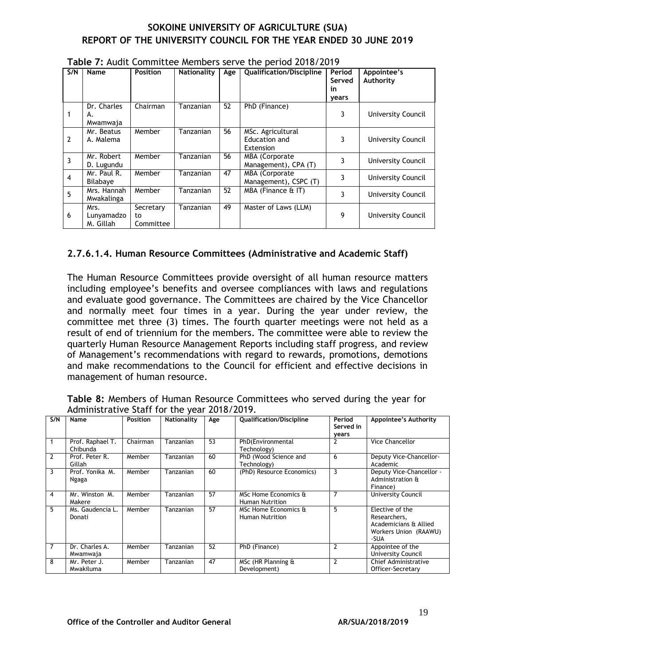| S/N            | Name                            | <b>Position</b>              | <b>Nationality</b> | Age | <b>Qualification/Discipline</b>                 | Period<br>Served<br>in<br>years | Appointee's<br>Authority  |
|----------------|---------------------------------|------------------------------|--------------------|-----|-------------------------------------------------|---------------------------------|---------------------------|
|                | Dr. Charles<br>А.<br>Mwamwaja   | Chairman                     | Tanzanian          | 52  | PhD (Finance)                                   | 3                               | University Council        |
| $\overline{2}$ | Mr. Beatus<br>A. Malema         | Member                       | Tanzanian          | 56  | MSc. Agricultural<br>Education and<br>Extension | 3                               | University Council        |
| 3              | Mr. Robert<br>D. Lugundu        | Member                       | Tanzanian          | 56  | MBA (Corporate<br>Management), CPA (T)          | 3                               | University Council        |
| 4              | Mr. Paul R.<br>Bilabaye         | Member                       | Tanzanian          | 47  | <b>MBA</b> (Corporate<br>Management), CSPC (T)  | 3                               | University Council        |
| 5              | Mrs. Hannah<br>Mwakalinga       | Member                       | Tanzanian          | 52  | MBA (Finance & IT)                              | 3                               | <b>University Council</b> |
| 6              | Mrs.<br>Lunyamadzo<br>M. Gillah | Secretary<br>to<br>Committee | Tanzanian          | 49  | Master of Laws (LLM)                            | 9                               | University Council        |

<span id="page-22-0"></span>**Table 7:** Audit Committee Members serve the period 2018/2019

#### **2.7.6.1.4. Human Resource Committees (Administrative and Academic Staff)**

The Human Resource Committees provide oversight of all human resource matters including employee's benefits and oversee compliances with laws and regulations and evaluate good governance. The Committees are chaired by the Vice Chancellor and normally meet four times in a year. During the year under review, the committee met three (3) times. The fourth quarter meetings were not held as a result of end of triennium for the members. The committee were able to review the quarterly Human Resource Management Reports including staff progress, and review of Management's recommendations with regard to rewards, promotions, demotions and make recommendations to the Council for efficient and effective decisions in management of human resource.

<span id="page-22-1"></span>**Table 8:** Members of Human Resource Committees who served during the year for Administrative Staff for the year 2018/2019.

| S/N            | Name                         | <b>Position</b> | Nationality | Age             | <b>Qualification/Discipline</b>                | Period<br>Served in<br>vears | Appointee's Authority                                                                     |
|----------------|------------------------------|-----------------|-------------|-----------------|------------------------------------------------|------------------------------|-------------------------------------------------------------------------------------------|
|                | Prof. Raphael T.<br>Chibunda | Chairman        | Tanzanian   | $\overline{53}$ | PhD(Environmental<br>Technology)               | $\overline{2}$               | <b>Vice Chancellor</b>                                                                    |
| $\overline{2}$ | Prof. Peter R.<br>Gillah     | Member          | Tanzanian   | 60              | PhD (Wood Science and<br>Technology)           | 6                            | Deputy Vice-Chancellor-<br>Academic                                                       |
| 3              | Prof. Yonika M.<br>Ngaga     | Member          | Tanzanian   | 60              | (PhD) Resource Economics)                      | 3                            | Deputy Vice-Chancellor -<br>Administration &<br>Finance)                                  |
| 4              | Mr. Winston M.<br>Makere     | Member          | Tanzanian   | 57              | MSc Home Economics &<br><b>Human Nutrition</b> | $\overline{7}$               | <b>University Council</b>                                                                 |
| 5              | Ms. Gaudencia L.<br>Donati   | Member          | Tanzanian   | 57              | MSc Home Economics &<br><b>Human Nutrition</b> | 5                            | Elective of the<br>Researchers,<br>Academicians & Allied<br>Workers Union (RAAWU)<br>-SUA |
| $\overline{7}$ | Dr. Charles A.<br>Mwamwaja   | Member          | Tanzanian   | 52              | PhD (Finance)                                  | $\overline{2}$               | Appointee of the<br>University Council                                                    |
| 8              | Mr. Peter J.<br>Mwakiluma    | Member          | Tanzanian   | 47              | MSc (HR Planning &<br>Development)             | $\overline{2}$               | Chief Administrative<br>Officer-Secretary                                                 |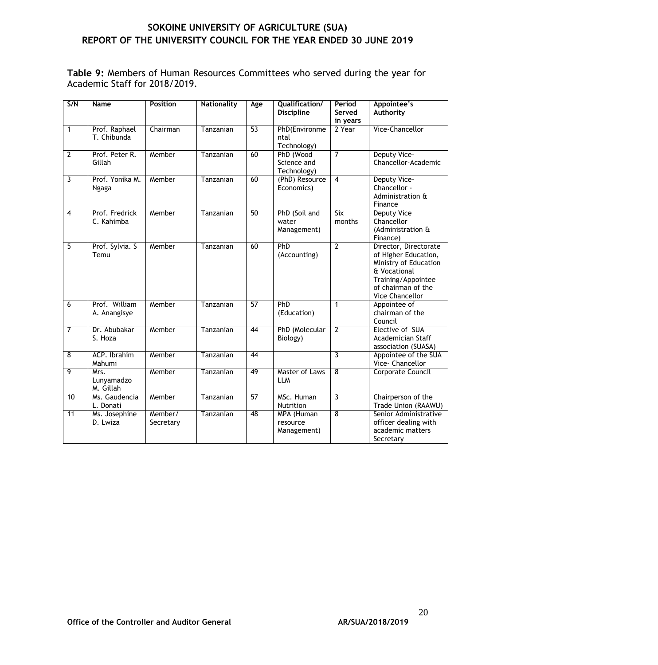<span id="page-23-0"></span>**Table 9:** Members of Human Resources Committees who served during the year for Academic Staff for 2018/2019.

| S/N            | Name                            | Position             | <b>Nationality</b> | Age             | Qualification/<br><b>Discipline</b>     | Period<br>Served<br>in years | Appointee's<br>Authority                                                                                                                              |
|----------------|---------------------------------|----------------------|--------------------|-----------------|-----------------------------------------|------------------------------|-------------------------------------------------------------------------------------------------------------------------------------------------------|
| $\mathbf{1}$   | Prof. Raphael<br>T. Chibunda    | Chairman             | Tanzanian          | 53              | PhD(Environme<br>ntal<br>Technology)    | 2 Year                       | Vice-Chancellor                                                                                                                                       |
| $\overline{2}$ | Prof. Peter R.<br>Gillah        | Member               | Tanzanian          | 60              | PhD (Wood<br>Science and<br>Technology) | $\overline{7}$               | Deputy Vice-<br>Chancellor-Academic                                                                                                                   |
| 3              | Prof. Yonika M.<br>Ngaga        | Member               | Tanzanian          | 60              | (PhD) Resource<br>Economics)            | $\overline{4}$               | Deputy Vice-<br>Chancellor -<br>Administration &<br>Finance                                                                                           |
| $\overline{4}$ | Prof. Fredrick<br>C. Kahimba    | Member               | Tanzanian          | $\overline{50}$ | PhD (Soil and<br>water<br>Management)   | <b>Six</b><br>months         | <b>Deputy Vice</b><br>Chancellor<br>(Administration &<br>Finance)                                                                                     |
| $\overline{5}$ | Prof. Sylvia. S<br>Temu         | Member               | Tanzanian          | 60              | PhD<br>(Accounting)                     | $\overline{2}$               | Director, Directorate<br>of Higher Education,<br>Ministry of Education<br>& Vocational<br>Training/Appointee<br>of chairman of the<br>Vice Chancellor |
| 6              | Prof. William<br>A. Anangisye   | Member               | Tanzanian          | $\overline{57}$ | PhD<br>(Education)                      | $\mathbf{1}$                 | Appointee of<br>chairman of the<br>Council                                                                                                            |
| $\overline{7}$ | Dr. Abubakar<br>S. Hoza         | Member               | Tanzanian          | 44              | PhD (Molecular<br>Biology)              | $\overline{2}$               | Elective of SUA<br>Academician Staff<br>association (SUASA)                                                                                           |
| 8              | ACP. Ibrahim<br>Mahumi          | Member               | Tanzanian          | $\overline{44}$ |                                         | $\overline{3}$               | Appointee of the SUA<br>Vice- Chancellor                                                                                                              |
| 9              | Mrs.<br>Lunyamadzo<br>M. Gillah | Member               | Tanzanian          | 49              | <b>Master of Laws</b><br><b>LLM</b>     | $\overline{8}$               | Corporate Council                                                                                                                                     |
| 10             | Ms. Gaudencia<br>L. Donati      | Member               | Tanzanian          | $\overline{57}$ | MSc. Human<br>Nutrition                 | $\overline{3}$               | Chairperson of the<br>Trade Union (RAAWU)                                                                                                             |
| 11             | Ms. Josephine<br>D. Lwiza       | Member/<br>Secretary | Tanzanian          | 48              | MPA (Human<br>resource<br>Management)   | $\overline{8}$               | Senior Administrative<br>officer dealing with<br>academic matters<br>Secretary                                                                        |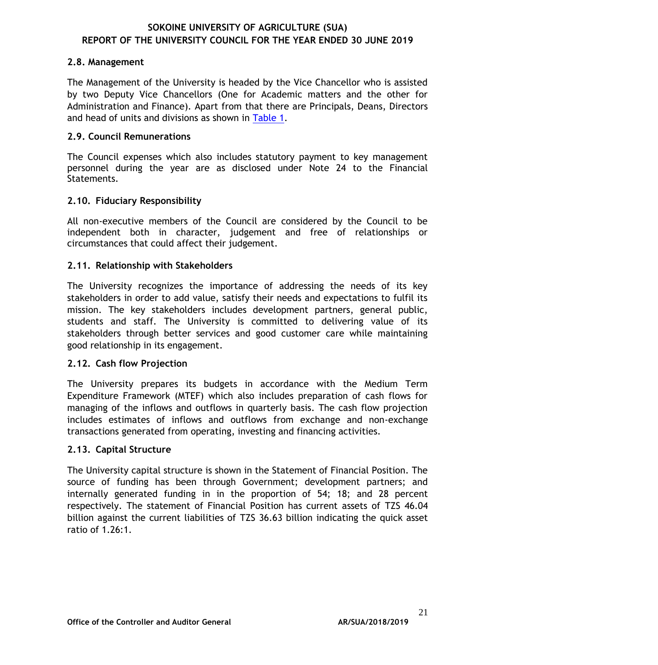#### **2.8. Management**

The Management of the University is headed by the Vice Chancellor who is assisted by two Deputy Vice Chancellors (One for Academic matters and the other for Administration and Finance). Apart from that there are Principals, Deans, Directors and head of units and divisions as shown in [Table 1.](#page-6-1)

#### **2.9. Council Remunerations**

The Council expenses which also includes statutory payment to key management personnel during the year are as disclosed under Note 24 to the Financial Statements.

#### **2.10. Fiduciary Responsibility**

All non-executive members of the Council are considered by the Council to be independent both in character, judgement and free of relationships or circumstances that could affect their judgement.

#### **2.11. Relationship with Stakeholders**

The University recognizes the importance of addressing the needs of its key stakeholders in order to add value, satisfy their needs and expectations to fulfil its mission. The key stakeholders includes development partners, general public, students and staff. The University is committed to delivering value of its stakeholders through better services and good customer care while maintaining good relationship in its engagement.

#### **2.12. Cash flow Projection**

The University prepares its budgets in accordance with the Medium Term Expenditure Framework (MTEF) which also includes preparation of cash flows for managing of the inflows and outflows in quarterly basis. The cash flow projection includes estimates of inflows and outflows from exchange and non-exchange transactions generated from operating, investing and financing activities.

#### **2.13. Capital Structure**

The University capital structure is shown in the Statement of Financial Position. The source of funding has been through Government; development partners; and internally generated funding in in the proportion of 54; 18; and 28 percent respectively. The statement of Financial Position has current assets of TZS 46.04 billion against the current liabilities of TZS 36.63 billion indicating the quick asset ratio of 1.26:1.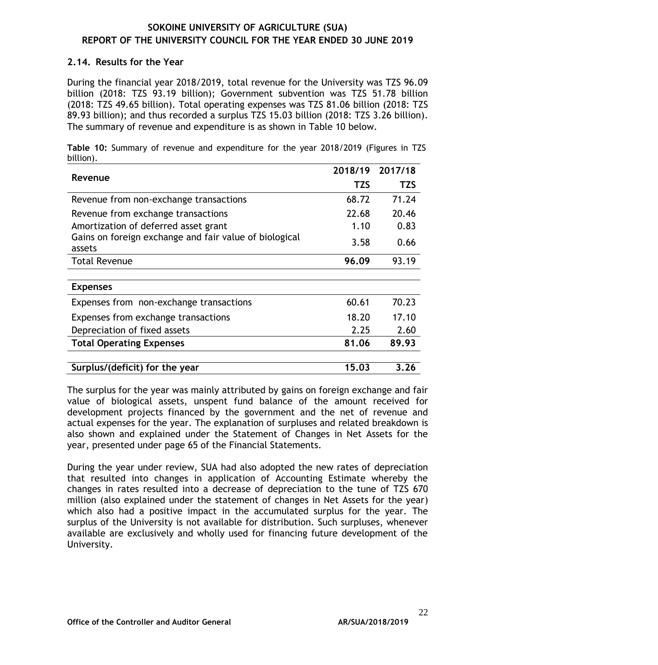#### **2.14. Results for the Year**

During the financial year 2018/2019, total revenue for the University was TZS 96.09 billion (2018: TZS 93.19 billion); Government subvention was TZS 51.78 billion (2018: TZS 49.65 billion). Total operating expenses was TZS 81.06 billion (2018: TZS 89.93 billion); and thus recorded a surplus TZS 15.03 billion (2018: TZS 3.26 billion). The summary of revenue and expenditure is as shown in Table 10 below.

<span id="page-25-0"></span>**Table 10:** Summary of revenue and expenditure for the year 2018/2019 (Figures in TZS billion).

| Revenue                                                          | 2018/19    | 2017/18    |
|------------------------------------------------------------------|------------|------------|
|                                                                  | <b>TZS</b> | <b>TZS</b> |
| Revenue from non-exchange transactions                           | 68.72      | 71.24      |
| Revenue from exchange transactions                               | 22.68      | 20.46      |
| Amortization of deferred asset grant                             | 1.10       | 0.83       |
| Gains on foreign exchange and fair value of biological<br>assets | 3.58       | 0.66       |
| <b>Total Revenue</b>                                             | 96.09      | 93.19      |
|                                                                  |            |            |
| <b>Expenses</b>                                                  |            |            |
| Expenses from non-exchange transactions                          | 60.61      | 70.23      |
| Expenses from exchange transactions                              | 18.20      | 17.10      |
| Depreciation of fixed assets                                     | 2.25       | 2.60       |
| <b>Total Operating Expenses</b>                                  | 81.06      | 89.93      |
| Surplus/(deficit) for the year                                   | 15.03      | 3.26       |

The surplus for the year was mainly attributed by gains on foreign exchange and fair value of biological assets, unspent fund balance of the amount received for development projects financed by the government and the net of revenue and actual expenses for the year. The explanation of surpluses and related breakdown is also shown and explained under the Statement of Changes in Net Assets for the year, presented under page 65 of the Financial Statements.

During the year under review, SUA had also adopted the new rates of depreciation that resulted into changes in application of Accounting Estimate whereby the changes in rates resulted into a decrease of depreciation to the tune of TZS 670 million (also explained under the statement of changes in Net Assets for the year) which also had a positive impact in the accumulated surplus for the year. The surplus of the University is not available for distribution. Such surpluses, whenever available are exclusively and wholly used for financing future development of the University.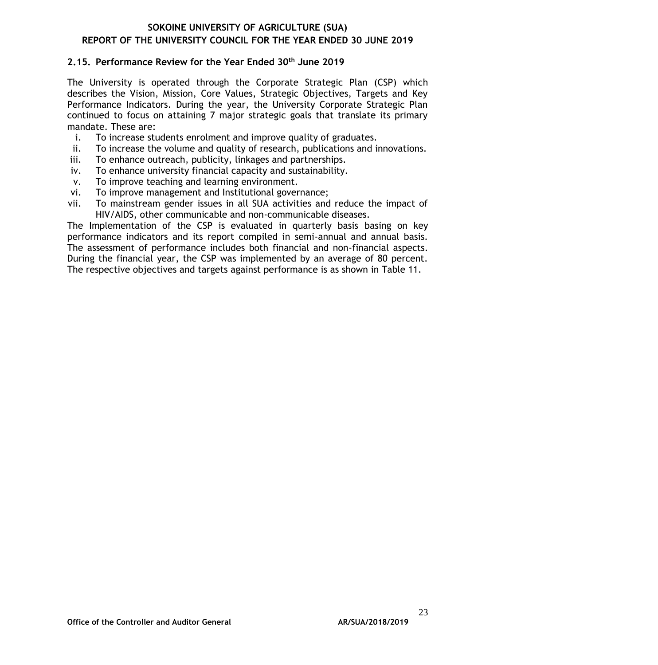#### **2.15. Performance Review for the Year Ended 30th June 2019**

The University is operated through the Corporate Strategic Plan (CSP) which describes the Vision, Mission, Core Values, Strategic Objectives, Targets and Key Performance Indicators. During the year, the University Corporate Strategic Plan continued to focus on attaining 7 major strategic goals that translate its primary mandate. These are:

- i. To increase students enrolment and improve quality of graduates.
- ii. To increase the volume and quality of research, publications and innovations.
- iii. To enhance outreach, publicity, linkages and partnerships.
- iv. To enhance university financial capacity and sustainability.
- v. To improve teaching and learning environment.
- vi. To improve management and Institutional governance;
- vii. To mainstream gender issues in all SUA activities and reduce the impact of HIV/AIDS, other communicable and non-communicable diseases.

The Implementation of the CSP is evaluated in quarterly basis basing on key performance indicators and its report compiled in semi-annual and annual basis. The assessment of performance includes both financial and non-financial aspects. During the financial year, the CSP was implemented by an average of 80 percent. The respective objectives and targets against performance is as shown in Table 11.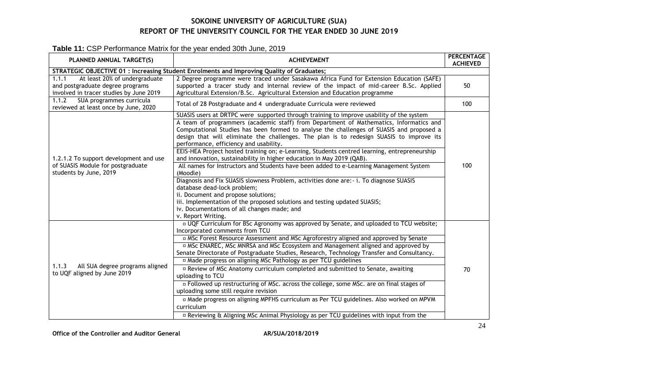### **Table 11:** CSP Performance Matrix for the year ended 30th June, 2019

<span id="page-27-0"></span>

| PLANNED ANNUAL TARGET(S)                                                                                              | <b>ACHIEVEMENT</b>                                                                                                                                                                                                                                                                                                                                                                                                                                                                                                                                                                                                                                                                                                                                                                                                                                                                                                                                                                                                     | <b>PERCENTAGE</b><br><b>ACHIEVED</b> |
|-----------------------------------------------------------------------------------------------------------------------|------------------------------------------------------------------------------------------------------------------------------------------------------------------------------------------------------------------------------------------------------------------------------------------------------------------------------------------------------------------------------------------------------------------------------------------------------------------------------------------------------------------------------------------------------------------------------------------------------------------------------------------------------------------------------------------------------------------------------------------------------------------------------------------------------------------------------------------------------------------------------------------------------------------------------------------------------------------------------------------------------------------------|--------------------------------------|
|                                                                                                                       | STRATEGIC OBJECTIVE 01 : Increasing Student Enrolments and Improving Quality of Graduates;                                                                                                                                                                                                                                                                                                                                                                                                                                                                                                                                                                                                                                                                                                                                                                                                                                                                                                                             |                                      |
| At least 20% of undergraduate<br>1.1.1<br>and postgraduate degree programs<br>involved in tracer studies by June 2019 | 2 Degree programme were traced under Sasakawa Africa Fund for Extension Education (SAFE)<br>supported a tracer study and internal review of the impact of mid-career B.Sc. Applied<br>Agricultural Extension/B.Sc. Agricultural Extension and Education programme                                                                                                                                                                                                                                                                                                                                                                                                                                                                                                                                                                                                                                                                                                                                                      | 50                                   |
| SUA programmes curricula<br>1.1.2<br>reviewed at least once by June, 2020                                             | Total of 28 Postgraduate and 4 undergraduate Curricula were reviewed                                                                                                                                                                                                                                                                                                                                                                                                                                                                                                                                                                                                                                                                                                                                                                                                                                                                                                                                                   | 100                                  |
| 1.2.1.2 To support development and use<br>of SUASIS Module for postgraduate<br>students by June, 2019                 | SUASIS users at DRTPC were supported through training to improve usability of the system<br>A team of programmers (academic staff) from Department of Mathematics, Informatics and<br>Computational Studies has been formed to analyse the challenges of SUASIS and proposed a<br>design that will eliminate the challenges. The plan is to redesign SUASIS to improve its<br>performance, efficiency and usability.<br>EEIS-HEA Project hosted training on; e-Learning, Students centred learning, entrepreneurship<br>and innovation, sustainability in higher education in May 2019 (QAB).<br>All names for Instructors and Students have been added to e-Learning Management System<br>(Moodle)<br>Diagnosis and Fix SUASIS slowness Problem, activities done are: - i. To diagnose SUASIS<br>database dead-lock problem;<br>ii. Document and propose solutions;<br>iii. Implementation of the proposed solutions and testing updated SUASIS;<br>iv. Documentations of all changes made; and<br>v. Report Writing. | 100                                  |
| All SUA degree programs aligned<br>1.1.3<br>to UQF aligned by June 2019                                               | <sup>D</sup> UQF Curriculum for BSc Agronomy was approved by Senate, and uploaded to TCU website;<br>Incorporated comments from TCU<br>¤ MSc Forest Resource Assessment and MSc Agroforestry aligned and approved by Senate<br>¤ MSc ENAREC, MSc MNRSA and MSc Ecosystem and Management aligned and approved by<br>Senate Directorate of Postgraduate Studies, Research, Technology Transfer and Consultancy.<br><sup>In</sup> Made progress on aligning MSc Pathology as per TCU guidelines<br>¤ Review of MSc Anatomy curriculum completed and submitted to Senate, awaiting<br>uploading to TCU<br>¤ Followed up restructuring of MSc. across the college, some MSc. are on final stages of<br>uploading some still require revision<br>¤ Made progress on aligning MPFHS curriculum as Per TCU guidelines. Also worked on MPVM<br>curriculum<br>¤ Reviewing & Aligning MSc Animal Physiology as per TCU guidelines with input from the                                                                             | 70                                   |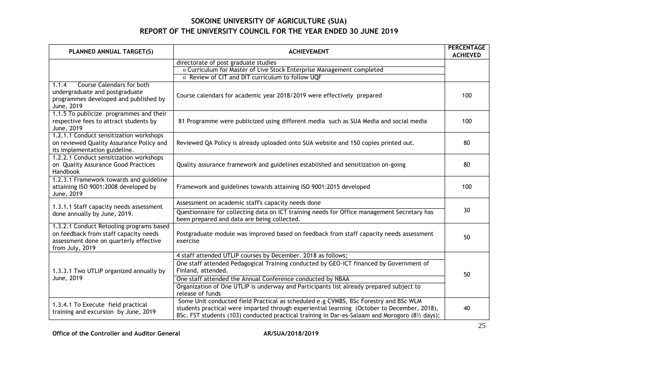| PLANNED ANNUAL TARGET(S)                                                                                                                       | <b>ACHIEVEMENT</b>                                                                                                                                                                                                                                                                     | <b>PERCENTAGE</b><br><b>ACHIEVED</b> |  |
|------------------------------------------------------------------------------------------------------------------------------------------------|----------------------------------------------------------------------------------------------------------------------------------------------------------------------------------------------------------------------------------------------------------------------------------------|--------------------------------------|--|
|                                                                                                                                                | directorate of post graduate studies                                                                                                                                                                                                                                                   |                                      |  |
|                                                                                                                                                | ¤ Curriculum for Master of Live Stock Enterprise Management completed                                                                                                                                                                                                                  |                                      |  |
|                                                                                                                                                | <sup>In</sup> Review of CIT and DIT curriculum to follow UQF                                                                                                                                                                                                                           |                                      |  |
| <b>Course Calendars for both</b><br>1.1.4<br>undergraduate and postgraduate<br>programmes developed and published by<br>June, 2019             | Course calendars for academic year 2018/2019 were effectively prepared                                                                                                                                                                                                                 | 100                                  |  |
| 1.1.5 To publicize programmes and their<br>respective fees to attract students by<br>June, 2019                                                | 81 Programme were publicized using different media such as SUA Media and social media                                                                                                                                                                                                  | 100                                  |  |
| 1.2.1.1 Conduct sensitization workshops<br>on reviewed Quality Assurance Policy and<br>its implementation guideline.                           | Reviewed QA Policy is already uploaded onto SUA website and 150 copies printed out.                                                                                                                                                                                                    | 80                                   |  |
| 1.2.2.1 Conduct sensitization workshops<br>on Quality Assurance Good Practices<br>Handbook                                                     | Quality assurance framework and guidelines established and sensitization on-going                                                                                                                                                                                                      | 80                                   |  |
| 1.2.3.1 Framework towards and guideline<br>attaining ISO 9001:2008 developed by<br>June, 2019                                                  | Framework and guidelines towards attaining ISO 9001:2015 developed                                                                                                                                                                                                                     | 100                                  |  |
| 1.3.1.1 Staff capacity needs assessment                                                                                                        | Assessment on academic staff's capacity needs done                                                                                                                                                                                                                                     |                                      |  |
| done annually by June, 2019.                                                                                                                   | Questionnaire for collecting data on ICT training needs for Office management Secretary has<br>been prepared and data are being collected.                                                                                                                                             | 30                                   |  |
| 1.3.2.1 Conduct Retooling programs based<br>on feedback from staff capacity needs<br>assessment done on quarterly effective<br>from July, 2019 | Postgraduate module was improved based on feedback from staff capacity needs assessment<br>exercise                                                                                                                                                                                    | 50                                   |  |
|                                                                                                                                                | 4 staff attended UTLIP courses by December. 2018 as follows;                                                                                                                                                                                                                           |                                      |  |
| 1.3.3.1 Two UTLIP organized annually by                                                                                                        | One staff attended Pedagogical Training conducted by GEO-ICT financed by Government of<br>Finland, attended.                                                                                                                                                                           | 50                                   |  |
| June, 2019                                                                                                                                     | One staff attended the Annual Conference conducted by NBAA                                                                                                                                                                                                                             |                                      |  |
|                                                                                                                                                | Organization of One UTLIP is underway and Participants list already prepared subject to<br>release of funds                                                                                                                                                                            |                                      |  |
| 1.3.4.1 To Execute field practical<br>training and excursion by June, 2019                                                                     | Some Unit conducted field Practical as scheduled e.g CVMBS, BSc Forestry and BSc WLM<br>students practical were imparted through experiential learning (October to December, 2018),<br>BSc. FST students (103) conducted practical training in Dar-es-Salaam and Morogoro (81/2 days); | 40                                   |  |

Office of the Controller and Auditor General **AR/SUA/2018/2019**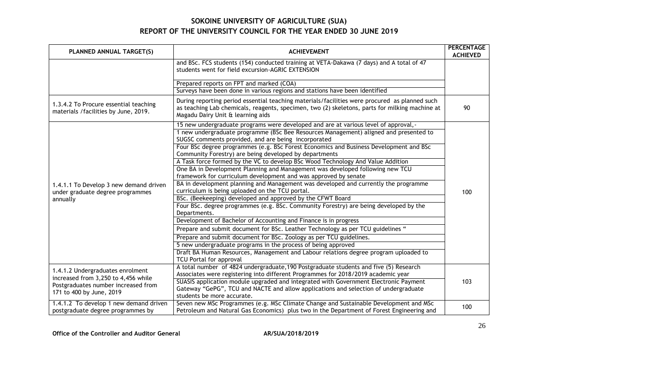| PLANNED ANNUAL TARGET(S)                                                       | <b>ACHIEVEMENT</b>                                                                                                                                                                                                                   | <b>PERCENTAGE</b><br><b>ACHIEVED</b> |
|--------------------------------------------------------------------------------|--------------------------------------------------------------------------------------------------------------------------------------------------------------------------------------------------------------------------------------|--------------------------------------|
|                                                                                | and BSc. FCS students (154) conducted training at VETA-Dakawa (7 days) and A total of 47<br>students went for field excursion-AGRIC EXTENSION                                                                                        |                                      |
|                                                                                | Prepared reports on FPT and marked (COA)                                                                                                                                                                                             |                                      |
|                                                                                | Surveys have been done in various regions and stations have been identified                                                                                                                                                          |                                      |
| 1.3.4.2 To Procure essential teaching<br>materials / facilities by June, 2019. | During reporting period essential teaching materials/facilities were procured as planned such<br>as teaching Lab chemicals, reagents, specimen, two (2) skeletons, parts for milking machine at<br>Magadu Dairy Unit & learning aids | 90                                   |
|                                                                                | 15 new undergraduate programs were developed and are at various level of approval, -                                                                                                                                                 |                                      |
|                                                                                | 1 new undergraduate programme (BSc Bee Resources Management) aligned and presented to                                                                                                                                                |                                      |
|                                                                                | SUGSC comments provided, and are being incorporated                                                                                                                                                                                  |                                      |
|                                                                                | Four BSc degree programmes (e.g. BSc Forest Economics and Business Development and BSc<br>Community Forestry) are being developed by departments                                                                                     |                                      |
|                                                                                | A Task force formed by the VC to develop BSc Wood Technology And Value Addition                                                                                                                                                      |                                      |
|                                                                                | One BA in Development Planning and Management was developed following new TCU                                                                                                                                                        |                                      |
|                                                                                | framework for curriculum development and was approved by senate                                                                                                                                                                      |                                      |
| 1.4.1.1 To Develop 3 new demand driven                                         | BA in development planning and Management was developed and currently the programme                                                                                                                                                  |                                      |
| under graduate degree programmes                                               | curriculum is being uploaded on the TCU portal.                                                                                                                                                                                      | 100                                  |
| annually                                                                       | BSc. (Beekeeping) developed and approved by the CFWT Board                                                                                                                                                                           |                                      |
|                                                                                | Four BSc. degree programmes (e.g. BSc. Community Forestry) are being developed by the                                                                                                                                                |                                      |
|                                                                                | Departments.                                                                                                                                                                                                                         |                                      |
|                                                                                | Development of Bachelor of Accounting and Finance is in progress                                                                                                                                                                     |                                      |
|                                                                                | Prepare and submit document for BSc. Leather Technology as per TCU guidelines "                                                                                                                                                      |                                      |
|                                                                                | Prepare and submit document for BSc. Zoology as per TCU guidelines.                                                                                                                                                                  |                                      |
|                                                                                | 5 new undergraduate programs in the process of being approved                                                                                                                                                                        |                                      |
|                                                                                | Draft BA Human Resources, Management and Labour relations degree program uploaded to                                                                                                                                                 |                                      |
|                                                                                | TCU Portal for approval                                                                                                                                                                                                              |                                      |
| 1.4.1.2 Undergraduates enrolment                                               | A total number of 4824 undergraduate, 190 Postgraduate students and five (5) Research                                                                                                                                                |                                      |
| increased from 3,250 to 4,456 while                                            | Associates were registering into different Programmes for 2018/2019 academic year                                                                                                                                                    |                                      |
| Postgraduates number increased from                                            | SUASIS application module upgraded and integrated with Government Electronic Payment                                                                                                                                                 | 103                                  |
| 171 to 400 by June, 2019                                                       | Gateway "GePG", TCU and NACTE and allow applications and selection of undergraduate                                                                                                                                                  |                                      |
|                                                                                | students be more accurate.                                                                                                                                                                                                           |                                      |
| 1.4.1.2 To develop 1 new demand driven                                         | Seven new MSc Programmes (e.g. MSc Climate Change and Sustainable Development and MSc                                                                                                                                                | 100                                  |
| postgraduate degree programmes by                                              | Petroleum and Natural Gas Economics) plus two in the Department of Forest Engineering and                                                                                                                                            |                                      |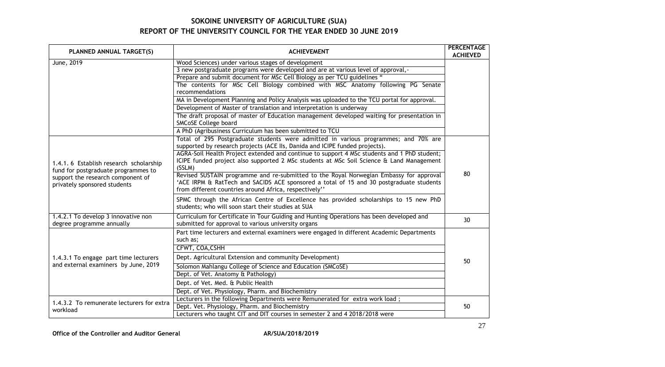| PLANNED ANNUAL TARGET(S)                                                       | <b>ACHIEVEMENT</b>                                                                                                                                                                                                                         | <b>PERCENTAGE</b><br><b>ACHIEVED</b> |
|--------------------------------------------------------------------------------|--------------------------------------------------------------------------------------------------------------------------------------------------------------------------------------------------------------------------------------------|--------------------------------------|
| June, 2019                                                                     | Wood Sciences) under various stages of development                                                                                                                                                                                         |                                      |
|                                                                                | 3 new postgraduate programs were developed and are at various level of approval,-                                                                                                                                                          |                                      |
|                                                                                | Prepare and submit document for MSc Cell Biology as per TCU guidelines "                                                                                                                                                                   |                                      |
|                                                                                | The contents for MSc Cell Biology combined with MSC Anatomy following PG Senate<br>recommendations                                                                                                                                         |                                      |
|                                                                                | MA in Development Planning and Policy Analysis was uploaded to the TCU portal for approval.                                                                                                                                                |                                      |
|                                                                                | Development of Master of translation and interpretation is underway                                                                                                                                                                        |                                      |
|                                                                                | The draft proposal of master of Education management developed waiting for presentation in                                                                                                                                                 |                                      |
|                                                                                | SMCoSE College board                                                                                                                                                                                                                       |                                      |
|                                                                                | A PhD (Agribusiness Curriculum has been submitted to TCU                                                                                                                                                                                   |                                      |
|                                                                                | Total of 295 Postgraduate students were admitted in various programmes; and 70% are<br>supported by research projects (ACE IIs, Danida and ICIPE funded projects).                                                                         |                                      |
| 1.4.1. 6 Establish research scholarship<br>fund for postgraduate programmes to | AGRA-Soil Health Project extended and continue to support 4 MSc students and 1 PhD student;<br>ICIPE funded project also supported 2 MSc students at MSc Soil Science & Land Management<br>(SSLM)                                          |                                      |
| support the research component of<br>privately sponsored students              | Revised SUSTAIN programme and re-submitted to the Royal Norwegian Embassy for approval<br>'ACE IRPM & RatTech and SACIDS ACE sponsored a total of 15 and 30 postgraduate students<br>from different countries around Africa, respectively" | 80                                   |
|                                                                                | SPMC through the African Centre of Excellence has provided scholarships to 15 new PhD<br>students; who will soon start their studies at SUA                                                                                                |                                      |
| 1.4.2.1 To develop 3 innovative non<br>degree programme annually               | Curriculum for Certificate in Tour Guiding and Hunting Operations has been developed and<br>submitted for approval to various university organs                                                                                            | 30                                   |
|                                                                                | Part time lecturers and external examiners were engaged in different Academic Departments<br>such as;                                                                                                                                      |                                      |
|                                                                                | CFWT, COA, CSHH                                                                                                                                                                                                                            |                                      |
| 1.4.3.1 To engage part time lecturers                                          | Dept. Agricultural Extension and community Development)                                                                                                                                                                                    | 50                                   |
| and external examiners by June, 2019                                           | Solomon Mahlangu College of Science and Education (SMCoSE)                                                                                                                                                                                 |                                      |
|                                                                                | Dept. of Vet. Anatomy & Pathology)                                                                                                                                                                                                         |                                      |
|                                                                                | Dept. of Vet. Med. & Public Health                                                                                                                                                                                                         |                                      |
|                                                                                | Dept. of Vet. Physiology, Pharm. and Biochemistry                                                                                                                                                                                          |                                      |
| 1.4.3.2 To remunerate lecturers for extra                                      | Lecturers in the following Departments were Remunerated for extra work load;                                                                                                                                                               |                                      |
| workload                                                                       | Dept. Vet. Physiology, Pharm. and Biochemistry                                                                                                                                                                                             | 50                                   |
|                                                                                | Lecturers who taught CIT and DIT courses in semester 2 and 4 2018/2018 were                                                                                                                                                                |                                      |

Office of the Controller and Auditor General **AR/SUA/2018/2019**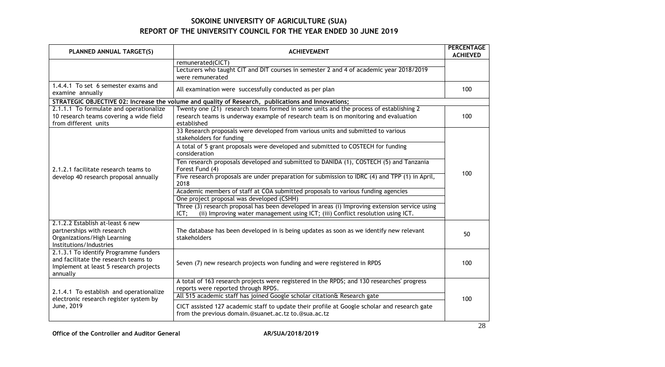| PLANNED ANNUAL TARGET(S)                                                                                                            | <b>ACHIEVEMENT</b>                                                                                                                                                                          | <b>PERCENTAGE</b><br><b>ACHIEVED</b> |
|-------------------------------------------------------------------------------------------------------------------------------------|---------------------------------------------------------------------------------------------------------------------------------------------------------------------------------------------|--------------------------------------|
|                                                                                                                                     | remunerated(CICT)<br>Lecturers who taught CIT and DIT courses in semester 2 and 4 of academic year 2018/2019<br>were remunerated                                                            |                                      |
| 1.4.4.1 To set 6 semester exams and<br>examine annually                                                                             | All examination were successfully conducted as per plan                                                                                                                                     | 100                                  |
|                                                                                                                                     | STRATEGIC OBJECTIVE 02: Increase the volume and quality of Research, publications and Innovations;                                                                                          |                                      |
| 2.1.1.1 To formulate and operationalize<br>10 research teams covering a wide field<br>from different units                          | Twenty one (21) research teams formed in some units and the process of establishing 2<br>research teams is underway example of research team is on monitoring and evaluation<br>established | 100                                  |
|                                                                                                                                     | 33 Research proposals were developed from various units and submitted to various<br>stakeholders for funding                                                                                |                                      |
|                                                                                                                                     | A total of 5 grant proposals were developed and submitted to COSTECH for funding<br>consideration                                                                                           |                                      |
| 2.1.2.1 facilitate research teams to                                                                                                | Ten research proposals developed and submitted to DANIDA (1), COSTECH (5) and Tanzania<br>Forest Fund (4)                                                                                   | 100                                  |
| develop 40 research proposal annually                                                                                               | Five research proposals are under preparation for submission to IDRC (4) and TPP (1) in April,<br>2018                                                                                      |                                      |
|                                                                                                                                     | Academic members of staff at COA submitted proposals to various funding agencies                                                                                                            |                                      |
|                                                                                                                                     | One project proposal was developed (CSHH)                                                                                                                                                   |                                      |
|                                                                                                                                     | Three (3) research proposal has been developed in areas (i) Improving extension service using<br>(ii) Improving water management using ICT; (iii) Conflict resolution using ICT.<br>ICT;    |                                      |
| 2.1.2.2 Establish at-least 6 new<br>partnerships with research<br>Organizations/High Learning<br>Institutions/Industries            | The database has been developed in is being updates as soon as we identify new relevant<br>stakeholders                                                                                     | 50                                   |
| 2.1.3.1 To identify Programme funders<br>and facilitate the research teams to<br>Implement at least 5 research projects<br>annually | Seven (7) new research projects won funding and were registered in RPDS                                                                                                                     | 100                                  |
| 2.1.4.1 To establish and operationalize                                                                                             | A total of 163 research projects were registered in the RPDS; and 130 researches' progress<br>reports were reported through RPDS.                                                           |                                      |
| electronic research register system by                                                                                              | All 515 academic staff has joined Google scholar citation& Research gate                                                                                                                    | 100                                  |
| June, 2019                                                                                                                          | CICT assisted 127 academic staff to update their profile at Google scholar and research gate<br>from the previous domain.@suanet.ac.tz to.@sua.ac.tz                                        |                                      |

Office of the Controller and Auditor General **AR/SUA/2018/2019**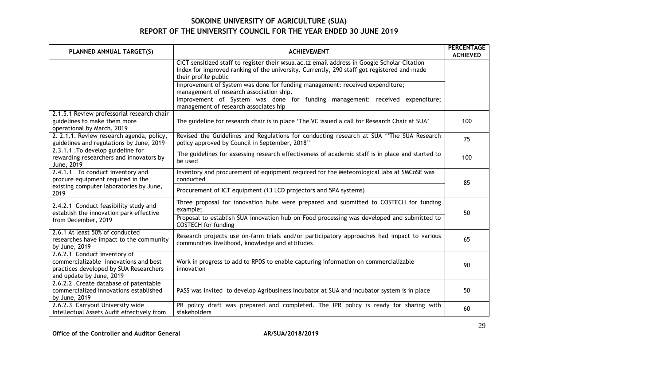| PLANNED ANNUAL TARGET(S)                                                                                                                    | <b>ACHIEVEMENT</b>                                                                                                                                                                                                | <b>PERCENTAGE</b><br><b>ACHIEVED</b> |
|---------------------------------------------------------------------------------------------------------------------------------------------|-------------------------------------------------------------------------------------------------------------------------------------------------------------------------------------------------------------------|--------------------------------------|
|                                                                                                                                             | CICT sensitized staff to register their @sua.ac.tz email address in Google Scholar Citation<br>Index for improved ranking of the university. Currently, 290 staff got registered and made<br>their profile public |                                      |
|                                                                                                                                             | Improvement of System was done for funding management: received expenditure;<br>management of research association ship.                                                                                          |                                      |
|                                                                                                                                             | Improvement of System was done for funding management: received expenditure;<br>management of research associates hip                                                                                             |                                      |
| 2.1.5.1 Review professorial research chair<br>guidelines to make them more<br>operational by March, 2019                                    | The guideline for research chair is in place 'The VC issued a call for Research Chair at SUA'                                                                                                                     | 100                                  |
| 2. 2.1.1. Review research agenda, policy,<br>guidelines and regulations by June, 2019                                                       | Revised the Guidelines and Regulations for conducting research at SUA "The SUA Research<br>policy approved by Council in September, 2018"                                                                         | 75                                   |
| 2.3.1.1 . To develop guideline for<br>rewarding researchers and innovators by<br>June, 2019                                                 | The guidelines for assessing research effectiveness of academic staff is in place and started to<br>be used                                                                                                       | 100                                  |
| 2.4.1.1 To conduct inventory and<br>procure equipment required in the                                                                       | Inventory and procurement of equipment required for the Meteorological labs at SMCoSE was<br>conducted                                                                                                            | 85                                   |
| existing computer laboratories by June,<br>2019                                                                                             | Procurement of ICT equipment (13 LCD projectors and 5PA systems)                                                                                                                                                  |                                      |
| 2.4.2.1 Conduct feasibility study and<br>establish the innovation park effective                                                            | Three proposal for innovation hubs were prepared and submitted to COSTECH for funding<br>example;                                                                                                                 | 50                                   |
| from December, 2019                                                                                                                         | Proposal to establish SUA innovation hub on Food processing was developed and submitted to<br><b>COSTECH</b> for funding                                                                                          |                                      |
| 2.6.1 At least 50% of conducted<br>researches have impact to the community<br>by June, 2019                                                 | Research projects use on-farm trials and/or participatory approaches had impact to various<br>communities livelihood, knowledge and attitudes                                                                     | 65                                   |
| 2.6.2.1 Conduct inventory of<br>commercializable innovations and best<br>practices developed by SUA Researchers<br>and update by June, 2019 | Work in progress to add to RPDS to enable capturing information on commercializable<br>innovation                                                                                                                 | 90                                   |
| 2.6.2.2 . Create database of patentable<br>commercialized innovations established<br>by June, 2019                                          | PASS was invited to develop Agribusiness Incubator at SUA and incubator system is in place                                                                                                                        | 50                                   |
| 2.6.2.3 Carryout University wide<br>Intellectual Assets Audit effectively from                                                              | PR policy draft was prepared and completed. The IPR policy is ready for sharing with<br>stakeholders                                                                                                              | 60                                   |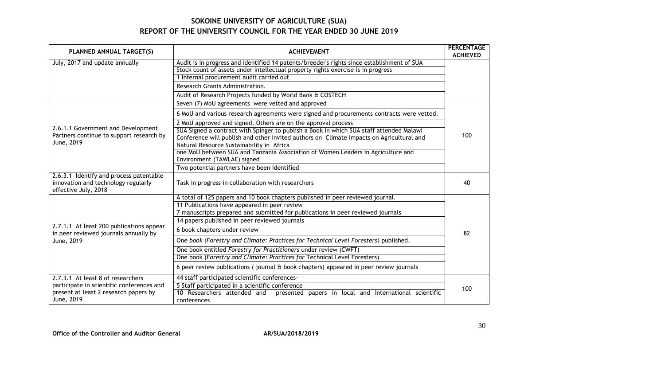| PLANNED ANNUAL TARGET(S)                                                                               | <b>ACHIEVEMENT</b>                                                                                                                                                                                                               | <b>PERCENTAGE</b><br><b>ACHIEVED</b> |
|--------------------------------------------------------------------------------------------------------|----------------------------------------------------------------------------------------------------------------------------------------------------------------------------------------------------------------------------------|--------------------------------------|
| July, 2017 and update annually                                                                         | Audit is in progress and identified 14 patents/breeder's rights since establishment of SUA                                                                                                                                       |                                      |
|                                                                                                        | Stock count of assets under intellectual property rights exercise is in progress                                                                                                                                                 |                                      |
|                                                                                                        | 1 Internal procurement audit carried out                                                                                                                                                                                         |                                      |
|                                                                                                        | Research Grants Administration.                                                                                                                                                                                                  |                                      |
|                                                                                                        | Audit of Research Projects funded by World Bank & COSTECH                                                                                                                                                                        |                                      |
|                                                                                                        | Seven (7) MoU agreements were vetted and approved                                                                                                                                                                                |                                      |
|                                                                                                        | 6 MoU and various research agreements were signed and procurements contracts were vetted.                                                                                                                                        |                                      |
|                                                                                                        | 2 MoU approved and signed. Others are on the approval process                                                                                                                                                                    |                                      |
| 2.6.1.1 Government and Development<br>Partners continue to support research by<br>June, 2019           | SUA Signed a contract with Spinger to publish a Book in which SUA staff attended Malawi<br>Conference will publish and other invited authors on Climate Impacts on Agricultural and<br>Natural Resource Sustainability in Africa | 100                                  |
|                                                                                                        | one MoU between SUA and Tanzania Association of Women Leaders in Agriculture and<br>Environment (TAWLAE) signed                                                                                                                  |                                      |
|                                                                                                        | Two potential partners have been identified                                                                                                                                                                                      |                                      |
| 2.6.3.1 Identify and process patentable<br>innovation and technology regularly<br>effective July, 2018 | Task in progress in collaboration with researchers                                                                                                                                                                               | 40                                   |
|                                                                                                        | A total of 125 papers and 10 book chapters published in peer reviewed journal.                                                                                                                                                   |                                      |
|                                                                                                        | 11 Publications have appeared in peer review                                                                                                                                                                                     |                                      |
|                                                                                                        | 7 manuscripts prepared and submitted for publications in peer reviewed journals                                                                                                                                                  |                                      |
|                                                                                                        | 14 papers published in peer reviewed journals                                                                                                                                                                                    |                                      |
| 2.7.1.1 At least 200 publications appear<br>in peer reviewed journals annually by                      | 6 book chapters under review                                                                                                                                                                                                     | 82                                   |
| June, 2019                                                                                             | One book (Forestry and Climate: Practices for Technical Level Foresters) published.                                                                                                                                              |                                      |
|                                                                                                        | One book entitled Forestry for Practitioners under review (CWFT)                                                                                                                                                                 |                                      |
|                                                                                                        | One book (Forestry and Climate: Practices for Technical Level Foresters)                                                                                                                                                         |                                      |
|                                                                                                        | 6 peer review publications (journal $\alpha$ book chapters) appeared in peer review journals                                                                                                                                     |                                      |
| 2.7.3.1 At least 8 of researchers                                                                      | 44 staff participated scientific conferences-                                                                                                                                                                                    |                                      |
| participate in scientific conferences and                                                              | 5 Staff participated in a scientific conference                                                                                                                                                                                  | 100                                  |
| present at least 2 research papers by<br>June, 2019                                                    | 10 Researchers attended and<br>presented papers in local and International scientific<br>conferences                                                                                                                             |                                      |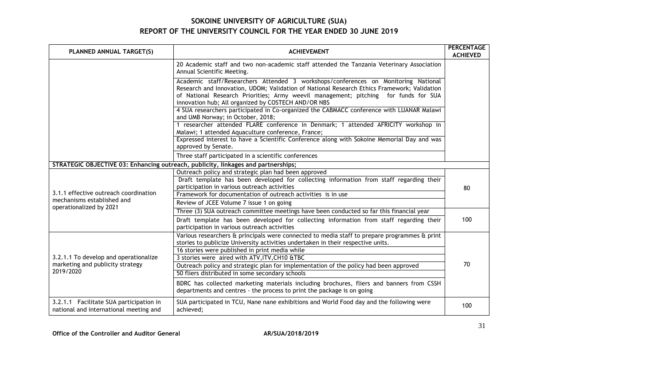| PLANNED ANNUAL TARGET(S)                                                          | <b>ACHIEVEMENT</b>                                                                                                                                                                                                                                                                                                              | <b>PERCENTAGE</b><br><b>ACHIEVED</b> |
|-----------------------------------------------------------------------------------|---------------------------------------------------------------------------------------------------------------------------------------------------------------------------------------------------------------------------------------------------------------------------------------------------------------------------------|--------------------------------------|
|                                                                                   | 20 Academic staff and two non-academic staff attended the Tanzania Veterinary Association<br>Annual Scientific Meeting.                                                                                                                                                                                                         |                                      |
|                                                                                   | Academic staff/Researchers Attended 3 workshops/conferences on Monitoring National<br>Research and Innovation, UDOM; Validation of National Research Ethics Framework; Validation<br>of National Research Priorities; Army weevil management; pitching for funds for SUA<br>innovation hub; All organized by COSTECH AND/OR NBS |                                      |
|                                                                                   | 4 SUA researchers participated in Co-organized the CABMACC conference with LUANAR Malawi<br>and UMB Norway; in October, 2018;                                                                                                                                                                                                   |                                      |
|                                                                                   | 1 researcher attended FLARE conference in Denmark; 1 attended AFRICITY workshop in<br>Malawi; 1 attended Aquaculture conference, France;                                                                                                                                                                                        |                                      |
|                                                                                   | Expressed interest to have a Scientific Conference along with Sokoine Memorial Day and was<br>approved by Senate.                                                                                                                                                                                                               |                                      |
|                                                                                   | Three staff participated in a scientific conferences                                                                                                                                                                                                                                                                            |                                      |
|                                                                                   | STRATEGIC OBJECTIVE 03: Enhancing outreach, publicity, linkages and partnerships;                                                                                                                                                                                                                                               |                                      |
|                                                                                   | Outreach policy and strategic plan had been approved<br>Draft template has been developed for collecting information from staff regarding their<br>participation in various outreach activities                                                                                                                                 | 80                                   |
| 3.1.1 effective outreach coordination                                             | Framework for documentation of outreach activities is in use                                                                                                                                                                                                                                                                    |                                      |
| mechanisms established and<br>operationalized by 2021                             | Review of JCEE Volume 7 issue 1 on going                                                                                                                                                                                                                                                                                        |                                      |
|                                                                                   | Three (3) SUA outreach committee meetings have been conducted so far this financial year                                                                                                                                                                                                                                        |                                      |
|                                                                                   | Draft template has been developed for collecting information from staff regarding their<br>participation in various outreach activities                                                                                                                                                                                         | 100                                  |
|                                                                                   | Various researchers & principals were connected to media staff to prepare programmes & print<br>stories to publicize University activities undertaken in their respective units.                                                                                                                                                |                                      |
|                                                                                   | 16 stories were published in print media while                                                                                                                                                                                                                                                                                  |                                      |
| 3.2.1.1 To develop and operationalize                                             | 3 stories were aired with ATV, ITV, CH10 & TBC                                                                                                                                                                                                                                                                                  |                                      |
| marketing and publicity strategy<br>2019/2020                                     | Outreach policy and strategic plan for implementation of the policy had been approved<br>50 fliers distributed in some secondary schools                                                                                                                                                                                        | 70                                   |
|                                                                                   | BDRC has collected marketing materials including brochures, fliers and banners from CSSH<br>departments and centres - the process to print the package is on going                                                                                                                                                              |                                      |
| 3.2.1.1 Facilitate SUA participation in<br>national and international meeting and | SUA participated in TCU, Nane nane exhibitions and World Food day and the following were<br>achieved;                                                                                                                                                                                                                           | 100                                  |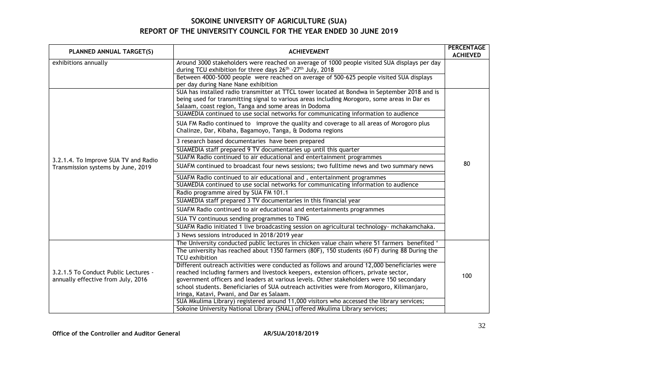| PLANNED ANNUAL TARGET(S)             | <b>ACHIEVEMENT</b>                                                                                                                                                                                                                                   | <b>PERCENTAGE</b><br><b>ACHIEVED</b> |
|--------------------------------------|------------------------------------------------------------------------------------------------------------------------------------------------------------------------------------------------------------------------------------------------------|--------------------------------------|
| exhibitions annually                 | Around 3000 stakeholders were reached on average of 1000 people visited SUA displays per day<br>during TCU exhibition for three days 26 <sup>th</sup> -27 <sup>th</sup> July, 2018                                                                   |                                      |
|                                      | Between 4000-5000 people were reached on average of 500-625 people visited SUA displays<br>per day during Nane Nane exhibition                                                                                                                       |                                      |
|                                      | SUA has installed radio transmitter at TTCL tower located at Bondwa in September 2018 and is<br>being used for transmitting signal to various areas including Morogoro, some areas in Dar es<br>Salaam, coast region, Tanga and some areas in Dodoma |                                      |
|                                      | SUAMEDIA continued to use social networks for communicating information to audience                                                                                                                                                                  |                                      |
|                                      | SUA FM Radio continued to improve the quality and coverage to all areas of Morogoro plus<br>Chalinze, Dar, Kibaha, Bagamoyo, Tanga, & Dodoma regions                                                                                                 |                                      |
|                                      | 3 research based documentaries have been prepared                                                                                                                                                                                                    |                                      |
|                                      | SUAMEDIA staff prepared 9 TV documentaries up until this quarter                                                                                                                                                                                     |                                      |
| 3.2.1.4. To Improve SUA TV and Radio | SUAFM Radio continued to air educational and entertainment programmes                                                                                                                                                                                |                                      |
| Transmission systems by June, 2019   | SUAFM continued to broadcast four news sessions; two fulltime news and two summary news                                                                                                                                                              |                                      |
|                                      | SUAFM Radio continued to air educational and, entertainment programmes                                                                                                                                                                               |                                      |
|                                      | SUAMEDIA continued to use social networks for communicating information to audience                                                                                                                                                                  |                                      |
|                                      | Radio programme aired by SUA FM 101.1                                                                                                                                                                                                                |                                      |
|                                      | SUAMEDIA staff prepared 3 TV documentaries in this financial year                                                                                                                                                                                    |                                      |
|                                      | SUAFM Radio continued to air educational and entertainments programmes                                                                                                                                                                               |                                      |
|                                      | SUA TV continuous sending programmes to TING                                                                                                                                                                                                         |                                      |
|                                      | SUAFM Radio initiated 1 live broadcasting session on agricultural technology- mchakamchaka.                                                                                                                                                          |                                      |
|                                      | 3 News sessions introduced in 2018/2019 year                                                                                                                                                                                                         |                                      |
|                                      | The University conducted public lectures in chicken value chain where 51 farmers benefited '                                                                                                                                                         |                                      |
|                                      | The university has reached about 1350 farmers (80F), 150 students (60 F) during 88 During the<br>TCU exhibition                                                                                                                                      |                                      |
|                                      | Different outreach activities were conducted as follows and around 12,000 beneficiaries were                                                                                                                                                         |                                      |
| 3.2.1.5 To Conduct Public Lectures - | reached including farmers and livestock keepers, extension officers, private sector,                                                                                                                                                                 |                                      |
| annually effective from July, 2016   | government officers and leaders at various levels. Other stakeholders were 150 secondary                                                                                                                                                             | 100                                  |
|                                      | school students. Beneficiaries of SUA outreach activities were from Morogoro, Kilimanjaro,                                                                                                                                                           |                                      |
|                                      | Iringa, Katavi, Pwani, and Dar es Salaam.                                                                                                                                                                                                            |                                      |
|                                      | SUA Mkulima Library) registered around 11,000 visitors who accessed the library services;                                                                                                                                                            |                                      |
|                                      | Sokoine University National Library (SNAL) offered Mkulima Library services;                                                                                                                                                                         |                                      |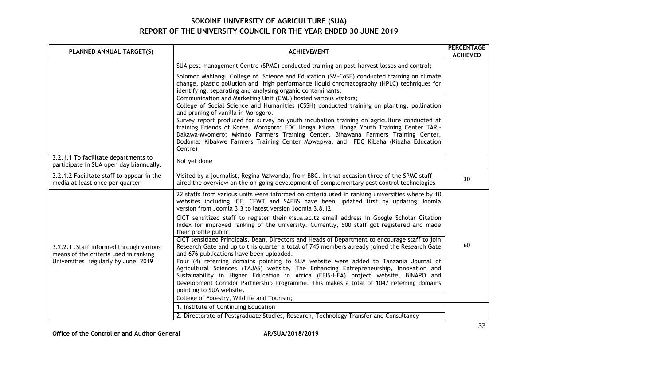| PLANNED ANNUAL TARGET(S)                                                                                                  | <b>ACHIEVEMENT</b>                                                                                                                                                                                                                                                                                                                                                                           | PERCENTAGE<br><b>ACHIEVED</b> |
|---------------------------------------------------------------------------------------------------------------------------|----------------------------------------------------------------------------------------------------------------------------------------------------------------------------------------------------------------------------------------------------------------------------------------------------------------------------------------------------------------------------------------------|-------------------------------|
|                                                                                                                           | SUA pest management Centre (SPMC) conducted training on post-harvest losses and control;                                                                                                                                                                                                                                                                                                     |                               |
|                                                                                                                           | Solomon Mahlangu College of Science and Education (SM-CoSE) conducted training on climate<br>change, plastic pollution and high performance liquid chromatography (HPLC) techniques for<br>identifying, separating and analysing organic contaminants;                                                                                                                                       |                               |
|                                                                                                                           | Communication and Marketing Unit (CMU) hosted various visitors;<br>College of Social Science and Humanities (CSSH) conducted training on planting, pollination<br>and pruning of vanilla in Morogoro.                                                                                                                                                                                        |                               |
|                                                                                                                           | Survey report produced for survey on youth incubation training on agriculture conducted at<br>training Friends of Korea, Morogoro; FDC Ilonga Kilosa; Ilonga Youth Training Center TARI-<br>Dakawa-Mvomero; Mkindo Farmers Training Center, Bihawana Farmers Training Center,<br>Dodoma; Kibakwe Farmers Training Center Mpwapwa; and FDC Kibaha (Kibaha Education<br>Centre)                |                               |
| 3.2.1.1 To facilitate departments to<br>participate in SUA open day biannually.                                           | Not yet done                                                                                                                                                                                                                                                                                                                                                                                 |                               |
| 3.2.1.2 Facilitate staff to appear in the<br>media at least once per quarter                                              | Visited by a journalist, Regina Mziwanda, from BBC. In that occasion three of the SPMC staff<br>aired the overview on the on-going development of complementary pest control technologies                                                                                                                                                                                                    | 30                            |
| 3.2.2.1 . Staff informed through various<br>means of the criteria used in ranking<br>Universities regularly by June, 2019 | 22 staffs from various units were informed on criteria used in ranking universities where by 10<br>websites including ICE, CFWT and SAEBS have been updated first by updating Joomla<br>version from Joomla 3.3 to latest version Joomla 3.8.12                                                                                                                                              |                               |
|                                                                                                                           | CICT sensitized staff to register their @sua.ac.tz email address in Google Scholar Citation<br>Index for improved ranking of the university. Currently, 500 staff got registered and made<br>their profile public                                                                                                                                                                            |                               |
|                                                                                                                           | CICT sensitized Principals, Dean, Directors and Heads of Department to encourage staff to join<br>Research Gate and up to this quarter a total of 745 members already joined the Research Gate<br>and 676 publications have been uploaded.                                                                                                                                                   | 60                            |
|                                                                                                                           | Four (4) referring domains pointing to SUA website were added to Tanzania Journal of<br>Agricultural Sciences (TAJAS) website, The Enhancing Entrepreneurship, Innovation and<br>Sustainability in Higher Education in Africa (EEIS-HEA) project website, BINAPO and<br>Development Corridor Partnership Programme. This makes a total of 1047 referring domains<br>pointing to SUA website. |                               |
|                                                                                                                           | College of Forestry, Wildlife and Tourism;                                                                                                                                                                                                                                                                                                                                                   |                               |
|                                                                                                                           | 1. Institute of Continuing Education<br>2. Directorate of Postgraduate Studies, Research, Technology Transfer and Consultancy                                                                                                                                                                                                                                                                |                               |
|                                                                                                                           |                                                                                                                                                                                                                                                                                                                                                                                              |                               |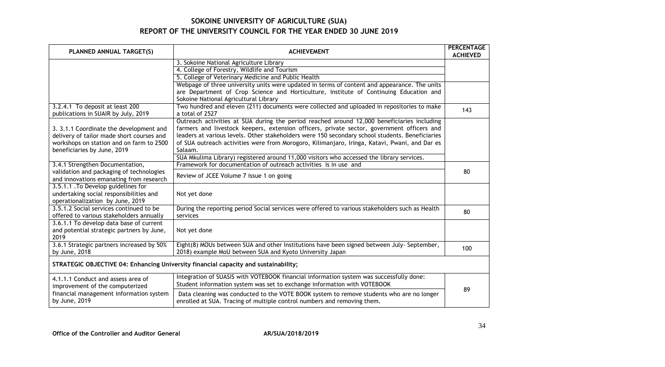| PLANNED ANNUAL TARGET(S)                                                             | <b>ACHIEVEMENT</b>                                                                                                                                                                                                                                                                          | <b>PERCENTAGE</b><br><b>ACHIEVED</b> |
|--------------------------------------------------------------------------------------|---------------------------------------------------------------------------------------------------------------------------------------------------------------------------------------------------------------------------------------------------------------------------------------------|--------------------------------------|
|                                                                                      | 3. Sokoine National Agriculture Library                                                                                                                                                                                                                                                     |                                      |
|                                                                                      | 4. College of Forestry, Wildlife and Tourism                                                                                                                                                                                                                                                |                                      |
|                                                                                      | 5. College of Veterinary Medicine and Public Health                                                                                                                                                                                                                                         |                                      |
|                                                                                      | Webpage of three university units were updated in terms of content and appearance. The units                                                                                                                                                                                                |                                      |
|                                                                                      | are Department of Crop Science and Horticulture, Institute of Continuing Education and                                                                                                                                                                                                      |                                      |
|                                                                                      | Sokoine National Agricultural Library                                                                                                                                                                                                                                                       |                                      |
| 3.2.4.1 To deposit at least 200                                                      | Two hundred and eleven (211) documents were collected and uploaded in repositories to make                                                                                                                                                                                                  | 143                                  |
| publications in SUAIR by July, 2019                                                  | a total of 2527                                                                                                                                                                                                                                                                             |                                      |
| 3. 3.1.1 Coordinate the development and<br>delivery of tailor made short courses and | Outreach activities at SUA during the period reached around 12,000 beneficiaries including<br>farmers and livestock keepers, extension officers, private sector, government officers and<br>leaders at various levels. Other stakeholders were 150 secondary school students. Beneficiaries |                                      |
| workshops on station and on farm to 2500                                             | of SUA outreach activities were from Morogoro, Kilimanjaro, Iringa, Katavi, Pwani, and Dar es<br>Salaam.                                                                                                                                                                                    |                                      |
| beneficiaries by June, 2019                                                          | SUA Mkulima Library) registered around 11,000 visitors who accessed the library services.                                                                                                                                                                                                   |                                      |
| 3.4.1 Strengthen Documentation,                                                      | Framework for documentation of outreach activities is in use and                                                                                                                                                                                                                            |                                      |
| validation and packaging of technologies                                             |                                                                                                                                                                                                                                                                                             | 80                                   |
| and innovations emanating from research                                              | Review of JCEE Volume 7 issue 1 on going                                                                                                                                                                                                                                                    |                                      |
| 3.5.1.1 . To Develop guidelines for                                                  |                                                                                                                                                                                                                                                                                             |                                      |
| undertaking social responsibilities and                                              | Not yet done                                                                                                                                                                                                                                                                                |                                      |
| operationalization by June, 2019<br>3.5.1.2 Social services continued to be          |                                                                                                                                                                                                                                                                                             |                                      |
| offered to various stakeholders annually                                             | During the reporting period Social services were offered to various stakeholders such as Health<br>services                                                                                                                                                                                 | 80                                   |
| 3.6.1.1 To develop data base of current                                              |                                                                                                                                                                                                                                                                                             |                                      |
| and potential strategic partners by June,<br>2019                                    | Not yet done                                                                                                                                                                                                                                                                                |                                      |
| 3.6.1 Strategic partners increased by 50%                                            | Eight(8) MOUs between SUA and other Institutions have been signed between July-September,                                                                                                                                                                                                   | 100                                  |
| by June, 2018                                                                        | 2018) example MoU between SUA and Kyoto University Japan                                                                                                                                                                                                                                    |                                      |
| STRATEGIC OBJECTIVE 04: Enhancing University financial capacity and sustainability;  |                                                                                                                                                                                                                                                                                             |                                      |
| 4.1.1.1 Conduct and assess area of                                                   | Integration of SUASIS with VOTEBOOK financial information system was successfully done:                                                                                                                                                                                                     |                                      |
| improvement of the computerized                                                      | Student information system was set to exchange information with VOTEBOOK                                                                                                                                                                                                                    |                                      |
| financial management information system<br>by June, 2019                             | Data cleaning was conducted to the VOTE BOOK system to remove students who are no longer<br>enrolled at SUA. Tracing of multiple control numbers and removing them.                                                                                                                         | 89                                   |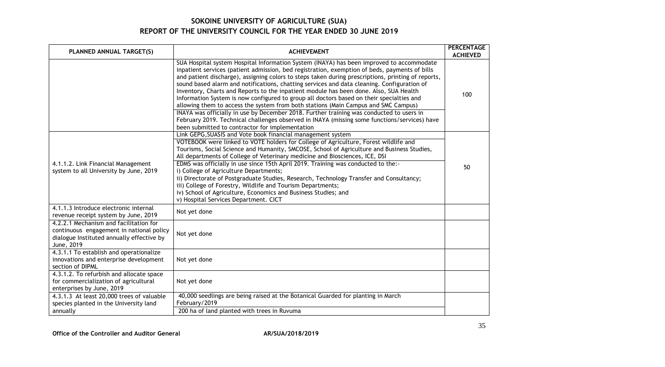| PLANNED ANNUAL TARGET(S)                                                                                                                      | <b>ACHIEVEMENT</b>                                                                                                                                                                                                                                                                                                                                                                                                                                                                                                                                                                                                                                                                                                                                                                                                                                                                                                      | <b>PERCENTAGE</b><br><b>ACHIEVED</b> |
|-----------------------------------------------------------------------------------------------------------------------------------------------|-------------------------------------------------------------------------------------------------------------------------------------------------------------------------------------------------------------------------------------------------------------------------------------------------------------------------------------------------------------------------------------------------------------------------------------------------------------------------------------------------------------------------------------------------------------------------------------------------------------------------------------------------------------------------------------------------------------------------------------------------------------------------------------------------------------------------------------------------------------------------------------------------------------------------|--------------------------------------|
|                                                                                                                                               | SUA Hospital system Hospital Information System (INAYA) has been improved to accommodate<br>inpatient services (patient admission, bed registration, exemption of beds, payments of bills<br>and patient discharge), assigning colors to steps taken during prescriptions, printing of reports,<br>sound based alarm and notifications, chatting services and data cleaning. Configuration of<br>Inventory, Charts and Reports to the inpatient module has been done. Also, SUA Health<br>Information System is now configured to group all doctors based on their specialties and<br>allowing them to access the system from both stations (Main Campus and SMC Campus)<br>INAYA was officially in use by December 2018. Further training was conducted to users in<br>February 2019. Technical challenges observed in INAYA (missing some functions/services) have<br>been submitted to contractor for implementation | 100                                  |
| 4.1.1.2. Link Financial Management<br>system to all University by June, 2019                                                                  | Link GEPG, SUASIS and Vote book financial management system<br>VOTEBOOK were linked to VOTE holders for College of Agriculture, Forest wildlife and<br>Tourisms, Social Science and Humanity, SMCOSE, School of Agriculture and Business Studies,<br>All departments of College of Veterinary medicine and Biosciences, ICE, DSI<br>EDMS was officially in use since 15th April 2019. Training was conducted to the:-<br>i) College of Agriculture Departments;<br>ii) Directorate of Postgraduate Studies, Research, Technology Transfer and Consultancy;<br>iii) College of Forestry, Wildlife and Tourism Departments;<br>iv) School of Agriculture, Economics and Business Studies; and<br>v) Hospital Services Department. CICT                                                                                                                                                                                    | 50                                   |
| 4.1.1.3 Introduce electronic internal<br>revenue receipt system by June, 2019                                                                 | Not yet done                                                                                                                                                                                                                                                                                                                                                                                                                                                                                                                                                                                                                                                                                                                                                                                                                                                                                                            |                                      |
| 4.2.2.1 Mechanism and facilitation for<br>continuous engagement in national policy<br>dialogue Instituted annually effective by<br>June, 2019 | Not yet done                                                                                                                                                                                                                                                                                                                                                                                                                                                                                                                                                                                                                                                                                                                                                                                                                                                                                                            |                                      |
| 4.3.1.1 To establish and operationalize<br>innovations and enterprise development<br>section of DIPML                                         | Not yet done                                                                                                                                                                                                                                                                                                                                                                                                                                                                                                                                                                                                                                                                                                                                                                                                                                                                                                            |                                      |
| 4.3.1.2. To refurbish and allocate space<br>for commercialization of agricultural<br>enterprises by June, 2019                                | Not yet done                                                                                                                                                                                                                                                                                                                                                                                                                                                                                                                                                                                                                                                                                                                                                                                                                                                                                                            |                                      |
| 4.3.1.3 At least 20,000 trees of valuable<br>species planted in the University land<br>annually                                               | 40,000 seedlings are being raised at the Botanical Guarded for planting in March<br>February/2019<br>200 ha of land planted with trees in Ruvuma                                                                                                                                                                                                                                                                                                                                                                                                                                                                                                                                                                                                                                                                                                                                                                        |                                      |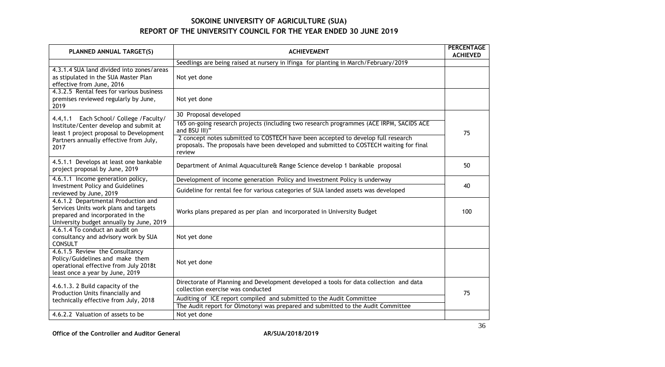| PLANNED ANNUAL TARGET(S)                                                                                                                                     | <b>ACHIEVEMENT</b>                                                                                                                                                                    | <b>PERCENTAGE</b><br><b>ACHIEVED</b> |
|--------------------------------------------------------------------------------------------------------------------------------------------------------------|---------------------------------------------------------------------------------------------------------------------------------------------------------------------------------------|--------------------------------------|
|                                                                                                                                                              | Seedlings are being raised at nursery in Ifinga for planting in March/February/2019                                                                                                   |                                      |
| 4.3.1.4 SUA land divided into zones/areas<br>as stipulated in the SUA Master Plan<br>effective from June, 2016                                               | Not yet done                                                                                                                                                                          |                                      |
| 4.3.2.5 Rental fees for various business<br>premises reviewed regularly by June,<br>2019                                                                     | Not yet done                                                                                                                                                                          |                                      |
| 4.4,1.1 Each School/ College / Faculty/                                                                                                                      | 30 Proposal developed                                                                                                                                                                 |                                      |
| Institute/Center develop and submit at<br>least 1 project proposal to Development                                                                            | 165 on-going research projects (including two research programmes (ACE IRPM, SACIDS ACE<br>and BSU III)"                                                                              | 75                                   |
| Partners annually effective from July,<br>2017                                                                                                               | 2 concept notes submitted to COSTECH have been accepted to develop full research<br>proposals. The proposals have been developed and submitted to COSTECH waiting for final<br>review |                                      |
| 4.5.1.1 Develops at least one bankable<br>project proposal by June, 2019                                                                                     | Department of Animal Aquaculture& Range Science develop 1 bankable proposal                                                                                                           | 50                                   |
| 4.6.1.1 Income generation policy,                                                                                                                            | Development of income generation Policy and Investment Policy is underway                                                                                                             | 40                                   |
| <b>Investment Policy and Guidelines</b><br>reviewed by June, 2019                                                                                            | Guideline for rental fee for various categories of SUA landed assets was developed                                                                                                    |                                      |
| 4.6.1.2 Departmental Production and<br>Services Units work plans and targets<br>prepared and incorporated in the<br>University budget annually by June, 2019 | Works plans prepared as per plan and incorporated in University Budget                                                                                                                | 100                                  |
| 4.6.1.4 To conduct an audit on<br>consultancy and advisory work by SUA<br><b>CONSULT</b>                                                                     | Not yet done                                                                                                                                                                          |                                      |
| 4.6.1.5 Review the Consultancy<br>Policy/Guidelines and make them<br>operational effective from July 2018t<br>least once a year by June, 2019                | Not yet done                                                                                                                                                                          |                                      |
| 4.6.1.3. 2 Build capacity of the<br>Production Units financially and<br>technically effective from July, 2018                                                | Directorate of Planning and Development developed a tools for data collection and data<br>collection exercise was conducted                                                           | 75                                   |
|                                                                                                                                                              | Auditing of ICE report compiled and submitted to the Audit Committee<br>The Audit report for Olmotonyi was prepared and submitted to the Audit Committee                              |                                      |
| 4.6.2.2 Valuation of assets to be                                                                                                                            | Not yet done                                                                                                                                                                          |                                      |

Office of the Controller and Auditor General **AR/SUA/2018/2019**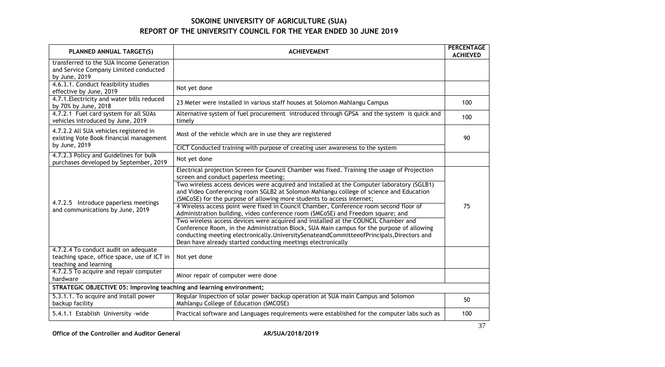| PLANNED ANNUAL TARGET(S)                                                                                     | <b>ACHIEVEMENT</b>                                                                                                                                                                                                                                                                                                                                                                                                                                                                                                                                                                   | <b>PERCENTAGE</b><br><b>ACHIEVED</b> |
|--------------------------------------------------------------------------------------------------------------|--------------------------------------------------------------------------------------------------------------------------------------------------------------------------------------------------------------------------------------------------------------------------------------------------------------------------------------------------------------------------------------------------------------------------------------------------------------------------------------------------------------------------------------------------------------------------------------|--------------------------------------|
| transferred to the SUA Income Generation<br>and Service Company Limited conducted<br>by June, 2019           |                                                                                                                                                                                                                                                                                                                                                                                                                                                                                                                                                                                      |                                      |
| 4.6.3.1. Conduct feasibility studies<br>effective by June, 2019                                              | Not yet done                                                                                                                                                                                                                                                                                                                                                                                                                                                                                                                                                                         |                                      |
| 4.7.1. Electricity and water bills reduced<br>by 70% by June, 2018                                           | 23 Meter were installed in various staff houses at Solomon Mahlangu Campus                                                                                                                                                                                                                                                                                                                                                                                                                                                                                                           | 100                                  |
| 4.7.2.1 Fuel card system for all SUAs<br>vehicles introduced by June, 2019                                   | Alternative system of fuel procurement introduced through GPSA and the system is quick and<br>timely                                                                                                                                                                                                                                                                                                                                                                                                                                                                                 | 100                                  |
| 4.7.2.2 All SUA vehicles registered in<br>existing Vote Book financial management                            | Most of the vehicle which are in use they are registered                                                                                                                                                                                                                                                                                                                                                                                                                                                                                                                             | 90                                   |
| by June, 2019                                                                                                | CICT Conducted training with purpose of creating user awareness to the system                                                                                                                                                                                                                                                                                                                                                                                                                                                                                                        |                                      |
| 4.7.2.3 Policy and Guidelines for bulk<br>purchases developed by September, 2019                             | Not yet done                                                                                                                                                                                                                                                                                                                                                                                                                                                                                                                                                                         |                                      |
| 4.7.2.5 Introduce paperless meetings<br>and communications by June, 2019                                     | Electrical projection Screen for Council Chamber was fixed. Training the usage of Projection<br>screen and conduct paperless meeting;<br>Two wireless access devices were acquired and installed at the Computer laboratory (SGLB1)<br>and Video Conferencing room SGLB2 at Solomon Mahlangu college of science and Education<br>(SMCoSE) for the purpose of allowing more students to access internet;<br>4 Wireless access point were fixed in Council Chamber, Conference room second floor of<br>Administration building, video conference room (SMCoSE) and Freedom square; and | 75                                   |
|                                                                                                              | Two wireless access devices were acquired and installed at the COUNCIL Chamber and<br>Conference Room, in the Administration Block, SUA Main campus for the purpose of allowing<br>conducting meeting electronically. UniversitySenateandCommitteeofPrincipals, Directors and<br>Dean have already started conducting meetings electronically                                                                                                                                                                                                                                        |                                      |
| 4.7.2.4 To conduct audit on adequate<br>teaching space, office space, use of ICT in<br>teaching and learning | Not yet done                                                                                                                                                                                                                                                                                                                                                                                                                                                                                                                                                                         |                                      |
| 4.7.2.5 To acquire and repair computer<br>hardware                                                           | Minor repair of computer were done                                                                                                                                                                                                                                                                                                                                                                                                                                                                                                                                                   |                                      |
| STRATEGIC OBJECTIVE 05: Improving teaching and learning environment;                                         |                                                                                                                                                                                                                                                                                                                                                                                                                                                                                                                                                                                      |                                      |
| 5.3.1.1. To acquire and install power<br>backup facility                                                     | Regular Inspection of solar power backup operation at SUA main Campus and Solomon<br>Mahlangu College of Education (SMCOSE)                                                                                                                                                                                                                                                                                                                                                                                                                                                          | 50                                   |
| 5.4.1.1 Establish University - wide                                                                          | Practical software and Languages requirements were established for the computer labs such as                                                                                                                                                                                                                                                                                                                                                                                                                                                                                         | 100                                  |

Office of the Controller and Auditor General **AR/SUA/2018/2019**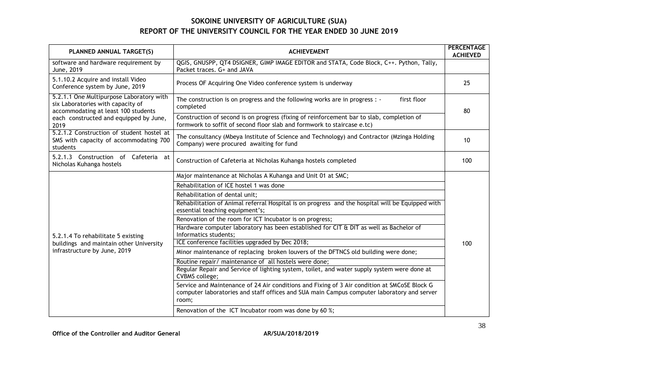| PLANNED ANNUAL TARGET(S)                                                                                      | <b>ACHIEVEMENT</b>                                                                                                                                                                                                                                                                                                                                                                                                                                                                                                                                                                                                                                                                                                                                                                                                                                                                                                                                                                               | <b>PERCENTAGE</b><br><b>ACHIEVED</b> |
|---------------------------------------------------------------------------------------------------------------|--------------------------------------------------------------------------------------------------------------------------------------------------------------------------------------------------------------------------------------------------------------------------------------------------------------------------------------------------------------------------------------------------------------------------------------------------------------------------------------------------------------------------------------------------------------------------------------------------------------------------------------------------------------------------------------------------------------------------------------------------------------------------------------------------------------------------------------------------------------------------------------------------------------------------------------------------------------------------------------------------|--------------------------------------|
| software and hardware requirement by<br>June, 2019                                                            | QGIS, GNUSPP, QT4 DSIGNER, GIMP IMAGE EDITOR and STATA, Code Block, C++. Python, Tally,<br>Packet traces. G+ and JAVA                                                                                                                                                                                                                                                                                                                                                                                                                                                                                                                                                                                                                                                                                                                                                                                                                                                                            |                                      |
| 5.1.10.2 Acquire and install Video<br>Conference system by June, 2019                                         | Process OF Acquiring One Video conference system is underway                                                                                                                                                                                                                                                                                                                                                                                                                                                                                                                                                                                                                                                                                                                                                                                                                                                                                                                                     | 25                                   |
| 5.2.1.1 One Multipurpose Laboratory with<br>six Laboratories with capacity of                                 | first floor<br>The construction is on progress and the following works are in progress : -<br>completed                                                                                                                                                                                                                                                                                                                                                                                                                                                                                                                                                                                                                                                                                                                                                                                                                                                                                          | 80                                   |
| accommodating at least 100 students<br>each constructed and equipped by June,<br>2019                         | Construction of second is on progress (fixing of reinforcement bar to slab, completion of<br>formwork to soffit of second floor slab and formwork to staircase e.tc)                                                                                                                                                                                                                                                                                                                                                                                                                                                                                                                                                                                                                                                                                                                                                                                                                             |                                      |
| 5.2.1.2 Construction of student hostel at<br>SMS with capacity of accommodating 700<br>students               | The consultancy (Mbeya Institute of Science and Technology) and Contractor (Mzinga Holding<br>Company) were procured awaiting for fund                                                                                                                                                                                                                                                                                                                                                                                                                                                                                                                                                                                                                                                                                                                                                                                                                                                           | 10                                   |
| 5.2.1.3 Construction of Cafeteria at<br>Nicholas Kuhanga hostels                                              | Construction of Cafeteria at Nicholas Kuhanga hostels completed                                                                                                                                                                                                                                                                                                                                                                                                                                                                                                                                                                                                                                                                                                                                                                                                                                                                                                                                  | 100                                  |
| 5.2.1.4 To rehabilitate 5 existing<br>buildings and maintain other University<br>infrastructure by June, 2019 | Major maintenance at Nicholas A Kuhanga and Unit 01 at SMC;<br>Rehabilitation of ICE hostel 1 was done<br>Rehabilitation of dental unit;<br>Rehabilitation of Animal referral Hospital is on progress and the hospital will be Equipped with<br>essential teaching equipment's;<br>Renovation of the room for ICT Incubator is on progress;<br>Hardware computer laboratory has been established for CIT & DIT as well as Bachelor of<br>Informatics students;<br>ICE conference facilities upgraded by Dec 2018;<br>Minor maintenance of replacing broken louvers of the DFTNCS old building were done;<br>Routine repair/ maintenance of all hostels were done;<br>Regular Repair and Service of lighting system, toilet, and water supply system were done at<br><b>CVBMS</b> college;<br>Service and Maintenance of 24 Air conditions and Fixing of 3 Air condition at SMCoSE Block G<br>computer laboratories and staff offices and SUA main Campus computer laboratory and server<br>room; | 100                                  |
|                                                                                                               | Renovation of the ICT Incubator room was done by 60 %;                                                                                                                                                                                                                                                                                                                                                                                                                                                                                                                                                                                                                                                                                                                                                                                                                                                                                                                                           |                                      |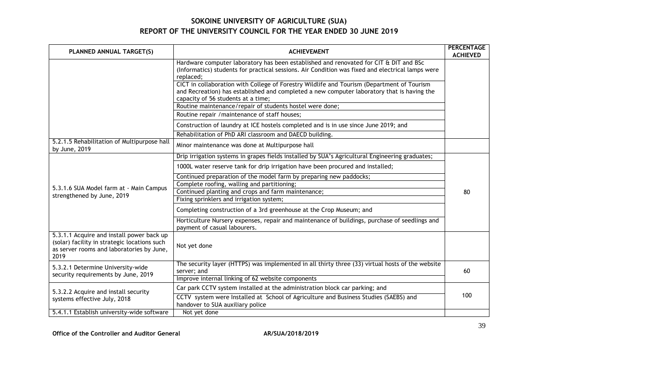| PLANNED ANNUAL TARGET(S)                                                                                                                       | <b>ACHIEVEMENT</b>                                                                                                                                                                                                             | <b>PERCENTAGE</b><br><b>ACHIEVED</b> |
|------------------------------------------------------------------------------------------------------------------------------------------------|--------------------------------------------------------------------------------------------------------------------------------------------------------------------------------------------------------------------------------|--------------------------------------|
|                                                                                                                                                | Hardware computer laboratory has been established and renovated for CIT & DIT and BSc<br>(Informatics) students for practical sessions. Air Condition was fixed and electrical lamps were<br>replaced;                         |                                      |
|                                                                                                                                                | CICT in collaboration with College of Forestry Wildlife and Tourism (Department of Tourism<br>and Recreation) has established and completed a new computer laboratory that is having the<br>capacity of 56 students at a time; |                                      |
|                                                                                                                                                | Routine maintenance/repair of students hostel were done;                                                                                                                                                                       |                                      |
|                                                                                                                                                | Routine repair / maintenance of staff houses;                                                                                                                                                                                  |                                      |
|                                                                                                                                                | Construction of laundry at ICE hostels completed and is in use since June 2019; and                                                                                                                                            |                                      |
|                                                                                                                                                | Rehabilitation of PhD ARI classroom and DAECD building.                                                                                                                                                                        |                                      |
| 5.2.1.5 Rehabilitation of Multipurpose hall<br>by June, 2019                                                                                   | Minor maintenance was done at Multipurpose hall                                                                                                                                                                                |                                      |
|                                                                                                                                                | Drip irrigation systems in grapes fields installed by SUA's Agricultural Engineering graduates;                                                                                                                                |                                      |
|                                                                                                                                                | 1000L water reserve tank for drip irrigation have been procured and installed;                                                                                                                                                 |                                      |
|                                                                                                                                                | Continued preparation of the model farm by preparing new paddocks;                                                                                                                                                             |                                      |
|                                                                                                                                                | Complete roofing, walling and partitioning;                                                                                                                                                                                    |                                      |
| 5.3.1.6 SUA Model farm at - Main Campus<br>strengthened by June, 2019                                                                          | Continued planting and crops and farm maintenance;                                                                                                                                                                             | 80                                   |
|                                                                                                                                                | Fixing sprinklers and irrigation system;                                                                                                                                                                                       |                                      |
|                                                                                                                                                | Completing construction of a 3rd greenhouse at the Crop Museum; and                                                                                                                                                            |                                      |
|                                                                                                                                                | Horticulture Nursery expenses, repair and maintenance of buildings, purchase of seedlings and<br>payment of casual labourers.                                                                                                  |                                      |
| 5.3.1.1 Acquire and install power back up<br>(solar) facility in strategic locations such<br>as server rooms and laboratories by June,<br>2019 | Not yet done                                                                                                                                                                                                                   |                                      |
| 5.3.2.1 Determine University-wide<br>security requirements by June, 2019                                                                       | The security layer (HTTPS) was implemented in all thirty three (33) virtual hosts of the website<br>server; and                                                                                                                | 60                                   |
|                                                                                                                                                | Improve internal linking of 62 website components                                                                                                                                                                              |                                      |
| 5.3.2.2 Acquire and install security                                                                                                           | Car park CCTV system installed at the administration block car parking; and                                                                                                                                                    |                                      |
| systems effective July, 2018                                                                                                                   | CCTV system were Installed at School of Agriculture and Business Studies (SAEBS) and<br>handover to SUA auxiliary police                                                                                                       | 100                                  |
| 5.4.1.1 Establish university-wide software                                                                                                     | Not yet done                                                                                                                                                                                                                   |                                      |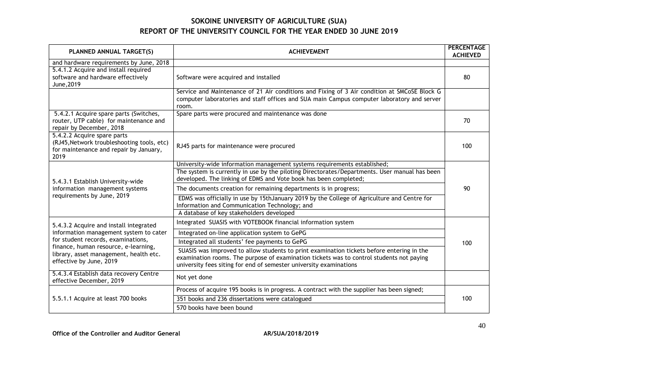| PLANNED ANNUAL TARGET(S)                                                                                                                        | <b>ACHIEVEMENT</b>                                                                                                                                                                                                                                          | <b>PERCENTAGE</b><br><b>ACHIEVED</b> |
|-------------------------------------------------------------------------------------------------------------------------------------------------|-------------------------------------------------------------------------------------------------------------------------------------------------------------------------------------------------------------------------------------------------------------|--------------------------------------|
| and hardware requirements by June, 2018<br>5.4.1.2 Acquire and install required<br>software and hardware effectively<br>June, 2019              | Software were acquired and installed                                                                                                                                                                                                                        | 80                                   |
|                                                                                                                                                 | Service and Maintenance of 21 Air conditions and Fixing of 3 Air condition at SMCoSE Block G<br>computer laboratories and staff offices and SUA main Campus computer laboratory and server<br>room.                                                         |                                      |
| 5.4.2.1 Acquire spare parts (Switches,<br>router, UTP cable) for maintenance and<br>repair by December, 2018                                    | Spare parts were procured and maintenance was done                                                                                                                                                                                                          | 70                                   |
| 5.4.2.2 Acquire spare parts<br>(RJ45, Network troubleshooting tools, etc)<br>for maintenance and repair by January,<br>2019                     | RJ45 parts for maintenance were procured                                                                                                                                                                                                                    | 100                                  |
| 5.4.3.1 Establish University-wide                                                                                                               | University-wide information management systems requirements established;<br>The system is currently in use by the piloting Directorates/Departments. User manual has been<br>developed. The linking of EDMS and Vote book has been completed;               |                                      |
| information management systems                                                                                                                  | The documents creation for remaining departments is in progress;                                                                                                                                                                                            | 90                                   |
| requirements by June, 2019                                                                                                                      | EDMS was officially in use by 15thJanuary 2019 by the College of Agriculture and Centre for<br>Information and Communication Technology; and                                                                                                                |                                      |
|                                                                                                                                                 | A database of key stakeholders developed                                                                                                                                                                                                                    |                                      |
| 5.4.3.2 Acquire and install integrated                                                                                                          | Integrated SUASIS with VOTEBOOK financial information system                                                                                                                                                                                                |                                      |
| information management system to cater                                                                                                          | Integrated on-line application system to GePG                                                                                                                                                                                                               |                                      |
| for student records, examinations,<br>finance, human resource, e-learning,<br>library, asset management, health etc.<br>effective by June, 2019 | Integrated all students' fee payments to GePG                                                                                                                                                                                                               | 100                                  |
|                                                                                                                                                 | SUASIS was improved to allow students to print examination tickets before entering in the<br>examination rooms. The purpose of examination tickets was to control students not paying<br>university fees siting for end of semester university examinations |                                      |
| 5.4.3.4 Establish data recovery Centre<br>effective December, 2019                                                                              | Not yet done                                                                                                                                                                                                                                                |                                      |
| 5.5.1.1 Acquire at least 700 books                                                                                                              | Process of acquire 195 books is in progress. A contract with the supplier has been signed;                                                                                                                                                                  |                                      |
|                                                                                                                                                 | 351 books and 236 dissertations were catalogued                                                                                                                                                                                                             | 100                                  |
|                                                                                                                                                 | 570 books have been bound                                                                                                                                                                                                                                   |                                      |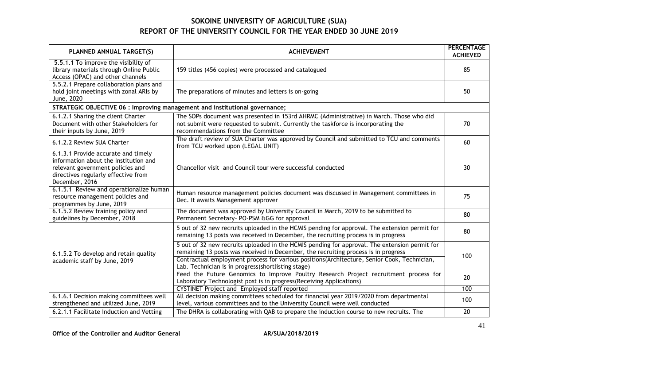| PLANNED ANNUAL TARGET(S)                                                                                                                                                  | <b>ACHIEVEMENT</b>                                                                                                                                                                                                                                                                                                                       | <b>PERCENTAGE</b><br><b>ACHIEVED</b> |
|---------------------------------------------------------------------------------------------------------------------------------------------------------------------------|------------------------------------------------------------------------------------------------------------------------------------------------------------------------------------------------------------------------------------------------------------------------------------------------------------------------------------------|--------------------------------------|
| 5.5.1.1 To improve the visibility of<br>library materials through Online Public<br>Access (OPAC) and other channels                                                       | 159 titles (456 copies) were processed and catalogued                                                                                                                                                                                                                                                                                    | 85                                   |
| 5.5.2.1 Prepare collaboration plans and<br>hold joint meetings with zonal ARIs by<br>June, 2020                                                                           | The preparations of minutes and letters is on-going                                                                                                                                                                                                                                                                                      | 50                                   |
| STRATEGIC OBJECTIVE 06 : Improving management and institutional governance;                                                                                               |                                                                                                                                                                                                                                                                                                                                          |                                      |
| 6.1.2.1 Sharing the client Charter<br>Document with other Stakeholders for<br>their inputs by June, 2019                                                                  | The SOPs document was presented in 153rd AHRMC (Administrative) in March. Those who did<br>not submit were requested to submit. Currently the taskforce is incorporating the<br>recommendations from the Committee                                                                                                                       | 70                                   |
| 6.1.2.2 Review SUA Charter                                                                                                                                                | The draft review of SUA Charter was approved by Council and submitted to TCU and comments<br>from TCU worked upon (LEGAL UNIT)                                                                                                                                                                                                           | 60                                   |
| 6.1.3.1 Provide accurate and timely<br>information about the Institution and<br>relevant government policies and<br>directives regularly effective from<br>December, 2016 | Chancellor visit and Council tour were successful conducted                                                                                                                                                                                                                                                                              | 30                                   |
| 6.1.5.1 Review and operationalize human<br>resource management policies and<br>programmes by June, 2019                                                                   | Human resource management policies document was discussed in Management committees in<br>Dec. It awaits Management approver                                                                                                                                                                                                              | 75                                   |
| 6.1.5.2 Review training policy and<br>guidelines by December, 2018                                                                                                        | The document was approved by University Council in March, 2019 to be submitted to<br>Permanent Secretary- PO-PSM &GG for approval                                                                                                                                                                                                        | 80                                   |
| 6.1.5.2 To develop and retain quality<br>academic staff by June, 2019                                                                                                     | 5 out of 32 new recruits uploaded in the HCMIS pending for approval. The extension permit for<br>remaining 13 posts was received in December, the recruiting process is in progress                                                                                                                                                      | 80                                   |
|                                                                                                                                                                           | 5 out of 32 new recruits uploaded in the HCMIS pending for approval. The extension permit for<br>remaining 13 posts was received in December, the recruiting process is in progress<br>Contractual employment process for various positions(Architecture, Senior Cook, Technician,<br>Lab. Technician is in progress(shortlisting stage) | 100                                  |
|                                                                                                                                                                           | Feed the Future Genomics to Improve Poultry Research Project recruitment process for<br>Laboratory Technologist post is in progress (Receiving Applications)                                                                                                                                                                             | 20                                   |
|                                                                                                                                                                           | <b>CYSTINET Project and Employed staff reported</b>                                                                                                                                                                                                                                                                                      | 100                                  |
| 6.1.6.1 Decision making committees well<br>strengthened and utilized June, 2019                                                                                           | All decision making committees scheduled for financial year 2019/2020 from departmental<br>level, various committees and to the University Council were well conducted                                                                                                                                                                   | 100                                  |
| 6.2.1.1 Facilitate Induction and Vetting                                                                                                                                  | The DHRA is collaborating with QAB to prepare the induction course to new recruits. The                                                                                                                                                                                                                                                  | 20                                   |

Office of the Controller and Auditor General **AR/SUA/2018/2019**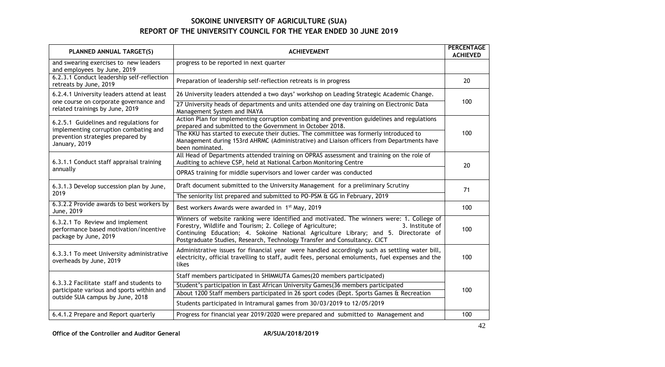| PLANNED ANNUAL TARGET(S)                                                                                                  | <b>ACHIEVEMENT</b>                                                                                                                                                                                                                                                                                                                              | <b>PERCENTAGE</b><br><b>ACHIEVED</b> |
|---------------------------------------------------------------------------------------------------------------------------|-------------------------------------------------------------------------------------------------------------------------------------------------------------------------------------------------------------------------------------------------------------------------------------------------------------------------------------------------|--------------------------------------|
| and swearing exercises to new leaders<br>and employees by June, 2019                                                      | progress to be reported in next quarter                                                                                                                                                                                                                                                                                                         |                                      |
| 6.2.3.1 Conduct leadership self-reflection<br>retreats by June, 2019                                                      | Preparation of leadership self-reflection retreats is in progress                                                                                                                                                                                                                                                                               | 20                                   |
| 6.2.4.1 University leaders attend at least                                                                                | 26 University leaders attended a two days' workshop on Leading Strategic Academic Change.                                                                                                                                                                                                                                                       |                                      |
| one course on corporate governance and<br>related trainings by June, 2019                                                 | 27 University heads of departments and units attended one day training on Electronic Data<br>Management System and INAYA                                                                                                                                                                                                                        | 100                                  |
| 6.2.5.1 Guidelines and regulations for                                                                                    | Action Plan for implementing corruption combating and prevention guidelines and regulations<br>prepared and submitted to the Government in October 2018.                                                                                                                                                                                        |                                      |
| implementing corruption combating and<br>prevention strategies prepared by<br>January, 2019                               | The KKU has started to execute their duties. The committee was formerly introduced to<br>Management during 153rd AHRMC (Administrative) and Liaison officers from Departments have<br>been nominated.                                                                                                                                           | 100                                  |
| 6.3.1.1 Conduct staff appraisal training                                                                                  | All Head of Departments attended training on OPRAS assessment and training on the role of<br>Auditing to achieve CSP, held at National Carbon Monitoring Centre                                                                                                                                                                                 | 20                                   |
| annually                                                                                                                  | OPRAS training for middle supervisors and lower carder was conducted                                                                                                                                                                                                                                                                            |                                      |
| 6.3.1.3 Develop succession plan by June,                                                                                  | Draft document submitted to the University Management for a preliminary Scrutiny                                                                                                                                                                                                                                                                | 71                                   |
| 2019                                                                                                                      | The seniority list prepared and submitted to PO-PSM & GG in February, 2019                                                                                                                                                                                                                                                                      |                                      |
| 6.3.2.2 Provide awards to best workers by<br>June, 2019                                                                   | Best workers Awards were awarded in 1 <sup>st</sup> May, 2019                                                                                                                                                                                                                                                                                   | 100                                  |
| 6.3.2.1 To Review and implement<br>performance based motivation/incentive<br>package by June, 2019                        | Winners of website ranking were identified and motivated. The winners were: 1. College of<br>Forestry, Wildlife and Tourism; 2. College of Agriculture;<br>3. Institute of<br>Continuing Education; 4. Sokoine National Agriculture Library; and 5. Directorate of<br>Postgraduate Studies, Research, Technology Transfer and Consultancy. CICT | 100                                  |
| 6.3.3.1 To meet University administrative<br>overheads by June, 2019                                                      | Administrative issues for financial year were handled accordingly such as settling water bill,<br>electricity, official travelling to staff, audit fees, personal emoluments, fuel expenses and the<br>likes                                                                                                                                    | 100                                  |
|                                                                                                                           | Staff members participated in SHIMMUTA Games(20 members participated)                                                                                                                                                                                                                                                                           |                                      |
| 6.3.3.2 Facilitate staff and students to<br>participate various and sports within and<br>outside SUA campus by June, 2018 | Student's participation in East African University Games(36 members participated                                                                                                                                                                                                                                                                | 100                                  |
|                                                                                                                           | About 1200 Staff members participated in 26 sport codes (Dept. Sports Games & Recreation                                                                                                                                                                                                                                                        |                                      |
|                                                                                                                           | Students participated in Intramural games from 30/03/2019 to 12/05/2019                                                                                                                                                                                                                                                                         |                                      |
| 6.4.1.2 Prepare and Report quarterly                                                                                      | Progress for financial year 2019/2020 were prepared and submitted to Management and                                                                                                                                                                                                                                                             | 100                                  |

Office of the Controller and Auditor General **AR/SUA/2018/2019**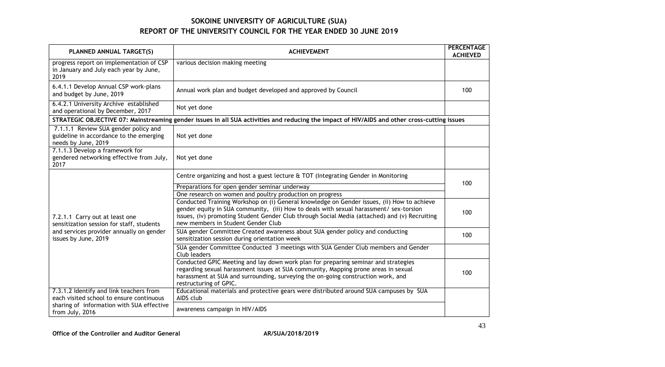| PLANNED ANNUAL TARGET(S)                                                                               | <b>ACHIEVEMENT</b>                                                                                                                                                                                                                                                                                                                                                                                                                                                                                                             | <b>PERCENTAGE</b><br><b>ACHIEVED</b> |
|--------------------------------------------------------------------------------------------------------|--------------------------------------------------------------------------------------------------------------------------------------------------------------------------------------------------------------------------------------------------------------------------------------------------------------------------------------------------------------------------------------------------------------------------------------------------------------------------------------------------------------------------------|--------------------------------------|
| progress report on implementation of CSP<br>in January and July each year by June,<br>2019             | various decision making meeting                                                                                                                                                                                                                                                                                                                                                                                                                                                                                                |                                      |
| 6.4.1.1 Develop Annual CSP work-plans<br>and budget by June, 2019                                      | Annual work plan and budget developed and approved by Council                                                                                                                                                                                                                                                                                                                                                                                                                                                                  | 100                                  |
| 6.4.2.1 University Archive established<br>and operational by December, 2017                            | Not yet done                                                                                                                                                                                                                                                                                                                                                                                                                                                                                                                   |                                      |
|                                                                                                        | STRATEGIC OBJECTIVE 07: Mainstreaming gender issues in all SUA activities and reducing the impact of HIV/AIDS and other cross-cutting issues                                                                                                                                                                                                                                                                                                                                                                                   |                                      |
| 7.1.1.1 Review SUA gender policy and<br>guideline in accordance to the emerging<br>needs by June, 2019 | Not yet done                                                                                                                                                                                                                                                                                                                                                                                                                                                                                                                   |                                      |
| 7.1.1.3 Develop a framework for<br>gendered networking effective from July,<br>2017                    | Not yet done                                                                                                                                                                                                                                                                                                                                                                                                                                                                                                                   |                                      |
| 7.2.1.1 Carry out at least one<br>sensitization session for staff, students                            | Centre organizing and host a guest lecture & TOT (Integrating Gender in Monitoring<br>Preparations for open gender seminar underway<br>One research on women and poultry production on progress<br>Conducted Training Workshop on (i) General knowledge on Gender issues, (ii) How to achieve<br>gender equity in SUA community, (iii) How to deals with sexual harassment/ sex-torsion<br>issues, (iv) promoting Student Gender Club through Social Media (attached) and (v) Recruiting<br>new members in Student Gender Club | 100<br>100                           |
| and services provider annually on gender<br>issues by June, 2019                                       | SUA gender Committee Created awareness about SUA gender policy and conducting<br>sensitization session during orientation week                                                                                                                                                                                                                                                                                                                                                                                                 | 100                                  |
|                                                                                                        | SUA gender Committee Conducted 3 meetings with SUA Gender Club members and Gender<br>Club leaders                                                                                                                                                                                                                                                                                                                                                                                                                              |                                      |
|                                                                                                        | Conducted GPIC Meeting and lay down work plan for preparing seminar and strategies<br>regarding sexual harassment issues at SUA community, Mapping prone areas in sexual<br>harassment at SUA and surrounding, surveying the on-going construction work, and<br>restructuring of GPIC.                                                                                                                                                                                                                                         | 100                                  |
| 7.3.1.2 Identify and link teachers from<br>each visited school to ensure continuous                    | Educational materials and protective gears were distributed around SUA campuses by SUA<br>AIDS club                                                                                                                                                                                                                                                                                                                                                                                                                            |                                      |
| sharing of information with SUA effective<br>from July, 2016                                           | awareness campaign in HIV/AIDS                                                                                                                                                                                                                                                                                                                                                                                                                                                                                                 |                                      |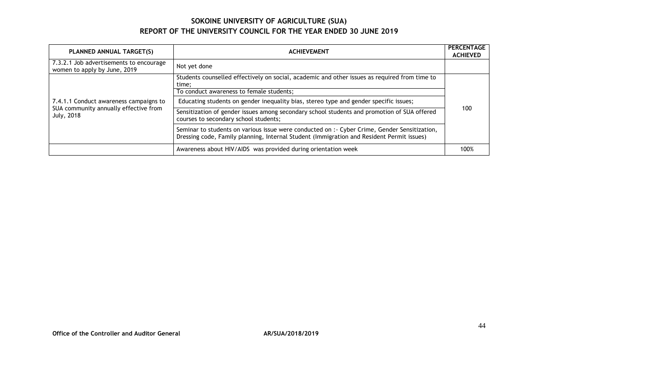| PLANNED ANNUAL TARGET(S)                                                                      | <b>ACHIEVEMENT</b>                                                                                                                                                                        | <b>PERCENTAGE</b><br><b>ACHIEVED</b> |
|-----------------------------------------------------------------------------------------------|-------------------------------------------------------------------------------------------------------------------------------------------------------------------------------------------|--------------------------------------|
| 7.3.2.1 Job advertisements to encourage<br>women to apply by June, 2019                       | Not yet done                                                                                                                                                                              |                                      |
|                                                                                               | Students counselled effectively on social, academic and other issues as required from time to<br>time;                                                                                    | 100                                  |
|                                                                                               | To conduct awareness to female students;                                                                                                                                                  |                                      |
| 7.4.1.1 Conduct awareness campaigns to<br>SUA community annually effective from<br>July, 2018 | Educating students on gender inequality bias, stereo type and gender specific issues;                                                                                                     |                                      |
|                                                                                               | Sensitization of gender issues among secondary school students and promotion of SUA offered<br>courses to secondary school students;                                                      |                                      |
|                                                                                               | Seminar to students on various issue were conducted on :- Cyber Crime, Gender Sensitization,<br>Dressing code, Family planning, Internal Student (Immigration and Resident Permit issues) |                                      |
|                                                                                               | Awareness about HIV/AIDS was provided during orientation week                                                                                                                             | 100%                                 |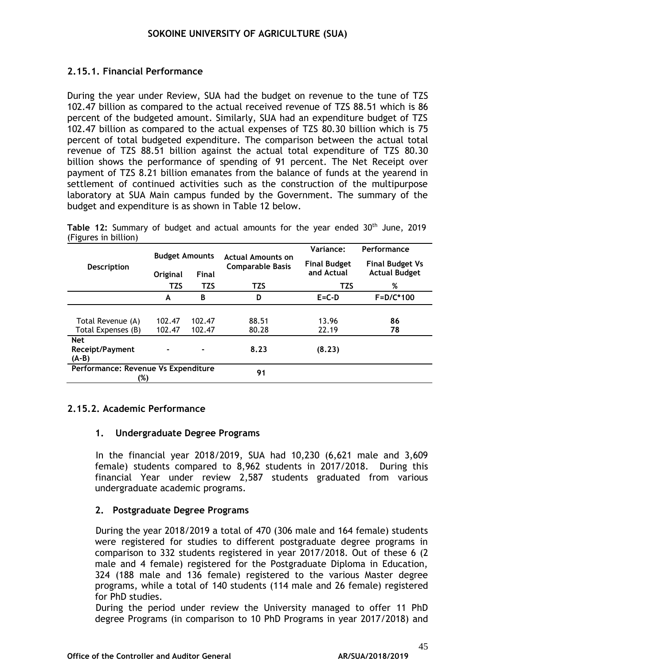### **2.15.1. Financial Performance**

During the year under Review, SUA had the budget on revenue to the tune of TZS 102.47 billion as compared to the actual received revenue of TZS 88.51 which is 86 percent of the budgeted amount. Similarly, SUA had an expenditure budget of TZS 102.47 billion as compared to the actual expenses of TZS 80.30 billion which is 75 percent of total budgeted expenditure. The comparison between the actual total revenue of TZS 88.51 billion against the actual total expenditure of TZS 80.30 billion shows the performance of spending of 91 percent. The Net Receipt over payment of TZS 8.21 billion emanates from the balance of funds at the yearend in settlement of continued activities such as the construction of the multipurpose laboratory at SUA Main campus funded by the Government. The summary of the budget and expenditure is as shown in Table 12 below.

|  | Table 12: Summary of budget and actual amounts for the year ended 30 <sup>th</sup> June, 2019 |  |  |  |  |  |  |
|--|-----------------------------------------------------------------------------------------------|--|--|--|--|--|--|
|  | (Figures in billion)                                                                          |  |  |  |  |  |  |

|                                            | <b>Budget Amounts</b> |              | <b>Actual Amounts on</b> | Variance:                         | Performance                                    |  |
|--------------------------------------------|-----------------------|--------------|--------------------------|-----------------------------------|------------------------------------------------|--|
| <b>Description</b>                         | Original              | <b>Final</b> | <b>Comparable Basis</b>  | <b>Final Budget</b><br>and Actual | <b>Final Budget Vs</b><br><b>Actual Budget</b> |  |
|                                            | <b>TZS</b>            | <b>TZS</b>   | <b>TZS</b>               | <b>TZS</b>                        | %                                              |  |
|                                            | A                     | B            | D                        | $E = C - D$                       | $F = D/C*100$                                  |  |
|                                            |                       |              |                          |                                   |                                                |  |
| Total Revenue (A)                          | 102.47                | 102.47       | 88.51                    | 13.96                             | 86                                             |  |
| Total Expenses (B)                         | 102.47                | 102.47       | 80.28                    | 22.19                             | 78                                             |  |
| <b>Net</b><br>Receipt/Payment<br>$(A-B)$   |                       |              | 8.23                     | (8.23)                            |                                                |  |
| Performance: Revenue Vs Expenditure<br>(%) |                       |              | 91                       |                                   |                                                |  |

### **2.15.2. Academic Performance**

### **1. Undergraduate Degree Programs**

In the financial year 2018/2019, SUA had 10,230 (6,621 male and 3,609 female) students compared to 8,962 students in 2017/2018. During this financial Year under review 2,587 students graduated from various undergraduate academic programs.

### **2. Postgraduate Degree Programs**

During the year 2018/2019 a total of 470 (306 male and 164 female) students were registered for studies to different postgraduate degree programs in comparison to 332 students registered in year 2017/2018. Out of these 6 (2 male and 4 female) registered for the Postgraduate Diploma in Education, 324 (188 male and 136 female) registered to the various Master degree programs, while a total of 140 students (114 male and 26 female) registered for PhD studies.

During the period under review the University managed to offer 11 PhD degree Programs (in comparison to 10 PhD Programs in year 2017/2018) and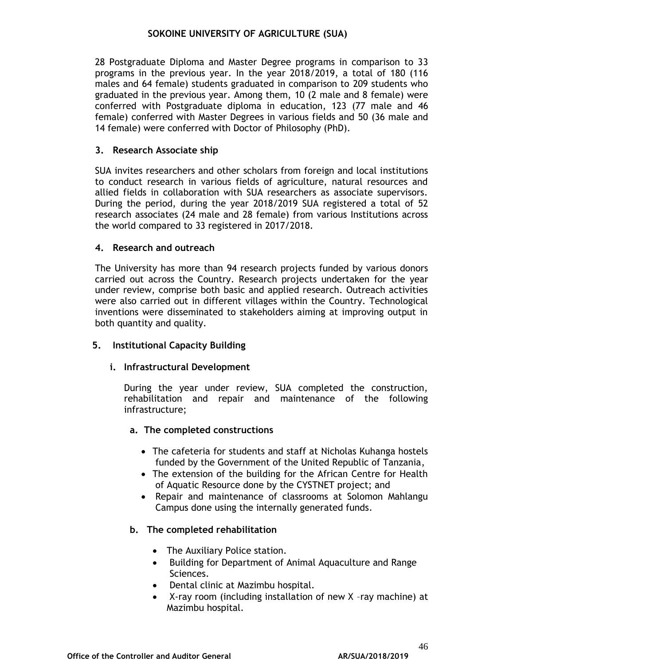28 Postgraduate Diploma and Master Degree programs in comparison to 33 programs in the previous year. In the year 2018/2019, a total of 180 (116 males and 64 female) students graduated in comparison to 209 students who graduated in the previous year. Among them, 10 (2 male and 8 female) were conferred with Postgraduate diploma in education, 123 (77 male and 46 female) conferred with Master Degrees in various fields and 50 (36 male and 14 female) were conferred with Doctor of Philosophy (PhD).

### **3. Research Associate ship**

SUA invites researchers and other scholars from foreign and local institutions to conduct research in various fields of agriculture, natural resources and allied fields in collaboration with SUA researchers as associate supervisors. During the period, during the year 2018/2019 SUA registered a total of 52 research associates (24 male and 28 female) from various Institutions across the world compared to 33 registered in 2017/2018.

### **4. Research and outreach**

The University has more than 94 research projects funded by various donors carried out across the Country. Research projects undertaken for the year under review, comprise both basic and applied research. Outreach activities were also carried out in different villages within the Country. Technological inventions were disseminated to stakeholders aiming at improving output in both quantity and quality.

## **5. Institutional Capacity Building**

### **i. Infrastructural Development**

During the year under review, SUA completed the construction, rehabilitation and repair and maintenance of the following infrastructure;

### **a. The completed constructions**

- The cafeteria for students and staff at Nicholas Kuhanga hostels funded by the Government of the United Republic of Tanzania,
- The extension of the building for the African Centre for Health of Aquatic Resource done by the CYSTNET project; and
- Repair and maintenance of classrooms at Solomon Mahlangu Campus done using the internally generated funds.

### **b. The completed rehabilitation**

- The Auxiliary Police station.
- Building for Department of Animal Aquaculture and Range Sciences.
- Dental clinic at Mazimbu hospital.
- X-ray room (including installation of new X –ray machine) at Mazimbu hospital.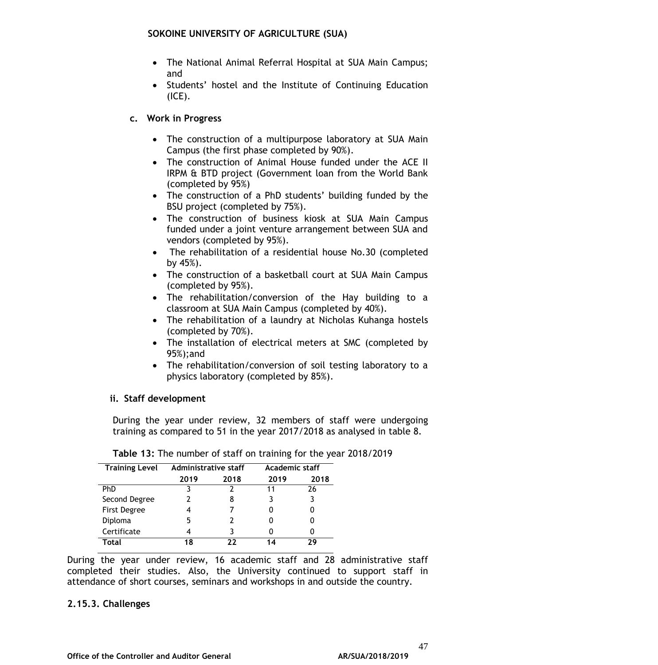- The National Animal Referral Hospital at SUA Main Campus; and
- Students' hostel and the Institute of Continuing Education (ICE).

### **c. Work in Progress**

- The construction of a multipurpose laboratory at SUA Main Campus (the first phase completed by 90%).
- The construction of Animal House funded under the ACE II IRPM & BTD project (Government loan from the World Bank (completed by 95%)
- The construction of a PhD students' building funded by the BSU project (completed by 75%).
- The construction of business kiosk at SUA Main Campus funded under a joint venture arrangement between SUA and vendors (completed by 95%).
- The rehabilitation of a residential house No.30 (completed by 45%).
- The construction of a basketball court at SUA Main Campus (completed by 95%).
- The rehabilitation/conversion of the Hay building to a classroom at SUA Main Campus (completed by 40%).
- The rehabilitation of a laundry at Nicholas Kuhanga hostels (completed by 70%).
- The installation of electrical meters at SMC (completed by 95%);and
- The rehabilitation/conversion of soil testing laboratory to a physics laboratory (completed by 85%).

### **ii. Staff development**

During the year under review, 32 members of staff were undergoing training as compared to 51 in the year 2017/2018 as analysed in table 8.

| <b>Training Level</b> | <b>Administrative staff</b> |      | Academic staff |      |  |
|-----------------------|-----------------------------|------|----------------|------|--|
|                       | 2019                        | 2018 | 2019           | 2018 |  |
| <b>PhD</b>            |                             |      | 11             | 26   |  |
| Second Degree         |                             |      |                |      |  |
| First Degree          |                             |      |                |      |  |
| Diploma               | 5                           |      |                |      |  |
| Certificate           |                             |      |                |      |  |
| Total                 | 18                          | フフ   | 14             | 20   |  |

**Table 13:** The number of staff on training for the year 2018/2019

During the year under review, 16 academic staff and 28 administrative staff completed their studies. Also, the University continued to support staff in attendance of short courses, seminars and workshops in and outside the country.

#### **2.15.3. Challenges**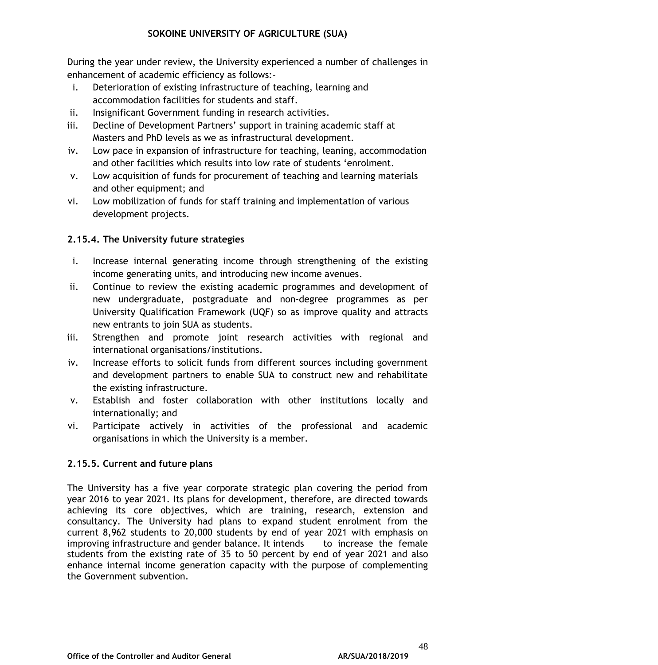During the year under review, the University experienced a number of challenges in enhancement of academic efficiency as follows:-

- i. Deterioration of existing infrastructure of teaching, learning and accommodation facilities for students and staff.
- ii. Insignificant Government funding in research activities.
- iii. Decline of Development Partners' support in training academic staff at Masters and PhD levels as we as infrastructural development.
- iv. Low pace in expansion of infrastructure for teaching, leaning, accommodation and other facilities which results into low rate of students 'enrolment.
- v. Low acquisition of funds for procurement of teaching and learning materials and other equipment; and
- vi. Low mobilization of funds for staff training and implementation of various development projects.

## **2.15.4. The University future strategies**

- i. Increase internal generating income through strengthening of the existing income generating units, and introducing new income avenues.
- ii. Continue to review the existing academic programmes and development of new undergraduate, postgraduate and non-degree programmes as per University Qualification Framework (UQF) so as improve quality and attracts new entrants to join SUA as students.
- iii. Strengthen and promote joint research activities with regional and international organisations/institutions.
- iv. Increase efforts to solicit funds from different sources including government and development partners to enable SUA to construct new and rehabilitate the existing infrastructure.
- v. Establish and foster collaboration with other institutions locally and internationally; and
- vi. Participate actively in activities of the professional and academic organisations in which the University is a member.

## **2.15.5. Current and future plans**

The University has a five year corporate strategic plan covering the period from year 2016 to year 2021. Its plans for development, therefore, are directed towards achieving its core objectives, which are training, research, extension and consultancy. The University had plans to expand student enrolment from the current 8,962 students to 20,000 students by end of year 2021 with emphasis on improving infrastructure and gender balance. It intends to increase the female students from the existing rate of 35 to 50 percent by end of year 2021 and also enhance internal income generation capacity with the purpose of complementing the Government subvention.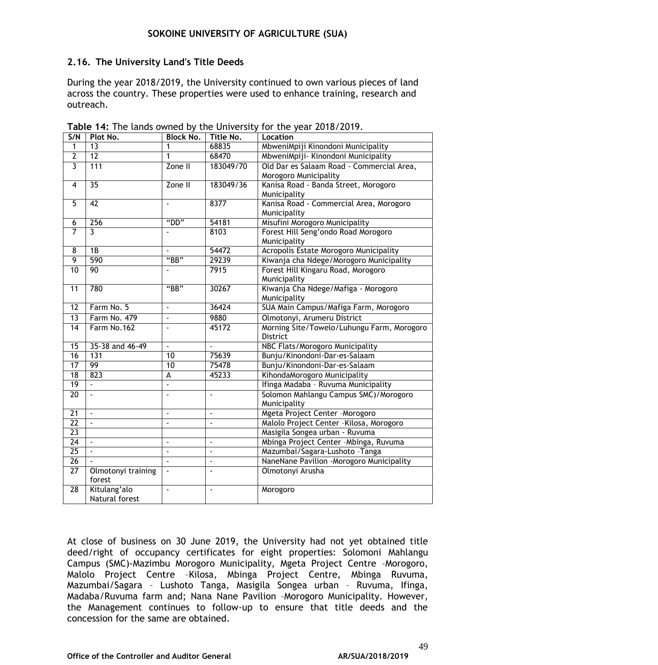### **2.16. The University Land's Title Deeds**

During the year 2018/2019, the University continued to own various pieces of land across the country. These properties were used to enhance training, research and outreach.

| S/N                     | Plot No.           | <b>Block No.</b> | Title No.      | Location                                   |
|-------------------------|--------------------|------------------|----------------|--------------------------------------------|
| 1                       | $\overline{13}$    | 1                | 68835          | MbweniMpiji Kinondoni Municipality         |
| $\overline{2}$          | 12                 | 1                | 68470          | MbweniMpiji- Kinondoni Municipality        |
| $\overline{3}$          | 111                | Zone II          | 183049/70      | Old Dar es Salaam Road - Commercial Area,  |
|                         |                    |                  |                | Morogoro Municipality                      |
| $\overline{\mathbf{4}}$ | $\overline{35}$    | Zone II          | 183049/36      | Kanisa Road - Banda Street, Morogoro       |
|                         |                    |                  |                | Municipality                               |
| $\overline{5}$          | 42                 | ÷,               | 8377           | Kanisa Road - Commercial Area, Morogoro    |
|                         |                    |                  |                | Municipality                               |
| $\overline{6}$          | 256                | "DD"             | 54181          | Misufini Morogoro Municipality             |
| $\overline{7}$          | $\overline{3}$     |                  | 8103           | Forest Hill Seng'ondo Road Morogoro        |
|                         |                    |                  |                | Municipality                               |
| 8                       | $\overline{1B}$    |                  | 54472          | Acropolis Estate Morogoro Municipality     |
| $\overline{9}$          | 590                | "BB"             | 29239          | Kiwanja cha Ndege/Morogoro Municipality    |
| 10                      | 90                 |                  | 7915           | Forest Hill Kingaru Road, Morogoro         |
|                         |                    |                  |                | Municipality                               |
| $\overline{11}$         | 780                | "BB"             | 30267          | Kiwanja Cha Ndege/Mafiga - Morogoro        |
|                         |                    |                  |                | Municipality                               |
| $\overline{12}$         | Farm No. 5         | ä,               | 36424          | SUA Main Campus/Mafiga Farm, Morogoro      |
| $\overline{13}$         | Farm No. 479       | $\blacksquare$   | 9880           | Olmotonyi, Arumeru District                |
| $\overline{14}$         | Farm No.162        | $\sim$           | 45172          | Morning Site/Towelo/Luhungu Farm, Morogoro |
|                         |                    |                  |                | <b>District</b>                            |
| 15                      | 35-38 and 46-49    | ÷,               | $\mathcal{L}$  | NBC Flats/Morogoro Municipality            |
| $\overline{16}$         | 131                | $\overline{10}$  | 75639          | Bunju/Kinondoni-Dar-es-Salaam              |
| 17                      | 99                 | 10               | 75478          | Bunju/Kinondoni-Dar-es-Salaam              |
| 18                      | 823                | A                | 45233          | KihondaMorogoro Municipality               |
| 19                      | L.                 |                  |                | Ifinga Madaba - Ruvuma Municipality        |
| $\overline{20}$         |                    |                  | ä,             | Solomon Mahlangu Campus SMC)/Morogoro      |
|                         |                    |                  |                | Municipality                               |
| $\overline{21}$         | ÷.                 | $\blacksquare$   | ä,             | Mgeta Project Center - Morogoro            |
| $\overline{22}$         | $\mathbf{r}$       | L.               | ÷.             | Malolo Project Center - Kilosa, Morogoro   |
| $\overline{23}$         |                    |                  |                | Masigila Songea urban - Ruvuma             |
| $\overline{24}$         | ÷.                 | ÷,               | ä,             | Mbinga Project Center - Mbinga, Ruvuma     |
| $\overline{25}$         | $\mathbf{r}$       | ä,               | ä,             | Mazumbai/Sagara-Lushoto - Tanga            |
| $\overline{26}$         |                    | $\mathbf{r}$     | $\blacksquare$ | NaneNane Pavilion -Morogoro Municipality   |
| 27                      | Olmotonyi training | ä,               | $\blacksquare$ | Olmotonyi Arusha                           |
|                         | forest             |                  |                |                                            |
| $\overline{28}$         | Kitulang'alo       | ä,               | $\blacksquare$ | Morogoro                                   |
|                         | Natural forest     |                  |                |                                            |

**Table 14:** The lands owned by the University for the year 2018/2019.

At close of business on 30 June 2019, the University had not yet obtained title deed/right of occupancy certificates for eight properties: Solomoni Mahlangu Campus (SMC)-Mazimbu Morogoro Municipality, Mgeta Project Centre –Morogoro, Malolo Project Centre –Kilosa, Mbinga Project Centre, Mbinga Ruvuma, Mazumbai/Sagara – Lushoto Tanga, Masigila Songea urban – Ruvuma, Ifinga, Madaba/Ruvuma farm and; Nana Nane Pavilion –Morogoro Municipality. However, the Management continues to follow-up to ensure that title deeds and the concession for the same are obtained.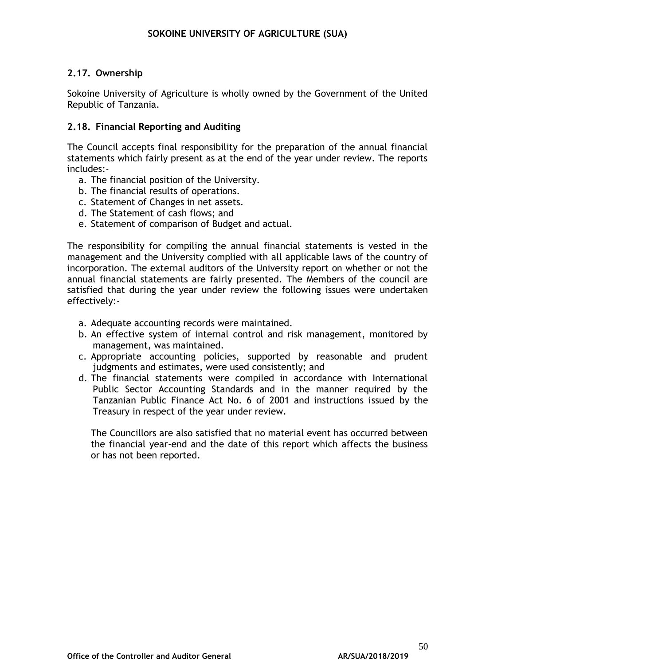## **2.17. Ownership**

Sokoine University of Agriculture is wholly owned by the Government of the United Republic of Tanzania.

### **2.18. Financial Reporting and Auditing**

The Council accepts final responsibility for the preparation of the annual financial statements which fairly present as at the end of the year under review. The reports includes:-

- a. The financial position of the University.
- b. The financial results of operations.
- c. Statement of Changes in net assets.
- d. The Statement of cash flows; and
- e. Statement of comparison of Budget and actual.

The responsibility for compiling the annual financial statements is vested in the management and the University complied with all applicable laws of the country of incorporation. The external auditors of the University report on whether or not the annual financial statements are fairly presented. The Members of the council are satisfied that during the year under review the following issues were undertaken effectively:-

- a. Adequate accounting records were maintained.
- b. An effective system of internal control and risk management, monitored by management, was maintained.
- c. Appropriate accounting policies, supported by reasonable and prudent judgments and estimates, were used consistently; and
- d. The financial statements were compiled in accordance with International Public Sector Accounting Standards and in the manner required by the Tanzanian Public Finance Act No. 6 of 2001 and instructions issued by the Treasury in respect of the year under review.

The Councillors are also satisfied that no material event has occurred between the financial year-end and the date of this report which affects the business or has not been reported.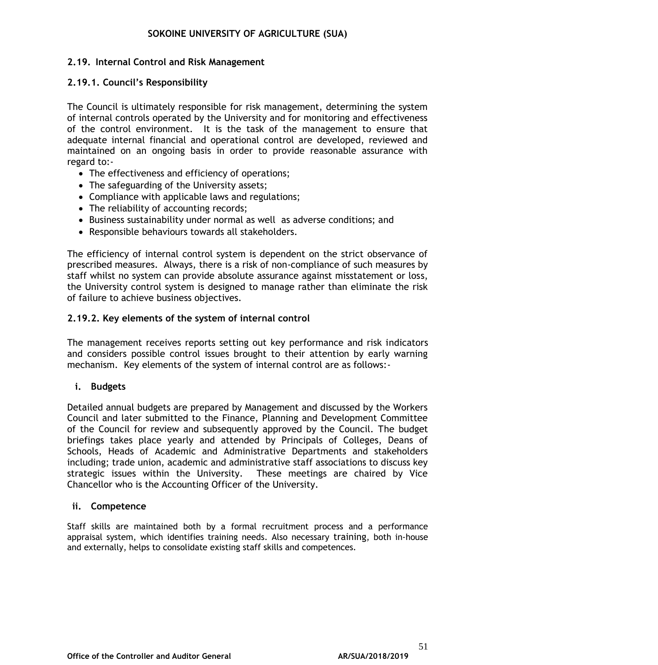### **2.19. Internal Control and Risk Management**

### **2.19.1. Council's Responsibility**

The Council is ultimately responsible for risk management, determining the system of internal controls operated by the University and for monitoring and effectiveness of the control environment. It is the task of the management to ensure that adequate internal financial and operational control are developed, reviewed and maintained on an ongoing basis in order to provide reasonable assurance with regard to:-

- The effectiveness and efficiency of operations;
- The safeguarding of the University assets;
- Compliance with applicable laws and regulations;
- The reliability of accounting records;
- Business sustainability under normal as well as adverse conditions; and
- Responsible behaviours towards all stakeholders.

The efficiency of internal control system is dependent on the strict observance of prescribed measures. Always, there is a risk of non-compliance of such measures by staff whilst no system can provide absolute assurance against misstatement or loss, the University control system is designed to manage rather than eliminate the risk of failure to achieve business objectives.

### **2.19.2. Key elements of the system of internal control**

The management receives reports setting out key performance and risk indicators and considers possible control issues brought to their attention by early warning mechanism. Key elements of the system of internal control are as follows:-

### **i. Budgets**

Detailed annual budgets are prepared by Management and discussed by the Workers Council and later submitted to the Finance, Planning and Development Committee of the Council for review and subsequently approved by the Council. The budget briefings takes place yearly and attended by Principals of Colleges, Deans of Schools, Heads of Academic and Administrative Departments and stakeholders including; trade union, academic and administrative staff associations to discuss key strategic issues within the University. These meetings are chaired by Vice Chancellor who is the Accounting Officer of the University.

### **ii. Competence**

Staff skills are maintained both by a formal recruitment process and a performance appraisal system, which identifies training needs. Also necessary training, both in-house and externally, helps to consolidate existing staff skills and competences.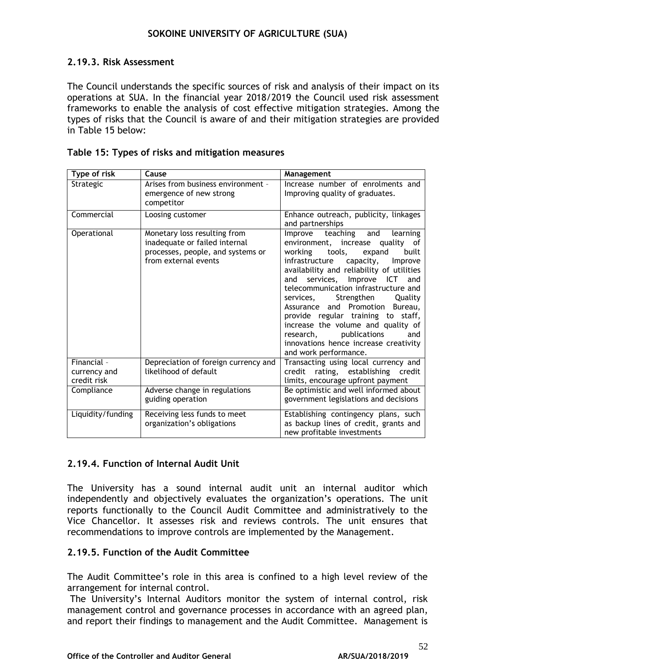### **2.19.3. Risk Assessment**

The Council understands the specific sources of risk and analysis of their impact on its operations at SUA. In the financial year 2018/2019 the Council used risk assessment frameworks to enable the analysis of cost effective mitigation strategies. Among the types of risks that the Council is aware of and their mitigation strategies are provided in Table 15 below:

| Type of risk                               | Cause                                                                                                                      | Management                                                                                                                                                                                                                                                                                                                                                                                                                                                                                                                                          |
|--------------------------------------------|----------------------------------------------------------------------------------------------------------------------------|-----------------------------------------------------------------------------------------------------------------------------------------------------------------------------------------------------------------------------------------------------------------------------------------------------------------------------------------------------------------------------------------------------------------------------------------------------------------------------------------------------------------------------------------------------|
| Strategic                                  | Arises from business environment -<br>emergence of new strong<br>competitor                                                | Increase number of enrolments and<br>Improving quality of graduates.                                                                                                                                                                                                                                                                                                                                                                                                                                                                                |
| Commercial                                 | Loosing customer                                                                                                           | Enhance outreach, publicity, linkages<br>and partnerships                                                                                                                                                                                                                                                                                                                                                                                                                                                                                           |
| Operational                                | Monetary loss resulting from<br>inadequate or failed internal<br>processes, people, and systems or<br>from external events | Improve teaching and<br>learning<br>environment, increase<br>quality of<br>working tools,<br>built<br>expand<br>capacity,<br>infrastructure<br>Improve<br>availability and reliability of utilities<br>services, Improve<br>ICT<br>and<br>and<br>telecommunication infrastructure and<br>Strengthen<br>Quality<br>services,<br>Assurance and Promotion<br>Bureau,<br>provide regular training to staff,<br>increase the volume and quality of<br>research,<br>publications<br>and<br>innovations hence increase creativity<br>and work performance. |
| Financial -<br>currency and<br>credit risk | Depreciation of foreign currency and<br>likelihood of default                                                              | Transacting using local currency and<br>rating, establishing credit<br>credit<br>limits, encourage upfront payment                                                                                                                                                                                                                                                                                                                                                                                                                                  |
| Compliance                                 | Adverse change in regulations<br>guiding operation                                                                         | Be optimistic and well informed about<br>government legislations and decisions                                                                                                                                                                                                                                                                                                                                                                                                                                                                      |
| Liquidity/funding                          | Receiving less funds to meet<br>organization's obligations                                                                 | Establishing contingency plans, such<br>as backup lines of credit, grants and<br>new profitable investments                                                                                                                                                                                                                                                                                                                                                                                                                                         |

### **2.19.4. Function of Internal Audit Unit**

The University has a sound internal audit unit an internal auditor which independently and objectively evaluates the organization's operations. The unit reports functionally to the Council Audit Committee and administratively to the Vice Chancellor. It assesses risk and reviews controls. The unit ensures that recommendations to improve controls are implemented by the Management.

### **2.19.5. Function of the Audit Committee**

The Audit Committee's role in this area is confined to a high level review of the arrangement for internal control.

The University's Internal Auditors monitor the system of internal control, risk management control and governance processes in accordance with an agreed plan, and report their findings to management and the Audit Committee. Management is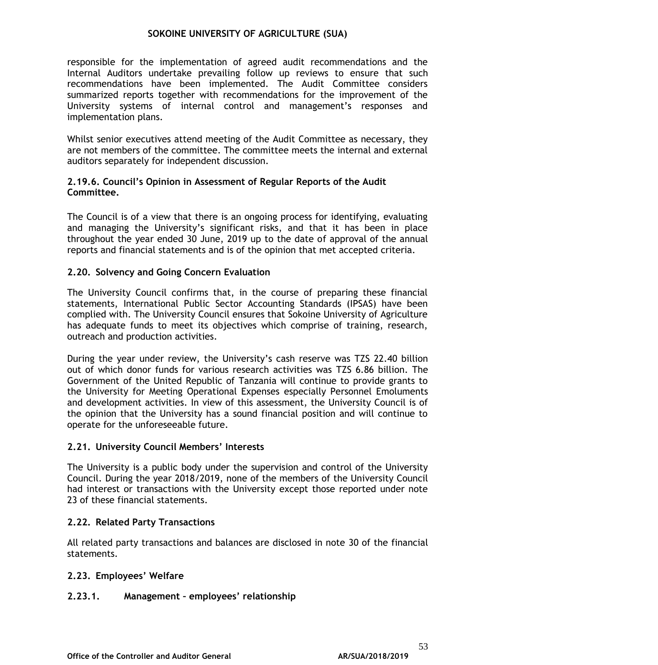responsible for the implementation of agreed audit recommendations and the Internal Auditors undertake prevailing follow up reviews to ensure that such recommendations have been implemented. The Audit Committee considers summarized reports together with recommendations for the improvement of the University systems of internal control and management's responses and implementation plans.

Whilst senior executives attend meeting of the Audit Committee as necessary, they are not members of the committee. The committee meets the internal and external auditors separately for independent discussion.

#### **2.19.6. Council's Opinion in Assessment of Regular Reports of the Audit Committee.**

The Council is of a view that there is an ongoing process for identifying, evaluating and managing the University's significant risks, and that it has been in place throughout the year ended 30 June, 2019 up to the date of approval of the annual reports and financial statements and is of the opinion that met accepted criteria.

### **2.20. Solvency and Going Concern Evaluation**

The University Council confirms that, in the course of preparing these financial statements, International Public Sector Accounting Standards (IPSAS) have been complied with. The University Council ensures that Sokoine University of Agriculture has adequate funds to meet its objectives which comprise of training, research, outreach and production activities.

During the year under review, the University's cash reserve was TZS 22.40 billion out of which donor funds for various research activities was TZS 6.86 billion. The Government of the United Republic of Tanzania will continue to provide grants to the University for Meeting Operational Expenses especially Personnel Emoluments and development activities. In view of this assessment, the University Council is of the opinion that the University has a sound financial position and will continue to operate for the unforeseeable future.

### **2.21. University Council Members' Interests**

The University is a public body under the supervision and control of the University Council. During the year 2018/2019, none of the members of the University Council had interest or transactions with the University except those reported under note 23 of these financial statements.

### **2.22. Related Party Transactions**

All related party transactions and balances are disclosed in note 30 of the financial statements.

### **2.23. Employees' Welfare**

### **2.23.1. Management – employees' relationship**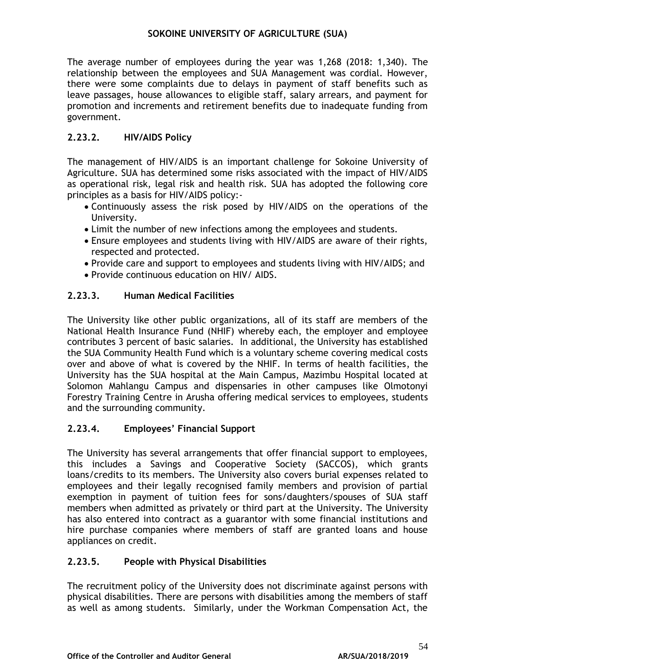The average number of employees during the year was 1,268 (2018: 1,340). The relationship between the employees and SUA Management was cordial. However, there were some complaints due to delays in payment of staff benefits such as leave passages, house allowances to eligible staff, salary arrears, and payment for promotion and increments and retirement benefits due to inadequate funding from government.

### **2.23.2. HIV/AIDS Policy**

The management of HIV/AIDS is an important challenge for Sokoine University of Agriculture. SUA has determined some risks associated with the impact of HIV/AIDS as operational risk, legal risk and health risk. SUA has adopted the following core principles as a basis for HIV/AIDS policy:-

- Continuously assess the risk posed by HIV/AIDS on the operations of the University.
- Limit the number of new infections among the employees and students.
- Ensure employees and students living with HIV/AIDS are aware of their rights, respected and protected.
- Provide care and support to employees and students living with HIV/AIDS; and
- Provide continuous education on HIV/ AIDS.

### **2.23.3. Human Medical Facilities**

The University like other public organizations, all of its staff are members of the National Health Insurance Fund (NHIF) whereby each, the employer and employee contributes 3 percent of basic salaries. In additional, the University has established the SUA Community Health Fund which is a voluntary scheme covering medical costs over and above of what is covered by the NHIF. In terms of health facilities, the University has the SUA hospital at the Main Campus, Mazimbu Hospital located at Solomon Mahlangu Campus and dispensaries in other campuses like Olmotonyi Forestry Training Centre in Arusha offering medical services to employees, students and the surrounding community.

### **2.23.4. Employees' Financial Support**

The University has several arrangements that offer financial support to employees, this includes a Savings and Cooperative Society (SACCOS), which grants loans/credits to its members. The University also covers burial expenses related to employees and their legally recognised family members and provision of partial exemption in payment of tuition fees for sons/daughters/spouses of SUA staff members when admitted as privately or third part at the University. The University has also entered into contract as a guarantor with some financial institutions and hire purchase companies where members of staff are granted loans and house appliances on credit.

### **2.23.5. People with Physical Disabilities**

The recruitment policy of the University does not discriminate against persons with physical disabilities. There are persons with disabilities among the members of staff as well as among students. Similarly, under the Workman Compensation Act, the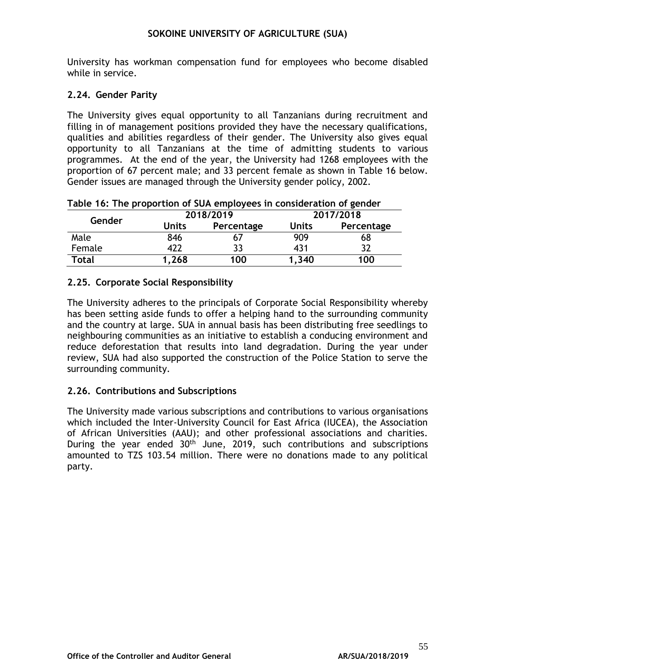University has workman compensation fund for employees who become disabled while in service.

### **2.24. Gender Parity**

The University gives equal opportunity to all Tanzanians during recruitment and filling in of management positions provided they have the necessary qualifications, qualities and abilities regardless of their gender. The University also gives equal opportunity to all Tanzanians at the time of admitting students to various programmes. At the end of the year, the University had 1268 employees with the proportion of 67 percent male; and 33 percent female as shown in Table 16 below. Gender issues are managed through the University gender policy, 2002.

|  | Table 16: The proportion of SUA employees in consideration of gender |  |  |
|--|----------------------------------------------------------------------|--|--|
|--|----------------------------------------------------------------------|--|--|

|        |                            | 2018/2019 | 2017/2018    |            |  |
|--------|----------------------------|-----------|--------------|------------|--|
| Gender | <b>Units</b><br>Percentage |           | <b>Units</b> | Percentage |  |
| Male   | 846                        | 07        | 909          | 68         |  |
| Female | 422                        | 33        | 431          |            |  |
| Total  | 1,268                      | 100       | 1.340        | 100        |  |

## **2.25. Corporate Social Responsibility**

The University adheres to the principals of Corporate Social Responsibility whereby has been setting aside funds to offer a helping hand to the surrounding community and the country at large. SUA in annual basis has been distributing free seedlings to neighbouring communities as an initiative to establish a conducing environment and reduce deforestation that results into land degradation. During the year under review, SUA had also supported the construction of the Police Station to serve the surrounding community.

## **2.26. Contributions and Subscriptions**

The University made various subscriptions and contributions to various organisations which included the Inter-University Council for East Africa (IUCEA), the Association of African Universities (AAU); and other professional associations and charities. During the year ended 30<sup>th</sup> June, 2019, such contributions and subscriptions amounted to TZS 103.54 million. There were no donations made to any political party.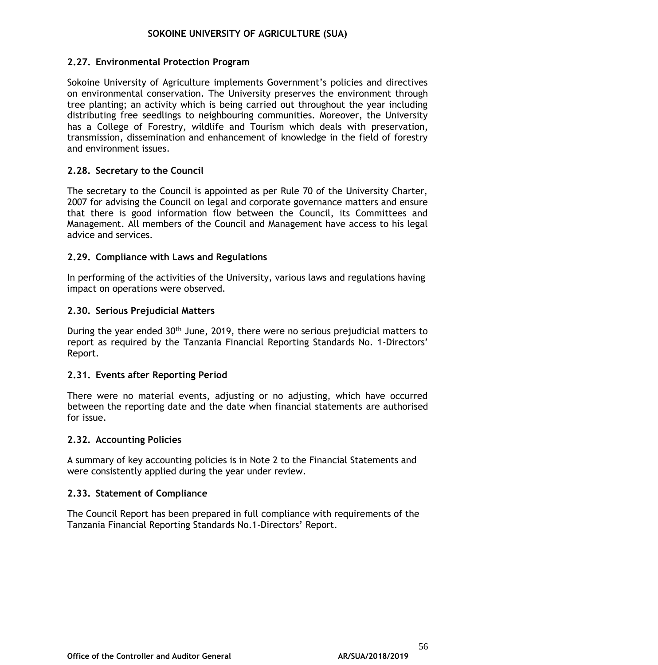### **2.27. Environmental Protection Program**

Sokoine University of Agriculture implements Government's policies and directives on environmental conservation. The University preserves the environment through tree planting; an activity which is being carried out throughout the year including distributing free seedlings to neighbouring communities. Moreover, the University has a College of Forestry, wildlife and Tourism which deals with preservation, transmission, dissemination and enhancement of knowledge in the field of forestry and environment issues.

### **2.28. Secretary to the Council**

The secretary to the Council is appointed as per Rule 70 of the University Charter, 2007 for advising the Council on legal and corporate governance matters and ensure that there is good information flow between the Council, its Committees and Management. All members of the Council and Management have access to his legal advice and services.

### **2.29. Compliance with Laws and Regulations**

In performing of the activities of the University, various laws and regulations having impact on operations were observed.

### **2.30. Serious Prejudicial Matters**

During the year ended 30<sup>th</sup> June, 2019, there were no serious prejudicial matters to report as required by the Tanzania Financial Reporting Standards No. 1-Directors' Report.

### **2.31. Events after Reporting Period**

There were no material events, adjusting or no adjusting, which have occurred between the reporting date and the date when financial statements are authorised for issue.

### **2.32. Accounting Policies**

A summary of key accounting policies is in Note 2 to the Financial Statements and were consistently applied during the year under review.

### **2.33. Statement of Compliance**

The Council Report has been prepared in full compliance with requirements of the Tanzania Financial Reporting Standards No.1-Directors' Report.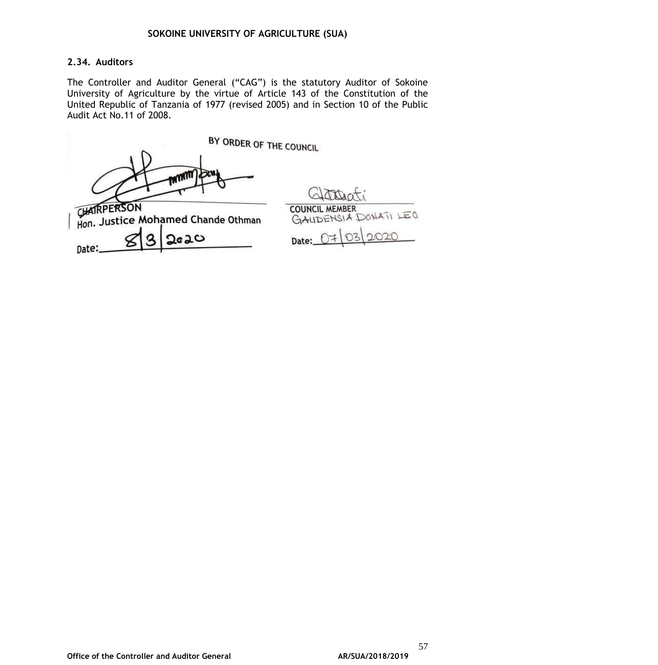### **2.34. Auditors**

The Controller and Auditor General ("CAG") is the statutory Auditor of Sokoine University of Agriculture by the virtue of Article 143 of the Constitution of the United Republic of Tanzania of 1977 (revised 2005) and in Section 10 of the Public Audit Act No.11 of 2008.

|                      | BY ORDER OF THE COUNCIL                                           |                                                        |
|----------------------|-------------------------------------------------------------------|--------------------------------------------------------|
| CHATRPERSON<br>Date: | <b>MUNICI JOSHY</b><br>Hon. Justice Mohamed Chande Othman<br>2020 | <b>COUNCIL MEMBER</b><br>GAUDENSIA DONATI LEO<br>Date: |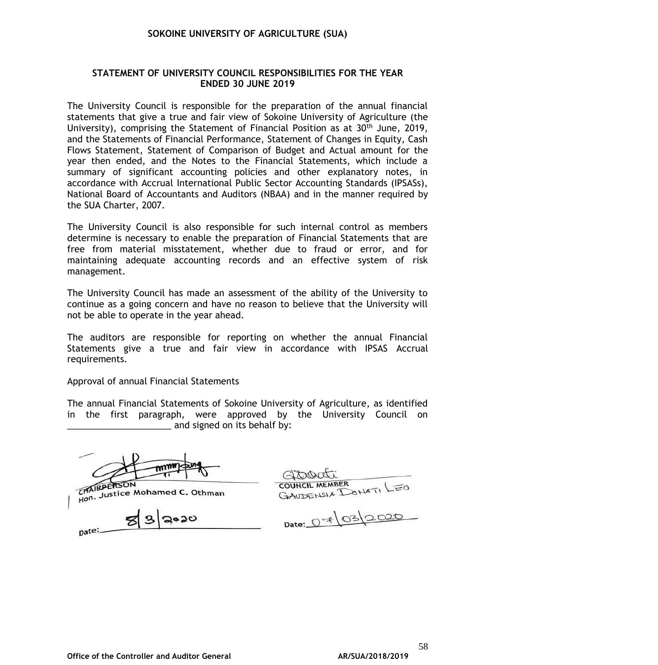#### **STATEMENT OF UNIVERSITY COUNCIL RESPONSIBILITIES FOR THE YEAR ENDED 30 JUNE 2019**

The University Council is responsible for the preparation of the annual financial statements that give a true and fair view of Sokoine University of Agriculture (the University), comprising the Statement of Financial Position as at  $30<sup>th</sup>$  June, 2019, and the Statements of Financial Performance, Statement of Changes in Equity, Cash Flows Statement, Statement of Comparison of Budget and Actual amount for the year then ended, and the Notes to the Financial Statements, which include a summary of significant accounting policies and other explanatory notes, in accordance with Accrual International Public Sector Accounting Standards (IPSASs), National Board of Accountants and Auditors (NBAA) and in the manner required by the SUA Charter, 2007.

The University Council is also responsible for such internal control as members determine is necessary to enable the preparation of Financial Statements that are free from material misstatement, whether due to fraud or error, and for maintaining adequate accounting records and an effective system of risk management.

The University Council has made an assessment of the ability of the University to continue as a going concern and have no reason to believe that the University will not be able to operate in the year ahead.

The auditors are responsible for reporting on whether the annual Financial Statements give a true and fair view in accordance with IPSAS Accrual requirements.

Approval of annual Financial Statements

The annual Financial Statements of Sokoine University of Agriculture, as identified in the first paragraph, were approved by the University Council on and signed on its behalf by:

CHAIRPERSON CHAIRPERSON<br>Hon. Justice Mohamed C. Othman

ಲಂಶಂ

pate:

COUNCIL MEMBER<br>GAUDENSIX DONATI LEO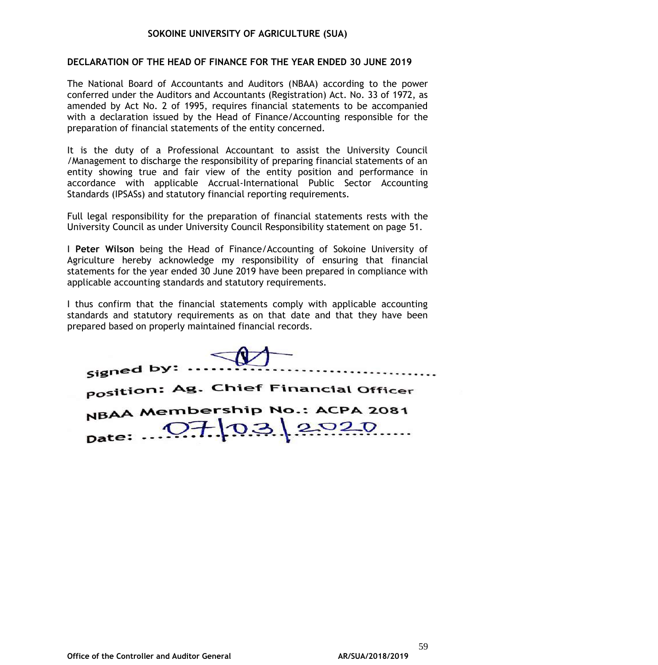#### **DECLARATION OF THE HEAD OF FINANCE FOR THE YEAR ENDED 30 JUNE 2019**

The National Board of Accountants and Auditors (NBAA) according to the power conferred under the Auditors and Accountants (Registration) Act. No. 33 of 1972, as amended by Act No. 2 of 1995, requires financial statements to be accompanied with a declaration issued by the Head of Finance/Accounting responsible for the preparation of financial statements of the entity concerned.

It is the duty of a Professional Accountant to assist the University Council /Management to discharge the responsibility of preparing financial statements of an entity showing true and fair view of the entity position and performance in accordance with applicable Accrual-International Public Sector Accounting Standards (IPSASs) and statutory financial reporting requirements.

Full legal responsibility for the preparation of financial statements rests with the University Council as under University Council Responsibility statement on page 51.

I **Peter Wilson** being the Head of Finance/Accounting of Sokoine University of Agriculture hereby acknowledge my responsibility of ensuring that financial statements for the year ended 30 June 2019 have been prepared in compliance with applicable accounting standards and statutory requirements.

I thus confirm that the financial statements comply with applicable accounting standards and statutory requirements as on that date and that they have been prepared based on properly maintained financial records.

| signed by:                            |
|---------------------------------------|
| position: Ag. Chief Financial Officer |
| NBAA Membership No.: ACPA 2081        |
| pate: 07/03/2020                      |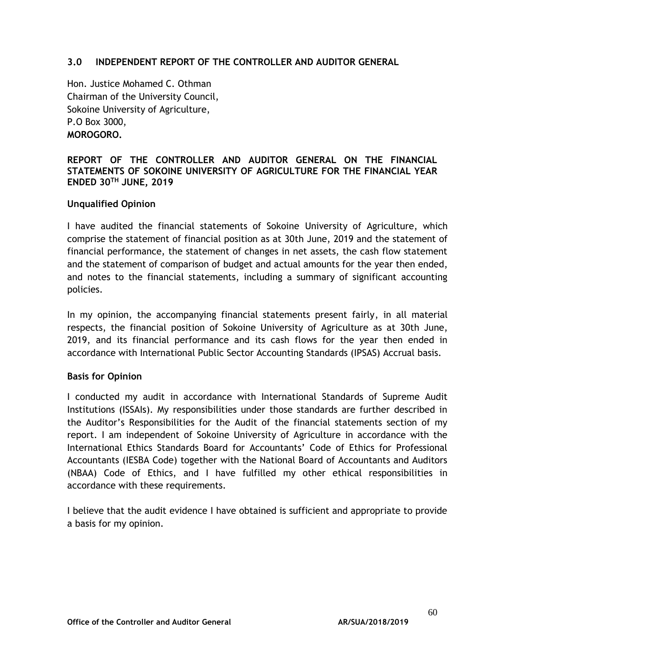#### **3.0 INDEPENDENT REPORT OF THE CONTROLLER AND AUDITOR GENERAL**

Hon. Justice Mohamed C. Othman Chairman of the University Council, Sokoine University of Agriculture, P.O Box 3000, **MOROGORO.**

### **REPORT OF THE CONTROLLER AND AUDITOR GENERAL ON THE FINANCIAL STATEMENTS OF SOKOINE UNIVERSITY OF AGRICULTURE FOR THE FINANCIAL YEAR ENDED 30TH JUNE, 2019**

#### **Unqualified Opinion**

I have audited the financial statements of Sokoine University of Agriculture, which comprise the statement of financial position as at 30th June, 2019 and the statement of financial performance, the statement of changes in net assets, the cash flow statement and the statement of comparison of budget and actual amounts for the year then ended, and notes to the financial statements, including a summary of significant accounting policies.

In my opinion, the accompanying financial statements present fairly, in all material respects, the financial position of Sokoine University of Agriculture as at 30th June, 2019, and its financial performance and its cash flows for the year then ended in accordance with International Public Sector Accounting Standards (IPSAS) Accrual basis.

#### **Basis for Opinion**

I conducted my audit in accordance with International Standards of Supreme Audit Institutions (ISSAIs). My responsibilities under those standards are further described in the Auditor's Responsibilities for the Audit of the financial statements section of my report. I am independent of Sokoine University of Agriculture in accordance with the International Ethics Standards Board for Accountants' Code of Ethics for Professional Accountants (IESBA Code) together with the National Board of Accountants and Auditors (NBAA) Code of Ethics, and I have fulfilled my other ethical responsibilities in accordance with these requirements.

I believe that the audit evidence I have obtained is sufficient and appropriate to provide a basis for my opinion.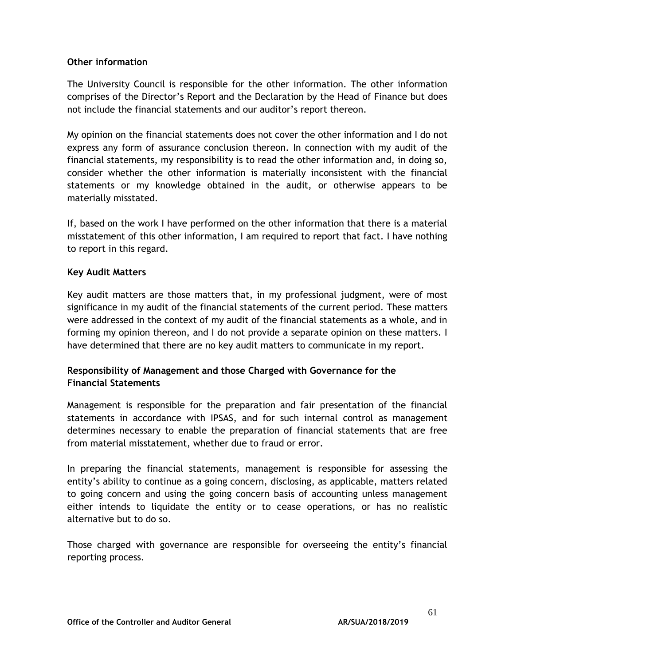### **Other information**

The University Council is responsible for the other information. The other information comprises of the Director's Report and the Declaration by the Head of Finance but does not include the financial statements and our auditor's report thereon.

My opinion on the financial statements does not cover the other information and I do not express any form of assurance conclusion thereon. In connection with my audit of the financial statements, my responsibility is to read the other information and, in doing so, consider whether the other information is materially inconsistent with the financial statements or my knowledge obtained in the audit, or otherwise appears to be materially misstated.

If, based on the work I have performed on the other information that there is a material misstatement of this other information, I am required to report that fact. I have nothing to report in this regard.

### **Key Audit Matters**

Key audit matters are those matters that, in my professional judgment, were of most significance in my audit of the financial statements of the current period. These matters were addressed in the context of my audit of the financial statements as a whole, and in forming my opinion thereon, and I do not provide a separate opinion on these matters. I have determined that there are no key audit matters to communicate in my report.

## **Responsibility of Management and those Charged with Governance for the Financial Statements**

Management is responsible for the preparation and fair presentation of the financial statements in accordance with IPSAS, and for such internal control as management determines necessary to enable the preparation of financial statements that are free from material misstatement, whether due to fraud or error.

In preparing the financial statements, management is responsible for assessing the entity's ability to continue as a going concern, disclosing, as applicable, matters related to going concern and using the going concern basis of accounting unless management either intends to liquidate the entity or to cease operations, or has no realistic alternative but to do so.

Those charged with governance are responsible for overseeing the entity's financial reporting process.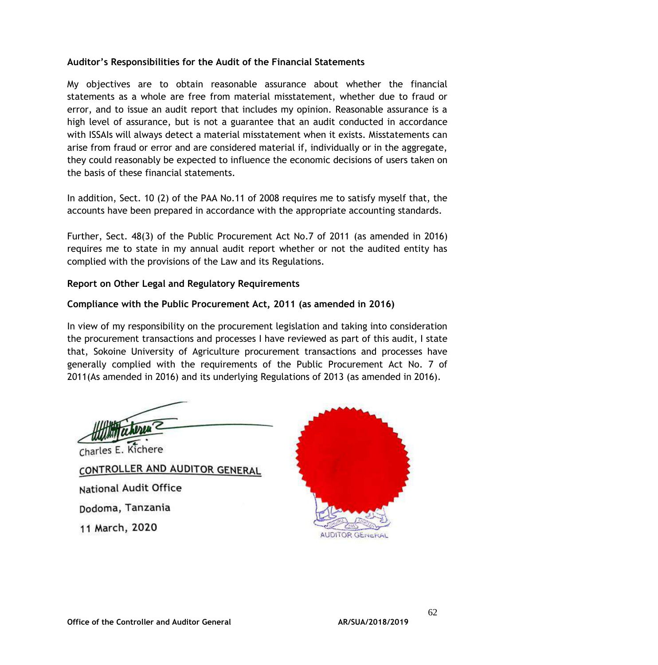### **Auditor's Responsibilities for the Audit of the Financial Statements**

My objectives are to obtain reasonable assurance about whether the financial statements as a whole are free from material misstatement, whether due to fraud or error, and to issue an audit report that includes my opinion. Reasonable assurance is a high level of assurance, but is not a guarantee that an audit conducted in accordance with ISSAIs will always detect a material misstatement when it exists. Misstatements can arise from fraud or error and are considered material if, individually or in the aggregate, they could reasonably be expected to influence the economic decisions of users taken on the basis of these financial statements.

In addition, Sect. 10 (2) of the PAA No.11 of 2008 requires me to satisfy myself that, the accounts have been prepared in accordance with the appropriate accounting standards.

Further, Sect. 48(3) of the Public Procurement Act No.7 of 2011 (as amended in 2016) requires me to state in my annual audit report whether or not the audited entity has complied with the provisions of the Law and its Regulations.

### **Report on Other Legal and Regulatory Requirements**

## **Compliance with the Public Procurement Act, 2011 (as amended in 2016)**

In view of my responsibility on the procurement legislation and taking into consideration the procurement transactions and processes I have reviewed as part of this audit, I state that, Sokoine University of Agriculture procurement transactions and processes have generally complied with the requirements of the Public Procurement Act No. 7 of 2011(As amended in 2016) and its underlying Regulations of 2013 (as amended in 2016).

Charles E. Kichere

CONTROLLER AND AUDITOR GENERAL National Audit Office Dodoma, Tanzania 11 March, 2020

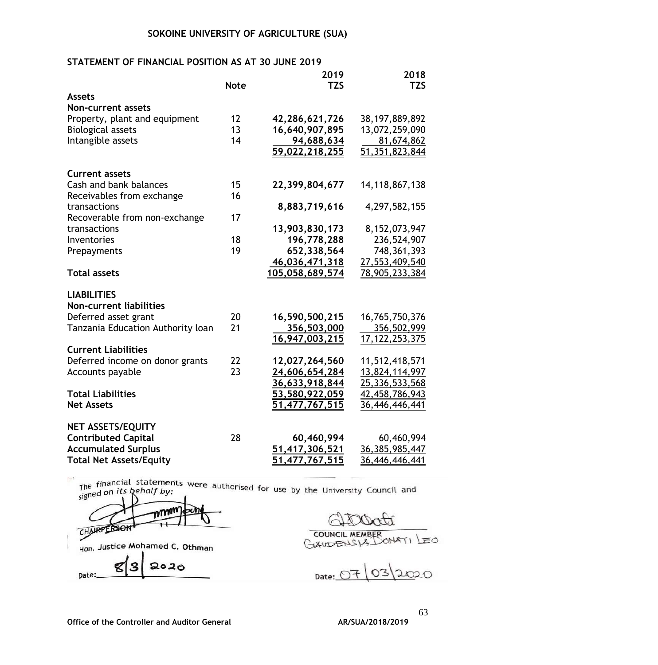## **STATEMENT OF FINANCIAL POSITION AS AT 30 JUNE 2019**

|                                   |             | 2019                  | 2018              |
|-----------------------------------|-------------|-----------------------|-------------------|
|                                   | <b>Note</b> | <b>TZS</b>            | <b>TZS</b>        |
| Assets                            |             |                       |                   |
| <b>Non-current assets</b>         |             |                       |                   |
| Property, plant and equipment     | 12          | 42,286,621,726        | 38, 197, 889, 892 |
| <b>Biological assets</b>          | 13          | 16,640,907,895        | 13,072,259,090    |
| Intangible assets                 | 14          | 94,688,634            | 81,674,862        |
|                                   |             | 59,022,218,255        | 51,351,823,844    |
| <b>Current assets</b>             |             |                       |                   |
| Cash and bank balances            | 15          | 22,399,804,677        | 14, 118, 867, 138 |
| Receivables from exchange         | 16          |                       |                   |
| transactions                      |             | 8,883,719,616         | 4,297,582,155     |
| Recoverable from non-exchange     | 17          |                       |                   |
| transactions                      |             | 13,903,830,173        | 8, 152, 073, 947  |
| Inventories                       | 18          | 196,778,288           | 236,524,907       |
| Prepayments                       | 19          | 652,338,564           | 748, 361, 393     |
|                                   |             | 46,036,471,318        | 27,553,409,540    |
| <b>Total assets</b>               |             | 105,058,689,574       | 78,905,233,384    |
| <b>LIABILITIES</b>                |             |                       |                   |
| <b>Non-current liabilities</b>    |             |                       |                   |
| Deferred asset grant              | 20          | 16,590,500,215        | 16,765,750,376    |
| Tanzania Education Authority loan | 21          | 356,503,000           | 356,502,999       |
|                                   |             | 16,947,003,215        | 17, 122, 253, 375 |
| <b>Current Liabilities</b>        |             |                       |                   |
| Deferred income on donor grants   | 22          | 12,027,264,560        | 11,512,418,571    |
| Accounts payable                  | 23          | 24,606,654,284        | 13,824,114,997    |
|                                   |             | 36,633,918,844        | 25,336,533,568    |
| <b>Total Liabilities</b>          |             | 53,580,922,059        | 42,458,786,943    |
| <b>Net Assets</b>                 |             | 51,477,767,515        | 36,446,446,441    |
| <b>NET ASSETS/EQUITY</b>          |             |                       |                   |
| <b>Contributed Capital</b>        | 28          | 60,460,994            | 60,460,994        |
| <b>Accumulated Surplus</b>        |             | <u>51,417,306,521</u> | 36, 385, 985, 447 |
| <b>Total Net Assets/Equity</b>    |             | 51,477,767,515        | 36,446,446,441    |

The financial statements were authorised for use by the University Council and The financial statement<br>signed on *its behalf by*:

CHAIRPERSON  $\mathbf{H}$ Hon. Justice Mohamed C. Othman 9 2020 g Date:

**COUNCIL MEMBE**  $4871$   $E0$ **XIDE** 

Date:  $220$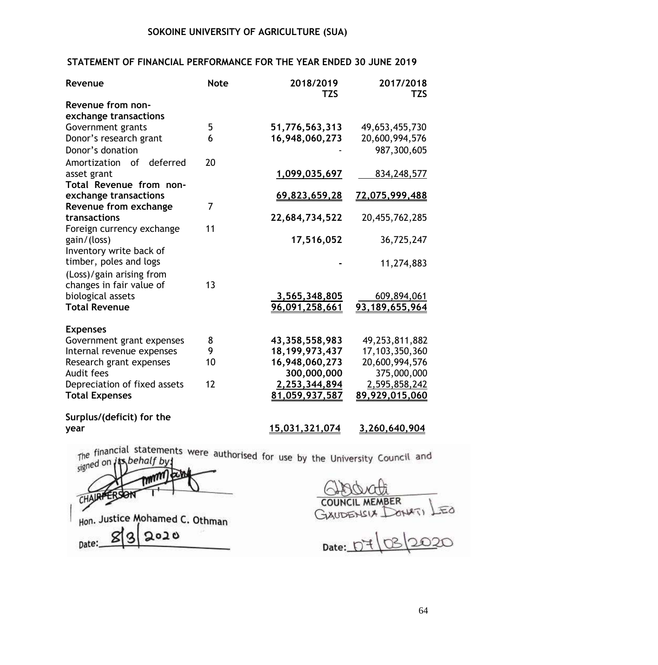### **STATEMENT OF FINANCIAL PERFORMANCE FOR THE YEAR ENDED 30 JUNE 2019**

| Revenue                               | <b>Note</b> | 2018/2019<br><b>TZS</b>       | 2017/2018<br><b>TZS</b>       |
|---------------------------------------|-------------|-------------------------------|-------------------------------|
| Revenue from non-                     |             |                               |                               |
| exchange transactions                 |             |                               |                               |
| Government grants                     | 5           | 51,776,563,313                | 49,653,455,730                |
| Donor's research grant                | 6           | 16,948,060,273                | 20,600,994,576                |
| Donor's donation                      |             |                               | 987,300,605                   |
| deferred<br>Amortization<br>of        | 20          |                               |                               |
| asset grant                           |             | 1,099,035,697                 | 834, 248, 577                 |
| Total Revenue from non-               |             |                               |                               |
| exchange transactions                 |             | 69,823,659,28                 | 72,075,999,488                |
| Revenue from exchange                 | 7           |                               |                               |
| transactions                          |             | 22,684,734,522                | 20,455,762,285                |
| Foreign currency exchange             | 11          |                               |                               |
| gain/(loss)                           |             | 17,516,052                    | 36,725,247                    |
| Inventory write back of               |             |                               |                               |
| timber, poles and logs                |             |                               | 11,274,883                    |
| (Loss)/gain arising from              |             |                               |                               |
| changes in fair value of              | 13          |                               |                               |
| biological assets                     |             | 3,565,348,805                 | 609,894,061                   |
| <b>Total Revenue</b>                  |             | 96,091,258,661                | 93,189,655,964                |
|                                       |             |                               |                               |
| <b>Expenses</b>                       |             |                               |                               |
| Government grant expenses             | 8<br>9      | 43,358,558,983                | 49,253,811,882                |
| Internal revenue expenses             | 10          | 18, 199, 973, 437             | 17,103,350,360                |
| Research grant expenses<br>Audit fees |             | 16,948,060,273<br>300,000,000 | 20,600,994,576<br>375,000,000 |
| Depreciation of fixed assets          | 12          | 2,253,344,894                 | 2,595,858,242                 |
| <b>Total Expenses</b>                 |             | 81,059,937,587                | 89,929,015,060                |
|                                       |             |                               |                               |
| Surplus/(deficit) for the             |             |                               |                               |
| year                                  |             | 15,031,321,074                | 3,260,640,904                 |
|                                       |             |                               |                               |

The financial statements were authorised for use by the University Council and signed on

CHA Hon. Justice Mohamed C. Othman 2020 Date:

COUNCIL MEMBER<br>GXUDENSIA DONATI LEO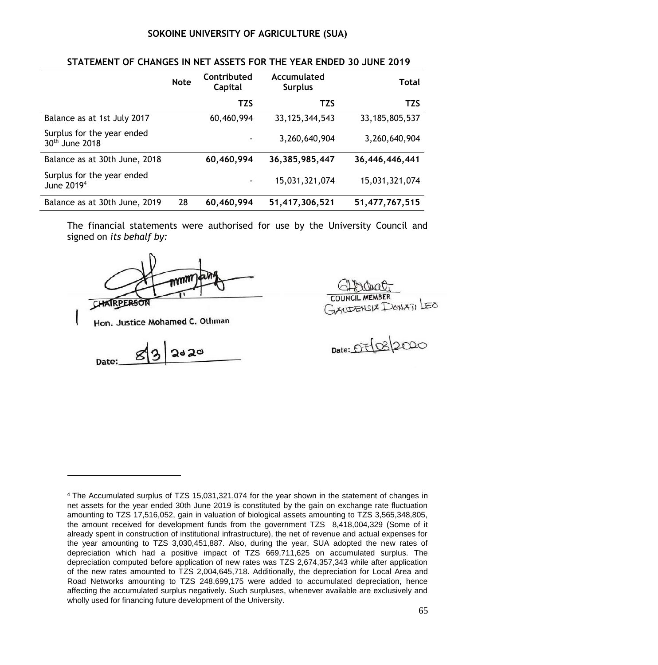|                                                          | <b>Note</b> | Contributed<br>Capital | Accumulated<br><b>Surplus</b> | <b>Total</b>      |
|----------------------------------------------------------|-------------|------------------------|-------------------------------|-------------------|
|                                                          |             | <b>TZS</b>             | <b>TZS</b>                    | <b>TZS</b>        |
| Balance as at 1st July 2017                              |             | 60,460,994             | 33, 125, 344, 543             | 33, 185, 805, 537 |
| Surplus for the year ended<br>30 <sup>th</sup> June 2018 |             |                        | 3,260,640,904                 | 3,260,640,904     |
| Balance as at 30th June, 2018                            |             | 60,460,994             | 36, 385, 985, 447             | 36,446,446,441    |
| Surplus for the year ended<br>June 2019 <sup>4</sup>     |             | ٠                      | 15,031,321,074                | 15,031,321,074    |
| Balance as at 30th June, 2019                            | 28          | 60,460,994             | 51,417,306,521                | 51,477,767,515    |

The financial statements were authorised for use by the University Council and signed on *its behalf by:*

CHAIRPERSON

Hon. Justice Mohamed C. Othman

 $2d20$ 8 Date:

COUNCIL MEMBER<br>GYSLLEASIX DONATILEO

 $Date: D7032020$ 

<sup>4</sup> The Accumulated surplus of TZS 15,031,321,074 for the year shown in the statement of changes in net assets for the year ended 30th June 2019 is constituted by the gain on exchange rate fluctuation amounting to TZS 17,516,052, gain in valuation of biological assets amounting to TZS 3,565,348,805, the amount received for development funds from the government TZS 8,418,004,329 (Some of it already spent in construction of institutional infrastructure), the net of revenue and actual expenses for the year amounting to TZS 3,030,451,887. Also, during the year, SUA adopted the new rates of depreciation which had a positive impact of TZS 669,711,625 on accumulated surplus. The depreciation computed before application of new rates was TZS 2,674,357,343 while after application of the new rates amounted to TZS 2,004,645,718. Additionally, the depreciation for Local Area and Road Networks amounting to TZS 248,699,175 were added to accumulated depreciation, hence affecting the accumulated surplus negatively. Such surpluses, whenever available are exclusively and wholly used for financing future development of the University.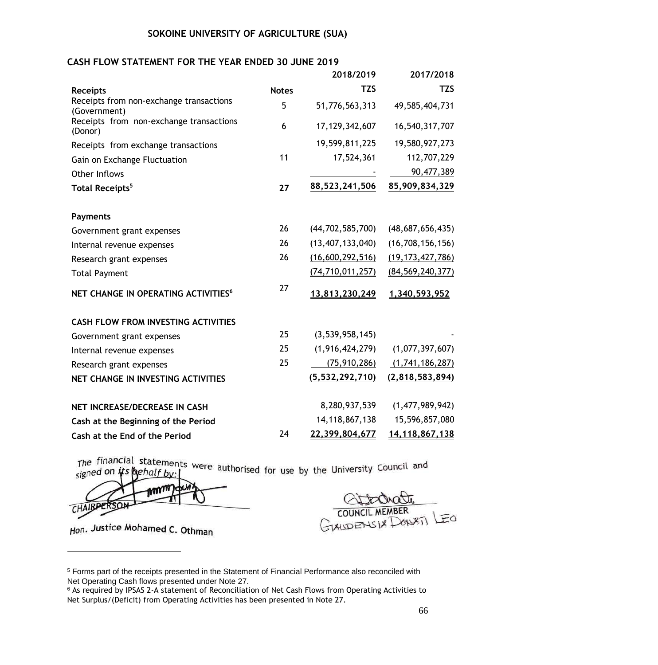#### **CASH FLOW STATEMENT FOR THE YEAR ENDED 30 JUNE 2019**

|                                                         |              | 2018/2019           | 2017/2018           |
|---------------------------------------------------------|--------------|---------------------|---------------------|
| <b>Receipts</b>                                         | <b>Notes</b> | <b>TZS</b>          | <b>TZS</b>          |
| Receipts from non-exchange transactions<br>(Government) | 5            | 51,776,563,313      | 49,585,404,731      |
| Receipts from non-exchange transactions<br>(Donor)      | 6            | 17, 129, 342, 607   | 16,540,317,707      |
| Receipts from exchange transactions                     |              | 19,599,811,225      | 19,580,927,273      |
| Gain on Exchange Fluctuation                            | 11           | 17,524,361          | 112,707,229         |
| Other Inflows                                           |              |                     | 90,477,389          |
| Total Receipts <sup>5</sup>                             | 27           | 88,523,241,506      | 85,909,834,329      |
| <b>Payments</b>                                         |              |                     |                     |
| Government grant expenses                               | 26           | (44, 702, 585, 700) | (48,687,656,435)    |
| Internal revenue expenses                               | 26           | (13, 407, 133, 040) | (16, 708, 156, 156) |
| Research grant expenses                                 | 26           | (16,600,292,516)    | (19, 173, 427, 786) |
| <b>Total Payment</b>                                    |              | (74, 710, 011, 257) | (84, 569, 240, 377) |
| NET CHANGE IN OPERATING ACTIVITIES <sup>6</sup>         | 27           | 13,813,230,249      | 1,340,593,952       |
| <b>CASH FLOW FROM INVESTING ACTIVITIES</b>              |              |                     |                     |
| Government grant expenses                               | 25           | (3,539,958,145)     |                     |
| Internal revenue expenses                               | 25           | (1,916,424,279)     | (1,077,397,607)     |
| Research grant expenses                                 | 25           | (75, 910, 286)      | (1,741,186,287)     |
| NET CHANGE IN INVESTING ACTIVITIES                      |              | (5, 532, 292, 710)  | (2,818,583,894)     |
| NET INCREASE/DECREASE IN CASH                           |              | 8,280,937,539       | (1,477,989,942)     |
| Cash at the Beginning of the Period                     |              | 14, 118, 867, 138   | 15,596,857,080      |
| Cash at the End of the Period                           | 24           | 22,399,804,677      | 14,118,867,138      |

The financial statements were authorised for use by the University Council and signed on  $i$ ts

MT CHAIRPERSON

Hon. Justice Mohamed C. Othman

1

COUNCIL MEMBER LEO

<sup>5</sup> Forms part of the receipts presented in the Statement of Financial Performance also reconciled with Net Operating Cash flows presented under Note 27.

<sup>6</sup> As required by IPSAS 2-A statement of Reconciliation of Net Cash Flows from Operating Activities to Net Surplus/(Deficit) from Operating Activities has been presented in Note 27.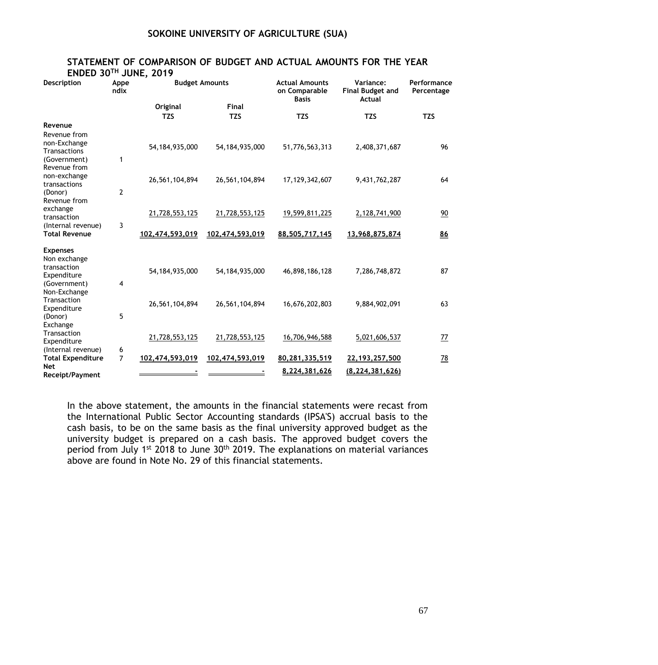## **STATEMENT OF COMPARISON OF BUDGET AND ACTUAL AMOUNTS FOR THE YEAR**

**ENDED 30TH JUNE, 2019**

| Description                                                                   | Appe<br>ndix   |                   | <b>Budget Amounts</b> |                                 | Variance:<br><b>Final Budget and</b><br>Actual | Performance<br>Percentage |
|-------------------------------------------------------------------------------|----------------|-------------------|-----------------------|---------------------------------|------------------------------------------------|---------------------------|
|                                                                               |                | Original          | Final                 | <b>Basis</b>                    |                                                |                           |
|                                                                               |                | <b>TZS</b>        | <b>TZS</b>            | <b>TZS</b>                      | <b>TZS</b>                                     | <b>TZS</b>                |
| Revenue<br>Revenue from<br>non-Exchange<br><b>Transactions</b>                |                | 54, 184, 935, 000 | 54, 184, 935, 000     | 51,776,563,313                  | 2,408,371,687                                  | 96                        |
| (Government)<br>Revenue from<br>non-exchange                                  | 1              |                   |                       |                                 |                                                |                           |
| transactions<br>(Donor)<br>Revenue from                                       | $\mathbf{2}$   | 26,561,104,894    | 26,561,104,894        | 17, 129, 342, 607               | 9,431,762,287                                  | 64                        |
| exchange<br>transaction<br>(Internal revenue)                                 | 3              | 21,728,553,125    | 21,728,553,125        | 19,599,811,225                  | 2,128,741,900                                  | 90                        |
| <b>Total Revenue</b>                                                          |                | 102,474,593,019   | 102,474,593,019       | 88,505,717,145                  | 13,968,875,874                                 | 86                        |
| <b>Expenses</b><br>Non exchange<br>transaction<br>Expenditure<br>(Government) | 4              | 54, 184, 935, 000 | 54, 184, 935, 000     | 46,898,186,128                  | 7,286,748,872                                  | 87                        |
| Non-Exchange<br>Transaction<br>Expenditure<br>(Donor)                         | 5              | 26,561,104,894    | 26,561,104,894        | 16,676,202,803                  | 9,884,902,091                                  | 63                        |
| Exchange<br>Transaction<br>Expenditure<br>(Internal revenue)                  | 6              | 21,728,553,125    | 21,728,553,125        | 16,706,946,588                  | 5,021,606,537                                  | <u>77</u>                 |
| <b>Total Expenditure</b><br><b>Net</b><br>Receipt/Payment                     | $\overline{7}$ | 102,474,593,019   | 102,474,593,019       | 80,281,335,519<br>8,224,381,626 | 22,193,257,500<br>(8, 224, 381, 626)           | <u>78</u>                 |

In the above statement, the amounts in the financial statements were recast from the International Public Sector Accounting standards (IPSA'S) accrual basis to the cash basis, to be on the same basis as the final university approved budget as the university budget is prepared on a cash basis. The approved budget covers the period from July 1<sup>st</sup> 2018 to June 30<sup>th</sup> 2019. The explanations on material variances above are found in Note No. 29 of this financial statements.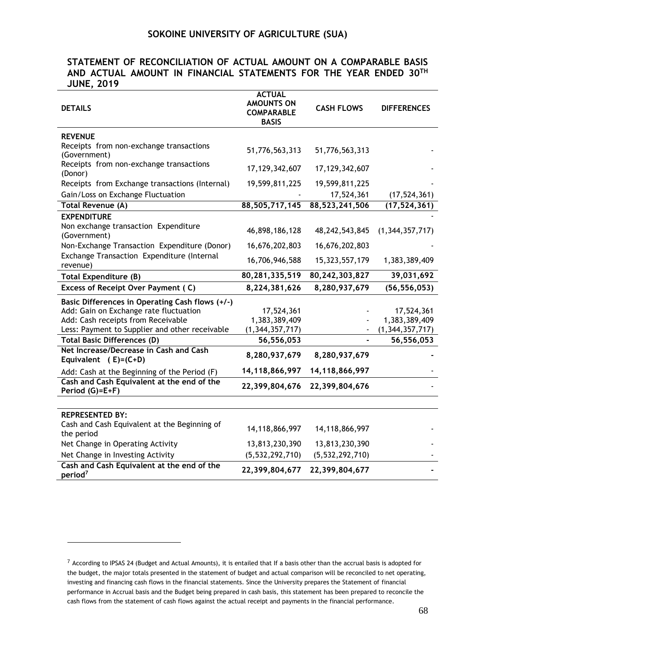### **STATEMENT OF RECONCILIATION OF ACTUAL AMOUNT ON A COMPARABLE BASIS AND ACTUAL AMOUNT IN FINANCIAL STATEMENTS FOR THE YEAR ENDED 30TH JUNE, 2019**

| <b>DETAILS</b>                                                                                                                                                                    | <b>ACTUAL</b><br><b>AMOUNTS ON</b><br><b>COMPARABLE</b><br><b>BASIS</b> | <b>CASH FLOWS</b> | <b>DIFFERENCES</b>                                |
|-----------------------------------------------------------------------------------------------------------------------------------------------------------------------------------|-------------------------------------------------------------------------|-------------------|---------------------------------------------------|
| <b>REVENUE</b>                                                                                                                                                                    |                                                                         |                   |                                                   |
| Receipts from non-exchange transactions<br>(Government)                                                                                                                           | 51,776,563,313                                                          | 51,776,563,313    |                                                   |
| Receipts from non-exchange transactions<br>(Donor)                                                                                                                                | 17,129,342,607                                                          | 17, 129, 342, 607 |                                                   |
| Receipts from Exchange transactions (Internal)                                                                                                                                    | 19,599,811,225                                                          | 19,599,811,225    |                                                   |
| Gain/Loss on Exchange Fluctuation                                                                                                                                                 |                                                                         | 17,524,361        | (17, 524, 361)                                    |
| Total Revenue (A)                                                                                                                                                                 | 88,505,717,145                                                          | 88,523,241,506    | (17, 524, 361)                                    |
| <b>EXPENDITURE</b>                                                                                                                                                                |                                                                         |                   |                                                   |
| Non exchange transaction Expenditure<br>(Government)                                                                                                                              | 46,898,186,128                                                          | 48, 242, 543, 845 | (1,344,357,717)                                   |
| Non-Exchange Transaction Expenditure (Donor)                                                                                                                                      | 16,676,202,803                                                          | 16,676,202,803    |                                                   |
| Exchange Transaction Expenditure (Internal<br>revenue)                                                                                                                            | 16,706,946,588                                                          | 15,323,557,179    | 1,383,389,409                                     |
| <b>Total Expenditure (B)</b>                                                                                                                                                      | 80,281,335,519                                                          | 80, 242, 303, 827 | 39,031,692                                        |
| Excess of Receipt Over Payment (C)                                                                                                                                                | 8,224,381,626                                                           | 8,280,937,679     | (56, 556, 053)                                    |
| Basic Differences in Operating Cash flows (+/-)<br>Add: Gain on Exchange rate fluctuation<br>Add: Cash receipts from Receivable<br>Less: Payment to Supplier and other receivable | 17,524,361<br>1,383,389,409<br>(1, 344, 357, 717)                       |                   | 17,524,361<br>1,383,389,409<br>(1, 344, 357, 717) |
| <b>Total Basic Differences (D)</b>                                                                                                                                                | 56,556,053                                                              |                   | 56,556,053                                        |
| Net Increase/Decrease in Cash and Cash<br>Equivalent (E)=(C+D)                                                                                                                    | 8,280,937,679                                                           | 8,280,937,679     |                                                   |
| Add: Cash at the Beginning of the Period (F)                                                                                                                                      | 14,118,866,997                                                          | 14,118,866,997    |                                                   |
| Cash and Cash Equivalent at the end of the<br>Period (G)=E+F)                                                                                                                     | 22,399,804,676                                                          | 22,399,804,676    |                                                   |
|                                                                                                                                                                                   |                                                                         |                   |                                                   |
| <b>REPRESENTED BY:</b>                                                                                                                                                            |                                                                         |                   |                                                   |
| Cash and Cash Equivalent at the Beginning of<br>the period                                                                                                                        | 14,118,866,997                                                          | 14,118,866,997    |                                                   |
| Net Change in Operating Activity                                                                                                                                                  | 13,813,230,390                                                          | 13,813,230,390    |                                                   |
| Net Change in Investing Activity                                                                                                                                                  | (5, 532, 292, 710)                                                      | (5,532,292,710)   |                                                   |
| Cash and Cash Equivalent at the end of the<br>period <sup>7</sup>                                                                                                                 | 22,399,804,677                                                          | 22,399,804,677    |                                                   |

<sup>7</sup> According to IPSAS 24 (Budget and Actual Amounts), it is entailed that If a basis other than the accrual basis is adopted for the budget, the major totals presented in the statement of budget and actual comparison will be reconciled to net operating, investing and financing cash flows in the financial statements. Since the University prepares the Statement of financial performance in Accrual basis and the Budget being prepared in cash basis, this statement has been prepared to reconcile the cash flows from the statement of cash flows against the actual receipt and payments in the financial performance.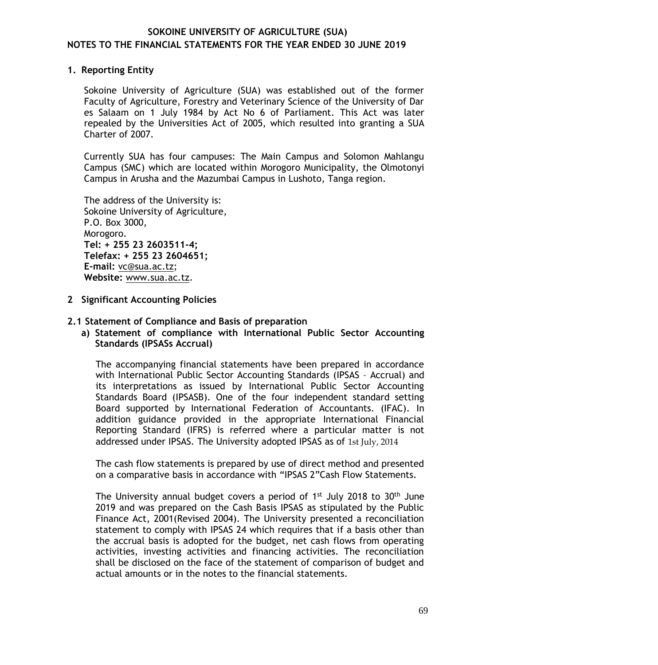## **1. Reporting Entity**

Sokoine University of Agriculture (SUA) was established out of the former Faculty of Agriculture, Forestry and Veterinary Science of the University of Dar es Salaam on 1 July 1984 by Act No 6 of Parliament. This Act was later repealed by the Universities Act of 2005, which resulted into granting a SUA Charter of 2007.

Currently SUA has four campuses: The Main Campus and Solomon Mahlangu Campus (SMC) which are located within Morogoro Municipality, the Olmotonyi Campus in Arusha and the Mazumbai Campus in Lushoto, Tanga region.

The address of the University is: Sokoine University of Agriculture, P.O. Box 3000, Morogoro. **Tel: + 255 23 2603511-4; Telefax: + 255 23 2604651; E-mail:** [vc@sua.ac.tz;](mailto:vc@sua.ac.tz) **Website:** [www.sua.ac.tz.](http://www.sua.ac.tz/)

- **2 Significant Accounting Policies**
- **2.1 Statement of Compliance and Basis of preparation**
	- **a) Statement of compliance with International Public Sector Accounting Standards (IPSASs Accrual)**

The accompanying financial statements have been prepared in accordance with International Public Sector Accounting Standards (IPSAS – Accrual) and its interpretations as issued by International Public Sector Accounting Standards Board (IPSASB). One of the four independent standard setting Board supported by International Federation of Accountants. (IFAC). In addition guidance provided in the appropriate International Financial Reporting Standard (IFRS) is referred where a particular matter is not addressed under IPSAS. The University adopted IPSAS as of 1st July, 2014

The cash flow statements is prepared by use of direct method and presented on a comparative basis in accordance with "IPSAS 2"Cash Flow Statements.

The University annual budget covers a period of 1<sup>st</sup> July 2018 to 30<sup>th</sup> June 2019 and was prepared on the Cash Basis IPSAS as stipulated by the Public Finance Act, 2001(Revised 2004). The University presented a reconciliation statement to comply with IPSAS 24 which requires that if a basis other than the accrual basis is adopted for the budget, net cash flows from operating activities, investing activities and financing activities. The reconciliation shall be disclosed on the face of the statement of comparison of budget and actual amounts or in the notes to the financial statements.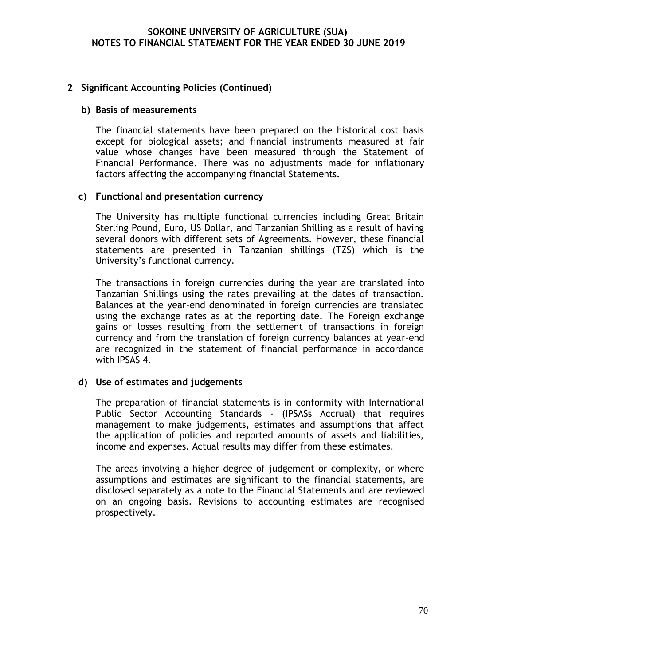### **2 Significant Accounting Policies (Continued)**

#### **b) Basis of measurements**

The financial statements have been prepared on the historical cost basis except for biological assets; and financial instruments measured at fair value whose changes have been measured through the Statement of Financial Performance. There was no adjustments made for inflationary factors affecting the accompanying financial Statements.

#### **c) Functional and presentation currency**

The University has multiple functional currencies including Great Britain Sterling Pound, Euro, US Dollar, and Tanzanian Shilling as a result of having several donors with different sets of Agreements. However, these financial statements are presented in Tanzanian shillings (TZS) which is the University's functional currency.

The transactions in foreign currencies during the year are translated into Tanzanian Shillings using the rates prevailing at the dates of transaction. Balances at the year-end denominated in foreign currencies are translated using the exchange rates as at the reporting date. The Foreign exchange gains or losses resulting from the settlement of transactions in foreign currency and from the translation of foreign currency balances at year-end are recognized in the statement of financial performance in accordance with IPSAS 4.

#### **d) Use of estimates and judgements**

The preparation of financial statements is in conformity with International Public Sector Accounting Standards - (IPSASs Accrual) that requires management to make judgements, estimates and assumptions that affect the application of policies and reported amounts of assets and liabilities, income and expenses. Actual results may differ from these estimates.

The areas involving a higher degree of judgement or complexity, or where assumptions and estimates are significant to the financial statements, are disclosed separately as a note to the Financial Statements and are reviewed on an ongoing basis. Revisions to accounting estimates are recognised prospectively.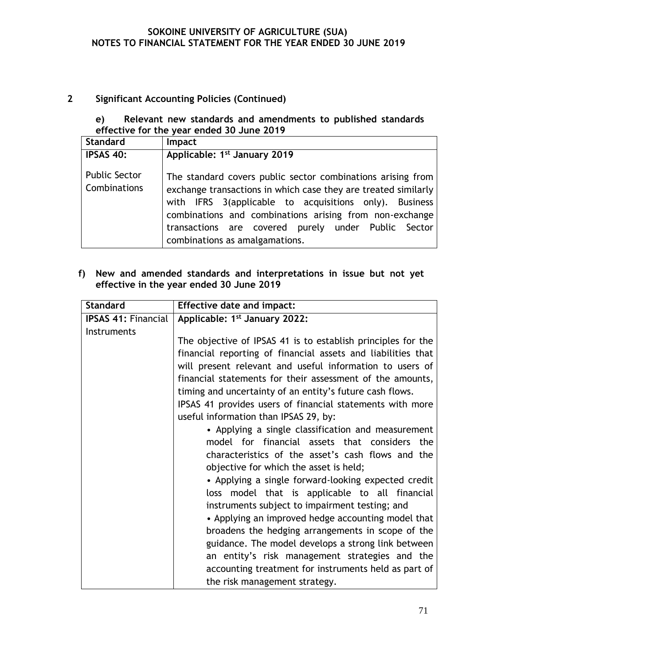## **2 Significant Accounting Policies (Continued)**

## **e) Relevant new standards and amendments to published standards effective for the year ended 30 June 2019**

| Standard                                    | Impact                                                                                                                                                                                                                                                                                                                                      |
|---------------------------------------------|---------------------------------------------------------------------------------------------------------------------------------------------------------------------------------------------------------------------------------------------------------------------------------------------------------------------------------------------|
| <b>IPSAS 40:</b>                            | Applicable: 1 <sup>st</sup> January 2019                                                                                                                                                                                                                                                                                                    |
| <b>Public Sector</b><br><b>Combinations</b> | The standard covers public sector combinations arising from<br>exchange transactions in which case they are treated similarly<br>with IFRS 3(applicable to acquisitions only). Business<br>combinations and combinations arising from non-exchange<br>transactions are covered purely under Public Sector<br>combinations as amalgamations. |

### **f) New and amended standards and interpretations in issue but not yet effective in the year ended 30 June 2019**

| <b>Standard</b>            | <b>Effective date and impact:</b>                            |
|----------------------------|--------------------------------------------------------------|
| <b>IPSAS 41: Financial</b> | Applicable: 1 <sup>st</sup> January 2022:                    |
| Instruments                |                                                              |
|                            | The objective of IPSAS 41 is to establish principles for the |
|                            | financial reporting of financial assets and liabilities that |
|                            | will present relevant and useful information to users of     |
|                            | financial statements for their assessment of the amounts,    |
|                            | timing and uncertainty of an entity's future cash flows.     |
|                            | IPSAS 41 provides users of financial statements with more    |
|                            | useful information than IPSAS 29, by:                        |
|                            | • Applying a single classification and measurement           |
|                            | model for financial assets that considers the                |
|                            | characteristics of the asset's cash flows and the            |
|                            | objective for which the asset is held;                       |
|                            | • Applying a single forward-looking expected credit          |
|                            | loss model that is applicable to all financial               |
|                            | instruments subject to impairment testing; and               |
|                            | • Applying an improved hedge accounting model that           |
|                            | broadens the hedging arrangements in scope of the            |
|                            | guidance. The model develops a strong link between           |
|                            | an entity's risk management strategies and the               |
|                            | accounting treatment for instruments held as part of         |
|                            | the risk management strategy.                                |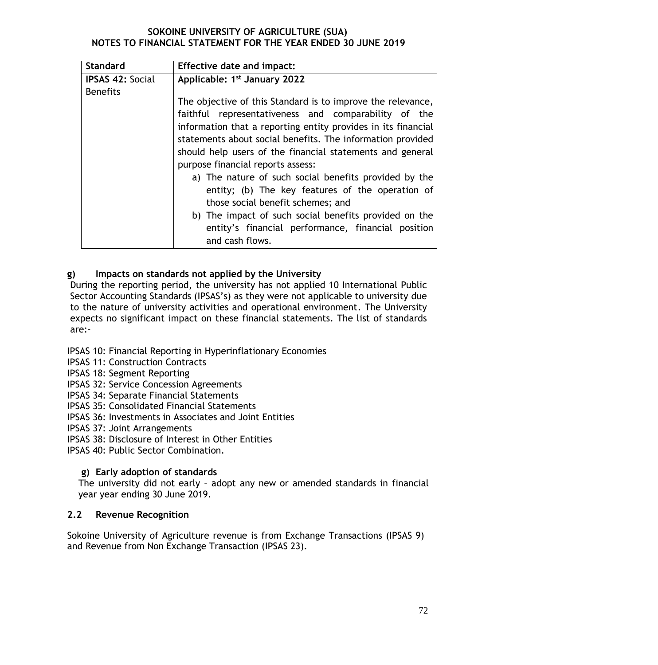| <b>Standard</b>         | <b>Effective date and impact:</b>                             |  |  |
|-------------------------|---------------------------------------------------------------|--|--|
| <b>IPSAS 42: Social</b> | Applicable: 1 <sup>st</sup> January 2022                      |  |  |
| <b>Benefits</b>         |                                                               |  |  |
|                         | The objective of this Standard is to improve the relevance,   |  |  |
|                         | faithful representativeness and comparability of the          |  |  |
|                         | information that a reporting entity provides in its financial |  |  |
|                         | statements about social benefits. The information provided    |  |  |
|                         | should help users of the financial statements and general     |  |  |
|                         | purpose financial reports assess:                             |  |  |
|                         | a) The nature of such social benefits provided by the         |  |  |
|                         | entity; (b) The key features of the operation of              |  |  |
|                         | those social benefit schemes; and                             |  |  |
|                         | b) The impact of such social benefits provided on the         |  |  |
|                         | entity's financial performance, financial position            |  |  |
|                         | and cash flows.                                               |  |  |
|                         |                                                               |  |  |

## **g) Impacts on standards not applied by the University**

During the reporting period, the university has not applied 10 International Public Sector Accounting Standards (IPSAS's) as they were not applicable to university due to the nature of university activities and operational environment. The University expects no significant impact on these financial statements. The list of standards are:-

## IPSAS 10: Financial Reporting in Hyperinflationary Economies

- IPSAS 11: Construction Contracts
- IPSAS 18: Segment Reporting
- IPSAS 32: Service Concession Agreements
- IPSAS 34: Separate Financial Statements
- IPSAS 35: Consolidated Financial Statements
- IPSAS 36: Investments in Associates and Joint Entities
- IPSAS 37: Joint Arrangements
- IPSAS 38: Disclosure of Interest in Other Entities
- IPSAS 40: Public Sector Combination.

## **g) Early adoption of standards**

The university did not early – adopt any new or amended standards in financial year year ending 30 June 2019.

## **2.2 Revenue Recognition**

Sokoine University of Agriculture revenue is from Exchange Transactions (IPSAS 9) and Revenue from Non Exchange Transaction (IPSAS 23).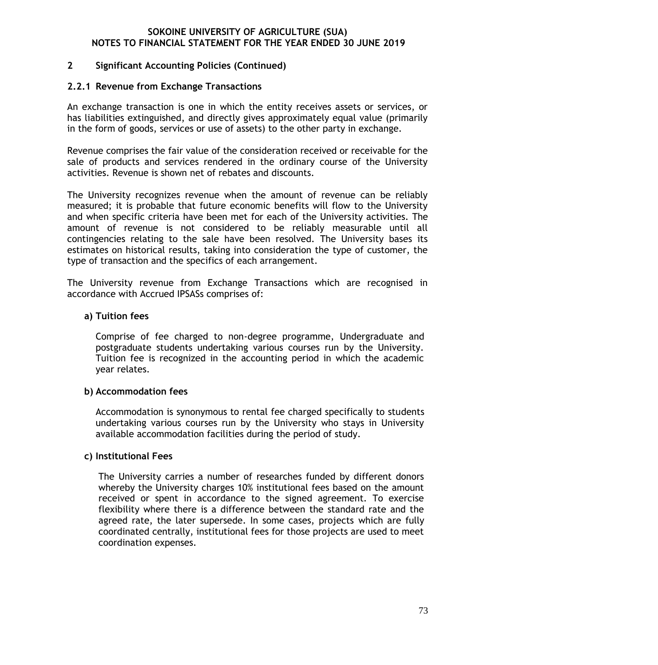## **2 Significant Accounting Policies (Continued)**

## **2.2.1 Revenue from Exchange Transactions**

An exchange transaction is one in which the entity receives assets or services, or has liabilities extinguished, and directly gives approximately equal value (primarily in the form of goods, services or use of assets) to the other party in exchange.

Revenue comprises the fair value of the consideration received or receivable for the sale of products and services rendered in the ordinary course of the University activities. Revenue is shown net of rebates and discounts.

The University recognizes revenue when the amount of revenue can be reliably measured; it is probable that future economic benefits will flow to the University and when specific criteria have been met for each of the University activities. The amount of revenue is not considered to be reliably measurable until all contingencies relating to the sale have been resolved. The University bases its estimates on historical results, taking into consideration the type of customer, the type of transaction and the specifics of each arrangement.

The University revenue from Exchange Transactions which are recognised in accordance with Accrued IPSASs comprises of:

### **a) Tuition fees**

Comprise of fee charged to non-degree programme, Undergraduate and postgraduate students undertaking various courses run by the University. Tuition fee is recognized in the accounting period in which the academic year relates.

#### **b) Accommodation fees**

Accommodation is synonymous to rental fee charged specifically to students undertaking various courses run by the University who stays in University available accommodation facilities during the period of study.

## **c) Institutional Fees**

The University carries a number of researches funded by different donors whereby the University charges 10% institutional fees based on the amount received or spent in accordance to the signed agreement. To exercise flexibility where there is a difference between the standard rate and the agreed rate, the later supersede. In some cases, projects which are fully coordinated centrally, institutional fees for those projects are used to meet coordination expenses.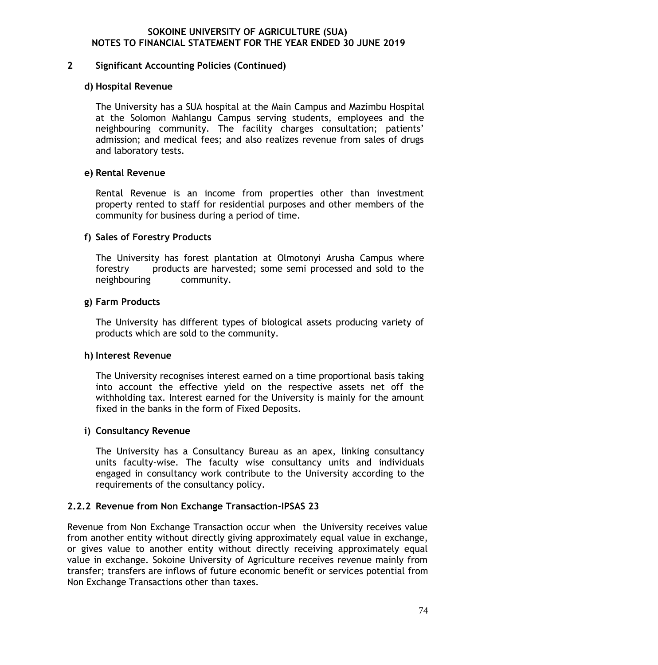#### **2 Significant Accounting Policies (Continued)**

#### **d) Hospital Revenue**

The University has a SUA hospital at the Main Campus and Mazimbu Hospital at the Solomon Mahlangu Campus serving students, employees and the neighbouring community. The facility charges consultation; patients' admission; and medical fees; and also realizes revenue from sales of drugs and laboratory tests.

## **e) Rental Revenue**

Rental Revenue is an income from properties other than investment property rented to staff for residential purposes and other members of the community for business during a period of time.

## **f) Sales of Forestry Products**

The University has forest plantation at Olmotonyi Arusha Campus where forestry products are harvested; some semi processed and sold to the neighbouring community.

### **g) Farm Products**

The University has different types of biological assets producing variety of products which are sold to the community.

## **h) Interest Revenue**

The University recognises interest earned on a time proportional basis taking into account the effective yield on the respective assets net off the withholding tax. Interest earned for the University is mainly for the amount fixed in the banks in the form of Fixed Deposits.

## **i) Consultancy Revenue**

The University has a Consultancy Bureau as an apex, linking consultancy units faculty-wise. The faculty wise consultancy units and individuals engaged in consultancy work contribute to the University according to the requirements of the consultancy policy.

## **2.2.2 Revenue from Non Exchange Transaction-IPSAS 23**

Revenue from Non Exchange Transaction occur when the University receives value from another entity without directly giving approximately equal value in exchange, or gives value to another entity without directly receiving approximately equal value in exchange. Sokoine University of Agriculture receives revenue mainly from transfer; transfers are inflows of future economic benefit or services potential from Non Exchange Transactions other than taxes.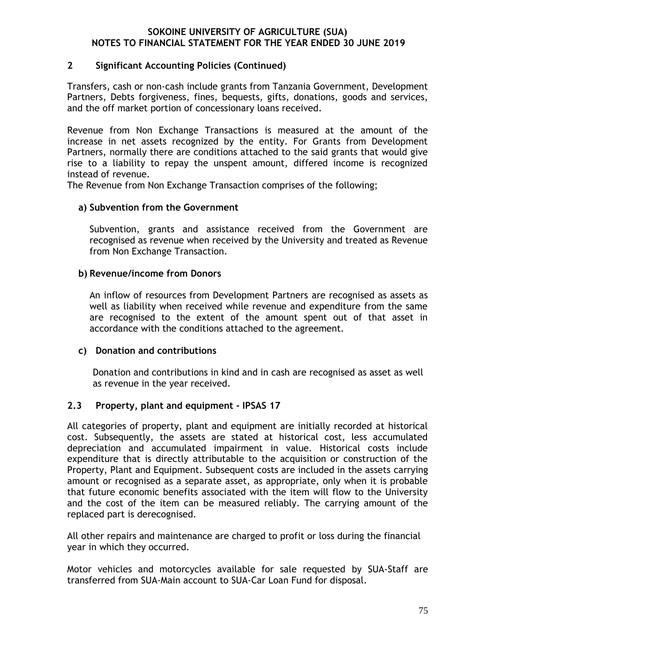## **2 Significant Accounting Policies (Continued)**

Transfers, cash or non-cash include grants from Tanzania Government, Development Partners, Debts forgiveness, fines, bequests, gifts, donations, goods and services, and the off market portion of concessionary loans received.

Revenue from Non Exchange Transactions is measured at the amount of the increase in net assets recognized by the entity. For Grants from Development Partners, normally there are conditions attached to the said grants that would give rise to a liability to repay the unspent amount, differed income is recognized instead of revenue.

The Revenue from Non Exchange Transaction comprises of the following;

### **a) Subvention from the Government**

Subvention, grants and assistance received from the Government are recognised as revenue when received by the University and treated as Revenue from Non Exchange Transaction.

### **b) Revenue/income from Donors**

An inflow of resources from Development Partners are recognised as assets as well as liability when received while revenue and expenditure from the same are recognised to the extent of the amount spent out of that asset in accordance with the conditions attached to the agreement.

## **c) Donation and contributions**

Donation and contributions in kind and in cash are recognised as asset as well as revenue in the year received.

## **2.3 Property, plant and equipment - IPSAS 17**

All categories of property, plant and equipment are initially recorded at historical cost. Subsequently, the assets are stated at historical cost, less accumulated depreciation and accumulated impairment in value. Historical costs include expenditure that is directly attributable to the acquisition or construction of the Property, Plant and Equipment. Subsequent costs are included in the assets carrying amount or recognised as a separate asset, as appropriate, only when it is probable that future economic benefits associated with the item will flow to the University and the cost of the item can be measured reliably. The carrying amount of the replaced part is derecognised.

All other repairs and maintenance are charged to profit or loss during the financial year in which they occurred.

Motor vehicles and motorcycles available for sale requested by SUA-Staff are transferred from SUA-Main account to SUA-Car Loan Fund for disposal.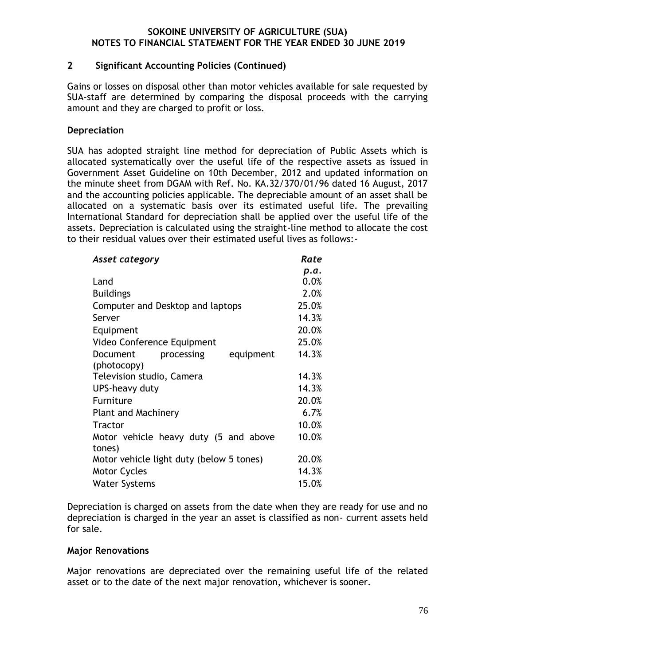## **2 Significant Accounting Policies (Continued)**

Gains or losses on disposal other than motor vehicles available for sale requested by SUA-staff are determined by comparing the disposal proceeds with the carrying amount and they are charged to profit or loss.

## **Depreciation**

SUA has adopted straight line method for depreciation of Public Assets which is allocated systematically over the useful life of the respective assets as issued in Government Asset Guideline on 10th December, 2012 and updated information on the minute sheet from DGAM with Ref. No. KA.32/370/01/96 dated 16 August, 2017 and the accounting policies applicable. The depreciable amount of an asset shall be allocated on a systematic basis over its estimated useful life. The prevailing International Standard for depreciation shall be applied over the useful life of the assets. Depreciation is calculated using the straight-line method to allocate the cost to their residual values over their estimated useful lives as follows:-

| Asset category                           | Rate  |
|------------------------------------------|-------|
|                                          | p.a.  |
| Land                                     | 0.0%  |
| <b>Buildings</b>                         | 2.0%  |
| Computer and Desktop and laptops         | 25.0% |
| Server                                   | 14.3% |
| Equipment                                | 20.0% |
| Video Conference Equipment               | 25.0% |
| equipment<br>Document<br>processing      | 14.3% |
| (photocopy)                              |       |
| Television studio, Camera                | 14.3% |
| UPS-heavy duty                           | 14.3% |
| Furniture                                | 20.0% |
| <b>Plant and Machinery</b>               | 6.7%  |
| <b>Tractor</b>                           | 10.0% |
| Motor vehicle heavy duty (5 and above    | 10.0% |
| tones)                                   |       |
| Motor vehicle light duty (below 5 tones) | 20.0% |
| <b>Motor Cycles</b>                      | 14.3% |
| <b>Water Systems</b>                     | 15.0% |

Depreciation is charged on assets from the date when they are ready for use and no depreciation is charged in the year an asset is classified as non- current assets held for sale.

#### **Major Renovations**

Major renovations are depreciated over the remaining useful life of the related asset or to the date of the next major renovation, whichever is sooner.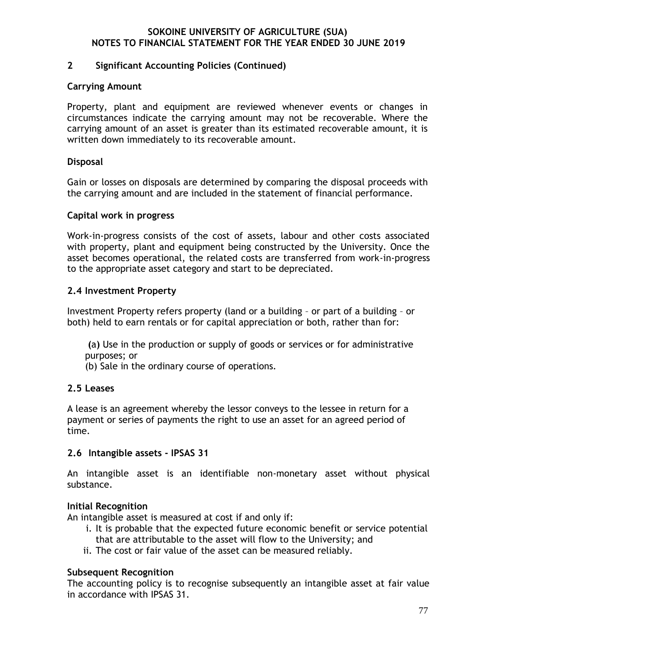## **2 Significant Accounting Policies (Continued)**

### **Carrying Amount**

Property, plant and equipment are reviewed whenever events or changes in circumstances indicate the carrying amount may not be recoverable. Where the carrying amount of an asset is greater than its estimated recoverable amount, it is written down immediately to its recoverable amount.

## **Disposal**

Gain or losses on disposals are determined by comparing the disposal proceeds with the carrying amount and are included in the statement of financial performance.

### **Capital work in progress**

Work-in-progress consists of the cost of assets, labour and other costs associated with property, plant and equipment being constructed by the University. Once the asset becomes operational, the related costs are transferred from work-in-progress to the appropriate asset category and start to be depreciated.

## **2.4 Investment Property**

Investment Property refers property (land or a building – or part of a building – or both) held to earn rentals or for capital appreciation or both, rather than for:

**(**a**)** Use in the production or supply of goods or services or for administrative purposes; or

(b) Sale in the ordinary course of operations.

#### **2.5 Leases**

A lease is an agreement whereby the lessor conveys to the lessee in return for a payment or series of payments the right to use an asset for an agreed period of time.

## **2.6 Intangible assets - IPSAS 31**

An intangible asset is an identifiable non-monetary asset without physical substance.

## **Initial Recognition**

An intangible asset is measured at cost if and only if:

- i. It is probable that the expected future economic benefit or service potential that are attributable to the asset will flow to the University; and
- ii. The cost or fair value of the asset can be measured reliably.

## **Subsequent Recognition**

The accounting policy is to recognise subsequently an intangible asset at fair value in accordance with IPSAS 31.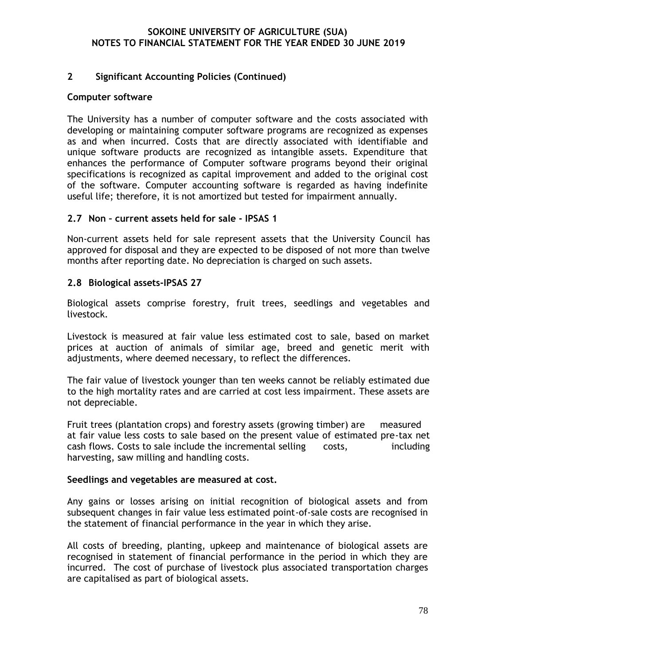### **2 Significant Accounting Policies (Continued)**

#### **Computer software**

The University has a number of computer software and the costs associated with developing or maintaining computer software programs are recognized as expenses as and when incurred. Costs that are directly associated with identifiable and unique software products are recognized as intangible assets. Expenditure that enhances the performance of Computer software programs beyond their original specifications is recognized as capital improvement and added to the original cost of the software. Computer accounting software is regarded as having indefinite useful life; therefore, it is not amortized but tested for impairment annually.

### **2.7 Non – current assets held for sale - IPSAS 1**

Non-current assets held for sale represent assets that the University Council has approved for disposal and they are expected to be disposed of not more than twelve months after reporting date. No depreciation is charged on such assets.

### **2.8 Biological assets-IPSAS 27**

Biological assets comprise forestry, fruit trees, seedlings and vegetables and livestock.

Livestock is measured at fair value less estimated cost to sale, based on market prices at auction of animals of similar age, breed and genetic merit with adjustments, where deemed necessary, to reflect the differences.

The fair value of livestock younger than ten weeks cannot be reliably estimated due to the high mortality rates and are carried at cost less impairment. These assets are not depreciable.

Fruit trees (plantation crops) and forestry assets (growing timber) are measured at fair value less costs to sale based on the present value of estimated pre-tax net cash flows. Costs to sale include the incremental selling costs, including harvesting, saw milling and handling costs.

#### **Seedlings and vegetables are measured at cost.**

Any gains or losses arising on initial recognition of biological assets and from subsequent changes in fair value less estimated point-of-sale costs are recognised in the statement of financial performance in the year in which they arise.

All costs of breeding, planting, upkeep and maintenance of biological assets are recognised in statement of financial performance in the period in which they are incurred. The cost of purchase of livestock plus associated transportation charges are capitalised as part of biological assets.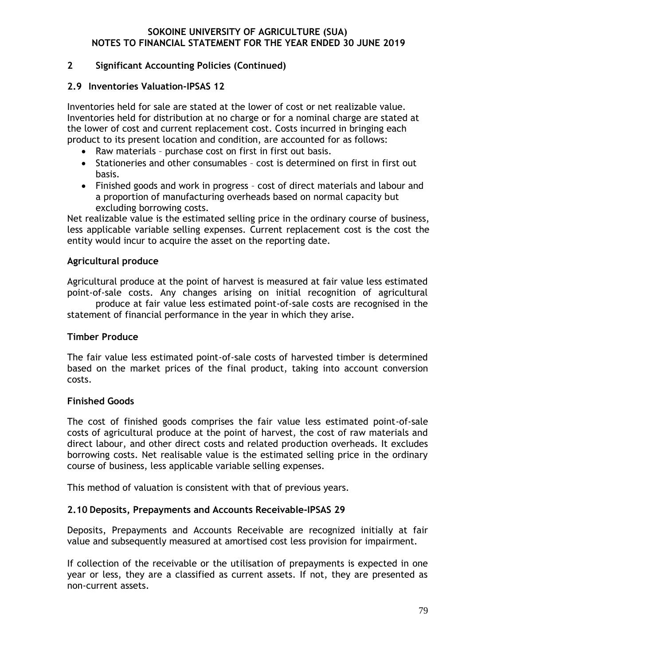## **2 Significant Accounting Policies (Continued)**

## **2.9 Inventories Valuation-IPSAS 12**

Inventories held for sale are stated at the lower of cost or net realizable value. Inventories held for distribution at no charge or for a nominal charge are stated at the lower of cost and current replacement cost. Costs incurred in bringing each product to its present location and condition, are accounted for as follows:

- Raw materials purchase cost on first in first out basis.
- Stationeries and other consumables cost is determined on first in first out basis.
- Finished goods and work in progress cost of direct materials and labour and a proportion of manufacturing overheads based on normal capacity but excluding borrowing costs.

Net realizable value is the estimated selling price in the ordinary course of business, less applicable variable selling expenses. Current replacement cost is the cost the entity would incur to acquire the asset on the reporting date.

## **Agricultural produce**

Agricultural produce at the point of harvest is measured at fair value less estimated point-of-sale costs. Any changes arising on initial recognition of agricultural produce at fair value less estimated point-of-sale costs are recognised in the

statement of financial performance in the year in which they arise.

## **Timber Produce**

The fair value less estimated point-of-sale costs of harvested timber is determined based on the market prices of the final product, taking into account conversion costs.

## **Finished Goods**

The cost of finished goods comprises the fair value less estimated point-of-sale costs of agricultural produce at the point of harvest, the cost of raw materials and direct labour, and other direct costs and related production overheads. It excludes borrowing costs. Net realisable value is the estimated selling price in the ordinary course of business, less applicable variable selling expenses.

This method of valuation is consistent with that of previous years.

## **2.10 Deposits, Prepayments and Accounts Receivable-IPSAS 29**

Deposits, Prepayments and Accounts Receivable are recognized initially at fair value and subsequently measured at amortised cost less provision for impairment.

If collection of the receivable or the utilisation of prepayments is expected in one year or less, they are a classified as current assets. If not, they are presented as non-current assets.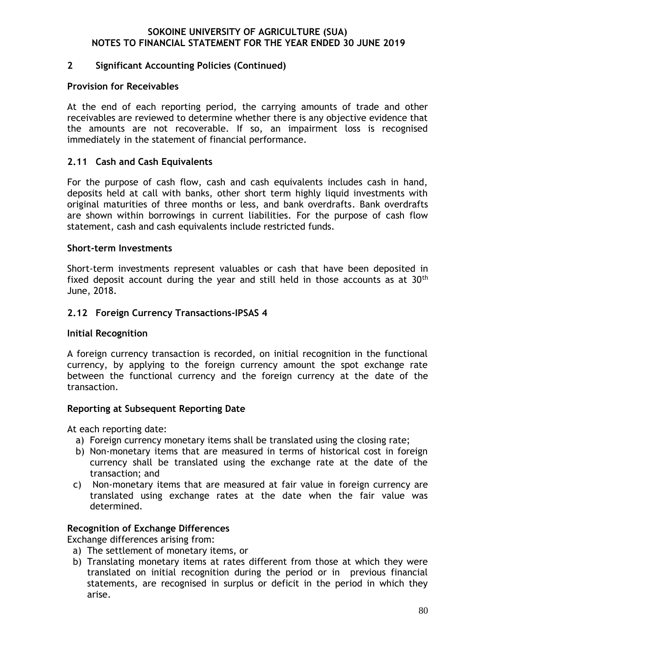## **2 Significant Accounting Policies (Continued)**

### **Provision for Receivables**

At the end of each reporting period, the carrying amounts of trade and other receivables are reviewed to determine whether there is any objective evidence that the amounts are not recoverable. If so, an impairment loss is recognised immediately in the statement of financial performance.

## **2.11 Cash and Cash Equivalents**

For the purpose of cash flow, cash and cash equivalents includes cash in hand, deposits held at call with banks, other short term highly liquid investments with original maturities of three months or less, and bank overdrafts. Bank overdrafts are shown within borrowings in current liabilities. For the purpose of cash flow statement, cash and cash equivalents include restricted funds.

## **Short-term Investments**

Short-term investments represent valuables or cash that have been deposited in fixed deposit account during the year and still held in those accounts as at 30<sup>th</sup> June, 2018.

## **2.12 Foreign Currency Transactions-IPSAS 4**

#### **Initial Recognition**

A foreign currency transaction is recorded, on initial recognition in the functional currency, by applying to the foreign currency amount the spot exchange rate between the functional currency and the foreign currency at the date of the transaction.

## **Reporting at Subsequent Reporting Date**

At each reporting date:

- a) Foreign currency monetary items shall be translated using the closing rate;
- b) Non-monetary items that are measured in terms of historical cost in foreign currency shall be translated using the exchange rate at the date of the transaction; and
- c) Non-monetary items that are measured at fair value in foreign currency are translated using exchange rates at the date when the fair value was determined.

## **Recognition of Exchange Differences**

Exchange differences arising from:

- a) The settlement of monetary items, or
- b) Translating monetary items at rates different from those at which they were translated on initial recognition during the period or in previous financial statements, are recognised in surplus or deficit in the period in which they arise.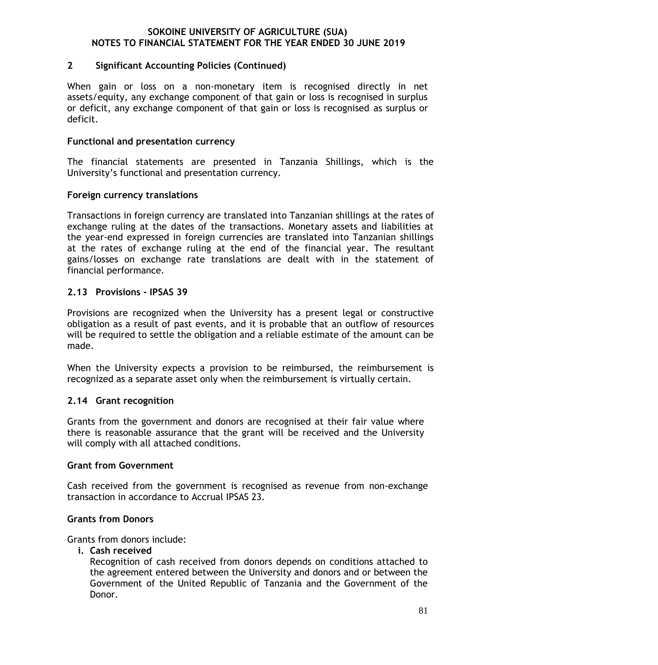### **2 Significant Accounting Policies (Continued)**

When gain or loss on a non-monetary item is recognised directly in net assets/equity, any exchange component of that gain or loss is recognised in surplus or deficit, any exchange component of that gain or loss is recognised as surplus or deficit.

#### **Functional and presentation currency**

The financial statements are presented in Tanzania Shillings, which is the University's functional and presentation currency.

### **Foreign currency translations**

Transactions in foreign currency are translated into Tanzanian shillings at the rates of exchange ruling at the dates of the transactions. Monetary assets and liabilities at the year-end expressed in foreign currencies are translated into Tanzanian shillings at the rates of exchange ruling at the end of the financial year. The resultant gains/losses on exchange rate translations are dealt with in the statement of financial performance.

## **2.13 Provisions - IPSAS 39**

Provisions are recognized when the University has a present legal or constructive obligation as a result of past events, and it is probable that an outflow of resources will be required to settle the obligation and a reliable estimate of the amount can be made.

When the University expects a provision to be reimbursed, the reimbursement is recognized as a separate asset only when the reimbursement is virtually certain.

## **2.14 Grant recognition**

Grants from the government and donors are recognised at their fair value where there is reasonable assurance that the grant will be received and the University will comply with all attached conditions.

#### **Grant from Government**

Cash received from the government is recognised as revenue from non-exchange transaction in accordance to Accrual IPSAS 23.

#### **Grants from Donors**

Grants from donors include:

**i. Cash received**

Recognition of cash received from donors depends on conditions attached to the agreement entered between the University and donors and or between the Government of the United Republic of Tanzania and the Government of the Donor.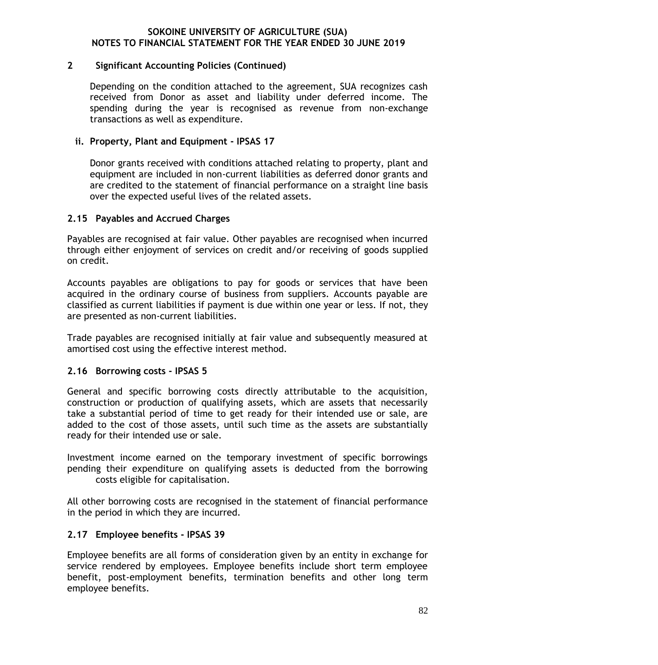#### **2 Significant Accounting Policies (Continued)**

Depending on the condition attached to the agreement, SUA recognizes cash received from Donor as asset and liability under deferred income. The spending during the year is recognised as revenue from non-exchange transactions as well as expenditure.

## **ii. Property, Plant and Equipment - IPSAS 17**

Donor grants received with conditions attached relating to property, plant and equipment are included in non-current liabilities as deferred donor grants and are credited to the statement of financial performance on a straight line basis over the expected useful lives of the related assets.

### **2.15 Payables and Accrued Charges**

Payables are recognised at fair value. Other payables are recognised when incurred through either enjoyment of services on credit and/or receiving of goods supplied on credit.

Accounts payables are obligations to pay for goods or services that have been acquired in the ordinary course of business from suppliers. Accounts payable are classified as current liabilities if payment is due within one year or less. If not, they are presented as non-current liabilities.

Trade payables are recognised initially at fair value and subsequently measured at amortised cost using the effective interest method.

## **2.16 Borrowing costs - IPSAS 5**

General and specific borrowing costs directly attributable to the acquisition, construction or production of qualifying assets, which are assets that necessarily take a substantial period of time to get ready for their intended use or sale, are added to the cost of those assets, until such time as the assets are substantially ready for their intended use or sale.

Investment income earned on the temporary investment of specific borrowings pending their expenditure on qualifying assets is deducted from the borrowing costs eligible for capitalisation.

All other borrowing costs are recognised in the statement of financial performance in the period in which they are incurred.

## **2.17 Employee benefits - IPSAS 39**

Employee benefits are all forms of consideration given by an entity in exchange for service rendered by employees. Employee benefits include short term employee benefit, post-employment benefits, termination benefits and other long term employee benefits.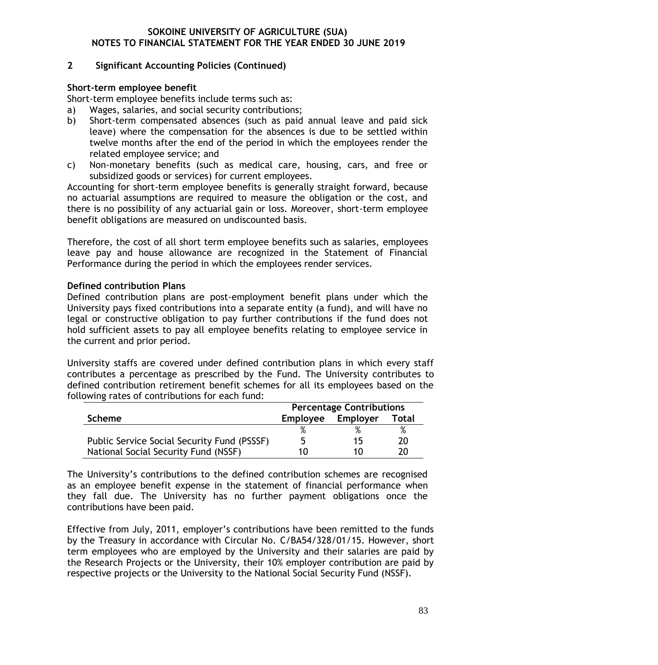## **2 Significant Accounting Policies (Continued)**

### **Short-term employee benefit**

Short-term employee benefits include terms such as:

- a) Wages, salaries, and social security contributions;
- b) Short-term compensated absences (such as paid annual leave and paid sick leave) where the compensation for the absences is due to be settled within twelve months after the end of the period in which the employees render the related employee service; and
- c) Non-monetary benefits (such as medical care, housing, cars, and free or subsidized goods or services) for current employees.

Accounting for short-term employee benefits is generally straight forward, because no actuarial assumptions are required to measure the obligation or the cost, and there is no possibility of any actuarial gain or loss. Moreover, short-term employee benefit obligations are measured on undiscounted basis.

Therefore, the cost of all short term employee benefits such as salaries, employees leave pay and house allowance are recognized in the Statement of Financial Performance during the period in which the employees render services.

### **Defined contribution Plans**

Defined contribution plans are post-employment benefit plans under which the University pays fixed contributions into a separate entity (a fund), and will have no legal or constructive obligation to pay further contributions if the fund does not hold sufficient assets to pay all employee benefits relating to employee service in the current and prior period.

University staffs are covered under defined contribution plans in which every staff contributes a percentage as prescribed by the Fund. The University contributes to defined contribution retirement benefit schemes for all its employees based on the following rates of contributions for each fund:

|                                             | <b>Percentage Contributions</b> |          |              |
|---------------------------------------------|---------------------------------|----------|--------------|
| <b>Scheme</b>                               | <b>Employee</b>                 | Employer | <b>Total</b> |
|                                             |                                 |          |              |
| Public Service Social Security Fund (PSSSF) |                                 | 15.      | 20           |
| National Social Security Fund (NSSF)        | 111                             | 1 N      |              |

The University's contributions to the defined contribution schemes are recognised as an employee benefit expense in the statement of financial performance when they fall due. The University has no further payment obligations once the contributions have been paid.

Effective from July, 2011, employer's contributions have been remitted to the funds by the Treasury in accordance with Circular No. C/BA54/328/01/15. However, short term employees who are employed by the University and their salaries are paid by the Research Projects or the University, their 10% employer contribution are paid by respective projects or the University to the National Social Security Fund (NSSF).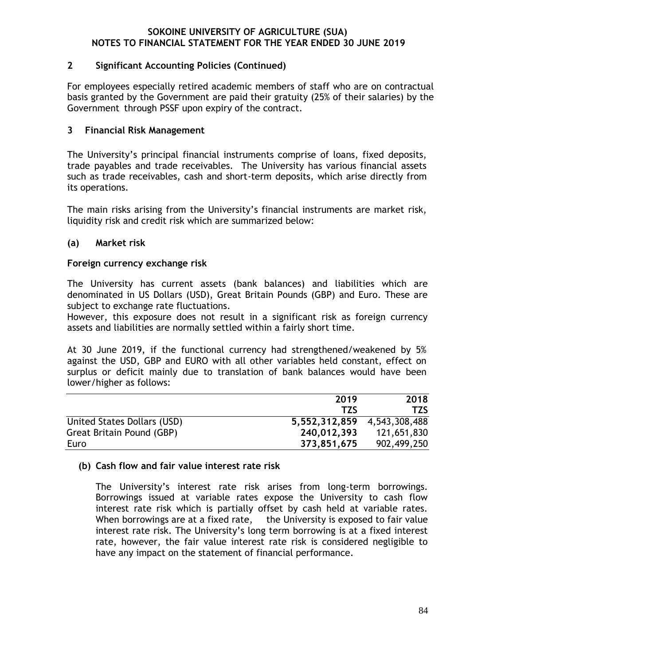## **2 Significant Accounting Policies (Continued)**

For employees especially retired academic members of staff who are on contractual basis granted by the Government are paid their gratuity (25% of their salaries) by the Government through PSSF upon expiry of the contract.

## **3 Financial Risk Management**

The University's principal financial instruments comprise of loans, fixed deposits, trade payables and trade receivables. The University has various financial assets such as trade receivables, cash and short-term deposits, which arise directly from its operations.

The main risks arising from the University's financial instruments are market risk, liquidity risk and credit risk which are summarized below:

## **(a) Market risk**

### **Foreign currency exchange risk**

The University has current assets (bank balances) and liabilities which are denominated in US Dollars (USD), Great Britain Pounds (GBP) and Euro. These are subject to exchange rate fluctuations.

However, this exposure does not result in a significant risk as foreign currency assets and liabilities are normally settled within a fairly short time.

At 30 June 2019, if the functional currency had strengthened/weakened by 5% against the USD, GBP and EURO with all other variables held constant, effect on surplus or deficit mainly due to translation of bank balances would have been lower/higher as follows:

|                             | 2019                        | 2018        |
|-----------------------------|-----------------------------|-------------|
|                             | T7S                         | <b>TZS</b>  |
| United States Dollars (USD) | 5,552,312,859 4,543,308,488 |             |
| Great Britain Pound (GBP)   | 240,012,393                 | 121,651,830 |
| Euro                        | 373,851,675                 | 902,499,250 |

#### **(b) Cash flow and fair value interest rate risk**

The University's interest rate risk arises from long-term borrowings. Borrowings issued at variable rates expose the University to cash flow interest rate risk which is partially offset by cash held at variable rates. When borrowings are at a fixed rate, the University is exposed to fair value interest rate risk. The University's long term borrowing is at a fixed interest rate, however, the fair value interest rate risk is considered negligible to have any impact on the statement of financial performance.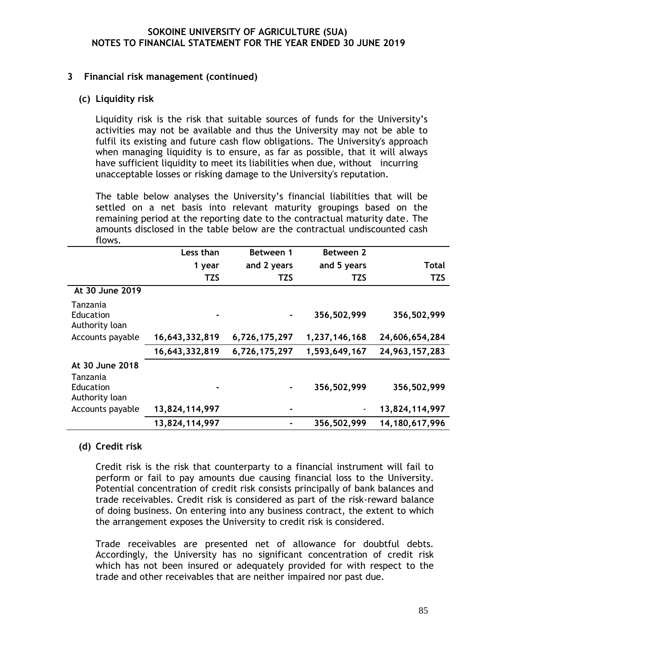#### **3 Financial risk management (continued)**

#### **(c) Liquidity risk**

Liquidity risk is the risk that suitable sources of funds for the University's activities may not be available and thus the University may not be able to fulfil its existing and future cash flow obligations. The University's approach when managing liquidity is to ensure, as far as possible, that it will always have sufficient liquidity to meet its liabilities when due, without incurring unacceptable losses or risking damage to the University's reputation.

The table below analyses the University's financial liabilities that will be settled on a net basis into relevant maturity groupings based on the remaining period at the reporting date to the contractual maturity date. The amounts disclosed in the table below are the contractual undiscounted cash flows.

|                                         | Less than      | Between 1     | Between 2     |                |
|-----------------------------------------|----------------|---------------|---------------|----------------|
|                                         | 1 year         | and 2 years   | and 5 years   | Total          |
|                                         | <b>TZS</b>     | <b>TZS</b>    | <b>TZS</b>    | <b>TZS</b>     |
| At 30 June 2019                         |                |               |               |                |
| Tanzania<br>Education<br>Authority loan |                |               | 356,502,999   | 356,502,999    |
| Accounts payable                        | 16,643,332,819 | 6,726,175,297 | 1,237,146,168 | 24,606,654,284 |
|                                         | 16,643,332,819 | 6,726,175,297 | 1,593,649,167 | 24,963,157,283 |
| At 30 June 2018<br>Tanzania             |                |               |               |                |
| Education<br>Authority loan             |                |               | 356,502,999   | 356,502,999    |
| Accounts payable                        | 13,824,114,997 |               |               | 13,824,114,997 |
|                                         | 13,824,114,997 |               | 356,502,999   | 14,180,617,996 |

## **(d) Credit risk**

Credit risk is the risk that counterparty to a financial instrument will fail to perform or fail to pay amounts due causing financial loss to the University. Potential concentration of credit risk consists principally of bank balances and trade receivables. Credit risk is considered as part of the risk-reward balance of doing business. On entering into any business contract, the extent to which the arrangement exposes the University to credit risk is considered.

Trade receivables are presented net of allowance for doubtful debts. Accordingly, the University has no significant concentration of credit risk which has not been insured or adequately provided for with respect to the trade and other receivables that are neither impaired nor past due.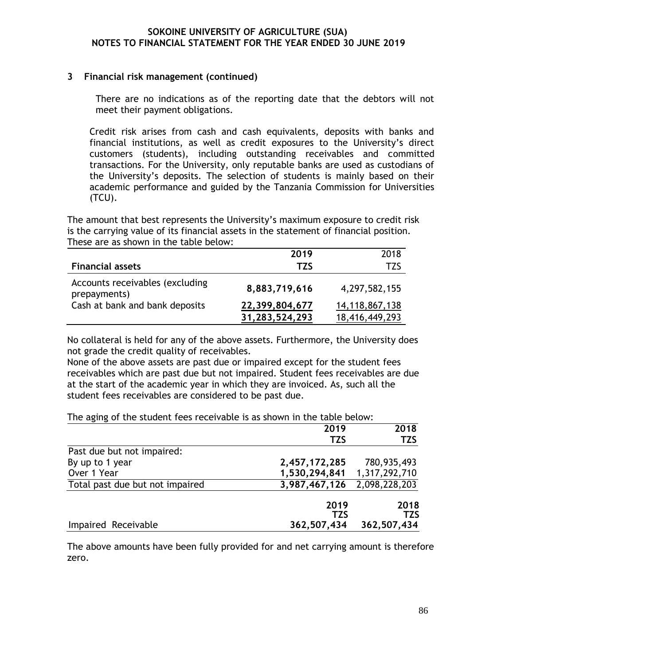#### **3 Financial risk management (continued)**

There are no indications as of the reporting date that the debtors will not meet their payment obligations.

Credit risk arises from cash and cash equivalents, deposits with banks and financial institutions, as well as credit exposures to the University's direct customers (students), including outstanding receivables and committed transactions. For the University, only reputable banks are used as custodians of the University's deposits. The selection of students is mainly based on their academic performance and guided by the Tanzania Commission for Universities (TCU).

The amount that best represents the University's maximum exposure to credit risk is the carrying value of its financial assets in the statement of financial position. These are as shown in the table below:

|                                                 | 2019           | 2018           |
|-------------------------------------------------|----------------|----------------|
| <b>Financial assets</b>                         | TZS            | TZS            |
| Accounts receivables (excluding<br>prepayments) | 8,883,719,616  | 4,297,582,155  |
| Cash at bank and bank deposits                  | 22,399,804,677 | 14,118,867,138 |
|                                                 | 31,283,524,293 | 18,416,449,293 |

No collateral is held for any of the above assets. Furthermore, the University does not grade the credit quality of receivables.

None of the above assets are past due or impaired except for the student fees receivables which are past due but not impaired. Student fees receivables are due at the start of the academic year in which they are invoiced. As, such all the student fees receivables are considered to be past due.

The aging of the student fees receivable is as shown in the table below:

|                                 | 2019          | 2018          |
|---------------------------------|---------------|---------------|
|                                 | <b>TZS</b>    | <b>TZS</b>    |
| Past due but not impaired:      |               |               |
| By up to 1 year                 | 2,457,172,285 | 780,935,493   |
| Over 1 Year                     | 1,530,294,841 | 1,317,292,710 |
| Total past due but not impaired | 3,987,467,126 | 2,098,228,203 |
|                                 | 2019          | 2018          |
|                                 | <b>TZS</b>    | <b>TZS</b>    |
| Impaired Receivable             | 362,507,434   | 362,507,434   |

The above amounts have been fully provided for and net carrying amount is therefore zero.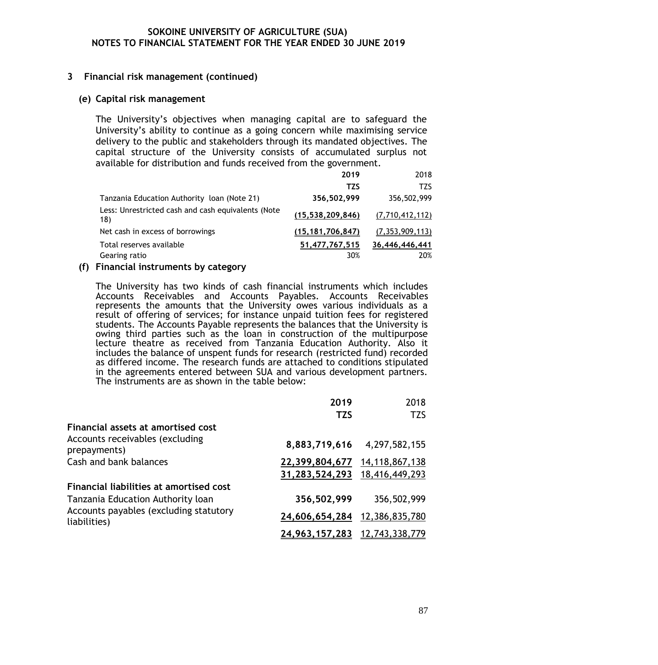### **3 Financial risk management (continued)**

#### **(e) Capital risk management**

The University's objectives when managing capital are to safeguard the University's ability to continue as a going concern while maximising service delivery to the public and stakeholders through its mandated objectives. The capital structure of the University consists of accumulated surplus not available for distribution and funds received from the government.

|                                                           | 2019                | 2018               |
|-----------------------------------------------------------|---------------------|--------------------|
|                                                           | TZS                 | <b>TZS</b>         |
| Tanzania Education Authority loan (Note 21)               | 356,502,999         | 356,502,999        |
| Less: Unrestricted cash and cash equivalents (Note<br>18) | (15, 538, 209, 846) | (7,710,412,112)    |
| Net cash in excess of borrowings                          | (15, 181, 706, 847) | (7, 353, 909, 113) |
| Total reserves available                                  | 51,477,767,515      | 36,446,446,441     |
| Gearing ratio                                             | 30%                 | 20%                |

#### **(f) Financial instruments by category**

The University has two kinds of cash financial instruments which includes Accounts Receivables and Accounts Payables. Accounts Receivables represents the amounts that the University owes various individuals as a result of offering of services; for instance unpaid tuition fees for registered students. The Accounts Payable represents the balances that the University is owing third parties such as the loan in construction of the multipurpose lecture theatre as received from Tanzania Education Authority. Also it includes the balance of unspent funds for research (restricted fund) recorded as differed income. The research funds are attached to conditions stipulated in the agreements entered between SUA and various development partners. The instruments are as shown in the table below:

|                                                        | 2019           | 2018           |
|--------------------------------------------------------|----------------|----------------|
|                                                        | <b>TZS</b>     | <b>TZS</b>     |
| Financial assets at amortised cost                     |                |                |
| Accounts receivables (excluding<br>prepayments)        | 8,883,719,616  | 4,297,582,155  |
| Cash and bank balances                                 | 22,399,804,677 | 14,118,867,138 |
|                                                        | 31,283,524,293 | 18,416,449,293 |
| Financial liabilities at amortised cost                |                |                |
| Tanzania Education Authority loan                      | 356,502,999    | 356,502,999    |
| Accounts payables (excluding statutory<br>liabilities) | 24,606,654,284 | 12,386,835,780 |
|                                                        | 24,963,157,283 | 12,743,338,779 |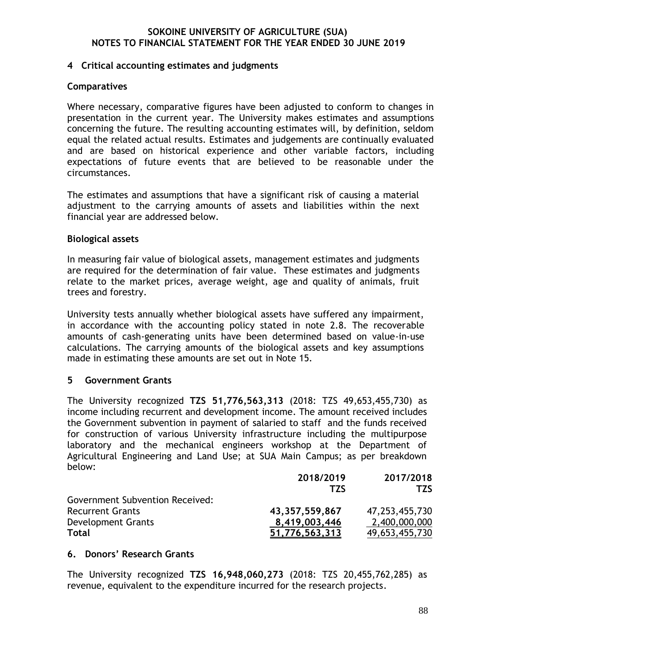#### **4 Critical accounting estimates and judgments**

#### **Comparatives**

Where necessary, comparative figures have been adjusted to conform to changes in presentation in the current year. The University makes estimates and assumptions concerning the future. The resulting accounting estimates will, by definition, seldom equal the related actual results. Estimates and judgements are continually evaluated and are based on historical experience and other variable factors, including expectations of future events that are believed to be reasonable under the circumstances.

The estimates and assumptions that have a significant risk of causing a material adjustment to the carrying amounts of assets and liabilities within the next financial year are addressed below.

### **Biological assets**

In measuring fair value of biological assets, management estimates and judgments are required for the determination of fair value. These estimates and judgments relate to the market prices, average weight, age and quality of animals, fruit trees and forestry.

University tests annually whether biological assets have suffered any impairment, in accordance with the accounting policy stated in note 2.8. The recoverable amounts of cash-generating units have been determined based on value-in-use calculations. The carrying amounts of the biological assets and key assumptions made in estimating these amounts are set out in Note 15.

## **5 Government Grants**

The University recognized **TZS 51,776,563,313** (2018: TZS 49,653,455,730) as income including recurrent and development income. The amount received includes the Government subvention in payment of salaried to staff and the funds received for construction of various University infrastructure including the multipurpose laboratory and the mechanical engineers workshop at the Department of Agricultural Engineering and Land Use; at SUA Main Campus; as per breakdown below:

|                                        | 2018/2019      | 2017/2018         |
|----------------------------------------|----------------|-------------------|
|                                        | T7S            | TZS.              |
| <b>Government Subvention Received:</b> |                |                   |
| <b>Recurrent Grants</b>                | 43,357,559,867 | 47, 253, 455, 730 |
| Development Grants                     | 8,419,003,446  | 2,400,000,000     |
| <b>Total</b>                           | 51,776,563,313 | 49,653,455,730    |

#### **6. Donors' Research Grants**

The University recognized **TZS 16,948,060,273** (2018: TZS 20,455,762,285) as revenue, equivalent to the expenditure incurred for the research projects.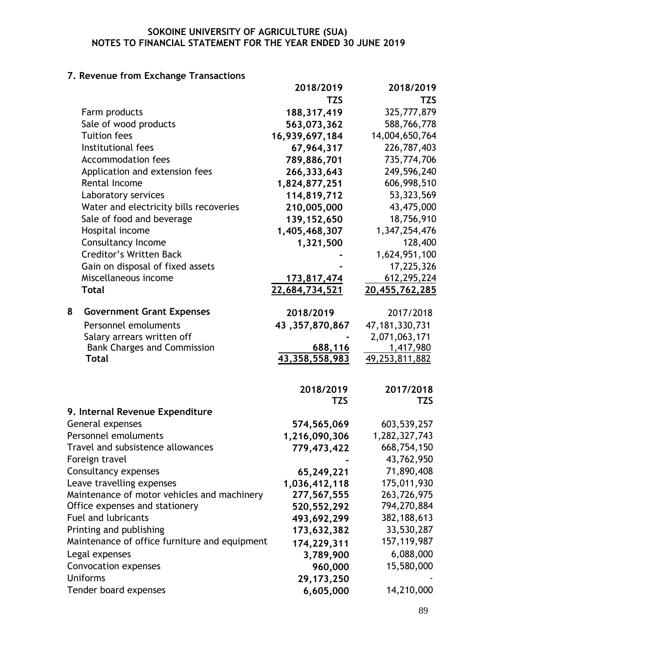# **7. Revenue from Exchange Transactions**

|                                               | 2018/2019         | 2018/2019         |
|-----------------------------------------------|-------------------|-------------------|
|                                               | <b>TZS</b>        | <b>TZS</b>        |
| Farm products                                 | 188, 317, 419     | 325,777,879       |
| Sale of wood products                         | 563,073,362       | 588,766,778       |
| <b>Tuition fees</b>                           | 16,939,697,184    | 14,004,650,764    |
| Institutional fees                            | 67,964,317        | 226,787,403       |
| <b>Accommodation fees</b>                     | 789,886,701       | 735,774,706       |
| Application and extension fees                | 266,333,643       | 249,596,240       |
| <b>Rental Income</b>                          | 1,824,877,251     | 606,998,510       |
| Laboratory services                           | 114,819,712       | 53, 323, 569      |
| Water and electricity bills recoveries        | 210,005,000       | 43,475,000        |
| Sale of food and beverage                     | 139, 152, 650     | 18,756,910        |
| Hospital income                               | 1,405,468,307     | 1,347,254,476     |
| <b>Consultancy Income</b>                     | 1,321,500         | 128,400           |
| <b>Creditor's Written Back</b>                |                   | 1,624,951,100     |
| Gain on disposal of fixed assets              |                   | 17,225,326        |
| Miscellaneous income                          | 173,817,474       | 612,295,224       |
| <b>Total</b>                                  | 22,684,734,521    | 20,455,762,285    |
|                                               |                   |                   |
| <b>Government Grant Expenses</b><br>8         | 2018/2019         | 2017/2018         |
| Personnel emoluments                          | 43, 357, 870, 867 | 47, 181, 330, 731 |
| Salary arrears written off                    |                   | 2,071,063,171     |
| <b>Bank Charges and Commission</b>            | 688,116           | 1,417,980         |
| <b>Total</b>                                  | 43,358,558,983    | 49,253,811,882    |
|                                               |                   |                   |
|                                               | 2018/2019         | 2017/2018         |
|                                               | <b>TZS</b>        | TZS               |
| 9. Internal Revenue Expenditure               |                   |                   |
| General expenses                              | 574,565,069       | 603,539,257       |
| Personnel emoluments                          | 1,216,090,306     | 1,282,327,743     |
| Travel and subsistence allowances             | 779,473,422       | 668,754,150       |
| Foreign travel                                |                   | 43,762,950        |
| Consultancy expenses                          | 65,249,221        | 71,890,408        |
| Leave travelling expenses                     | 1,036,412,118     | 175,011,930       |
| Maintenance of motor vehicles and machinery   | 277,567,555       | 263,726,975       |
| Office expenses and stationery                | 520, 552, 292     | 794,270,884       |
| <b>Fuel and lubricants</b>                    | 493,692,299       | 382, 188, 613     |
| Printing and publishing                       | 173,632,382       | 33,530,287        |
| Maintenance of office furniture and equipment | 174,229,311       | 157, 119, 987     |
| Legal expenses                                | 3,789,900         | 6,088,000         |
| Convocation expenses                          | 960,000           | 15,580,000        |
| <b>Uniforms</b>                               | 29, 173, 250      |                   |
| Tender board expenses                         | 6,605,000         | 14,210,000        |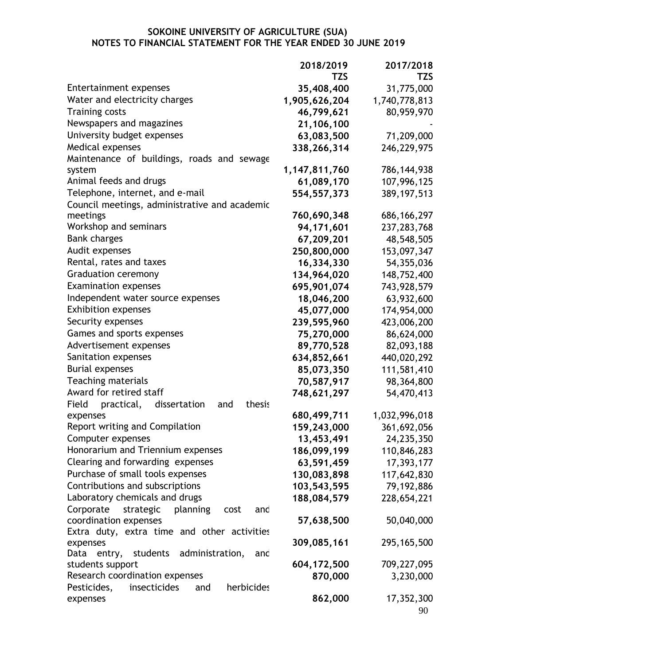|                                                      | 2018/2019     | 2017/2018     |
|------------------------------------------------------|---------------|---------------|
|                                                      | <b>TZS</b>    | <b>TZS</b>    |
| Entertainment expenses                               | 35,408,400    | 31,775,000    |
| Water and electricity charges                        | 1,905,626,204 | 1,740,778,813 |
| <b>Training costs</b>                                | 46,799,621    | 80,959,970    |
| Newspapers and magazines                             | 21,106,100    |               |
| University budget expenses                           | 63,083,500    | 71,209,000    |
| <b>Medical expenses</b>                              | 338,266,314   | 246,229,975   |
| Maintenance of buildings, roads and sewage           |               |               |
| system                                               | 1,147,811,760 | 786, 144, 938 |
| Animal feeds and drugs                               | 61,089,170    | 107,996,125   |
| Telephone, internet, and e-mail                      | 554, 557, 373 | 389, 197, 513 |
| Council meetings, administrative and academic        |               |               |
| meetings                                             | 760,690,348   | 686, 166, 297 |
| Workshop and seminars                                | 94,171,601    | 237, 283, 768 |
| <b>Bank charges</b>                                  | 67,209,201    | 48,548,505    |
| Audit expenses                                       | 250,800,000   | 153,097,347   |
| Rental, rates and taxes                              | 16,334,330    | 54,355,036    |
| <b>Graduation ceremony</b>                           | 134,964,020   | 148,752,400   |
| <b>Examination expenses</b>                          | 695,901,074   | 743,928,579   |
| Independent water source expenses                    | 18,046,200    | 63,932,600    |
| <b>Exhibition expenses</b>                           | 45,077,000    | 174,954,000   |
| Security expenses                                    | 239,595,960   | 423,006,200   |
| Games and sports expenses                            | 75,270,000    | 86,624,000    |
| Advertisement expenses                               | 89,770,528    | 82,093,188    |
| Sanitation expenses                                  | 634,852,661   | 440,020,292   |
| <b>Burial expenses</b>                               | 85,073,350    | 111,581,410   |
| <b>Teaching materials</b>                            | 70,587,917    | 98,364,800    |
| Award for retired staff                              | 748,621,297   | 54,470,413    |
| Field<br>practical,<br>dissertation<br>thesis<br>and |               |               |
| expenses                                             | 680,499,711   | 1,032,996,018 |
| Report writing and Compilation                       | 159,243,000   | 361,692,056   |
| Computer expenses                                    | 13,453,491    | 24,235,350    |
| Honorarium and Triennium expenses                    | 186,099,199   | 110,846,283   |
| Clearing and forwarding expenses                     | 63,591,459    | 17,393,177    |
| Purchase of small tools expenses                     | 130,083,898   | 117,642,830   |
| Contributions and subscriptions                      | 103,543,595   | 79,192,886    |
| Laboratory chemicals and drugs                       | 188,084,579   | 228,654,221   |
| Corporate<br>strategic<br>planning<br>cost<br>and    |               |               |
| coordination expenses                                | 57,638,500    | 50,040,000    |
| Extra duty, extra time and other activities          |               |               |
| expenses                                             | 309,085,161   | 295, 165, 500 |
| Data<br>students<br>administration,<br>entry,<br>and |               |               |
| students support                                     | 604, 172, 500 | 709,227,095   |
| Research coordination expenses                       | 870,000       | 3,230,000     |
| herbicides<br>Pesticides,<br>insecticides<br>and     |               |               |
| expenses                                             | 862,000       | 17,352,300    |
|                                                      |               | 90            |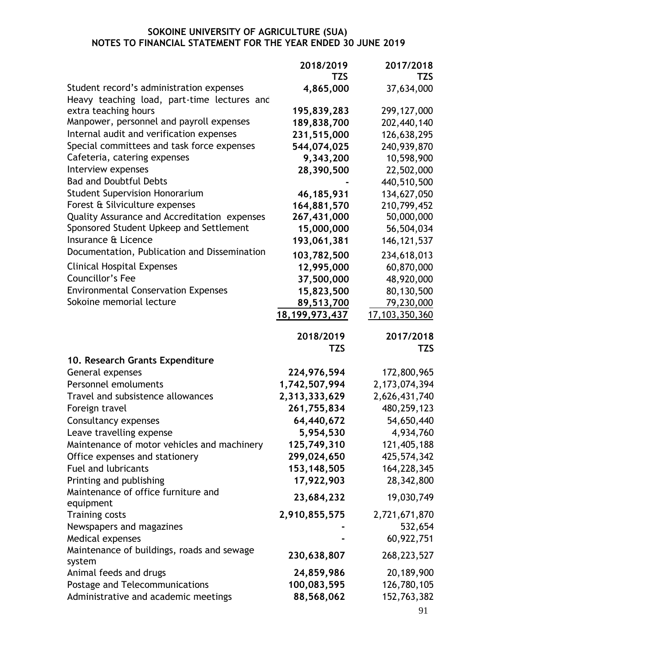|                                                                                         | 2018/2019         | 2017/2018         |
|-----------------------------------------------------------------------------------------|-------------------|-------------------|
|                                                                                         | TZS               | <b>TZS</b>        |
| Student record's administration expenses<br>Heavy teaching load, part-time lectures and | 4,865,000         | 37,634,000        |
| extra teaching hours                                                                    | 195,839,283       | 299, 127, 000     |
| Manpower, personnel and payroll expenses                                                | 189,838,700       | 202,440,140       |
| Internal audit and verification expenses                                                | 231,515,000       | 126,638,295       |
| Special committees and task force expenses                                              | 544,074,025       | 240,939,870       |
| Cafeteria, catering expenses                                                            |                   |                   |
| Interview expenses                                                                      | 9,343,200         | 10,598,900        |
| <b>Bad and Doubtful Debts</b>                                                           | 28,390,500        | 22,502,000        |
|                                                                                         |                   | 440,510,500       |
| <b>Student Supervision Honorarium</b>                                                   | 46,185,931        | 134,627,050       |
| Forest & Silviculture expenses                                                          | 164,881,570       | 210,799,452       |
| Quality Assurance and Accreditation expenses                                            | 267,431,000       | 50,000,000        |
| Sponsored Student Upkeep and Settlement                                                 | 15,000,000        | 56,504,034        |
| Insurance & Licence                                                                     | 193,061,381       | 146, 121, 537     |
| Documentation, Publication and Dissemination                                            | 103,782,500       | 234,618,013       |
| <b>Clinical Hospital Expenses</b>                                                       | 12,995,000        | 60,870,000        |
| Councillor's Fee                                                                        | 37,500,000        | 48,920,000        |
| <b>Environmental Conservation Expenses</b>                                              | 15,823,500        | 80,130,500        |
| Sokoine memorial lecture                                                                | 89,513,700        | 79,230,000        |
|                                                                                         | 18, 199, 973, 437 | 17, 103, 350, 360 |
|                                                                                         |                   |                   |
|                                                                                         | 2018/2019         | 2017/2018         |
|                                                                                         | <b>TZS</b>        | TZS               |
| 10. Research Grants Expenditure                                                         |                   |                   |
| General expenses                                                                        | 224,976,594       | 172,800,965       |
| Personnel emoluments                                                                    | 1,742,507,994     | 2, 173, 074, 394  |
| Travel and subsistence allowances                                                       | 2,313,333,629     | 2,626,431,740     |
| Foreign travel                                                                          | 261,755,834       | 480,259,123       |
| Consultancy expenses                                                                    | 64,440,672        | 54,650,440        |
| Leave travelling expense                                                                | 5,954,530         | 4,934,760         |
| Maintenance of motor vehicles and machinery                                             | 125,749,310       | 121,405,188       |
| Office expenses and stationery                                                          | 299,024,650       | 425,574,342       |
| <b>Fuel and lubricants</b>                                                              | 153, 148, 505     | 164,228,345       |
| Printing and publishing                                                                 | 17,922,903        | 28,342,800        |
| Maintenance of office furniture and                                                     |                   |                   |
| equipment                                                                               | 23,684,232        | 19,030,749        |
| <b>Training costs</b>                                                                   | 2,910,855,575     | 2,721,671,870     |
| Newspapers and magazines                                                                |                   | 532,654           |
| Medical expenses                                                                        |                   | 60,922,751        |
| Maintenance of buildings, roads and sewage                                              |                   |                   |
| system                                                                                  | 230,638,807       | 268, 223, 527     |
| Animal feeds and drugs                                                                  | 24,859,986        | 20,189,900        |
| Postage and Telecommunications                                                          | 100,083,595       | 126,780,105       |
| Administrative and academic meetings                                                    | 88,568,062        | 152,763,382       |
|                                                                                         |                   |                   |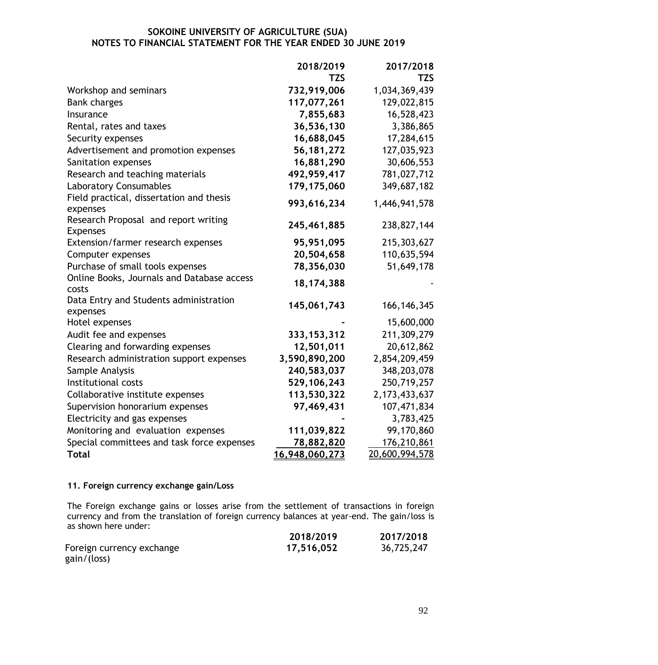|                                                         | 2018/2019      | 2017/2018        |
|---------------------------------------------------------|----------------|------------------|
|                                                         | <b>TZS</b>     | <b>TZS</b>       |
| Workshop and seminars                                   | 732,919,006    | 1,034,369,439    |
| <b>Bank charges</b>                                     | 117,077,261    | 129,022,815      |
| Insurance                                               | 7,855,683      | 16,528,423       |
| Rental, rates and taxes                                 | 36,536,130     | 3,386,865        |
| Security expenses                                       | 16,688,045     | 17,284,615       |
| Advertisement and promotion expenses                    | 56, 181, 272   | 127,035,923      |
| Sanitation expenses                                     | 16,881,290     | 30,606,553       |
| Research and teaching materials                         | 492,959,417    | 781,027,712      |
| <b>Laboratory Consumables</b>                           | 179,175,060    | 349,687,182      |
| Field practical, dissertation and thesis<br>expenses    | 993,616,234    | 1,446,941,578    |
| Research Proposal and report writing<br><b>Expenses</b> | 245,461,885    | 238,827,144      |
| Extension/farmer research expenses                      | 95,951,095     | 215,303,627      |
| Computer expenses                                       | 20,504,658     | 110,635,594      |
| Purchase of small tools expenses                        | 78,356,030     | 51,649,178       |
| Online Books, Journals and Database access<br>costs     | 18, 174, 388   |                  |
| Data Entry and Students administration<br>expenses      | 145,061,743    | 166, 146, 345    |
| Hotel expenses                                          |                | 15,600,000       |
| Audit fee and expenses                                  | 333, 153, 312  | 211,309,279      |
| Clearing and forwarding expenses                        | 12,501,011     | 20,612,862       |
| Research administration support expenses                | 3,590,890,200  | 2,854,209,459    |
| Sample Analysis                                         | 240,583,037    | 348,203,078      |
| Institutional costs                                     | 529,106,243    | 250,719,257      |
| Collaborative institute expenses                        | 113,530,322    | 2, 173, 433, 637 |
| Supervision honorarium expenses                         | 97,469,431     | 107,471,834      |
| Electricity and gas expenses                            |                | 3,783,425        |
| Monitoring and evaluation expenses                      | 111,039,822    | 99,170,860       |
| Special committees and task force expenses              | 78,882,820     | 176,210,861      |
| <b>Total</b>                                            | 16,948,060,273 | 20,600,994,578   |

#### **11. Foreign currency exchange gain/Loss**

The Foreign exchange gains or losses arise from the settlement of transactions in foreign currency and from the translation of foreign currency balances at year-end. The gain/loss is as shown here under:

|                           | 2018/2019  | 2017/2018  |
|---------------------------|------------|------------|
| Foreign currency exchange | 17,516,052 | 36,725,247 |
| gain/(loss)               |            |            |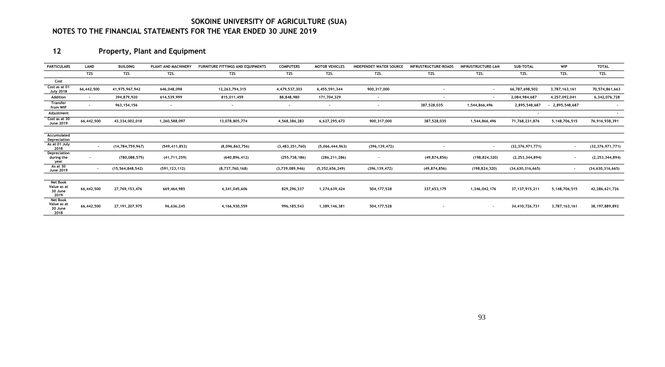# **12 Property, Plant and Equipment**

| <b>PARTICULARS</b>                                | LAND       | <b>BUILDING</b>     | PLANT AND MACHINERY      | <b>FURNITURE FITTINGS AND EQUIPMENTS</b> | <b>COMPUTERS</b>         | <b>MOTOR VEHICLES</b> | <b>INDEPENDET WATER SOURCE</b> | <b>INFRUSTRUCTURE-ROADS</b> | <b>INFRUSTRUCTURE-LAN</b> | SUB-TOTAL                | <b>WIP</b>               | <b>TOTAL</b>             |
|---------------------------------------------------|------------|---------------------|--------------------------|------------------------------------------|--------------------------|-----------------------|--------------------------------|-----------------------------|---------------------------|--------------------------|--------------------------|--------------------------|
|                                                   | <b>TZS</b> | <b>TZS</b>          | TZS.                     | TZS                                      | <b>TZS</b>               | TZS.                  | TZS.                           | TZS.                        | TZS.                      | TZS.                     | TZS.                     | TZS.                     |
| Cost                                              |            |                     |                          |                                          |                          |                       |                                |                             |                           |                          |                          |                          |
| Cost as at 0<br><b>July 2018</b>                  | 66,442,500 | 41,975,967,942      | 646,048,098              | 12, 263, 794, 315                        | 4,479,537,303            | 6,455,591,344         | 900, 317, 000                  |                             | $\sim$                    | 66,787,698,502           | 3,787,163,161            | 70,574,861,663           |
| Addition                                          | $\sim$     | 394,879,920         | 614,539,999              | 815,011,459                              | 88,848,980               | 171,704,329           | $\overline{\phantom{a}}$       |                             | $\sim$                    | 2,084,984,687            | 4,257,092,041            | 6,342,076,728            |
| <b>Transfer</b><br>from WIP                       | $\sim$     | 963, 154, 156       | $\overline{\phantom{a}}$ |                                          | $\overline{\phantom{a}}$ |                       | $\sim$                         | 387,528,035                 | 1,544,866,496             | 2,895,548,687            | 2,895,548,687            | $\overline{\phantom{a}}$ |
| Adjustment                                        |            |                     |                          |                                          |                          |                       |                                |                             |                           | $\overline{\phantom{a}}$ |                          | $\sim$                   |
| Cost as at 30<br>June 2019                        | 66,442,500 | 43,334,002,018      | 1,260,588,097            | 13,078,805,774                           | 4,568,386,283            | 6,627,295,673         | 900,317,000                    | 387,528,035                 | 1,544,866,496             | 71,768,231,876           | 5,148,706,515            | 76,916,938,391           |
|                                                   |            |                     |                          |                                          |                          |                       |                                |                             |                           |                          |                          |                          |
| Accumulated<br>Depreciation                       |            |                     |                          |                                          |                          |                       |                                |                             |                           |                          |                          |                          |
| As at 01 July<br>2018                             | $\sim$     | (14, 784, 759, 967) | (549, 411, 853)          | (8,096,863,756)                          | (3, 483, 351, 760)       | (5,066,444,963)       | (396, 139, 472)                |                             | $\sim$                    | (32, 376, 971, 771)      | $\sim$                   | (32, 376, 971, 771)      |
| Depreciation<br>during the<br>year                |            | (780, 088, 575)     | (41, 711, 259)           | (640, 896, 412)                          | (255, 738, 186)          | (286, 211, 286)       |                                | (49, 874, 856)              | (198, 824, 320)           | (2, 253, 344, 894)       | $\overline{\phantom{a}}$ | (2, 253, 344, 894)       |
| As at 30<br><b>June 2019</b>                      |            | (15, 564, 848, 542) | (591, 123, 112)          | (8,737,760,168)                          | (3,739,089,946)          | (5, 352, 656, 249)    | (396, 139, 472)                | (49, 874, 856)              | (198, 824, 320)           | (34, 630, 316, 665)      | $\sim$                   | (34, 630, 316, 665)      |
|                                                   |            |                     |                          |                                          |                          |                       |                                |                             |                           |                          |                          |                          |
| Net Book<br>Value as at<br>30 June<br>2019        | 66,442,500 | 27,769,153,476      | 669,464,985              | 4,341,045,606                            | 829,296,337              | 1,274,639,424         | 504,177,528                    | 337,653,179                 | 1,346,042,176             | 37, 137, 915, 211        | 5,148,706,515            | 42,286,621,726           |
| <b>Net Book</b><br>Value as at<br>30 June<br>2018 | 66,442,500 | 27,191,207,975      | 96,636,245               | 4,166,930,559                            | 996,185,543              | 1,389,146,381         | 504,177,528                    | $\overline{\phantom{a}}$    | $\sim$                    | 34,410,726,731           | 3,787,163,161            | 38,197,889,892           |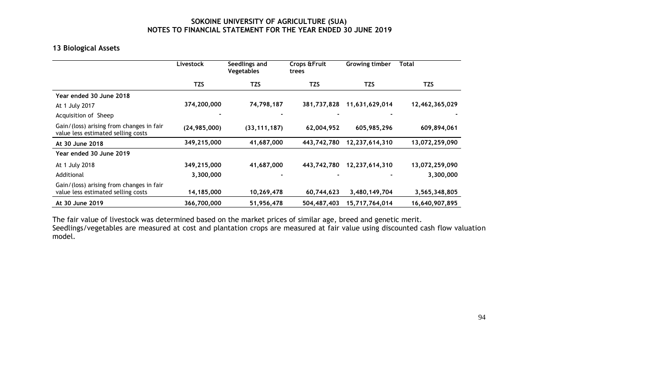## **13 Biological Assets**

|                                                                                | Livestock      | Seedlings and<br><b>Vegetables</b> | Crops & Fruit<br>trees | Growing timber | <b>Total</b>   |
|--------------------------------------------------------------------------------|----------------|------------------------------------|------------------------|----------------|----------------|
|                                                                                | <b>TZS</b>     | <b>TZS</b>                         | <b>TZS</b>             | TZS            | <b>TZS</b>     |
| Year ended 30 June 2018                                                        |                |                                    |                        |                |                |
| At 1 July 2017                                                                 | 374,200,000    | 74,798,187                         | 381,737,828            | 11,631,629,014 | 12,462,365,029 |
| Acquisition of Sheep                                                           |                |                                    |                        |                |                |
| Gain/(loss) arising from changes in fair<br>value less estimated selling costs | (24, 985, 000) | (33, 111, 187)                     | 62,004,952             | 605,985,296    | 609,894,061    |
| At 30 June 2018                                                                | 349,215,000    | 41,687,000                         | 443,742,780            | 12,237,614,310 | 13,072,259,090 |
| Year ended 30 June 2019                                                        |                |                                    |                        |                |                |
| At 1 July 2018                                                                 | 349,215,000    | 41,687,000                         | 443,742,780            | 12,237,614,310 | 13,072,259,090 |
| Additional                                                                     | 3,300,000      |                                    |                        |                | 3,300,000      |
| Gain/(loss) arising from changes in fair<br>value less estimated selling costs | 14,185,000     | 10,269,478                         | 60,744,623             | 3,480,149,704  | 3,565,348,805  |
| At 30 June 2019                                                                | 366,700,000    | 51,956,478                         | 504,487,403            | 15,717,764,014 | 16,640,907,895 |

The fair value of livestock was determined based on the market prices of similar age, breed and genetic merit. Seedlings/vegetables are measured at cost and plantation crops are measured at fair value using discounted cash flow valuation model.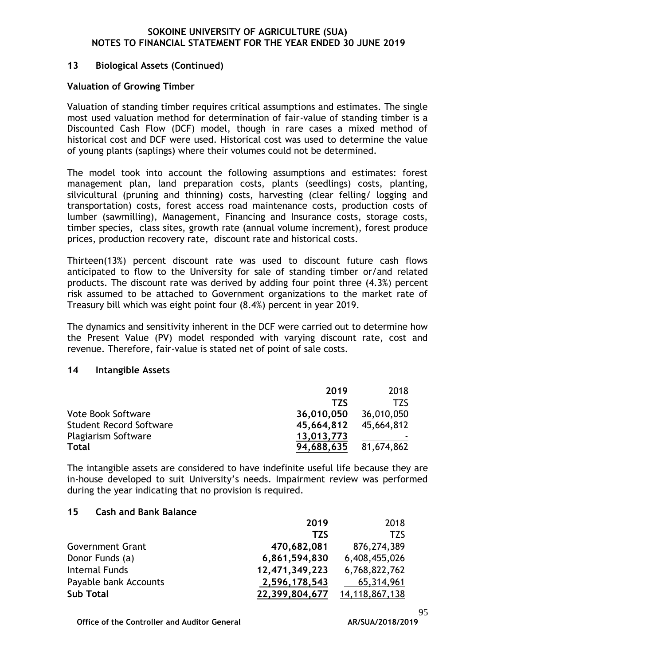#### **13 Biological Assets (Continued)**

#### **Valuation of Growing Timber**

Valuation of standing timber requires critical assumptions and estimates. The single most used valuation method for determination of fair-value of standing timber is a Discounted Cash Flow (DCF) model, though in rare cases a mixed method of historical cost and DCF were used. Historical cost was used to determine the value of young plants (saplings) where their volumes could not be determined.

The model took into account the following assumptions and estimates: forest management plan, land preparation costs, plants (seedlings) costs, planting, silvicultural (pruning and thinning) costs, harvesting (clear felling/ logging and transportation) costs, forest access road maintenance costs, production costs of lumber (sawmilling), Management, Financing and Insurance costs, storage costs, timber species, class sites, growth rate (annual volume increment), forest produce prices, production recovery rate, discount rate and historical costs.

Thirteen(13%) percent discount rate was used to discount future cash flows anticipated to flow to the University for sale of standing timber or/and related products. The discount rate was derived by adding four point three (4.3%) percent risk assumed to be attached to Government organizations to the market rate of Treasury bill which was eight point four (8.4%) percent in year 2019.

The dynamics and sensitivity inherent in the DCF were carried out to determine how the Present Value (PV) model responded with varying discount rate, cost and revenue. Therefore, fair-value is stated net of point of sale costs.

#### **14 Intangible Assets**

|                                | 2019       | 2018       |
|--------------------------------|------------|------------|
|                                | <b>TZS</b> | T7S        |
| <b>Vote Book Software</b>      | 36,010,050 | 36,010,050 |
| <b>Student Record Software</b> | 45,664,812 | 45,664,812 |
| <b>Plagiarism Software</b>     | 13,013,773 |            |
| Total                          | 94,688,635 | 81,674,862 |

The intangible assets are considered to have indefinite useful life because they are in-house developed to suit University's needs. Impairment review was performed during the year indicating that no provision is required.

#### **15 Cash and Bank Balance**

|                         | 2019           | 2018           |
|-------------------------|----------------|----------------|
|                         | <b>TZS</b>     | <b>TZS</b>     |
| <b>Government Grant</b> | 470,682,081    | 876, 274, 389  |
| Donor Funds (a)         | 6,861,594,830  | 6,408,455,026  |
| Internal Funds          | 12,471,349,223 | 6,768,822,762  |
| Payable bank Accounts   | 2,596,178,543  | 65,314,961     |
| <b>Sub Total</b>        | 22,399,804,677 | 14,118,867,138 |

**Office of the Controller and Auditor General** 

95<br>AR/SUA/2018/2019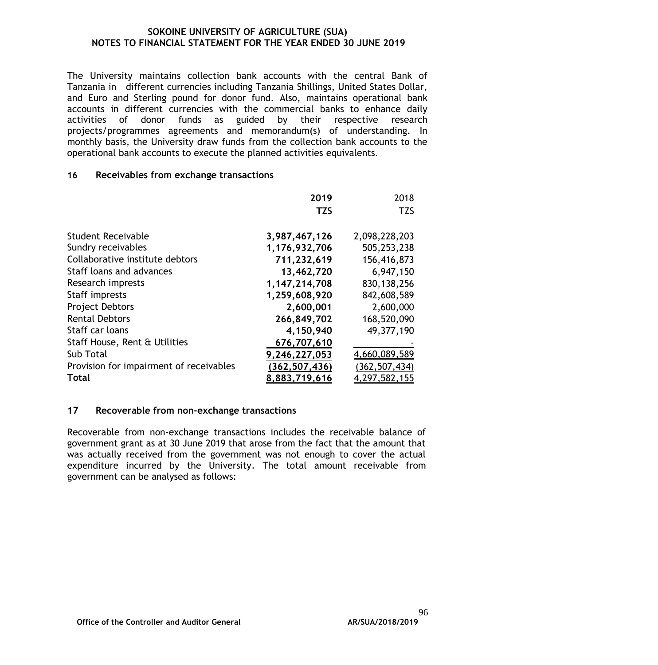The University maintains collection bank accounts with the central Bank of Tanzania in different currencies including Tanzania Shillings, United States Dollar, and Euro and Sterling pound for donor fund. Also, maintains operational bank accounts in different currencies with the commercial banks to enhance daily activities of donor funds as guided by their respective research projects/programmes agreements and memorandum(s) of understanding. In monthly basis, the University draw funds from the collection bank accounts to the operational bank accounts to execute the planned activities equivalents.

#### **16 Receivables from exchange transactions**

|                                         | 2019            | 2018            |
|-----------------------------------------|-----------------|-----------------|
|                                         | <b>TZS</b>      | <b>TZS</b>      |
|                                         |                 |                 |
| Student Receivable                      | 3,987,467,126   | 2,098,228,203   |
| Sundry receivables                      | 1,176,932,706   | 505,253,238     |
| Collaborative institute debtors         | 711,232,619     | 156,416,873     |
| Staff loans and advances                | 13,462,720      | 6,947,150       |
| Research imprests                       | 1,147,214,708   | 830, 138, 256   |
| Staff imprests                          | 1,259,608,920   | 842,608,589     |
| <b>Project Debtors</b>                  | 2,600,001       | 2,600,000       |
| <b>Rental Debtors</b>                   | 266,849,702     | 168,520,090     |
| Staff car loans                         | 4,150,940       | 49,377,190      |
| Staff House, Rent & Utilities           | 676,707,610     |                 |
| Sub Total                               | 9,246,227,053   | 4,660,089,589   |
| Provision for impairment of receivables | (362, 507, 436) | (362, 507, 434) |
| <b>Total</b>                            | 8,883,719,616   | 4,297,582,155   |

## **17 Recoverable from non-exchange transactions**

Recoverable from non-exchange transactions includes the receivable balance of government grant as at 30 June 2019 that arose from the fact that the amount that was actually received from the government was not enough to cover the actual expenditure incurred by the University. The total amount receivable from government can be analysed as follows: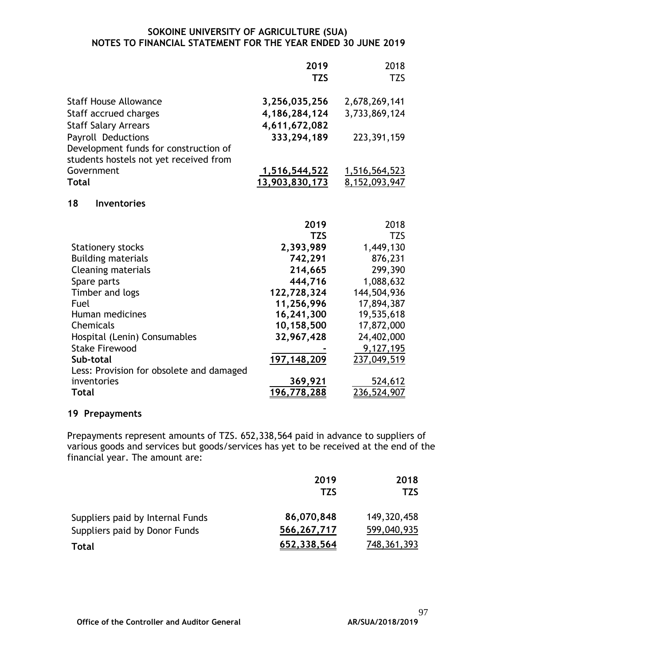|                                                       | 2019<br><b>TZS</b>   | 2018<br><b>TZS</b> |
|-------------------------------------------------------|----------------------|--------------------|
| <b>Staff House Allowance</b>                          | 3,256,035,256        | 2,678,269,141      |
| Staff accrued charges                                 | 4,186,284,124        | 3,733,869,124      |
| <b>Staff Salary Arrears</b>                           | 4,611,672,082        |                    |
| Payroll Deductions                                    | 333,294,189          | 223, 391, 159      |
| Development funds for construction of                 |                      |                    |
| students hostels not yet received from                |                      |                    |
| Government                                            | <u>1,516,544,522</u> | 1,516,564,523      |
| <b>Total</b>                                          | 13,903,830,173       | 8, 152, 093, 947   |
| 18<br><b>Inventories</b>                              |                      |                    |
|                                                       | 2019                 | 2018               |
|                                                       | <b>TZS</b>           | <b>TZS</b>         |
| <b>Stationery stocks</b>                              | 2,393,989            | 1,449,130          |
| <b>Building materials</b>                             | 742,291              | 876,231            |
| <b>Cleaning materials</b>                             | 214,665              | 299,390            |
| Spare parts                                           | 444,716              | 1,088,632          |
| Timber and logs                                       | 122,728,324          | 144,504,936        |
| Fuel                                                  | 11,256,996           | 17,894,387         |
| Human medicines                                       | 16,241,300           | 19,535,618         |
| Chemicals                                             | 10,158,500           | 17,872,000         |
| Hospital (Lenin) Consumables                          | 32,967,428           | 24,402,000         |
| <b>Stake Firewood</b>                                 |                      | 9,127,195          |
| Sub-total<br>Less: Provision for obsolete and damaged | 197, 148, 209        | 237,049,519        |
| inventories                                           | 369,921              | 524,612            |
| Total                                                 | 196,778,288          | 236,524,907        |

## **19 Prepayments**

Prepayments represent amounts of TZS. 652,338,564 paid in advance to suppliers of various goods and services but goods/services has yet to be received at the end of the financial year. The amount are:

|                                  | 2019        | 2018          |
|----------------------------------|-------------|---------------|
|                                  | <b>TZS</b>  | TZS           |
| Suppliers paid by Internal Funds | 86,070,848  | 149,320,458   |
| Suppliers paid by Donor Funds    | 566,267,717 | 599,040,935   |
| Total                            | 652,338,564 | 748, 361, 393 |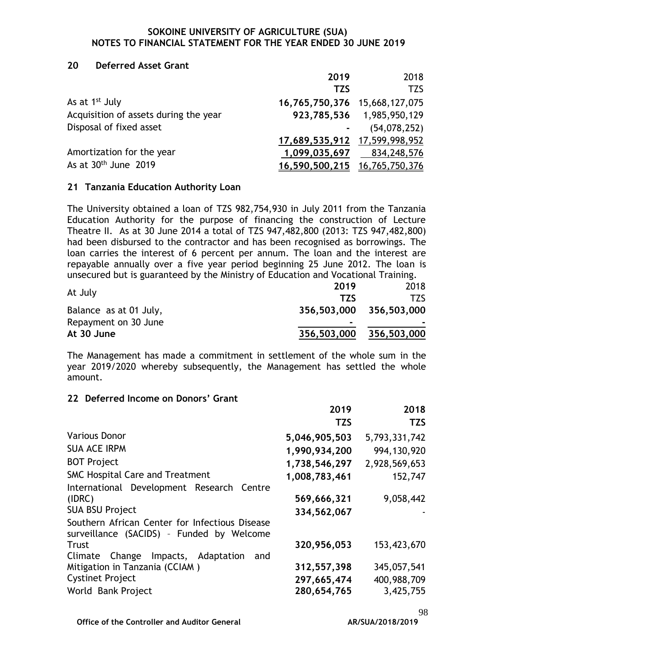#### **20 Deferred Asset Grant**

|                                       | 2019                          | 2018                      |
|---------------------------------------|-------------------------------|---------------------------|
|                                       | <b>TZS</b>                    | <b>TZS</b>                |
| As at 1 <sup>st</sup> July            | 16,765,750,376 15,668,127,075 |                           |
| Acquisition of assets during the year |                               | 923,785,536 1,985,950,129 |
| Disposal of fixed asset               | $\blacksquare$                | (54,078,252)              |
|                                       | 17,689,535,912 17,599,998,952 |                           |
| Amortization for the year             | 1,099,035,697                 | 834,248,576               |
| As at $30th$ June 2019                | 16,590,500,215 16,765,750,376 |                           |

#### **21 Tanzania Education Authority Loan**

The University obtained a loan of TZS 982,754,930 in July 2011 from the Tanzania Education Authority for the purpose of financing the construction of Lecture Theatre II. As at 30 June 2014 a total of TZS 947,482,800 (2013: TZS 947,482,800) had been disbursed to the contractor and has been recognised as borrowings. The loan carries the interest of 6 percent per annum. The loan and the interest are repayable annually over a five year period beginning 25 June 2012. The loan is unsecured but is guaranteed by the Ministry of Education and Vocational Training.

|                        | 2019           | 2018                    |
|------------------------|----------------|-------------------------|
| At July                | T7S            | T7S                     |
| Balance as at 01 July, |                | 356,503,000 356,503,000 |
| Repayment on 30 June   | $\blacksquare$ |                         |
| At 30 June             | 356,503,000    | 356,503,000             |

The Management has made a commitment in settlement of the whole sum in the year 2019/2020 whereby subsequently, the Management has settled the whole amount.

#### **22 Deferred Income on Donors' Grant**

|                                                                                             | 2019          | 2018          |
|---------------------------------------------------------------------------------------------|---------------|---------------|
|                                                                                             | <b>TZS</b>    | <b>TZS</b>    |
| <b>Various Donor</b>                                                                        | 5,046,905,503 | 5,793,331,742 |
| <b>SUA ACE IRPM</b>                                                                         | 1,990,934,200 | 994,130,920   |
| <b>BOT Project</b>                                                                          | 1,738,546,297 | 2,928,569,653 |
| <b>SMC Hospital Care and Treatment</b>                                                      | 1,008,783,461 | 152,747       |
| International Development Research Centre                                                   |               |               |
| (IDRC)                                                                                      | 569,666,321   | 9,058,442     |
| <b>SUA BSU Project</b>                                                                      | 334,562,067   |               |
| Southern African Center for Infectious Disease<br>surveillance (SACIDS) - Funded by Welcome |               |               |
| <b>Trust</b>                                                                                | 320,956,053   | 153,423,670   |
| Impacts, Adaptation<br>Climate Change<br>and                                                |               |               |
| Mitigation in Tanzania (CCIAM)                                                              | 312,557,398   | 345,057,541   |
| <b>Cystinet Project</b>                                                                     | 297,665,474   | 400,988,709   |
| World Bank Project                                                                          | 280,654,765   | 3,425,755     |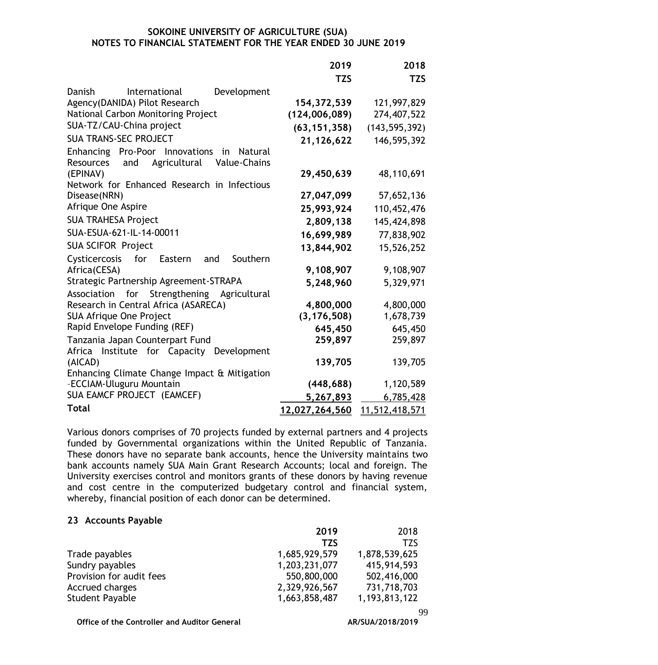|                                                         | 2019           | 2018            |
|---------------------------------------------------------|----------------|-----------------|
|                                                         | <b>TZS</b>     | <b>TZS</b>      |
| Development<br>Danish<br>International                  |                |                 |
| Agency(DANIDA) Pilot Research                           | 154, 372, 539  | 121,997,829     |
| National Carbon Monitoring Project                      | (124,006,089)  | 274,407,522     |
| SUA-TZ/CAU-China project                                | (63, 151, 358) | (143, 595, 392) |
| <b>SUA TRANS-SEC PROJECT</b>                            | 21,126,622     | 146,595,392     |
| Enhancing Pro-Poor Innovations<br>in Natural            |                |                 |
| Agricultural<br>Value-Chains<br><b>Resources</b><br>and |                |                 |
| (EPINAV)<br>Network for Enhanced Research in Infectious | 29,450,639     | 48,110,691      |
| Disease(NRN)                                            | 27,047,099     | 57,652,136      |
| Afrique One Aspire                                      | 25,993,924     | 110,452,476     |
| <b>SUA TRAHESA Project</b>                              | 2,809,138      | 145,424,898     |
| SUA-ESUA-621-IL-14-00011                                | 16,699,989     | 77,838,902      |
| <b>SUA SCIFOR Project</b>                               | 13,844,902     | 15,526,252      |
| Cysticercosis<br>for Eastern<br>Southern<br>and         |                |                 |
| Africa(CESA)                                            | 9,108,907      | 9,108,907       |
| Strategic Partnership Agreement-STRAPA                  | 5,248,960      | 5,329,971       |
| Strengthening Agricultural<br>Association<br>for        |                |                 |
| Research in Central Africa (ASARECA)                    | 4,800,000      | 4,800,000       |
| <b>SUA Afrique One Project</b>                          | (3, 176, 508)  | 1,678,739       |
| Rapid Envelope Funding (REF)                            | 645,450        | 645,450         |
| Tanzania Japan Counterpart Fund                         | 259,897        | 259,897         |
| Africa Institute for Capacity<br>Development            |                | 139,705         |
| (AICAD)<br>Enhancing Climate Change Impact & Mitigation | 139,705        |                 |
| -ECCIAM-Uluguru Mountain                                | (448, 688)     | 1,120,589       |
| SUA EAMCF PROJECT (EAMCEF)                              | 5,267,893      | 6,785,428       |
| <b>Total</b>                                            | 12,027,264,560 | 11,512,418,571  |

Various donors comprises of 70 projects funded by external partners and 4 projects funded by Governmental organizations within the United Republic of Tanzania. These donors have no separate bank accounts, hence the University maintains two bank accounts namely SUA Main Grant Research Accounts; local and foreign. The University exercises control and monitors grants of these donors by having revenue and cost centre in the computerized budgetary control and financial system, whereby, financial position of each donor can be determined.

#### **23 Accounts Payable**

|                          | 2019          | 2018             |
|--------------------------|---------------|------------------|
|                          | <b>TZS</b>    | <b>TZS</b>       |
| Trade payables           | 1,685,929,579 | 1,878,539,625    |
| Sundry payables          | 1,203,231,077 | 415,914,593      |
| Provision for audit fees | 550,800,000   | 502,416,000      |
| Accrued charges          | 2,329,926,567 | 731,718,703      |
| Student Payable          | 1,663,858,487 | 1, 193, 813, 122 |

**Office of the Controller and Auditor General** 

99<br>**AR/SUA/2018/2019**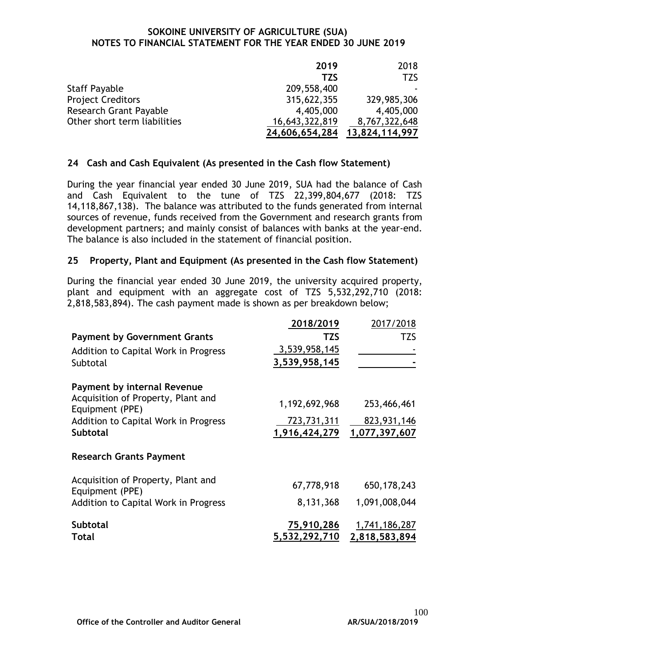|                               | 2019           | 2018           |
|-------------------------------|----------------|----------------|
|                               | <b>TZS</b>     | <b>TZS</b>     |
| <b>Staff Payable</b>          | 209,558,400    |                |
| <b>Project Creditors</b>      | 315,622,355    | 329,985,306    |
| <b>Research Grant Payable</b> | 4,405,000      | 4,405,000      |
| Other short term liabilities  | 16,643,322,819 | 8,767,322,648  |
|                               | 24,606,654,284 | 13,824,114,997 |

## **24 Cash and Cash Equivalent (As presented in the Cash flow Statement)**

During the year financial year ended 30 June 2019, SUA had the balance of Cash and Cash Equivalent to the tune of TZS 22,399,804,677 (2018: TZS 14,118,867,138). The balance was attributed to the funds generated from internal sources of revenue, funds received from the Government and research grants from development partners; and mainly consist of balances with banks at the year-end. The balance is also included in the statement of financial position.

## **25 Property, Plant and Equipment (As presented in the Cash flow Statement)**

During the financial year ended 30 June 2019, the university acquired property, plant and equipment with an aggregate cost of TZS 5,532,292,710 (2018: 2,818,583,894). The cash payment made is shown as per breakdown below;

|                                                       | 2018/2019                   | 2017/2018     |
|-------------------------------------------------------|-----------------------------|---------------|
| <b>Payment by Government Grants</b>                   | <b>TZS</b>                  | <b>TZS</b>    |
| Addition to Capital Work in Progress                  | 3,539,958,145               |               |
| Subtotal                                              | 3,539,958,145               |               |
| <b>Payment by internal Revenue</b>                    |                             |               |
| Acquisition of Property, Plant and<br>Equipment (PPE) | 1,192,692,968               | 253,466,461   |
| Addition to Capital Work in Progress                  | 723,731,311                 | 823,931,146   |
| <b>Subtotal</b>                                       | 1,916,424,279               | 1,077,397,607 |
| <b>Research Grants Payment</b>                        |                             |               |
| Acquisition of Property, Plant and<br>Equipment (PPE) | 67,778,918                  | 650, 178, 243 |
| Addition to Capital Work in Progress                  | 8,131,368                   | 1,091,008,044 |
| <b>Subtotal</b><br><b>Total</b>                       | 75,910,286<br>5,532,292,710 | 1,741,186,287 |
|                                                       |                             | 2,818,583,894 |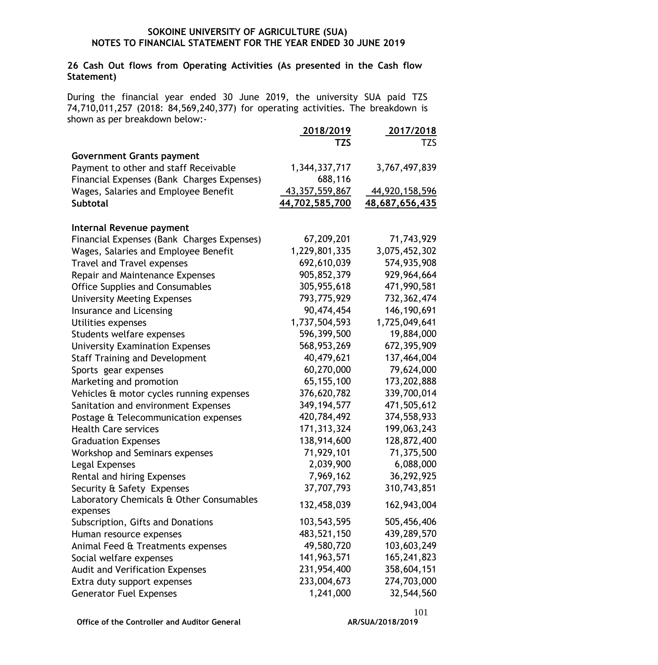## **26 Cash Out flows from Operating Activities (As presented in the Cash flow Statement)**

During the financial year ended 30 June 2019, the university SUA paid TZS 74,710,011,257 (2018: 84,569,240,377) for operating activities. The breakdown is shown as per breakdown below:-

|                                            | 2018/2019         | 2017/2018      |
|--------------------------------------------|-------------------|----------------|
|                                            | <b>TZS</b>        | <b>TZS</b>     |
| <b>Government Grants payment</b>           |                   |                |
| Payment to other and staff Receivable      | 1,344,337,717     | 3,767,497,839  |
| Financial Expenses (Bank Charges Expenses) | 688,116           |                |
| Wages, Salaries and Employee Benefit       | 43, 357, 559, 867 | 44,920,158,596 |
| Subtotal                                   | 44,702,585,700    | 48,687,656,435 |
|                                            |                   |                |
| Internal Revenue payment                   |                   |                |
| Financial Expenses (Bank Charges Expenses) | 67,209,201        | 71,743,929     |
| Wages, Salaries and Employee Benefit       | 1,229,801,335     | 3,075,452,302  |
| <b>Travel and Travel expenses</b>          | 692,610,039       | 574,935,908    |
| Repair and Maintenance Expenses            | 905,852,379       | 929,964,664    |
| <b>Office Supplies and Consumables</b>     | 305,955,618       | 471,990,581    |
| <b>University Meeting Expenses</b>         | 793,775,929       | 732, 362, 474  |
| Insurance and Licensing                    | 90,474,454        | 146, 190, 691  |
| Utilities expenses                         | 1,737,504,593     | 1,725,049,641  |
| Students welfare expenses                  | 596,399,500       | 19,884,000     |
| <b>University Examination Expenses</b>     | 568,953,269       | 672, 395, 909  |
| <b>Staff Training and Development</b>      | 40,479,621        | 137,464,004    |
| Sports gear expenses                       | 60,270,000        | 79,624,000     |
| Marketing and promotion                    | 65, 155, 100      | 173,202,888    |
| Vehicles & motor cycles running expenses   | 376,620,782       | 339,700,014    |
| Sanitation and environment Expenses        | 349, 194, 577     | 471,505,612    |
| Postage & Telecommunication expenses       | 420,784,492       | 374,558,933    |
| <b>Health Care services</b>                | 171, 313, 324     | 199,063,243    |
| <b>Graduation Expenses</b>                 | 138,914,600       | 128,872,400    |
| Workshop and Seminars expenses             | 71,929,101        | 71,375,500     |
| Legal Expenses                             | 2,039,900         | 6,088,000      |
| Rental and hiring Expenses                 | 7,969,162         | 36,292,925     |
| Security & Safety Expenses                 | 37,707,793        | 310,743,851    |
| Laboratory Chemicals & Other Consumables   | 132,458,039       | 162,943,004    |
| expenses                                   |                   |                |
| Subscription, Gifts and Donations          | 103,543,595       | 505,456,406    |
| Human resource expenses                    | 483,521,150       | 439,289,570    |
| Animal Feed & Treatments expenses          | 49,580,720        | 103,603,249    |
| Social welfare expenses                    | 141,963,571       | 165,241,823    |
| Audit and Verification Expenses            | 231,954,400       | 358,604,151    |
| Extra duty support expenses                | 233,004,673       | 274,703,000    |
| <b>Generator Fuel Expenses</b>             | 1,241,000         | 32,544,560     |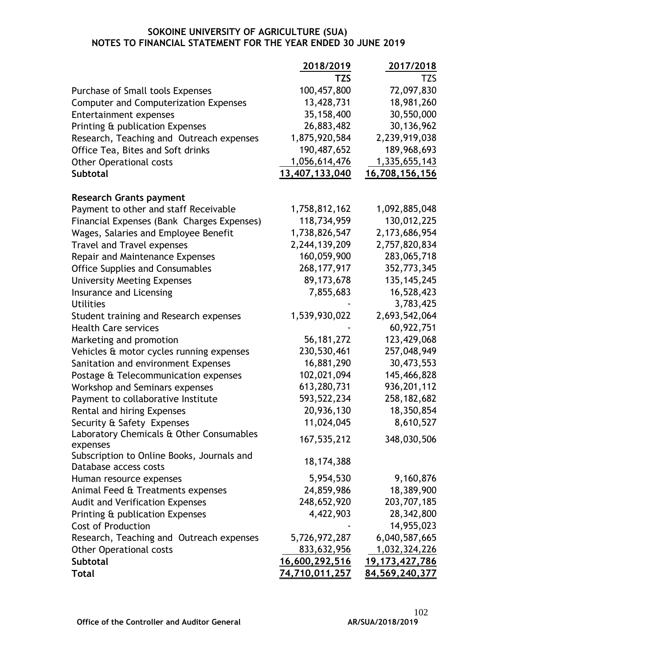|                                                                        | 2018/2019             | 2017/2018            |
|------------------------------------------------------------------------|-----------------------|----------------------|
|                                                                        | TZS                   | TZS.                 |
| Purchase of Small tools Expenses                                       | 100,457,800           | 72,097,830           |
| <b>Computer and Computerization Expenses</b>                           | 13,428,731            | 18,981,260           |
| <b>Entertainment expenses</b>                                          | 35,158,400            | 30,550,000           |
| Printing & publication Expenses                                        | 26,883,482            | 30,136,962           |
| Research, Teaching and Outreach expenses                               | 1,875,920,584         | 2,239,919,038        |
| Office Tea, Bites and Soft drinks                                      | 190,487,652           | 189,968,693          |
| <b>Other Operational costs</b>                                         | 1,056,614,476         | <u>1,335,655,143</u> |
| Subtotal                                                               | 13,407,133,040        | 16,708,156,156       |
|                                                                        |                       |                      |
| <b>Research Grants payment</b>                                         |                       |                      |
| Payment to other and staff Receivable                                  | 1,758,812,162         | 1,092,885,048        |
| Financial Expenses (Bank Charges Expenses)                             | 118,734,959           | 130,012,225          |
| Wages, Salaries and Employee Benefit                                   | 1,738,826,547         | 2,173,686,954        |
| <b>Travel and Travel expenses</b>                                      | 2,244,139,209         | 2,757,820,834        |
| Repair and Maintenance Expenses                                        | 160,059,900           | 283,065,718          |
| <b>Office Supplies and Consumables</b>                                 | 268, 177, 917         | 352,773,345          |
| <b>University Meeting Expenses</b>                                     | 89,173,678            | 135, 145, 245        |
| Insurance and Licensing                                                | 7,855,683             | 16,528,423           |
| <b>Utilities</b>                                                       |                       | 3,783,425            |
| Student training and Research expenses                                 | 1,539,930,022         | 2,693,542,064        |
| <b>Health Care services</b>                                            |                       | 60,922,751           |
| Marketing and promotion                                                | 56, 181, 272          | 123,429,068          |
| Vehicles & motor cycles running expenses                               | 230,530,461           | 257,048,949          |
| Sanitation and environment Expenses                                    | 16,881,290            | 30,473,553           |
| Postage & Telecommunication expenses                                   | 102,021,094           | 145,466,828          |
| Workshop and Seminars expenses                                         | 613,280,731           | 936,201,112          |
| Payment to collaborative Institute                                     | 593,522,234           | 258, 182, 682        |
| Rental and hiring Expenses                                             | 20,936,130            | 18,350,854           |
|                                                                        | 11,024,045            | 8,610,527            |
| Security & Safety Expenses<br>Laboratory Chemicals & Other Consumables |                       |                      |
| expenses                                                               | 167,535,212           | 348,030,506          |
| Subscription to Online Books, Journals and                             |                       |                      |
| Database access costs                                                  | 18,174,388            |                      |
| Human resource expenses                                                | 5,954,530             | 9,160,876            |
| Animal Feed & Treatments expenses                                      | 24,859,986            | 18,389,900           |
| <b>Audit and Verification Expenses</b>                                 | 248,652,920           | 203,707,185          |
| Printing & publication Expenses                                        | 4,422,903             | 28,342,800           |
| <b>Cost of Production</b>                                              |                       | 14,955,023           |
| Research, Teaching and Outreach expenses                               | 5,726,972,287         | 6,040,587,665        |
| <b>Other Operational costs</b>                                         | 833,632,956           | 1,032,324,226        |
| Subtotal                                                               | 16,600,292,516        | 19, 173, 427, 786    |
| <b>Total</b>                                                           | <u>74,710,011,257</u> | 84,569,240,377       |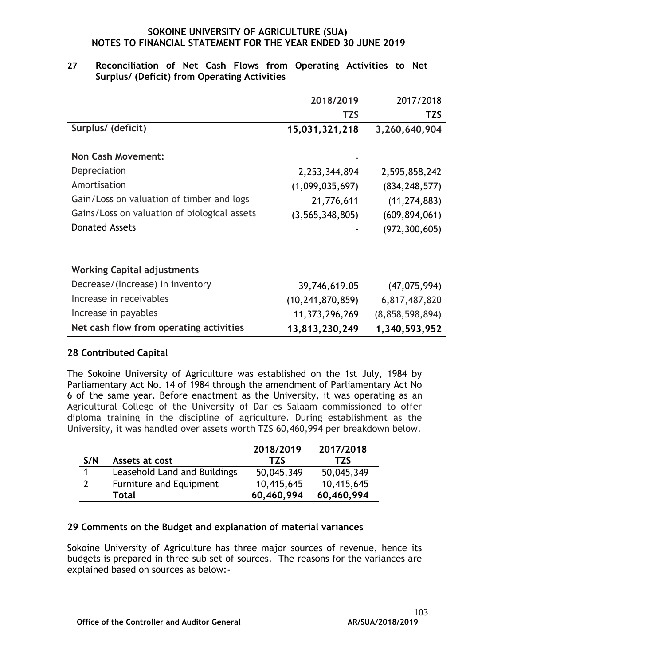|                                              | 2018/2019           | 2017/2018       |
|----------------------------------------------|---------------------|-----------------|
|                                              | <b>TZS</b>          | <b>TZS</b>      |
| Surplus/ (deficit)                           | 15,031,321,218      | 3,260,640,904   |
|                                              |                     |                 |
| <b>Non Cash Movement:</b>                    |                     |                 |
| Depreciation                                 | 2,253,344,894       | 2,595,858,242   |
| Amortisation                                 | (1,099,035,697)     | (834, 248, 577) |
| Gain/Loss on valuation of timber and logs    | 21,776,611          | (11, 274, 883)  |
| Gains/Loss on valuation of biological assets | (3, 565, 348, 805)  | (609, 894, 061) |
| <b>Donated Assets</b>                        |                     | (972, 300, 605) |
|                                              |                     |                 |
| <b>Working Capital adjustments</b>           |                     |                 |
| Decrease/(Increase) in inventory             | 39,746,619.05       | (47, 075, 994)  |
| Increase in receivables                      | (10, 241, 870, 859) | 6,817,487,820   |
| Increase in payables                         | 11,373,296,269      | (8,858,598,894) |
| Net cash flow from operating activities      | 13,813,230,249      | 1,340,593,952   |

## **27 Reconciliation of Net Cash Flows from Operating Activities to Net Surplus/ (Deficit) from Operating Activities**

## **28 Contributed Capital**

The Sokoine University of Agriculture was established on the 1st July, 1984 by Parliamentary Act No. 14 of 1984 through the amendment of Parliamentary Act No 6 of the same year. Before enactment as the University, it was operating as an Agricultural College of the University of Dar es Salaam commissioned to offer diploma training in the discipline of agriculture. During establishment as the University, it was handled over assets worth TZS 60,460,994 per breakdown below.

|     |                              | 2018/2019  | 2017/2018  |
|-----|------------------------------|------------|------------|
| S/N | Assets at cost               | <b>TZS</b> | <b>TZS</b> |
|     | Leasehold Land and Buildings | 50,045,349 | 50,045,349 |
|     | Furniture and Equipment      | 10,415,645 | 10,415,645 |
|     | Total                        | 60,460,994 | 60,460,994 |

## **29 Comments on the Budget and explanation of material variances**

Sokoine University of Agriculture has three major sources of revenue, hence its budgets is prepared in three sub set of sources. The reasons for the variances are explained based on sources as below:-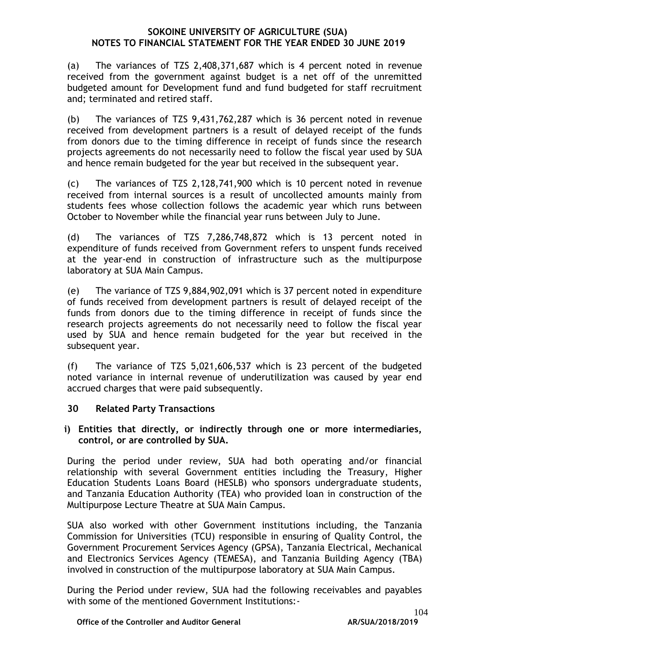(a) The variances of TZS 2,408,371,687 which is 4 percent noted in revenue received from the government against budget is a net off of the unremitted budgeted amount for Development fund and fund budgeted for staff recruitment and; terminated and retired staff.

(b) The variances of TZS 9,431,762,287 which is 36 percent noted in revenue received from development partners is a result of delayed receipt of the funds from donors due to the timing difference in receipt of funds since the research projects agreements do not necessarily need to follow the fiscal year used by SUA and hence remain budgeted for the year but received in the subsequent year.

(c) The variances of TZS 2,128,741,900 which is 10 percent noted in revenue received from internal sources is a result of uncollected amounts mainly from students fees whose collection follows the academic year which runs between October to November while the financial year runs between July to June.

(d) The variances of TZS 7,286,748,872 which is 13 percent noted in expenditure of funds received from Government refers to unspent funds received at the year-end in construction of infrastructure such as the multipurpose laboratory at SUA Main Campus.

(e) The variance of TZS 9,884,902,091 which is 37 percent noted in expenditure of funds received from development partners is result of delayed receipt of the funds from donors due to the timing difference in receipt of funds since the research projects agreements do not necessarily need to follow the fiscal year used by SUA and hence remain budgeted for the year but received in the subsequent year.

(f) The variance of TZS 5,021,606,537 which is 23 percent of the budgeted noted variance in internal revenue of underutilization was caused by year end accrued charges that were paid subsequently.

## **30 Related Party Transactions**

**i) Entities that directly, or indirectly through one or more intermediaries, control, or are controlled by SUA.**

During the period under review, SUA had both operating and/or financial relationship with several Government entities including the Treasury, Higher Education Students Loans Board (HESLB) who sponsors undergraduate students, and Tanzania Education Authority (TEA) who provided loan in construction of the Multipurpose Lecture Theatre at SUA Main Campus.

SUA also worked with other Government institutions including, the Tanzania Commission for Universities (TCU) responsible in ensuring of Quality Control, the Government Procurement Services Agency (GPSA), Tanzania Electrical, Mechanical and Electronics Services Agency (TEMESA), and Tanzania Building Agency (TBA) involved in construction of the multipurpose laboratory at SUA Main Campus.

During the Period under review, SUA had the following receivables and payables with some of the mentioned Government Institutions:-

**Office of the Controller and Auditor General**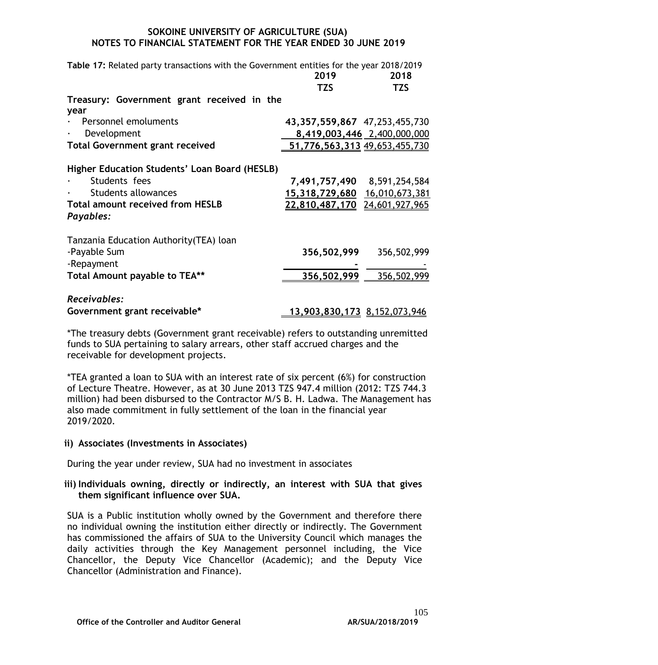| Table 17: Related party transactions with the Government entities for the year 2018/2019                                                             |                                                                                               |                             |  |  |  |  |
|------------------------------------------------------------------------------------------------------------------------------------------------------|-----------------------------------------------------------------------------------------------|-----------------------------|--|--|--|--|
|                                                                                                                                                      | 2019                                                                                          | 2018                        |  |  |  |  |
|                                                                                                                                                      | <b>TZS</b>                                                                                    | <b>TZS</b>                  |  |  |  |  |
| Treasury: Government grant received in the<br>year                                                                                                   |                                                                                               |                             |  |  |  |  |
| · Personnel emoluments                                                                                                                               | 43, 357, 559, 867 47, 253, 455, 730                                                           |                             |  |  |  |  |
| Development<br>$\bullet$                                                                                                                             |                                                                                               | 8,419,003,446 2,400,000,000 |  |  |  |  |
| <b>Total Government grant received</b>                                                                                                               | 51,776,563,313 49,653,455,730                                                                 |                             |  |  |  |  |
| Higher Education Students' Loan Board (HESLB)<br>Students fees<br><b>Students allowances</b><br><b>Total amount received from HESLB</b><br>Payables: | 7,491,757,490 8,591,254,584<br>15,318,729,680 16,010,673,381<br>22,810,487,170 24,601,927,965 |                             |  |  |  |  |
| Tanzania Education Authority (TEA) loan<br>-Payable Sum<br>-Repayment<br>Total Amount payable to TEA**                                               | 356,502,999<br>356,502,999                                                                    | 356,502,999<br>356,502,999  |  |  |  |  |
| Receivables:                                                                                                                                         |                                                                                               |                             |  |  |  |  |
| Government grant receivable*                                                                                                                         | <u>13,903,830,173 8,152,073,946</u>                                                           |                             |  |  |  |  |

\*The treasury debts (Government grant receivable) refers to outstanding unremitted funds to SUA pertaining to salary arrears, other staff accrued charges and the receivable for development projects.

\*TEA granted a loan to SUA with an interest rate of six percent (6%) for construction of Lecture Theatre. However, as at 30 June 2013 TZS 947.4 million (2012: TZS 744.3 million) had been disbursed to the Contractor M/S B. H. Ladwa. The Management has also made commitment in fully settlement of the loan in the financial year 2019/2020.

#### **ii) Associates (Investments in Associates)**

During the year under review, SUA had no investment in associates

# **iii) Individuals owning, directly or indirectly, an interest with SUA that gives them significant influence over SUA.**

SUA is a Public institution wholly owned by the Government and therefore there no individual owning the institution either directly or indirectly. The Government has commissioned the affairs of SUA to the University Council which manages the daily activities through the Key Management personnel including, the Vice Chancellor, the Deputy Vice Chancellor (Academic); and the Deputy Vice Chancellor (Administration and Finance).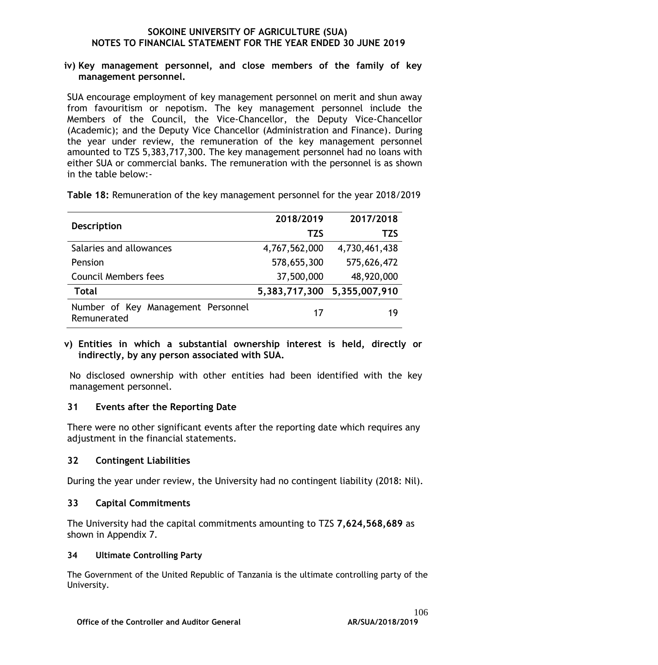#### **iv) Key management personnel, and close members of the family of key management personnel.**

SUA encourage employment of key management personnel on merit and shun away from favouritism or nepotism. The key management personnel include the Members of the Council, the Vice-Chancellor, the Deputy Vice-Chancellor (Academic); and the Deputy Vice Chancellor (Administration and Finance). During the year under review, the remuneration of the key management personnel amounted to TZS 5,383,717,300. The key management personnel had no loans with either SUA or commercial banks. The remuneration with the personnel is as shown in the table below:-

**Table 18:** Remuneration of the key management personnel for the year 2018/2019

|                                                   | 2018/2019     | 2017/2018                   |
|---------------------------------------------------|---------------|-----------------------------|
| <b>Description</b>                                | <b>TZS</b>    | TZS                         |
| Salaries and allowances                           | 4,767,562,000 | 4,730,461,438               |
| Pension                                           | 578,655,300   | 575,626,472                 |
| <b>Council Members fees</b>                       | 37,500,000    | 48,920,000                  |
| Total                                             |               | 5,383,717,300 5,355,007,910 |
| Number of Key Management Personnel<br>Remunerated | 17            | 19                          |

#### **v) Entities in which a substantial ownership interest is held, directly or indirectly, by any person associated with SUA.**

No disclosed ownership with other entities had been identified with the key management personnel.

# **31 Events after the Reporting Date**

There were no other significant events after the reporting date which requires any adjustment in the financial statements.

# **32 Contingent Liabilities**

During the year under review, the University had no contingent liability (2018: Nil).

# **33 Capital Commitments**

The University had the capital commitments amounting to TZS **7,624,568,689** as shown in Appendix 7.

# **34 Ultimate Controlling Party**

The Government of the United Republic of Tanzania is the ultimate controlling party of the University.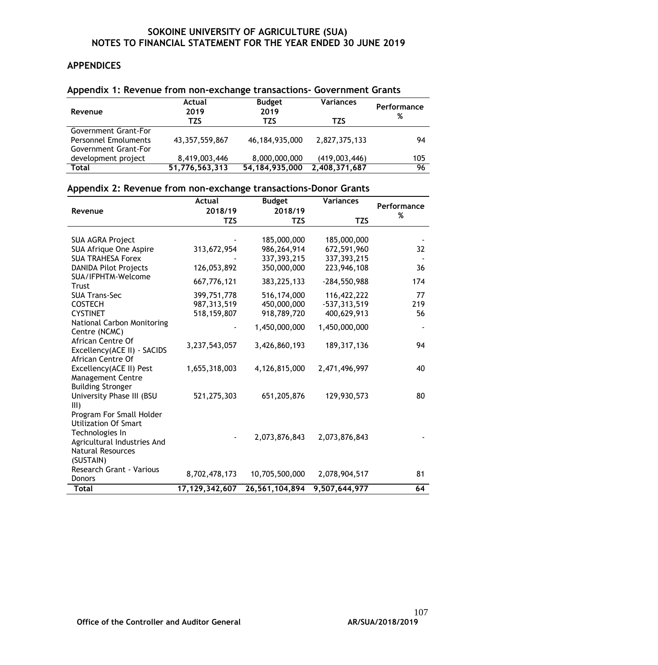# **APPENDICES**

| Revenue                                             | Actual<br>2019    | <b>Budget</b><br>2019 | <b>Variances</b> | Performance |
|-----------------------------------------------------|-------------------|-----------------------|------------------|-------------|
|                                                     | TZS               | TZS                   | TZS              | %           |
| Government Grant-For                                |                   |                       |                  |             |
| <b>Personnel Emoluments</b><br>Government Grant-For | 43, 357, 559, 867 | 46,184,935,000        | 2,827,375,133    | 94          |
| development project                                 | 8,419,003,446     | 8,000,000,000         | (419,003,446)    | 105         |
| Total                                               | 51,776,563,313    | 54, 184, 935, 000     | 2,408,371,687    | 96          |

#### **Appendix 1: Revenue from non-exchange transactions- Government Grants**

# **Appendix 2: Revenue from non-exchange transactions-Donor Grants**

|                                                  | <b>Actual</b>  | <b>Budget</b>  | <b>Variances</b> |                  |
|--------------------------------------------------|----------------|----------------|------------------|------------------|
| Revenue                                          | 2018/19        | 2018/19        |                  | Performance<br>% |
|                                                  | TZS            | <b>TZS</b>     | <b>TZS</b>       |                  |
|                                                  |                |                |                  |                  |
| <b>SUA AGRA Project</b>                          |                | 185,000,000    | 185,000,000      |                  |
| SUA Afrique One Aspire                           | 313,672,954    | 986,264,914    | 672,591,960      | 32               |
| <b>SUA TRAHESA Forex</b>                         |                | 337,393,215    | 337,393,215      |                  |
| <b>DANIDA Pilot Projects</b>                     | 126,053,892    | 350,000,000    | 223,946,108      | 36               |
| SUA/IFPHTM-Welcome                               | 667,776,121    | 383,225,133    | $-284,550,988$   | 174              |
| <b>Trust</b><br><b>SUA Trans-Sec</b>             |                |                |                  | 77               |
|                                                  | 399,751,778    | 516,174,000    | 116,422,222      |                  |
| <b>COSTECH</b>                                   | 987,313,519    | 450,000,000    | $-537,313,519$   | 219              |
| <b>CYSTINET</b>                                  | 518,159,807    | 918,789,720    | 400,629,913      | 56               |
| National Carbon Monitoring<br>Centre (NCMC)      |                | 1,450,000,000  | 1,450,000,000    |                  |
| African Centre Of                                |                |                |                  |                  |
|                                                  | 3,237,543,057  | 3,426,860,193  | 189, 317, 136    | 94               |
| Excellency(ACE II) - SACIDS<br>African Centre Of |                |                |                  |                  |
|                                                  |                |                |                  |                  |
| Excellency(ACE II) Pest                          | 1,655,318,003  | 4,126,815,000  | 2,471,496,997    | 40               |
| <b>Management Centre</b>                         |                |                |                  |                  |
| <b>Building Stronger</b>                         |                |                |                  |                  |
| University Phase III (BSU<br>III)                | 521,275,303    | 651,205,876    | 129,930,573      | 80               |
| Program For Small Holder                         |                |                |                  |                  |
| <b>Utilization Of Smart</b>                      |                |                |                  |                  |
| Technologies In                                  |                |                |                  |                  |
| Agricultural Industries And                      |                | 2,073,876,843  | 2,073,876,843    |                  |
| <b>Natural Resources</b>                         |                |                |                  |                  |
|                                                  |                |                |                  |                  |
| (SUSTAIN)                                        |                |                |                  |                  |
| Research Grant - Various                         | 8,702,478,173  | 10,705,500,000 | 2,078,904,517    | 81               |
| <b>Donors</b>                                    |                |                |                  |                  |
| <b>Total</b>                                     | 17,129,342,607 | 26,561,104,894 | 9,507,644,977    | 64               |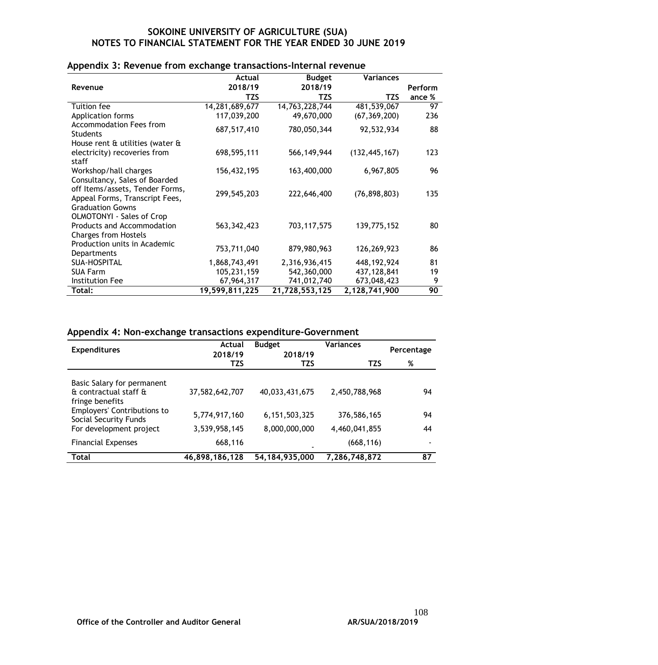|                                                                                                                               | Actual            | <b>Budget</b>  | <b>Variances</b> |                 |
|-------------------------------------------------------------------------------------------------------------------------------|-------------------|----------------|------------------|-----------------|
| Revenue                                                                                                                       | 2018/19           | 2018/19        |                  | Perform         |
|                                                                                                                               | TZS               | TZS            | TZS              | ance %          |
| Tuition fee                                                                                                                   | 14, 281, 689, 677 | 14,763,228,744 | 481,539,067      | $\overline{97}$ |
| Application forms                                                                                                             | 117,039,200       | 49,670,000     | (67, 369, 200)   | 236             |
| <b>Accommodation Fees from</b><br><b>Students</b>                                                                             | 687,517,410       | 780,050,344    | 92,532,934       | 88              |
| House rent & utilities (water &                                                                                               |                   |                |                  |                 |
| electricity) recoveries from                                                                                                  | 698,595,111       | 566, 149, 944  | (132, 445, 167)  | 123             |
| staff                                                                                                                         |                   |                |                  |                 |
| Workshop/hall charges                                                                                                         | 156,432,195       | 163,400,000    | 6,967,805        | 96              |
| Consultancy, Sales of Boarded<br>off Items/assets, Tender Forms,<br>Appeal Forms, Transcript Fees,<br><b>Graduation Gowns</b> | 299,545,203       | 222,646,400    | (76, 898, 803)   | 135             |
| <b>OLMOTONYI - Sales of Crop</b><br>Products and Accommodation<br><b>Charges from Hostels</b>                                 | 563, 342, 423     | 703, 117, 575  | 139,775,152      | 80              |
| Production units in Academic<br>Departments                                                                                   | 753,711,040       | 879,980,963    | 126,269,923      | 86              |
| <b>SUA-HOSPITAL</b>                                                                                                           | 1,868,743,491     | 2,316,936,415  | 448, 192, 924    | 81              |
| <b>SUA Farm</b>                                                                                                               | 105,231,159       | 542,360,000    | 437,128,841      | 19              |
| <b>Institution Fee</b>                                                                                                        | 67,964,317        | 741,012,740    | 673,048,423      | 9               |
| Total:                                                                                                                        | 19,599,811,225    | 21,728,553,125 | 2,128,741,900    | 90              |

#### **Appendix 3: Revenue from exchange transactions-Internal revenue**

# **Appendix 4: Non-exchange transactions expenditure-Government**

| <b>Expenditures</b>                                                    | Actual<br>2018/19 | <b>Budget</b><br>2018/19 | <b>Variances</b> | Percentage |  |
|------------------------------------------------------------------------|-------------------|--------------------------|------------------|------------|--|
|                                                                        | <b>TZS</b>        | TZS                      | <b>TZS</b>       | %          |  |
| Basic Salary for permanent<br>& contractual staff &<br>fringe benefits | 37,582,642,707    | 40,033,431,675           | 2,450,788,968    | 94         |  |
| <b>Employers' Contributions to</b><br>Social Security Funds            | 5,774,917,160     | 6, 151, 503, 325         | 376,586,165      | 94         |  |
| For development project                                                | 3,539,958,145     | 8,000,000,000            | 4,460,041,855    | 44         |  |
| <b>Financial Expenses</b>                                              | 668,116           |                          | (668, 116)       | ۰          |  |
| <b>Total</b>                                                           | 46,898,186,128    | 54, 184, 935, 000        | 7,286,748,872    | 87         |  |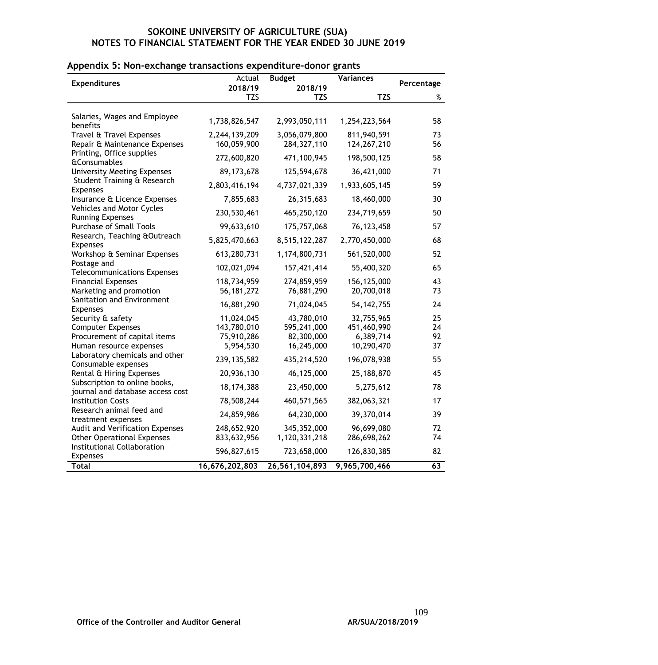|  | Appendix 5: Non-exchange transactions expenditure-donor grants |  |  |  |  |
|--|----------------------------------------------------------------|--|--|--|--|
|  |                                                                |  |  |  |  |

|                                                              | Actual         | <b>Budget</b>  | <b>Variances</b> |            |
|--------------------------------------------------------------|----------------|----------------|------------------|------------|
| <b>Expenditures</b>                                          | 2018/19        | 2018/19        |                  | Percentage |
|                                                              | <b>TZS</b>     | TZS            | <b>TZS</b>       | $\%$       |
|                                                              |                |                |                  |            |
| Salaries, Wages and Employee                                 | 1,738,826,547  | 2,993,050,111  |                  | 58         |
| benefits                                                     |                |                | 1,254,223,564    |            |
| Travel & Travel Expenses                                     | 2,244,139,209  | 3,056,079,800  | 811,940,591      | 73         |
| Repair & Maintenance Expenses                                | 160,059,900    | 284, 327, 110  | 124,267,210      | 56         |
| Printing, Office supplies                                    | 272,600,820    | 471,100,945    | 198,500,125      | 58         |
| <b>&amp;Consumables</b>                                      |                |                |                  |            |
| <b>University Meeting Expenses</b>                           | 89, 173, 678   | 125,594,678    | 36,421,000       | 71         |
| Student Training & Research<br><b>Expenses</b>               | 2,803,416,194  | 4,737,021,339  | 1,933,605,145    | 59         |
| Insurance & Licence Expenses                                 | 7,855,683      | 26,315,683     | 18,460,000       | 30         |
| Vehicles and Motor Cycles<br><b>Running Expenses</b>         | 230,530,461    | 465,250,120    | 234,719,659      | 50         |
| <b>Purchase of Small Tools</b>                               | 99,633,610     | 175,757,068    | 76, 123, 458     | 57         |
| Research, Teaching & Outreach<br><b>Expenses</b>             | 5,825,470,663  | 8,515,122,287  | 2,770,450,000    | 68         |
| Workshop & Seminar Expenses                                  | 613,280,731    | 1,174,800,731  | 561,520,000      | 52         |
| Postage and                                                  | 102,021,094    | 157,421,414    | 55,400,320       | 65         |
| <b>Telecommunications Expenses</b>                           |                |                |                  |            |
| <b>Financial Expenses</b>                                    | 118,734,959    | 274,859,959    | 156,125,000      | 43<br>73   |
| Marketing and promotion<br>Sanitation and Environment        | 56, 181, 272   | 76,881,290     | 20,700,018       |            |
| <b>Expenses</b>                                              | 16,881,290     | 71,024,045     | 54, 142, 755     | 24         |
| Security & safety                                            | 11,024,045     | 43,780,010     | 32,755,965       | 25         |
| <b>Computer Expenses</b>                                     | 143,780,010    | 595,241,000    | 451,460,990      | 24         |
| Procurement of capital items                                 | 75,910,286     | 82,300,000     | 6,389,714        | 92         |
| Human resource expenses                                      | 5,954,530      | 16,245,000     | 10,290,470       | 37         |
| Laboratory chemicals and other<br>Consumable expenses        | 239, 135, 582  | 435,214,520    | 196,078,938      | 55         |
| Rental & Hiring Expenses                                     | 20,936,130     | 46,125,000     | 25,188,870       | 45         |
| Subscription to online books,                                | 18,174,388     | 23,450,000     | 5,275,612        | 78         |
| journal and database access cost<br><b>Institution Costs</b> | 78,508,244     | 460,571,565    | 382,063,321      | 17         |
| Research animal feed and                                     |                | 64,230,000     |                  | 39         |
| treatment expenses                                           | 24,859,986     |                | 39,370,014       |            |
| Audit and Verification Expenses                              | 248,652,920    | 345,352,000    | 96,699,080       | 72         |
| <b>Other Operational Expenses</b>                            | 833,632,956    | 1,120,331,218  | 286,698,262      | 74         |
| <b>Institutional Collaboration</b>                           | 596,827,615    | 723,658,000    | 126,830,385      | 82         |
| <b>Expenses</b><br><b>Total</b>                              |                |                |                  | 63         |
|                                                              | 16,676,202,803 | 26,561,104,893 | 9,965,700,466    |            |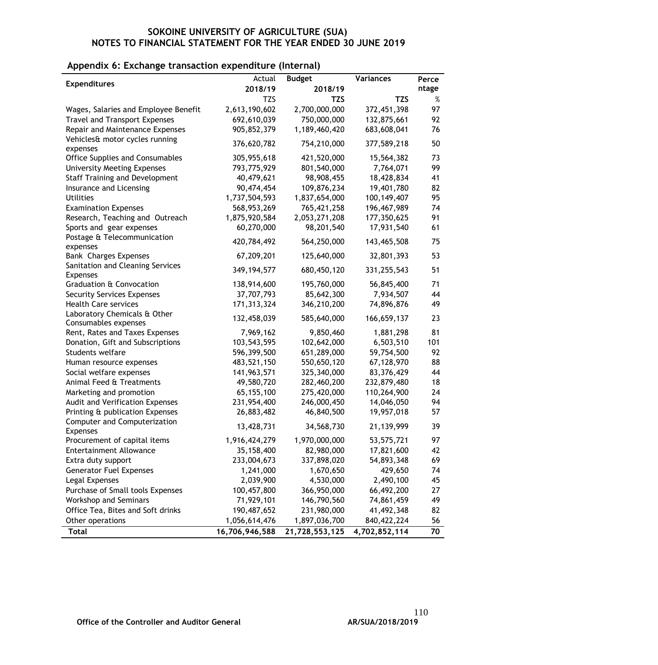#### **Appendix 6: Exchange transaction expenditure (Internal)**

|                                                     | Actual         | <b>Budget</b>  | <b>Variances</b> | Perce |
|-----------------------------------------------------|----------------|----------------|------------------|-------|
| <b>Expenditures</b>                                 | 2018/19        | 2018/19        |                  | ntage |
|                                                     | <b>TZS</b>     | <b>TZS</b>     | TZS              | $\%$  |
| Wages, Salaries and Employee Benefit                | 2,613,190,602  | 2,700,000,000  | 372,451,398      | 97    |
| <b>Travel and Transport Expenses</b>                | 692,610,039    | 750,000,000    | 132,875,661      | 92    |
| Repair and Maintenance Expenses                     | 905,852,379    | 1,189,460,420  | 683,608,041      | 76    |
| Vehicles& motor cycles running                      | 376,620,782    | 754,210,000    | 377,589,218      | 50    |
| expenses                                            |                |                |                  |       |
| <b>Office Supplies and Consumables</b>              | 305,955,618    | 421,520,000    | 15,564,382       | 73    |
| <b>University Meeting Expenses</b>                  | 793,775,929    | 801,540,000    | 7,764,071        | 99    |
| <b>Staff Training and Development</b>               | 40,479,621     | 98,908,455     | 18,428,834       | 41    |
| Insurance and Licensing                             | 90,474,454     | 109,876,234    | 19,401,780       | 82    |
| <b>Utilities</b>                                    | 1,737,504,593  | 1,837,654,000  | 100, 149, 407    | 95    |
| <b>Examination Expenses</b>                         | 568,953,269    | 765,421,258    | 196,467,989      | 74    |
| Research, Teaching and Outreach                     | 1,875,920,584  | 2,053,271,208  | 177,350,625      | 91    |
| Sports and gear expenses                            | 60,270,000     | 98,201,540     | 17,931,540       | 61    |
| Postage & Telecommunication<br>expenses             | 420,784,492    | 564,250,000    | 143,465,508      | 75    |
| <b>Bank Charges Expenses</b>                        | 67,209,201     | 125,640,000    | 32,801,393       | 53    |
| Sanitation and Cleaning Services<br><b>Expenses</b> | 349, 194, 577  | 680,450,120    | 331,255,543      | 51    |
| <b>Graduation &amp; Convocation</b>                 | 138,914,600    | 195,760,000    | 56,845,400       | 71    |
| <b>Security Services Expenses</b>                   | 37,707,793     | 85,642,300     | 7,934,507        | 44    |
| <b>Health Care services</b>                         | 171, 313, 324  | 346,210,200    | 74,896,876       | 49    |
| Laboratory Chemicals & Other                        | 132,458,039    | 585,640,000    | 166,659,137      | 23    |
| Consumables expenses                                |                |                |                  |       |
| Rent, Rates and Taxes Expenses                      | 7,969,162      | 9,850,460      | 1,881,298        | 81    |
| Donation, Gift and Subscriptions                    | 103,543,595    | 102,642,000    | 6,503,510        | 101   |
| Students welfare                                    | 596,399,500    | 651,289,000    | 59,754,500       | 92    |
| Human resource expenses                             | 483,521,150    | 550,650,120    | 67,128,970       | 88    |
| Social welfare expenses                             | 141,963,571    | 325,340,000    | 83,376,429       | 44    |
| Animal Feed & Treatments                            | 49,580,720     | 282,460,200    | 232,879,480      | 18    |
| Marketing and promotion                             | 65,155,100     | 275,420,000    | 110,264,900      | 24    |
| Audit and Verification Expenses                     | 231,954,400    | 246,000,450    | 14,046,050       | 94    |
| Printing & publication Expenses                     | 26,883,482     | 46,840,500     | 19,957,018       | 57    |
| Computer and Computerization<br><b>Expenses</b>     | 13,428,731     | 34,568,730     | 21,139,999       | 39    |
| Procurement of capital items                        | 1,916,424,279  | 1,970,000,000  | 53,575,721       | 97    |
| <b>Entertainment Allowance</b>                      | 35,158,400     | 82,980,000     | 17,821,600       | 42    |
| Extra duty support                                  | 233,004,673    | 337,898,020    | 54,893,348       | 69    |
| <b>Generator Fuel Expenses</b>                      | 1,241,000      | 1,670,650      | 429,650          | 74    |
| Legal Expenses                                      | 2,039,900      | 4,530,000      | 2,490,100        | 45    |
| Purchase of Small tools Expenses                    | 100,457,800    | 366,950,000    | 66,492,200       | 27    |
| <b>Workshop and Seminars</b>                        | 71,929,101     | 146,790,560    | 74,861,459       | 49    |
| Office Tea, Bites and Soft drinks                   | 190,487,652    | 231,980,000    | 41,492,348       | 82    |
| Other operations                                    | 1,056,614,476  | 1,897,036,700  | 840, 422, 224    | 56    |
| <b>Total</b>                                        | 16,706,946,588 | 21,728,553,125 | 4,702,852,114    | 70    |
|                                                     |                |                |                  |       |